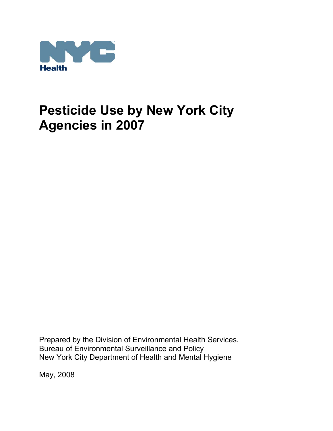

Prepared by the Division of Environmental Health Services, Bureau of Environmental Surveillance and Policy New York City Department of Health and Mental Hygiene

May, 2008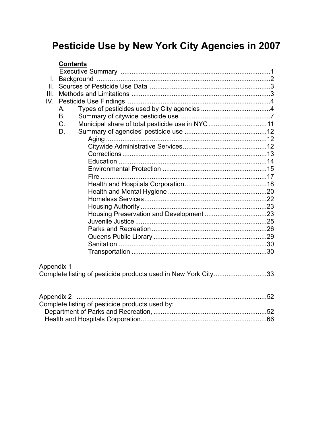| <b>Contents</b> |                                                                |  |
|-----------------|----------------------------------------------------------------|--|
|                 |                                                                |  |
| L.              |                                                                |  |
| II.             |                                                                |  |
| III.            |                                                                |  |
| IV.             |                                                                |  |
| А.              |                                                                |  |
| <b>B.</b>       |                                                                |  |
| C.              | Municipal share of total pesticide use in NYC 11               |  |
| D.              |                                                                |  |
|                 |                                                                |  |
|                 |                                                                |  |
|                 |                                                                |  |
|                 |                                                                |  |
|                 |                                                                |  |
|                 |                                                                |  |
|                 |                                                                |  |
|                 |                                                                |  |
|                 |                                                                |  |
|                 |                                                                |  |
|                 |                                                                |  |
|                 |                                                                |  |
|                 |                                                                |  |
|                 |                                                                |  |
|                 |                                                                |  |
|                 |                                                                |  |
| Appendix 1      |                                                                |  |
|                 | Complete listing of pesticide products used in New York City33 |  |
|                 |                                                                |  |
|                 | Complete listing of pesticide products used by:                |  |
|                 |                                                                |  |
|                 |                                                                |  |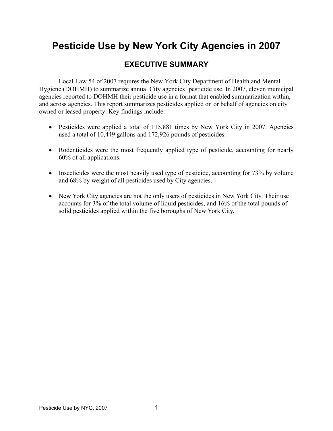# **EXECUTIVE SUMMARY**

Local Law 54 of 2007 requires the New York City Department of Health and Mental Hygiene (DOHMH) to summarize annual City agencies' pesticide use. In 2007, eleven municipal agencies reported to DOHMH their pesticide use in a format that enabled summarization within, and across agencies. This report summarizes pesticides applied on or behalf of agencies on city owned or leased property. Key findings include:

- Pesticides were applied a total of 115,881 times by New York City in 2007. Agencies used a total of 10,449 gallons and 172,926 pounds of pesticides.
- Rodenticides were the most frequently applied type of pesticide, accounting for nearly 60% of all applications.
- Insecticides were the most heavily used type of pesticide, accounting for 73% by volume and 68% by weight of all pesticides used by City agencies.
- New York City agencies are not the only users of pesticides in New York City. Their use accounts for 3% of the total volume of liquid pesticides, and 16% of the total pounds of solid pesticides applied within the five boroughs of New York City.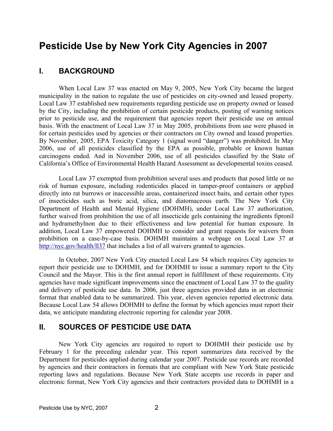## **I. BACKGROUND**

 When Local Law 37 was enacted on May 9, 2005, New York City became the largest municipality in the nation to regulate the use of pesticides on city-owned and leased property. Local Law 37 established new requirements regarding pesticide use on property owned or leased by the City, including the prohibition of certain pesticide products, posting of warning notices prior to pesticide use, and the requirement that agencies report their pesticide use on annual basis. With the enactment of Local Law 37 in May 2005, prohibitions from use were phased in for certain pesticides used by agencies or their contractors on City owned and leased properties. By November, 2005, EPA Toxicity Category 1 (signal word "danger") was prohibited. In May 2006, use of all pesticides classified by the EPA as possible, probable or known human carcinogens ended. And in November 2006, use of all pesticides classified by the State of California's Office of Environmental Health Hazard Assessment as developmental toxins ceased.

 Local Law 37 exempted from prohibition several uses and products that posed little or no risk of human exposure, including rodenticides placed in tamper-proof containers or applied directly into rat burrows or inaccessible areas, containerized insect baits, and certain other types of insecticides such as boric acid, silica, and diatomaceous earth. The New York City Department of Health and Mental Hygiene (DOHMH), under Local Law 37 authorization, further waived from prohibition the use of all insecticide gels containing the ingredients fipronil and hydramethylnon due to their effectiveness and low potential for human exposure. In addition, Local Law 37 empowered DOHMH to consider and grant requests for waivers from prohibition on a case-by-case basis. DOHMH maintains a webpage on Local Law 37 at http://nyc.gov/health/ll37 that includes a list of all waivers granted to agencies.

 In October, 2007 New York City enacted Local Law 54 which requires City agencies to report their pesticide use to DOHMH, and for DOHMH to issue a summary report to the City Council and the Mayor. This is the first annual report in fulfillment of these requirements. City agencies have made significant improvements since the enactment of Local Law 37 to the quality and delivery of pesticide use data. In 2006, just three agencies provided data in an electronic format that enabled data to be summarized. This year, eleven agencies reported electronic data. Because Local Law 54 allows DOHMH to define the format by which agencies must report their data, we anticipate mandating electronic reporting for calendar year 2008.

## **II. SOURCES OF PESTICIDE USE DATA**

 New York City agencies are required to report to DOHMH their pesticide use by February 1 for the preceding calendar year. This report summarizes data received by the Department for pesticides applied during calendar year 2007. Pesticide use records are recorded by agencies and their contractors in formats that are compliant with New York State pesticide reporting laws and regulations. Because New York State accepts use records in paper and electronic format, New York City agencies and their contractors provided data to DOHMH in a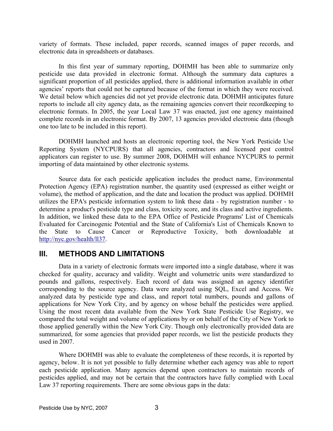variety of formats. These included, paper records, scanned images of paper records, and electronic data in spreadsheets or databases.

 In this first year of summary reporting, DOHMH has been able to summarize only pesticide use data provided in electronic format. Although the summary data captures a significant proportion of all pesticides applied, there is additional information available in other agencies' reports that could not be captured because of the format in which they were received. We detail below which agencies did not yet provide electronic data. DOHMH anticipates future reports to include all city agency data, as the remaining agencies convert their recordkeeping to electronic formats. In 2005, the year Local Law 37 was enacted, just one agency maintained complete records in an electronic format. By 2007, 13 agencies provided electronic data (though one too late to be included in this report).

 DOHMH launched and hosts an electronic reporting tool, the New York Pesticide Use Reporting System (NYCPURS) that all agencies, contractors and licensed pest control applicators can register to use. By summer 2008, DOHMH will enhance NYCPURS to permit importing of data maintained by other electronic systems.

 Source data for each pesticide application includes the product name, Environmental Protection Agency (EPA) registration number, the quantity used (expressed as either weight or volume), the method of application, and the date and location the product was applied. DOHMH utilizes the EPA's pesticide information system to link these data - by registration number - to determine a product's pesticide type and class, toxicity score, and its class and active ingredients. In addition, we linked these data to the EPA Office of Pesticide Programs' List of Chemicals Evaluated for Carcinogenic Potential and the State of California's List of Chemicals Known to the State to Cause Cancer or Reproductive Toxicity, both downloadable at http://nyc.gov/health/ll37.

## **III. METHODS AND LIMITATIONS**

 Data in a variety of electronic formats were imported into a single database, where it was checked for quality, accuracy and validity. Weight and volumetric units were standardized to pounds and gallons, respectively. Each record of data was assigned an agency identifier corresponding to the source agency. Data were analyzed using SQL, Excel and Access. We analyzed data by pesticide type and class, and report total numbers, pounds and gallons of applications for New York City, and by agency on whose behalf the pesticides were applied. Using the most recent data available from the New York State Pesticide Use Registry, we compared the total weight and volume of applications by or on behalf of the City of New York to those applied generally within the New York City. Though only electronically provided data are summarized, for some agencies that provided paper records, we list the pesticide products they used in 2007.

 Where DOHMH was able to evaluate the completeness of these records, it is reported by agency, below. It is not yet possible to fully determine whether each agency was able to report each pesticide application. Many agencies depend upon contractors to maintain records of pesticides applied, and may not be certain that the contractors have fully complied with Local Law 37 reporting requirements. There are some obvious gaps in the data: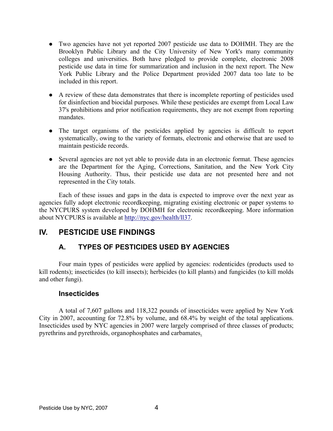- Two agencies have not yet reported 2007 pesticide use data to DOHMH. They are the Brooklyn Public Library and the City University of New York's many community colleges and universities. Both have pledged to provide complete, electronic 2008 pesticide use data in time for summarization and inclusion in the next report. The New York Public Library and the Police Department provided 2007 data too late to be included in this report.
- A review of these data demonstrates that there is incomplete reporting of pesticides used for disinfection and biocidal purposes. While these pesticides are exempt from Local Law 37's prohibitions and prior notification requirements, they are not exempt from reporting mandates.
- The target organisms of the pesticides applied by agencies is difficult to report systematically, owing to the variety of formats, electronic and otherwise that are used to maintain pesticide records.
- Several agencies are not yet able to provide data in an electronic format. These agencies are the Department for the Aging, Corrections, Sanitation, and the New York City Housing Authority. Thus, their pesticide use data are not presented here and not represented in the City totals.

 Each of these issues and gaps in the data is expected to improve over the next year as agencies fully adopt electronic recordkeeping, migrating existing electronic or paper systems to the NYCPURS system developed by DOHMH for electronic recordkeeping. More information about NYCPURS is available at http://nyc.gov/health/ll37.

## **IV. PESTICIDE USE FINDINGS**

## **A. TYPES OF PESTICIDES USED BY AGENCIES**

 Four main types of pesticides were applied by agencies: rodenticides (products used to kill rodents); insecticides (to kill insects); herbicides (to kill plants) and fungicides (to kill molds and other fungi).

## **Insecticides**

 A total of 7,607 gallons and 118,322 pounds of insecticides were applied by New York City in 2007, accounting for 72.8% by volume, and 68.4% by weight of the total applications. Insecticides used by NYC agencies in 2007 were largely comprised of three classes of products; pyrethrins and pyrethroids, organophosphates and carbamates.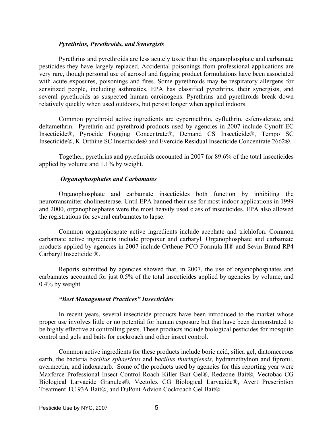#### *Pyrethrins, Pyrethroids, and Synergists*

 Pyrethrins and pyrethroids are less acutely toxic than the organophosphate and carbamate pesticides they have largely replaced. Accidental poisonings from professional applications are very rare, though personal use of aerosol and fogging product formulations have been associated with acute exposures, poisonings and fires. Some pyrethroids may be respiratory allergens for sensitized people, including asthmatics. EPA has classified pyrethrins, their synergists, and several pyrethroids as suspected human carcinogens. Pyrethrins and pyrethroids break down relatively quickly when used outdoors, but persist longer when applied indoors.

 Common pyrethroid active ingredients are cypermethrin, cyfluthrin, esfenvalerate, and deltamethrin. Pyrethrin and pyrethroid products used by agencies in 2007 include Cynoff EC Insecticide®, Pyrocide Fogging Concentrate®, Demand CS Insecticide®, Tempo SC Insecticide®, K-Orthine SC Insecticide® and Evercide Residual Insecticide Concentrate 2662®.

 Together, pyrethrins and pyrethroids accounted in 2007 for 89.6% of the total insecticides applied by volume and 1.1% by weight.

#### *Organophosphates and Carbamates*

 Organophosphate and carbamate insecticides both function by inhibiting the neurotransmitter cholinesterase. Until EPA banned their use for most indoor applications in 1999 and 2000, organophosphates were the most heavily used class of insecticides. EPA also allowed the registrations for several carbamates to lapse.

 Common organophospate active ingredients include acephate and trichlofon. Common carbamate active ingredients include propoxur and carbaryl. Organophosphate and carbamate products applied by agencies in 2007 include Orthene PCO Formula II® and Sevin Brand RP4 Carbaryl Insecticide ®.

 Reports submitted by agencies showed that, in 2007, the use of organophosphates and carbamates accounted for just 0.5% of the total insecticides applied by agencies by volume, and 0.4% by weight.

#### *"Best Management Practices" Insecticides*

 In recent years, several insecticide products have been introduced to the market whose proper use involves little or no potential for human exposure but that have been demonstrated to be highly effective at controlling pests. These products include biological pesticides for mosquito control and gels and baits for cockroach and other insect control.

 Common active ingredients for these products include boric acid, silica gel, diatomeceous earth, the bacteria b*acillus sphaericus* and b*acillus thuringiensis*, hydramethylnon and fipronil, avermectin, and indoxacarb. Some of the products used by agencies for this reporting year were Maxforce Professional Insect Control Roach Killer Bait Gel®, Redzone Bait®, Vectobac CG Biological Larvacide Granules®, Vectolex CG Biological Larvacide®, Avert Prescription Treatment TC 93A Bait®, and DuPont Advion Cockroach Gel Bait®.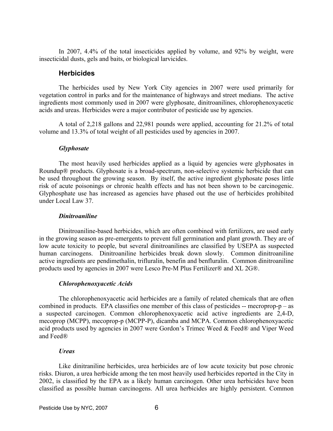In 2007, 4.4% of the total insecticides applied by volume, and 92% by weight, were insecticidal dusts, gels and baits, or biological larvicides.

#### **Herbicides**

 The herbicides used by New York City agencies in 2007 were used primarily for vegetation control in parks and for the maintenance of highways and street medians. The active ingredients most commonly used in 2007 were glyphosate, dinitroanilines, chlorophenoxyacetic acids and ureas. Herbicides were a major contributor of pesticide use by agencies.

 A total of 2,218 gallons and 22,981 pounds were applied, accounting for 21.2% of total volume and 13.3% of total weight of all pesticides used by agencies in 2007.

#### *Glyphosate*

 The most heavily used herbicides applied as a liquid by agencies were glyphosates in Roundup® products. Glyphosate is a broad-spectrum, non-selective systemic herbicide that can be used throughout the growing season. By itself, the active ingredient glyphosate poses little risk of acute poisonings or chronic health effects and has not been shown to be carcinogenic. Glyphosphate use has increased as agencies have phased out the use of herbicides prohibited under Local Law 37.

#### *Dinitroaniline*

 Dinitroaniline-based herbicides, which are often combined with fertilizers, are used early in the growing season as pre-emergents to prevent full germination and plant growth. They are of low acute toxicity to people, but several dinitroanilines are classified by USEPA as suspected human carcinogens. Dinitroaniline herbicides break down slowly. Common dinitroaniline active ingredients are pendimethalin, trifluralin, benefin and benfluralin. Common dinitroaniline products used by agencies in 2007 were Lesco Pre-M Plus Fertilizer® and XL 2G®.

#### *Chlorophenoxyacetic Acids*

 The chlorophenoxyacetic acid herbicides are a family of related chemicals that are often combined in products. EPA classifies one member of this class of pesticides  $-$  mecroprop-p – as a suspected carcinogen. Common chlorophenoxyacetic acid active ingredients are 2,4-D, mecoprop (MCPP), mecoprop-p (MCPP-P), dicamba and MCPA. Common chlorophenoxyacetic acid products used by agencies in 2007 were Gordon's Trimec Weed & Feed® and Viper Weed and Feed®

#### *Ureas*

 Like dinitraniline herbicides, urea herbicides are of low acute toxicity but pose chronic risks. Diuron, a urea herbicide among the ten most heavily used herbicides reported in the City in 2002, is classified by the EPA as a likely human carcinogen. Other urea herbicides have been classified as possible human carcinogens. All urea herbicides are highly persistent. Common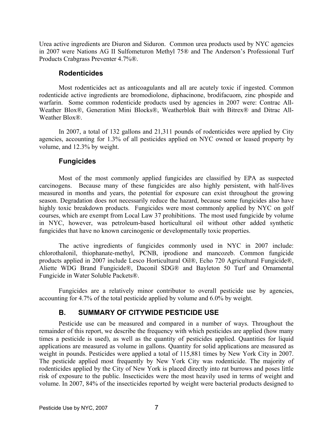Urea active ingredients are Diuron and Siduron. Common urea products used by NYC agencies in 2007 were Nations AG II Sulfometuron Methyl 75® and The Anderson's Professional Turf Products Crabgrass Preventer 4.7%®.

#### **Rodenticides**

 Most rodenticides act as anticoagulants and all are acutely toxic if ingested. Common rodenticide active ingredients are bromodiolone, diphacinone, brodifacuom, zinc phospide and warfarin. Some common rodenticide products used by agencies in 2007 were: Contrac All-Weather Blox®, Generation Mini Blocks®, Weatherblok Bait with Bitrex® and Ditrac All-Weather Blox<sup>®</sup>.

 In 2007, a total of 132 gallons and 21,311 pounds of rodenticides were applied by City agencies, accounting for 1.3% of all pesticides applied on NYC owned or leased property by volume, and 12.3% by weight.

## **Fungicides**

 Most of the most commonly applied fungicides are classified by EPA as suspected carcinogens. Because many of these fungicides are also highly persistent, with half-lives measured in months and years, the potential for exposure can exist throughout the growing season. Degradation does not necessarily reduce the hazard, because some fungicides also have highly toxic breakdown products. Fungicides were most commonly applied by NYC on golf courses, which are exempt from Local Law 37 prohibitions. The most used fungicide by volume in NYC, however, was petroleum-based horticultural oil without other added synthetic fungicides that have no known carcinogenic or developmentally toxic properties.

 The active ingredients of fungicides commonly used in NYC in 2007 include: chlorothalonil, thiophanate-methyl, PCNB, iprodione and mancozeb. Common fungicide products applied in 2007 include Lesco Horticultural Oil®, Echo 720 Agricultural Fungicide®, Aliette WDG Brand Fungicide®, Daconil SDG® and Bayleton 50 Turf and Ornamental Fungicide in Water Soluble Packets®.

 Fungicides are a relatively minor contributor to overall pesticide use by agencies, accounting for 4.7% of the total pesticide applied by volume and 6.0% by weight.

## **B. SUMMARY OF CITYWIDE PESTICIDE USE**

 Pesticide use can be measured and compared in a number of ways. Throughout the remainder of this report, we describe the frequency with which pesticides are applied (how many times a pesticide is used), as well as the quantity of pesticides applied. Quantities for liquid applications are measured as volume in gallons. Quantity for solid applications are measured as weight in pounds. Pesticides were applied a total of 115,881 times by New York City in 2007. The pesticide applied most frequently by New York City was rodenticide. The majority of rodenticides applied by the City of New York is placed directly into rat burrows and poses little risk of exposure to the public. Insecticides were the most heavily used in terms of weight and volume. In 2007, 84% of the insecticides reported by weight were bacterial products designed to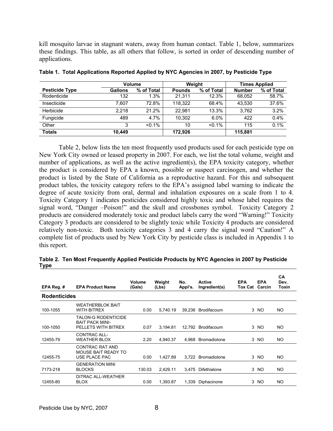kill mosquito larvae in stagnant waters, away from human contact. Table 1, below, summarizes these findings. This table, as all others that follow, is sorted in order of descending number of applications.

|                       |                | Volume     |               | Weight     |               | <b>Times Applied</b> |
|-----------------------|----------------|------------|---------------|------------|---------------|----------------------|
| <b>Pesticide Type</b> | <b>Gallons</b> | % of Total | <b>Pounds</b> | % of Total | <b>Number</b> | % of Total           |
| Rodenticide           | 132            | 1.3%       | 21.311        | 12.3%      | 68.052        | 58.7%                |
| Insecticide           | 7.607          | 72.8%      | 118.322       | 68.4%      | 43.530        | 37.6%                |
| Herbicide             | 2.218          | 21.2%      | 22.981        | 13.3%      | 3.762         | 3.2%                 |
| Fungicide             | 489            | 4.7%       | 10.302        | 6.0%       | 422           | 0.4%                 |
| Other                 | 3              | $< 0.1\%$  | 10            | $< 0.1\%$  | 115           | 0.1%                 |
| <b>Totals</b>         | 10.449         |            | 172.926       |            | 115,881       |                      |

|  |  |  | Table 1. Total Applications Reported Applied by NYC Agencies in 2007, by Pesticide Type |
|--|--|--|-----------------------------------------------------------------------------------------|
|  |  |  |                                                                                         |

 Table 2, below lists the ten most frequently used products used for each pesticide type on New York City owned or leased property in 2007. For each, we list the total volume, weight and number of applications, as well as the active ingredient(s), the EPA toxicity category, whether the product is considered by EPA a known, possible or suspect carcinogen, and whether the product is listed by the State of California as a reproductive hazard. For this and subsequent product tables, the toxicity category refers to the EPA's assigned label warning to indicate the degree of acute toxicity from oral, dermal and inhalation exposures on a scale from 1 to 4. Toxicity Category 1 indicates pesticides considered highly toxic and whose label requires the signal word, "Danger –Poison!" and the skull and crossbones symbol. Toxicity Category 2 products are considered moderately toxic and product labels carry the word "Warning!" Toxicity Category 3 products are considered to be slightly toxic while Toxicity 4 products are considered relatively non-toxic. Both toxicity categories 3 and 4 carry the signal word "Caution!" A complete list of products used by New York City by pesticide class is included in Appendix 1 to this report.

| EPA Reg. #          | <b>EPA Product Name</b>                                                     | Volume<br>(Gals) | Weight<br>(Lbs) | No.<br>Appl's. | <b>Active</b><br>Ingredient(s) | <b>EPA</b><br>Tox Cat | <b>EPA</b><br>Carcin | <b>CA</b><br>Dev.<br>Toxin |
|---------------------|-----------------------------------------------------------------------------|------------------|-----------------|----------------|--------------------------------|-----------------------|----------------------|----------------------------|
| <b>Rodenticides</b> |                                                                             |                  |                 |                |                                |                       |                      |                            |
| 100-1055            | <b>WEATHERBLOK BAIT</b><br><b>WITH BITREX</b>                               | 0.00             | 5.740.19        | 39,236         | Brodifacoum                    |                       | 3 NO                 | NO.                        |
| 100-1050            | <b>TALON-G RODENTICIDE</b><br><b>BAIT PACK MINI-</b><br>PELLETS WITH BITREX | 0.07             | 3.194.81        |                | 12,792 Brodifacoum             |                       | 3 NO                 | NO.                        |
| 12455-79            | CONTRAC ALL-<br><b>WEATHER BLOX</b>                                         | 2.20             | 4,940.37        | 4.968          | Bromadiolone                   |                       | 3 NO                 | NO.                        |
| 12455-75            | CONTRAC RAT AND<br>MOUSE BAIT READY TO<br>USE PLACE PAC                     | 0.00             | 1,427.89        |                | 3,722 Bromadiolone             |                       | 3 NO                 | NO.                        |
| 7173-218            | <b>GENERATION MINI</b><br><b>BLOCKS</b>                                     | 130.03           | 2,429.11        | 3.475          | <b>Difethialone</b>            |                       | 3 NO                 | NO.                        |
| 12455-80            | DITRAC ALL-WEATHER<br><b>BLOX</b>                                           | 0.00             | 1,393.87        | 1.339          | Diphacinone                    |                       | 3 NO                 | NO.                        |

**Table 2. Ten Most Frequently Applied Pesticide Products by NYC Agencies in 2007 by Pesticide Type**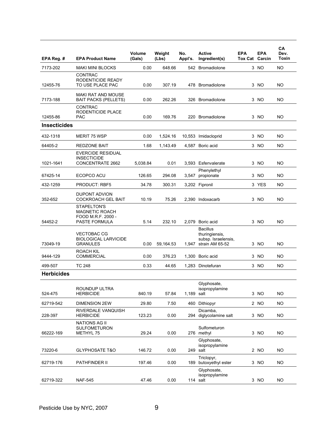| EPA Reg. #          | <b>EPA Product Name</b>                                                     | Volume<br>(Gals) | Weight<br>(Lbs) | No.<br>Appl's. | <b>Active</b><br>Ingredient(s)                                              | <b>EPA</b><br><b>Tox Cat Carcin</b> | <b>EPA</b> | CA<br>Dev.<br><b>Toxin</b> |
|---------------------|-----------------------------------------------------------------------------|------------------|-----------------|----------------|-----------------------------------------------------------------------------|-------------------------------------|------------|----------------------------|
| 7173-202            | <b>MAKI MINI BLOCKS</b>                                                     | 0.00             | 648.66          |                | 542 Bromadiolone                                                            |                                     | 3 NO       | NΟ                         |
| 12455-76            | <b>CONTRAC</b><br>RODENTICIDE READY<br>TO USE PLACE PAC                     | 0.00             | 307.19          |                | 478 Bromadiolone                                                            |                                     | 3 NO       | <b>NO</b>                  |
| 7173-188            | <b>MAKI RAT AND MOUSE</b><br><b>BAIT PACKS (PELLETS)</b>                    | 0.00             | 262.26          |                | 326 Bromadiolone                                                            |                                     | 3 NO       | NO.                        |
| 12455-86            | <b>CONTRAC</b><br>RODENTICIDE PLACE<br><b>PAC</b>                           | 0.00             | 169.76          |                | 220 Bromadiolone                                                            |                                     | 3 NO       | <b>NO</b>                  |
| <b>Insecticides</b> |                                                                             |                  |                 |                |                                                                             |                                     |            |                            |
| 432-1318            | MERIT 75 WSP                                                                | 0.00             | 1,524.16        |                | 10,553 Imidacloprid                                                         |                                     | 3 NO       | <b>NO</b>                  |
| 64405-2             | <b>REDZONE BAIT</b>                                                         | 1.68             | 1,143.49        |                | 4,587 Boric acid                                                            |                                     | 3 NO       | <b>NO</b>                  |
| 1021-1641           | <b>EVERCIDE RESIDUAL</b><br><b>INSECTICIDE</b><br>CONCENTRATE 2662          | 5,038.84         | 0.01            |                | 3,593 Esfenvalerate                                                         |                                     | 3 NO       | <b>NO</b>                  |
| 67425-14            | ECOPCO ACU                                                                  | 126.65           | 294.08          | 3,547          | Phenylethyl<br>propionate                                                   |                                     | 3 NO       | <b>NO</b>                  |
| 432-1259            | <b>PRODUCT: RBF5</b>                                                        | 34.78            | 300.31          |                | 3,202 Fipronil                                                              |                                     | 3 YES      | <b>NO</b>                  |
| 352-652             | <b>DUPONT ADVION</b><br><b>COCKROACH GEL BAIT</b>                           | 10.19            | 75.26           |                | 2,390 Indoxacarb                                                            |                                     | 3 NO       | NO                         |
| 54452-2             | STAPELTON'S<br><b>MAGNETIC ROACH</b><br>FOOD M.R.F. 2000 -<br>PASTE FORMULA | 5.14             | 232.10          |                | 2,079 Boric acid                                                            |                                     | 3 NO       | <b>NO</b>                  |
| 73049-19            | <b>VECTOBAC CG</b><br><b>BIOLOGICAL LARVICIDE</b><br><b>GRANULES</b>        | 0.00             | 59,164.53       | 1,947          | <b>Bacillus</b><br>thuringiensis,<br>subsp. Israelensis,<br>strain AM 65-52 |                                     | 3 NO       | <b>NO</b>                  |
| 9444-129            | <b>ROACH KIL</b><br><b>COMMERCIAL</b>                                       | 0.00             | 376.23          |                | 1,300 Boric acid                                                            |                                     | 3 NO       | <b>NO</b>                  |
| 499-507             | TC 248                                                                      | 0.33             | 44.65           |                | 1,283 Dinotefuran                                                           |                                     | 3 NO       | <b>NO</b>                  |
| <b>Herbicides</b>   |                                                                             |                  |                 |                |                                                                             |                                     |            |                            |
| 524-475             | ROUNDUP ULTRA<br><b>HERBICIDE</b>                                           | 840.19           | 57.84           | 1,189 salt     | Glyphosate,<br>isopropylamine                                               |                                     | 3 NO       | <b>NO</b>                  |
| 62719-542           | <b>DIMENSION 2EW</b>                                                        | 29.80            | 7.50            |                | 460 Dithiopyr                                                               |                                     | 2 NO       | <b>NO</b>                  |
| 228-397             | RIVERDALE VANQUISH<br><b>HERBICIDE</b>                                      | 123.23           | 0.00            |                | Dicamba,<br>294 diglycolamine salt                                          |                                     | 3 NO       | <b>NO</b>                  |
| 66222-169           | <b>NATIONS AG II</b><br><b>SULFOMETURON</b><br>METHYL 75                    | 29.24            | 0.00            |                | Sulfometuron<br>276 methyl                                                  |                                     | 3 NO       | <b>NO</b>                  |
| 73220-6             | <b>GLYPHOSATE T&amp;O</b>                                                   | 146.72           | 0.00            |                | Glyphosate,<br>isopropylamine<br>249 salt                                   |                                     | 2 NO       | NO.                        |
| 62719-176           | PATHFINDER II                                                               | 197.46           | 0.00            |                | Triclopyr,<br>189 butoxyethyl ester                                         |                                     | 3 NO       | NO.                        |
| 62719-322           | <b>NAF-545</b>                                                              | 47.46            | 0.00            |                | Glyphosate,<br>isopropylamine<br>114 salt                                   |                                     | 3 NO       | <b>NO</b>                  |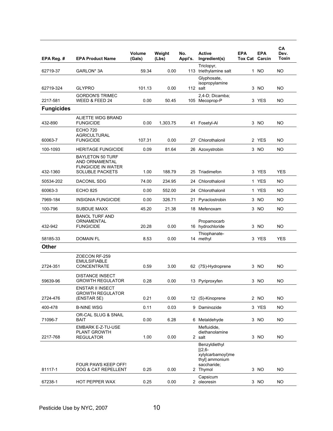| EPA Reg. #        | <b>EPA Product Name</b>                                                                          | Volume<br>(Gals) | Weight<br>(Lbs) | No.<br>Appl's. | <b>Active</b><br>Ingredient(s)                                                              | <b>EPA</b><br><b>Tox Cat Carcin</b> | <b>EPA</b> | CA<br>Dev.<br>Toxin |
|-------------------|--------------------------------------------------------------------------------------------------|------------------|-----------------|----------------|---------------------------------------------------------------------------------------------|-------------------------------------|------------|---------------------|
| 62719-37          | GARLON* 3A                                                                                       | 59.34            | 0.00            |                | Triclopyr,<br>113 triethylamine salt                                                        |                                     | 1 NO       | <b>NO</b>           |
|                   |                                                                                                  |                  |                 |                | Glyphosate,<br>isopropylamine                                                               |                                     |            |                     |
| 62719-324         | <b>GLYPRO</b><br><b>GORDON'S TRIMEC</b>                                                          | 101.13           | 0.00            |                | 112 salt<br>2,4-D; Dicamba;                                                                 |                                     | 3 NO       | NO.                 |
| 2217-581          | WEED & FEED 24                                                                                   | 0.00             | 50.45           |                | 105 Mecoprop-P                                                                              |                                     | 3 YES      | NO                  |
| <b>Fungicides</b> |                                                                                                  |                  |                 |                |                                                                                             |                                     |            |                     |
| 432-890           | ALIETTE WDG BRAND<br><b>FUNGICIDE</b>                                                            | 0.00             | 1,303.75        | 41             | Fosetyl-Al                                                                                  |                                     | 3 NO       | <b>NO</b>           |
| 60063-7           | <b>ECHO 720</b><br><b>AGRICULTURAL</b><br><b>FUNGICIDE</b>                                       | 107.31           | 0.00            |                | 27 Chlorothalonil                                                                           |                                     | 2 YES      | <b>NO</b>           |
| 100-1093          | <b>HERITAGE FUNGICIDE</b>                                                                        | 0.09             | 81.64           |                | 26 Azoxystrobin                                                                             |                                     | 3 NO       | NO                  |
| 432-1360          | <b>BAYLETON 50 TURF</b><br>AND ORNAMENTAL<br><b>FUNGICIDE IN WATER</b><br><b>SOLUBLE PACKETS</b> | 1.00             | 188.79          |                | 25 Triadimefon                                                                              |                                     | 3 YES      | <b>YES</b>          |
| 50534-202         | DACONIL SDG                                                                                      | 74.00            | 234.95          |                | 24 Chlorothalonil                                                                           |                                     | 1 YES      | NO.                 |
| 60063-3           | <b>ECHO 825</b>                                                                                  | 0.00             | 552.00          |                | 24 Chlorothalonil                                                                           |                                     | 1 YES      | NO.                 |
| 7969-184          | <b>INSIGNIA FUNGICIDE</b>                                                                        | 0.00             | 326.71          | 21             | Pyraclostrobin                                                                              |                                     | 3 NO       | <b>NO</b>           |
| 100-796           | SUBDUE MAXX                                                                                      | 45.20            | 21.38           |                | 18 Mefenoxam                                                                                |                                     | 3 NO       | <b>NO</b>           |
| 432-942           | <b>BANOL TURF AND</b><br>ORNAMENTAL<br><b>FUNGICIDE</b>                                          | 20.28            | 0.00            |                | Propamocarb<br>16 hydrochloride                                                             |                                     | 3 NO       | <b>NO</b>           |
| 58185-33          | <b>DOMAIN FL</b>                                                                                 | 8.53             | 0.00            |                | Thiophanate-<br>14 methyl                                                                   |                                     | 3 YES      | <b>YES</b>          |
| Other             |                                                                                                  |                  |                 |                |                                                                                             |                                     |            |                     |
| 2724-351          | ZOECON RF-259<br><b>EMULSIFIABLE</b><br>CONCENTRATE                                              | 0.59             | 3.00            |                | 62 (7S)-Hydroprene                                                                          |                                     | 3 NO       | <b>NO</b>           |
| 59639-96          | <b>DISTANCE INSECT</b><br><b>GROWTH REGULATOR</b>                                                | 0.28             | 0.00            |                | 13 Pyriproxyfen                                                                             |                                     | 3 NO       | NO                  |
| 2724-476          | ENSTAR II INSECT<br><b>GROWTH REGULATOR</b><br>(ENSTAR 5E)                                       | 0.21             | 0.00            |                | 12 (S)-Kinoprene                                                                            |                                     | 2 NO       | NO                  |
| 400-478           | <b>B-NINE WSG</b>                                                                                | 0.11             | 0.03            |                | 9 Daminozide                                                                                |                                     | 3 YES      | <b>NO</b>           |
| 71096-7           | OR-CAL SLUG & SNAIL<br>BAIT                                                                      | 0.00             | 6.28            |                | 6 Metaldehyde                                                                               |                                     | 3 NO       | <b>NO</b>           |
| 2217-768          | EMBARK E-Z-TU-USE<br><b>PLANT GROWTH</b><br><b>REGULATOR</b>                                     | 1.00             | 0.00            |                | Mefluidide.<br>diethanolamine<br>2 salt                                                     |                                     | 3 NO       | NO.                 |
| 81117-1           | FOUR PAWS KEEP OFF!<br>DOG & CAT REPELLENT                                                       | 0.25             | 0.00            |                | Benzyldiethyl<br>$[(2,6-$<br>xylylcarbamoyl)me<br>thyl] ammonium<br>saccharide;<br>2 Thymol |                                     | 3 NO       | NO.                 |
| 67238-1           | <b>HOT PEPPER WAX</b>                                                                            | 0.25             | 0.00            |                | Capsicum<br>2 oleoresin                                                                     |                                     | 3 NO       | <b>NO</b>           |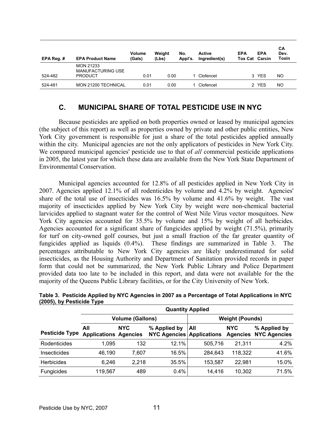| EPA Reg. $#$ | <b>EPA Product Name</b>                                        | Volume<br>(Gals) | Weight<br>(Lbs) | No.<br>Appl's. | <b>Active</b><br>Ingredient(s) | <b>EPA</b><br><b>Tox Cat Carcin</b> | <b>EPA</b> | CА<br>Dev.<br>Toxin |
|--------------|----------------------------------------------------------------|------------------|-----------------|----------------|--------------------------------|-------------------------------------|------------|---------------------|
| 524-482      | <b>MON 21233</b><br><b>MANUFACTURING USE</b><br><b>PRODUCT</b> | 0.01             | 0.00            |                | Clofencet                      |                                     | 3 YES      | <b>NO</b>           |
| 524-481      | MON 21200 TECHNICAL                                            | 0.01             | 0.00            |                | Clofencet                      |                                     | 2 YES      | <b>NO</b>           |

## **C. MUNICIPAL SHARE OF TOTAL PESTICIDE USE IN NYC**

 Because pesticides are applied on both properties owned or leased by municipal agencies (the subject of this report) as well as properties owned by private and other public entities, New York City government is responsible for just a share of the total pesticides applied annually within the city. Municipal agencies are not the only applicators of pesticides in New York City. We compared municipal agencies' pesticide use to that of *all* commercial pesticide applications in 2005, the latest year for which these data are available from the New York State Department of Environmental Conservation.

 Municipal agencies accounted for 12.8% of all pesticides applied in New York City in 2007. Agencies applied 12.1% of all rodenticides by volume and 4.2% by weight. Agencies' share of the total use of insecticides was 16.5% by volume and 41.6% by weight. The vast majority of insecticides applied by New York City by weight were non-chemical bacterial larvicides applied to stagnant water for the control of West Nile Virus vector mosquitoes. New York City agencies accounted for 35.5% by volume and 15% by weight of all herbicides. Agencies accounted for a significant share of fungicides applied by weight (71.5%), primarily for turf on city-owned golf courses, but just a small fraction of the far greater quantity of fungicides applied as liquids (0.4%). These findings are summarized in Table 3. The percentages attributable to New York City agencies are likely underestimated for solid insecticides, as the Housing Authority and Department of Sanitation provided records in paper form that could not be summarized, the New York Public Library and Police Department provided data too late to be included in this report, and data were not available for the the majority of the Queens Public Library facilities, or for the City University of New York.

|                       | <b>Quantity Applied</b>             |            |                                                  |         |                               |                                     |  |  |  |  |  |
|-----------------------|-------------------------------------|------------|--------------------------------------------------|---------|-------------------------------|-------------------------------------|--|--|--|--|--|
|                       | <b>Weight (Pounds)</b>              |            |                                                  |         |                               |                                     |  |  |  |  |  |
| <b>Pesticide Type</b> | All<br><b>Applications Agencies</b> | <b>NYC</b> | % Applied by<br><b>NYC Agencies Applications</b> | All     | <b>NYC</b><br><b>Agencies</b> | % Applied by<br><b>NYC Agencies</b> |  |  |  |  |  |
| Rodenticides          | 1.095                               | 132        | 12.1%                                            | 505.716 | 21,311                        | 4.2%                                |  |  |  |  |  |
| <b>Insecticides</b>   | 46,190                              | 7.607      | 16.5%                                            | 284,643 | 118,322                       | 41.6%                               |  |  |  |  |  |
| <b>Herbicides</b>     | 6.246                               | 2.218      | 35.5%                                            | 153,587 | 22,981                        | 15.0%                               |  |  |  |  |  |
| Fungicides            | 119,567                             | 489        | 0.4%                                             | 14,416  | 10,302                        | 71.5%                               |  |  |  |  |  |

| Table 3. Pesticide Applied by NYC Agencies in 2007 as a Percentage of Total Applications in NYC |  |  |
|-------------------------------------------------------------------------------------------------|--|--|
| (2005), by Pesticide Type                                                                       |  |  |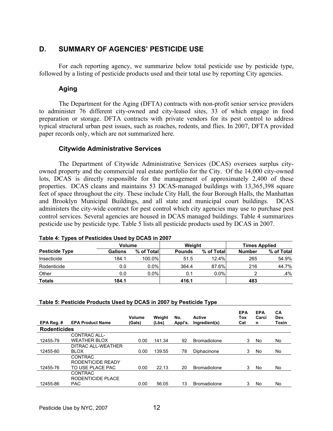## **D. SUMMARY OF AGENCIES' PESTICIDE USE**

 For each reporting agency, we summarize below total pesticide use by pesticide type, followed by a listing of pesticide products used and their total use by reporting City agencies.

#### **Aging**

 The Department for the Aging (DFTA) contracts with non-profit senior service providers to administer 76 different city-owned and city-leased sites, 33 of which engage in food preparation or storage. DFTA contracts with private vendors for its pest control to address typical structural urban pest issues, such as roaches, rodents, and flies. In 2007, DFTA provided paper records only, which are not summarized here.

#### **Citywide Administrative Services**

 The Department of Citywide Administrative Services (DCAS) oversees surplus cityowned property and the commercial real estate portfolio for the City. Of the 14,000 city-owned lots, DCAS is directly responsible for the management of approximately 2,400 of these properties. DCAS cleans and maintains 53 DCAS-managed buildings with 13,365,398 square feet of space throughout the city. These include City Hall, the four Borough Halls, the Manhattan and Brooklyn Municipal Buildings, and all state and municipal court buildings. DCAS administers the city-wide contract for pest control which city agencies may use to purchase pest control services. Several agencies are housed in DCAS managed buildings. Table 4 summarizes pesticide use by pesticide type. Table 5 lists all pesticide products used by DCAS in 2007.

|                       | <b>Volume</b> |            | Weight        |            | <b>Times Applied</b> |            |
|-----------------------|---------------|------------|---------------|------------|----------------------|------------|
| <b>Pesticide Type</b> | Gallons       | % of Total | <b>Pounds</b> | % of Total | <b>Number</b>        | % of Total |
| Insecticide           | 184.1         | 100.0%     | 51.5          | $12.4\%$   | 265                  | 54.9%      |
| Rodenticide           | 0.0           | $0.0\%$    | 364.4         | 87.6%      | 216                  | 44.7%      |
| Other                 | 0.0           | $0.0\%$    | 0.1           | 0.0%       |                      | .4%        |
| <b>Totals</b>         | 184.1         |            | 416.1         |            | 483                  |            |

#### **Table 4: Types of Pesticides Used by DCAS in 2007**

#### **Table 5: Pesticide Products Used by DCAS in 2007 by Pesticide Type**

| EPA Reg. #          | <b>EPA Product Name</b> | Volume<br>(Gals) | Weight<br>(Lbs) | No.<br>Appl's. | <b>Active</b><br>Ingredient(s) | <b>EPA</b><br>Tox<br>Cat | <b>EPA</b><br>Carci<br>n | <b>CA</b><br>Dev.<br>Toxin |
|---------------------|-------------------------|------------------|-----------------|----------------|--------------------------------|--------------------------|--------------------------|----------------------------|
| <b>Rodenticides</b> |                         |                  |                 |                |                                |                          |                          |                            |
|                     | CONTRAC ALL-            |                  |                 |                |                                |                          |                          |                            |
| 12455-79            | <b>WEATHER BLOX</b>     | 0.00             | 141.34          | 92             | <b>Bromadiolone</b>            | 3                        | No                       | No                         |
|                     | DITRAC ALL-WEATHER      |                  |                 |                |                                |                          |                          |                            |
| 12455-80            | <b>BLOX</b>             | 0.00             | 139.55          | 78             | Diphacinone                    | 3                        | No                       | No                         |
|                     | <b>CONTRAC</b>          |                  |                 |                |                                |                          |                          |                            |
|                     | RODENTICIDE READY       |                  |                 |                |                                |                          |                          |                            |
| 12455-76            | TO USE PLACE PAC        | 0.00             | 22.13           | 20             | <b>Bromadiolone</b>            | 3                        | No                       | No                         |
|                     | <b>CONTRAC</b>          |                  |                 |                |                                |                          |                          |                            |
|                     | RODENTICIDE PLACE       |                  |                 |                |                                |                          |                          |                            |
| 12455-86            | <b>PAC</b>              | 0.00             | 56.05           | 13             | <b>Bromadiolone</b>            | 3                        | No                       | No                         |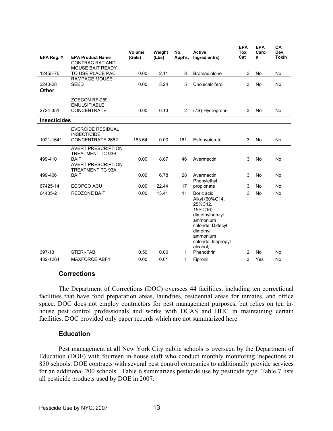| EPA Reg. #          | <b>EPA Product Name</b>                                                   | Volume<br>(Gals) | Weight<br>(Lbs) | No.<br>Appl's. | <b>Active</b><br>Ingredient(s)                                                                                                                                   | <b>EPA</b><br><b>Tox</b><br>Cat | <b>EPA</b><br>Carci<br>n | CA<br>Dev.<br><b>Toxin</b> |
|---------------------|---------------------------------------------------------------------------|------------------|-----------------|----------------|------------------------------------------------------------------------------------------------------------------------------------------------------------------|---------------------------------|--------------------------|----------------------------|
|                     | <b>CONTRAC RAT AND</b>                                                    |                  |                 |                |                                                                                                                                                                  |                                 |                          |                            |
|                     | <b>MOUSE BAIT READY</b>                                                   |                  |                 |                |                                                                                                                                                                  |                                 |                          |                            |
| 12455-75            | TO USE PLACE PAC                                                          | 0.00             | 2.11            | 8              | <b>Bromadiolone</b>                                                                                                                                              | 3                               | No                       | <b>No</b>                  |
| 3240-28             | <b>RAMPAGE MOUSE</b><br><b>SEED</b>                                       | 0.00             | 3.24            | 5              | Cholecalciferol                                                                                                                                                  | 3                               | No                       | No                         |
| <b>Other</b>        |                                                                           |                  |                 |                |                                                                                                                                                                  |                                 |                          |                            |
| 2724-351            | ZOECON RF-259<br><b>EMULSIFIABLE</b><br><b>CONCENTRATE</b>                | 0.00             | 0.13            | $\overline{2}$ | (7S)-Hydroprene                                                                                                                                                  | 3                               | No                       | No                         |
| <b>Insecticides</b> |                                                                           |                  |                 |                |                                                                                                                                                                  |                                 |                          |                            |
| 1021-1641           | <b>EVERCIDE RESIDUAL</b><br><b>INSECTICIDE</b><br><b>CONCENTRATE 2662</b> | 183.64           | 0.00            | 161            | Esfenvalerate                                                                                                                                                    | 3                               | No                       | No                         |
| 499-410             | <b>AVERT PRESCRIPTION</b><br>TREATMENT TC 93B<br><b>BAIT</b>              | 0.00             | 8.87            | 46             | Avermectin                                                                                                                                                       | 3                               | No                       | No                         |
| 499-406             | <b>AVERT PRESCRIPTION</b><br>TREATMENT TC 93A<br><b>BAIT</b>              | 0.00             | 6.78            | 28             | Avermectin                                                                                                                                                       | 3                               | No                       | No                         |
|                     |                                                                           |                  |                 |                | Phenylethyl                                                                                                                                                      |                                 |                          |                            |
| 67425-14            | ECOPCO ACU                                                                | 0.00             | 22.44           | 17             | propionate                                                                                                                                                       | 3                               | No                       | No                         |
| 64405-2             | <b>REDZONE BAIT</b>                                                       | 0.00             | 13.41           | 11             | Boric acid                                                                                                                                                       | 3                               | No                       | No                         |
| 397-13              | STERI-FAB                                                                 | 0.50             | 0.00            | 1              | Alkyl (60%C14,<br>25%C12.<br>15%C16)<br>dimethylbenzyl<br>ammonium<br>chloride: Didecyl<br>dimethyl<br>ammonium<br>chloride; Isopropyl<br>alcohol;<br>Phenothrin | 2                               | No                       | No                         |
|                     |                                                                           |                  |                 | 1              |                                                                                                                                                                  | 3                               |                          |                            |
| 432-1264            | <b>MAXFORCE ABF4</b>                                                      | 0.00             | 0.01            |                | Fipronil                                                                                                                                                         |                                 | Yes                      | <b>No</b>                  |

#### **Corrections**

 The Department of Corrections (DOC) oversees 44 facilities, including ten correctional facilities that have food preparation areas, laundries, residential areas for inmates, and office space. DOC does not employ contractors for pest management purposes, but relies on ten inhouse pest control professionals and works with DCAS and HHC in maintaining certain facilities. DOC provided only paper records which are not summarized here.

#### **Education**

 Pest management at all New York City public schools is overseen by the Department of Education (DOE) with fourteen in-house staff who conduct monthly monitoring inspections at 850 schools. DOE contracts with several pest control companies to additionally provide services for an additional 200 schools. Table 6 summarizes pesticide use by pesticide type. Table 7 lists all pesticide products used by DOE in 2007.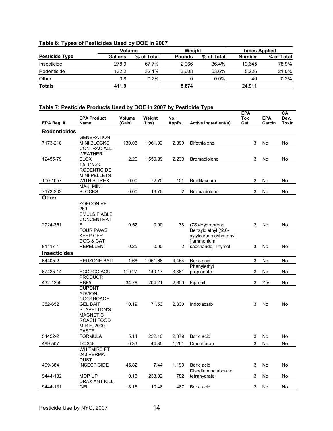### **Table 6: Types of Pesticides Used by DOE in 2007**

|                       | Volume  |            | Weight        |             | <b>Times Applied</b> |            |
|-----------------------|---------|------------|---------------|-------------|----------------------|------------|
| <b>Pesticide Type</b> | Gallons | % of Total | <b>Pounds</b> | % of Totall | <b>Number</b>        | % of Total |
| Insecticide           | 278.9   | 67.7%      | 2.066         | 36.4%       | 19.645               | 78.9%      |
| Rodenticide           | 132.2   | 32.1%      | 3.608         | 63.6%       | 5.226                | 21.0%      |
| Other                 | 0.8     | 0.2%       |               | $0.0\%$     | 40                   | 0.2%       |
| <b>Totals</b>         | 411.9   |            | 5,674         |             | 24.911               |            |

#### **Table 7: Pesticide Products Used by DOE in 2007 by Pesticide Type**

| EPA Reg. #          | <b>EPA Product</b><br><b>Name</b>         | Volume<br>(Gals) | Weight<br>(Lbs) | No.<br>Appl's. | <b>Active Ingredient(s)</b>             | <b>EPA</b><br>Tox<br>Cat | <b>EPA</b><br>Carcin | CА<br>Dev.<br>Toxin |
|---------------------|-------------------------------------------|------------------|-----------------|----------------|-----------------------------------------|--------------------------|----------------------|---------------------|
| <b>Rodenticides</b> |                                           |                  |                 |                |                                         |                          |                      |                     |
|                     | <b>GENERATION</b>                         |                  |                 |                |                                         |                          |                      |                     |
| 7173-218            | <b>MINI BLOCKS</b>                        | 130.03           | 1,961.92        | 2,890          | Difethialone                            | 3                        | No                   | No                  |
|                     | <b>CONTRAC ALL-</b>                       |                  |                 |                |                                         |                          |                      |                     |
|                     | <b>WEATHER</b>                            |                  |                 |                |                                         |                          |                      |                     |
| 12455-79            | <b>BLOX</b>                               | 2.20             | 1,559.89        | 2,233          | <b>Bromadiolone</b>                     | 3                        | No                   | No                  |
|                     | <b>TALON-G</b>                            |                  |                 |                |                                         |                          |                      |                     |
|                     | <b>RODENTICIDE</b><br><b>MINI-PELLETS</b> |                  |                 |                |                                         |                          |                      |                     |
| 100-1057            | WITH BITREX                               | 0.00             | 72.70           | 101            | <b>Brodifacoum</b>                      | 3                        | No                   | No                  |
|                     | <b>MAKI MINI</b>                          |                  |                 |                |                                         |                          |                      |                     |
| 7173-202            | <b>BLOCKS</b>                             | 0.00             | 13.75           | 2              | <b>Bromadiolone</b>                     | 3                        | No                   | No                  |
| Other               |                                           |                  |                 |                |                                         |                          |                      |                     |
|                     | ZOECON RF-                                |                  |                 |                |                                         |                          |                      |                     |
|                     | 259                                       |                  |                 |                |                                         |                          |                      |                     |
|                     | <b>EMULSIFIABLE</b>                       |                  |                 |                |                                         |                          |                      |                     |
| 2724-351            | <b>CONCENTRAT</b><br>Ε                    | 0.52             | 0.00            | 38             |                                         | 3                        |                      |                     |
|                     | <b>FOUR PAWS</b>                          |                  |                 |                | (7S)-Hydroprene<br>Benzyldiethyl [(2,6- |                          | No                   | No                  |
|                     | <b>KEEP OFF!</b>                          |                  |                 |                | xylylcarbamoyl)methyl                   |                          |                      |                     |
|                     | DOG & CAT                                 |                  |                 |                | 1 ammonium                              |                          |                      |                     |
| 81117-1             | <b>REPELLENT</b>                          | 0.25             | 0.00            | 2              | saccharide; Thymol                      | 3                        | No                   | No                  |
| <b>Insecticides</b> |                                           |                  |                 |                |                                         |                          |                      |                     |
| 64405-2             | <b>REDZONE BAIT</b>                       | 1.68             | 1,061.66        | 4,454          | Boric acid                              | 3                        | No                   | No                  |
|                     |                                           |                  |                 |                | Phenylethyl                             |                          |                      |                     |
| 67425-14            | ECOPCO ACU                                | 119.27           | 140.17          | 3,361          | propionate                              | 3                        | No                   | No                  |
| 432-1259            | PRODUCT:<br>RBF <sub>5</sub>              | 34.78            | 204.21          | 2,850          | Fipronil                                | 3                        | Yes                  | No                  |
|                     | <b>DUPONT</b>                             |                  |                 |                |                                         |                          |                      |                     |
|                     | <b>ADVION</b>                             |                  |                 |                |                                         |                          |                      |                     |
|                     | <b>COCKROACH</b>                          |                  |                 |                |                                         |                          |                      |                     |
| 352-652             | <b>GEL BAIT</b>                           | 10.19            | 71.53           | 2,330          | Indoxacarb                              | 3                        | No                   | No                  |
|                     | <b>STAPELTON'S</b>                        |                  |                 |                |                                         |                          |                      |                     |
|                     | <b>MAGNETIC</b>                           |                  |                 |                |                                         |                          |                      |                     |
|                     | ROACH FOOD<br>M.R.F. 2000 -               |                  |                 |                |                                         |                          |                      |                     |
|                     | <b>PASTE</b>                              |                  |                 |                |                                         |                          |                      |                     |
| 54452-2             | <b>FORMULA</b>                            | 5.14             | 232.10          | 2,079          | Boric acid                              | 3                        | No                   | No                  |
| 499-507             | TC 248                                    | 0.33             | 44.35           | 1,261          | Dinotefuran                             | 3                        | No                   | No                  |
|                     | <b>WHITMIRE PT</b>                        |                  |                 |                |                                         |                          |                      |                     |
|                     | 240 PERMA-                                |                  |                 |                |                                         |                          |                      |                     |
| 499-384             | <b>DUST</b><br><b>INSECTICIDE</b>         | 46.82            | 7.44            | 1,199          | Boric acid                              | 3                        | No                   | No                  |
|                     |                                           |                  |                 |                | Disodium octaborate                     |                          |                      |                     |
| 9444-132            | MOP UP                                    | 0.16             | 238.92          | 782            | tetrahydrate                            | 3                        | No                   | No                  |
|                     | <b>DRAX ANT KILL</b>                      |                  |                 |                |                                         |                          |                      |                     |
| 9444-131            | GEL                                       | 18.16            | 10.48           | 487            | Boric acid                              | 3                        | No                   | No                  |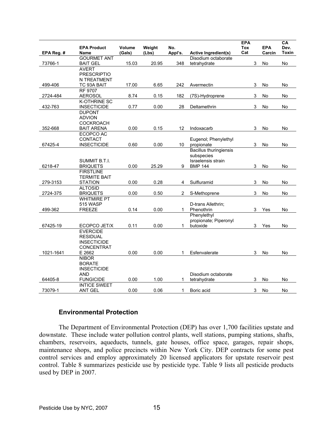|            | <b>EPA Product</b>                  | Volume | Weight | No.     |                                             | <b>EPA</b><br>Tox | <b>EPA</b> | CA<br>Dev.   |
|------------|-------------------------------------|--------|--------|---------|---------------------------------------------|-------------------|------------|--------------|
| EPA Reg. # | Name                                | (Gals) | (Lbs)  | Appl's. | Active Ingredient(s)                        | Cat               | Carcin     | <b>Toxin</b> |
|            | <b>GOURMET ANT</b>                  |        |        |         | Disodium octaborate                         |                   |            |              |
| 73766-1    | <b>BAIT GEL</b><br><b>AVERT</b>     | 15.03  | 20.95  | 348     | tetrahydrate                                | 3                 | No         | No           |
|            | <b>PRESCRIPTIO</b>                  |        |        |         |                                             |                   |            |              |
|            | <b>N TREATMENT</b>                  |        |        |         |                                             |                   |            |              |
| 499-406    | TC 93A BAIT                         | 17.00  | 6.65   | 242     | Avermectin                                  | 3                 | No         | No           |
|            | <b>RF 9707</b>                      |        |        |         |                                             |                   |            |              |
| 2724-484   | <b>AEROSOL</b>                      | 8.74   | 0.15   | 182     | (7S)-Hydroprene                             | 3                 | No         | No           |
|            | <b>K-OTHRINE SC</b>                 |        |        |         |                                             |                   |            |              |
| 432-763    | <b>INSECTICIDE</b><br><b>DUPONT</b> | 0.77   | 0.00   | 28      | Deltamethrin                                | 3                 | No         | No           |
|            | <b>ADVION</b>                       |        |        |         |                                             |                   |            |              |
|            | <b>COCKROACH</b>                    |        |        |         |                                             |                   |            |              |
| 352-668    | <b>BAIT ARENA</b>                   | 0.00   | 0.15   | 12      | Indoxacarb                                  | 3                 | No         | No           |
|            | ECOPCO AC                           |        |        |         |                                             |                   |            |              |
|            | CONTACT                             |        |        |         | Eugenol; Phenylethyl                        |                   |            |              |
| 67425-4    | <b>INSECTICIDE</b>                  | 0.60   | 0.00   | 10      | propionate                                  | 3                 | No         | No           |
|            |                                     |        |        |         | <b>Bacillus thuringiensis</b><br>subspecies |                   |            |              |
|            | SUMMIT B.T.I.                       |        |        |         | Israelensis strain                          |                   |            |              |
| 6218-47    | <b>BRIQUETS</b>                     | 0.00   | 25.29  | 9       | <b>BMP 144</b>                              | 3                 | No         | No           |
|            | <b>FIRSTLINE</b>                    |        |        |         |                                             |                   |            |              |
|            | <b>TERMITE BAIT</b>                 |        |        |         |                                             |                   |            |              |
| 279-3153   | <b>STATION</b>                      | 0.00   | 0.28   | 4       | Sulfluramid                                 | 3                 | No         | No           |
| 2724-375   | <b>ALTOSID</b><br><b>BRIQUETS</b>   | 0.00   | 0.50   | 2       | S-Methoprene                                | 3                 | No         | No           |
|            | <b>WHITMIRE PT</b>                  |        |        |         |                                             |                   |            |              |
|            | 515 WASP                            |        |        |         | D-trans Allethrin;                          |                   |            |              |
| 499-362    | <b>FREEZE</b>                       | 0.14   | 0.00   | 1       | Phenothrin                                  | 3                 | Yes        | No           |
|            |                                     |        |        |         | Phenylethyl                                 |                   |            |              |
|            |                                     |        |        |         | propionate; Piperonyl                       |                   |            |              |
| 67425-19   | ECOPCO JET/X<br><b>EVERCIDE</b>     | 0.11   | 0.00   | 1       | butoxide                                    | 3                 | Yes        | No           |
|            | <b>RESIDUAL</b>                     |        |        |         |                                             |                   |            |              |
|            | <b>INSECTICIDE</b>                  |        |        |         |                                             |                   |            |              |
|            | CONCENTRAT                          |        |        |         |                                             |                   |            |              |
| 1021-1641  | E 2662                              | 0.00   | 0.00   | 1       | Esfenvalerate                               | 3                 | No         | No           |
|            | <b>NIBOR</b>                        |        |        |         |                                             |                   |            |              |
|            | <b>BORATE</b>                       |        |        |         |                                             |                   |            |              |
|            | <b>INSECTICIDE</b><br><b>AND</b>    |        |        |         | Disodium octaborate                         |                   |            |              |
| 64405-8    | <b>FUNGICIDE</b>                    | 0.00   | 1.00   | 1       | tetrahydrate                                | 3                 | No         | No           |
|            | <b>INTICE SWEET</b>                 |        |        |         |                                             |                   |            |              |
| 73079-1    | <b>ANT GEL</b>                      | 0.00   | 0.06   | 1       | Boric acid                                  | $\mathsf 3$       | No         | No           |

#### **Environmental Protection**

 The Department of Environmental Protection (DEP) has over 1,700 facilities upstate and downstate. These include water pollution control plants, well stations, pumping stations, shafts, chambers, reservoirs, aqueducts, tunnels, gate houses, office space, garages, repair shops, maintenance shops, and police precincts within New York City. DEP contracts for some pest control services and employ approximately 20 licensed applicators for upstate reservoir pest control. Table 8 summarizes pesticide use by pesticide type. Table 9 lists all pesticide products used by DEP in 2007.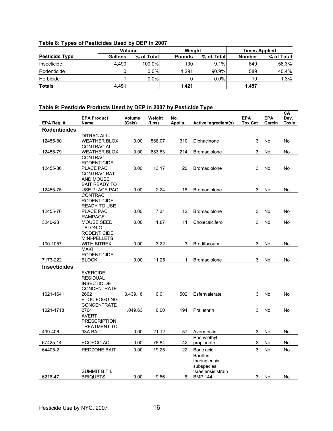### **Table 8: Types of Pesticides Used by DEP in 2007**

|                       | Volume  |            | Weight        |            | <b>Times Applied</b> |            |  |
|-----------------------|---------|------------|---------------|------------|----------------------|------------|--|
| <b>Pesticide Type</b> | Gallons | % of Total | <b>Pounds</b> | % of Total | <b>Number</b>        | % of Total |  |
| Insecticide           | 4.490   | 100.0%     | 130           | 9.1%       | 849                  | 58.3%      |  |
| Rodenticide           |         | $0.0\%$    | 1.291         | 90.9%      | 589                  | 40.4%      |  |
| Herbicide             |         | $0.0\%$    |               | 0.0%       | 19                   | 1.3%       |  |
| <b>Totals</b>         | 4.491   |            | 1.421         |            | 1,457                |            |  |

#### **Table 9: Pesticide Products Used by DEP in 2007 by Pesticide Type**

| EPA Reg. #          | <b>EPA Product</b><br><b>Name</b> | Volume<br>(Gals) | Weight<br>(Lbs) | No.<br>Appl's. | Active Ingredient(s) | <b>EPA</b><br><b>Tox Cat</b> | <b>EPA</b><br>Carcin | СA<br>Dev.<br>Toxin |
|---------------------|-----------------------------------|------------------|-----------------|----------------|----------------------|------------------------------|----------------------|---------------------|
| <b>Rodenticides</b> |                                   |                  |                 |                |                      |                              |                      |                     |
|                     | <b>DITRAC ALL-</b>                |                  |                 |                |                      |                              |                      |                     |
| 12455-80            | <b>WEATHER BLOX</b>               | 0.00             | 568.07          | 310            | Diphacinone          | 3                            | No                   | No                  |
|                     | <b>CONTRAC ALL-</b>               |                  |                 |                |                      |                              |                      |                     |
| 12455-79            | <b>WEATHER BLOX</b>               | 0.00             | 683.63          | 214            | <b>Bromadiolone</b>  | 3                            | No                   | No                  |
|                     | <b>CONTRAC</b>                    |                  |                 |                |                      |                              |                      |                     |
|                     | <b>RODENTICIDE</b>                |                  |                 |                |                      |                              |                      |                     |
| 12455-86            | PLACE PAC<br><b>CONTRAC RAT</b>   | 0.00             | 13.17           | 20             | <b>Bromadiolone</b>  | 3                            | No                   | No                  |
|                     | <b>AND MOUSE</b>                  |                  |                 |                |                      |                              |                      |                     |
|                     | <b>BAIT READY TO</b>              |                  |                 |                |                      |                              |                      |                     |
| 12455-75            | USE PLACE PAC                     | 0.00             | 2.24            | 18             | <b>Bromadiolone</b>  | 3                            | No                   | No                  |
|                     | CONTRAC                           |                  |                 |                |                      |                              |                      |                     |
|                     | <b>RODENTICIDE</b>                |                  |                 |                |                      |                              |                      |                     |
|                     | <b>READY TO USE</b>               |                  |                 |                |                      |                              |                      |                     |
| 12455-76            | PLACE PAC                         | 0.00             | 7.31            | 12             | <b>Bromadiolone</b>  | 3                            | No                   | No                  |
|                     | <b>RAMPAGE</b>                    |                  |                 |                |                      |                              |                      |                     |
| 3240-28             | MOUSE SEED                        | 0.00             | 1.87            | 11             | Cholecalciferol      | 3                            | No                   | No                  |
|                     | <b>TALON-G</b>                    |                  |                 |                |                      |                              |                      |                     |
|                     | <b>RODENTICIDE</b>                |                  |                 |                |                      |                              |                      |                     |
| 100-1057            | MINI-PELLETS<br>WITH BITREX       | 0.00             | 3.22            | 3              | Brodifacoum          | 3                            | No                   | No                  |
|                     | <b>MAKI</b>                       |                  |                 |                |                      |                              |                      |                     |
|                     | <b>RODENTICIDE</b>                |                  |                 |                |                      |                              |                      |                     |
| 7173-222            | <b>BLOCK</b>                      | 0.00             | 11.25           | 1              | <b>Bromadiolone</b>  | 3                            | No                   | No                  |
| <b>Insecticides</b> |                                   |                  |                 |                |                      |                              |                      |                     |
|                     | <b>EVERCIDE</b>                   |                  |                 |                |                      |                              |                      |                     |
|                     | <b>RESIDUAL</b>                   |                  |                 |                |                      |                              |                      |                     |
|                     | <b>INSECTICIDE</b>                |                  |                 |                |                      |                              |                      |                     |
|                     | <b>CONCENTRATE</b>                |                  |                 |                |                      |                              |                      |                     |
| 1021-1641           | 2662                              | 3,439.16         | 0.01            | 502            | Esfenvalerate        | 3                            | No                   | No                  |
|                     | <b>ETOC FOGGING</b>               |                  |                 |                |                      |                              |                      |                     |
|                     | <b>CONCENTRATE</b>                |                  |                 |                |                      |                              |                      |                     |
| 1021-1718           | 2764<br><b>AVERT</b>              | 1,049.63         | 0.00            | 194            | Prallethrin          | 3                            | No                   | No                  |
|                     | <b>PRESCRIPTION</b>               |                  |                 |                |                      |                              |                      |                     |
|                     | <b>TREATMENT TC</b>               |                  |                 |                |                      |                              |                      |                     |
| 499-406             | 93A BAIT                          | 0.00             | 21.12           | 57             | Avermectin           | 3                            | No                   | No                  |
|                     |                                   |                  |                 |                | Phenylethyl          |                              |                      |                     |
| 67425-14            | ECOPCO ACU                        | 0.00             | 78.84           | 42             | propionate           | $\mathsf 3$                  | No                   | No                  |
| 64405-2             | <b>REDZONE BAIT</b>               | 0.00             | 19.25           | 22             | Boric acid           | 3                            | No                   | No                  |
|                     |                                   |                  |                 |                | <b>Bacillus</b>      |                              |                      |                     |
|                     |                                   |                  |                 |                | thuringiensis        |                              |                      |                     |
|                     |                                   |                  |                 |                | subspecies           |                              |                      |                     |
|                     | <b>SUMMIT B.T.I.</b>              |                  |                 |                | Israelensis strain   |                              |                      |                     |
| 6218-47             | <b>BRIQUETS</b>                   | 0.00             | 9.66            | 8              | <b>BMP 144</b>       | 3                            | No                   | No                  |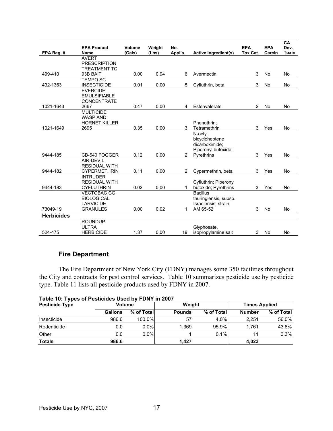|                   | <b>EPA Product</b>                          | Volume | Weight | No.            |                             | <b>EPA</b>     | <b>EPA</b> | CA<br>Dev.   |
|-------------------|---------------------------------------------|--------|--------|----------------|-----------------------------|----------------|------------|--------------|
| EPA Reg. #        | <b>Name</b>                                 | (Gals) | (Lbs)  | Appl's.        | <b>Active Ingredient(s)</b> | <b>Tox Cat</b> | Carcin     | <b>Toxin</b> |
|                   | <b>AVERT</b>                                |        |        |                |                             |                |            |              |
|                   | <b>PRESCRIPTION</b>                         |        |        |                |                             |                |            |              |
|                   | <b>TREATMENT TC</b>                         |        |        |                |                             |                |            |              |
| 499-410           | 93B BAIT                                    | 0.00   | 0.94   | 6              | Avermectin                  | 3              | No         | No           |
| 432-1363          | <b>TEMPO SC</b><br><b>INSECTICIDE</b>       | 0.01   | 0.00   | 5              | Cyfluthrin, beta            | 3              | No         | No           |
|                   | <b>EVERCIDE</b>                             |        |        |                |                             |                |            |              |
|                   | <b>EMULSIFIABLE</b>                         |        |        |                |                             |                |            |              |
|                   | <b>CONCENTRATE</b>                          |        |        |                |                             |                |            |              |
| 1021-1643         | 2667                                        | 0.47   | 0.00   | 4              | Esfenvalerate               | $\overline{2}$ | No         | No           |
|                   | <b>MULTICIDE</b>                            |        |        |                |                             |                |            |              |
|                   | <b>WASP AND</b>                             |        |        |                |                             |                |            |              |
| 1021-1649         | <b>HORNET KILLER</b><br>2695                | 0.35   | 0.00   | 3              | Phenothrin;<br>Tetramethrin | 3              | Yes        | No           |
|                   |                                             |        |        |                | N-octyl                     |                |            |              |
|                   |                                             |        |        |                | bicycloheptene              |                |            |              |
|                   |                                             |        |        |                | dicarboximide:              |                |            |              |
|                   |                                             |        |        |                | Piperonyl butoxide:         |                |            |              |
| 9444-185          | CB-540 FOGGER                               | 0.12   | 0.00   | $\overline{2}$ | Pyrethrins                  | 3              | Yes        | <b>No</b>    |
|                   | AIR-DEVIL                                   |        |        |                |                             |                |            |              |
| 9444-182          | <b>RESIDUAL WITH</b><br><b>CYPERMETHRIN</b> | 0.11   | 0.00   | 2              |                             |                | Yes        |              |
|                   | <b>INTRUDER</b>                             |        |        |                | Cypermethrin, beta          | 3              |            | No           |
|                   | <b>RESIDUAL WITH</b>                        |        |        |                | Cyfluthrin; Piperonyl       |                |            |              |
| 9444-183          | <b>CYFLUTHRIN</b>                           | 0.02   | 0.00   | 1              | butoxide: Pyrethrins        | 3              | Yes        | No           |
|                   | <b>VECTOBAC CG</b>                          |        |        |                | <b>Bacillus</b>             |                |            |              |
|                   | <b>BIOLOGICAL</b>                           |        |        |                | thuringiensis, subsp.       |                |            |              |
|                   | <b>LARVICIDE</b>                            |        |        |                | Israelensis, strain         |                |            |              |
| 73049-19          | <b>GRANULES</b>                             | 0.00   | 0.02   | 1              | AM 65-52                    | 3              | No         | No           |
| <b>Herbicides</b> |                                             |        |        |                |                             |                |            |              |
|                   | <b>ROUNDUP</b>                              |        |        |                |                             |                |            |              |
|                   | <b>ULTRA</b>                                |        |        |                | Glyphosate,                 |                |            |              |
| 524-475           | <b>HERBICIDE</b>                            | 1.37   | 0.00   | 19             | isopropylamine salt         | 3              | No         | No           |

## **Fire Department**

 The Fire Department of New York City (FDNY) manages some 350 facilities throughout the City and contracts for pest control services. Table 10 summarizes pesticide use by pesticide type. Table 11 lists all pesticide products used by FDNY in 2007.

|  |  | Table 10: Types of Pesticides Used by FDNY in 2007 |
|--|--|----------------------------------------------------|

| <b>Pesticide Type</b> | Volume         |            | Weight        |            | Times Applied |            |
|-----------------------|----------------|------------|---------------|------------|---------------|------------|
|                       | <b>Gallons</b> | % of Total | <b>Pounds</b> | % of Total | <b>Number</b> | % of Total |
| Insecticide           | 986.6          | 100.0%     | 57            | 4.0%       | 2.251         | 56.0%      |
| Rodenticide           | 0.0            | $0.0\%$    | 1.369         | 95.9%      | 1.761         | 43.8%      |
| Other                 | 0.0            | $0.0\%$    |               | 0.1%       | 11            | 0.3%       |
| <b>Totals</b>         | 986.6          |            | 1.427         |            | 4.023         |            |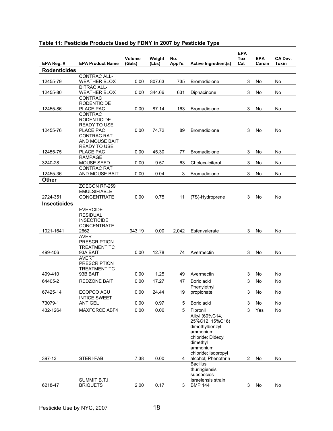|                     |                                            | Volume | Weight | No.     |                                  | <b>EPA</b><br>Tox | <b>EPA</b> | CA Dev. |
|---------------------|--------------------------------------------|--------|--------|---------|----------------------------------|-------------------|------------|---------|
| EPA Reg. #          | <b>EPA Product Name</b>                    | (Gals) | (Lbs)  | Appl's. | <b>Active Ingredient(s)</b>      | Cat               | Carcin     | Toxin   |
| <b>Rodenticides</b> |                                            |        |        |         |                                  |                   |            |         |
|                     | <b>CONTRAC ALL-</b>                        |        |        |         |                                  |                   |            |         |
| 12455-79            | <b>WEATHER BLOX</b><br><b>DITRAC ALL-</b>  | 0.00   | 807.63 | 735     | <b>Bromadiolone</b>              | 3                 | No         | No      |
| 12455-80            | <b>WEATHER BLOX</b>                        | 0.00   | 344.66 | 631     | Diphacinone                      | 3                 | No         | No      |
|                     | <b>CONTRAC</b>                             |        |        |         |                                  |                   |            |         |
|                     | <b>RODENTICIDE</b>                         |        |        |         |                                  |                   |            |         |
| 12455-86            | PLACE PAC                                  | 0.00   | 87.14  | 163     | <b>Bromadiolone</b>              | 3                 | No         | No      |
|                     | <b>CONTRAC</b>                             |        |        |         |                                  |                   |            |         |
|                     | <b>RODENTICIDE</b><br><b>READY TO USE</b>  |        |        |         |                                  |                   |            |         |
| 12455-76            | PLACE PAC                                  | 0.00   | 74.72  | 89      | Bromadiolone                     | 3                 | No         | No      |
|                     | <b>CONTRAC RAT</b>                         |        |        |         |                                  |                   |            |         |
|                     | AND MOUSE BAIT                             |        |        |         |                                  |                   |            |         |
|                     | <b>READY TO USE</b>                        |        |        |         |                                  |                   |            |         |
| 12455-75            | PLACE PAC<br><b>RAMPAGE</b>                | 0.00   | 45.30  | 77      | Bromadiolone                     | 3                 | No         | No      |
| 3240-28             | MOUSE SEED                                 | 0.00   | 9.57   | 63      | Cholecalciferol                  | 3                 | No         | No      |
|                     | <b>CONTRAC RAT</b>                         |        |        |         |                                  |                   |            |         |
| 12455-36            | AND MOUSE BAIT                             | 0.00   | 0.04   | 3       | Bromadiolone                     | 3                 | No         | No      |
| Other               |                                            |        |        |         |                                  |                   |            |         |
|                     | ZOECON RF-259                              |        |        |         |                                  |                   |            |         |
|                     | <b>EMULSIFIABLE</b>                        |        |        |         |                                  |                   |            |         |
| 2724-351            | <b>CONCENTRATE</b>                         | 0.00   | 0.75   | 11      | (7S)-Hydroprene                  | 3                 | No         | No      |
| <b>Insecticides</b> |                                            |        |        |         |                                  |                   |            |         |
|                     | <b>EVERCIDE</b><br><b>RESIDUAL</b>         |        |        |         |                                  |                   |            |         |
|                     | <b>INSECTICIDE</b>                         |        |        |         |                                  |                   |            |         |
|                     | <b>CONCENTRATE</b>                         |        |        |         |                                  |                   |            |         |
| 1021-1641           | 2662                                       | 943.19 | 0.00   | 2,042   | Esfenvalerate                    | 3                 | No         | No      |
|                     | <b>AVERT</b>                               |        |        |         |                                  |                   |            |         |
|                     | <b>PRESCRIPTION</b><br><b>TREATMENT TC</b> |        |        |         |                                  |                   |            |         |
| 499-406             | 93A BAIT                                   | 0.00   | 12.78  | 74      | Avermectin                       | 3                 | No         | No      |
|                     | <b>AVERT</b>                               |        |        |         |                                  |                   |            |         |
|                     | <b>PRESCRIPTION</b>                        |        |        |         |                                  |                   |            |         |
|                     | <b>TREATMENT TC</b>                        |        |        |         |                                  |                   |            |         |
| 499-410             | 93B BAIT                                   | 0.00   | 1.25   | 49      | Avermectin                       | 3                 | No         | No      |
| 64405-2             | <b>REDZONE BAIT</b>                        | 0.00   | 17.27  | 47      | Boric acid                       | 3                 | No         | No      |
| 67425-14            | ECOPCO ACU                                 | 0.00   | 24.44  | 19      | Phenylethyl<br>propionate        |                   | 3 No       | No      |
|                     | <b>INTICE SWEET</b>                        |        |        |         |                                  |                   |            |         |
| 73079-1             | ANT GEL                                    | 0.00   | 0.97   | 5       | Boric acid                       | 3                 | No         | No      |
| 432-1264            | MAXFORCE ABF4                              | 0.00   | 0.06   | 5       | Fipronil                         | $\mathsf 3$       | Yes        | No      |
|                     |                                            |        |        |         | Alkyl (60%C14,                   |                   |            |         |
|                     |                                            |        |        |         | 25%C12, 15%C16)                  |                   |            |         |
|                     |                                            |        |        |         | dimethylbenzyl                   |                   |            |         |
|                     |                                            |        |        |         | ammonium<br>chloride; Didecyl    |                   |            |         |
|                     |                                            |        |        |         | dimethyl                         |                   |            |         |
|                     |                                            |        |        |         | ammonium                         |                   |            |         |
|                     |                                            |        |        |         | chloride; Isopropyl              |                   |            |         |
| 397-13              | STERI-FAB                                  | 7.38   | 0.00   | 4       | alcohol; Phenothrin              | 2                 | No         | No      |
|                     |                                            |        |        |         | <b>Bacillus</b><br>thuringiensis |                   |            |         |
|                     |                                            |        |        |         | subspecies                       |                   |            |         |
|                     | SUMMIT B.T.I.                              |        |        |         | Israelensis strain               |                   |            |         |
| 6218-47             | <b>BRIQUETS</b>                            | 2.00   | 0.17   | 3       | <b>BMP 144</b>                   | 3                 | No         | No      |

## **Table 11: Pesticide Products Used by FDNY in 2007 by Pesticide Type**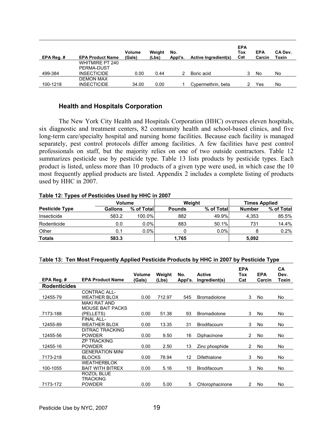| EPA Reg. # | <b>EPA Product Name</b> | Volume<br>(Gals) | Weight<br>(Lbs) | No.<br>Appl's. | Active Ingredient(s) | <b>EPA</b><br>Tox<br>Cat | <b>EPA</b><br>Carcin | CA Dev.<br>Toxin |
|------------|-------------------------|------------------|-----------------|----------------|----------------------|--------------------------|----------------------|------------------|
|            | <b>WHITMIRE PT 240</b>  |                  |                 |                |                      |                          |                      |                  |
|            | PERMA-DUST              |                  |                 |                |                      |                          |                      |                  |
| 499-384    | <b>INSECTICIDE</b>      | 0.00             | 0.44            |                | Boric acid           |                          | No                   | No               |
|            | <b>DEMON MAX</b>        |                  |                 |                |                      |                          |                      |                  |
| 100-1218   | <b>INSECTICIDE</b>      | 34.00            | 0.00            |                | Cypermethrin, beta   |                          | Yes                  | No               |

#### **Health and Hospitals Corporation**

 The New York City Health and Hospitals Corporation (HHC) oversees eleven hospitals, six diagnostic and treatment centers, 82 community health and school-based clinics, and five long-term care/specialty hospital and nursing home facilities. Because each facility is managed separately, pest control protocols differ among facilities. A few facilities have pest control professionals on staff, but the majority relies on one of two outside contractors. Table 12 summarizes pesticide use by pesticide type. Table 13 lists products by pesticide types. Each product is listed, unless more than 10 products of a given type were used, in which case the 10 most frequently applied products are listed. Appendix 2 includes a complete listing of products used by HHC in 2007.

#### **Table 12: Types of Pesticides Used by HHC in 2007**

|                       | Volume  |            |               | Weight     | <b>Times Applied</b> |            |
|-----------------------|---------|------------|---------------|------------|----------------------|------------|
| <b>Pesticide Type</b> | Gallons | % of Total | <b>Pounds</b> | % of Total | <b>Number</b>        | % of Total |
| Insecticide           | 583.2   | 100.0%     | 882           | 49.9%      | 4.353                | 85.5%      |
| Rodenticide           | 0.0     | $0.0\%$    | 883           | 50.1%      | 731                  | 14.4%      |
| Other                 | 0.1     | $0.0\%$    |               | 0.0%       | 8                    | 0.2%       |
| <b>Totals</b>         | 583.3   |            | 1,765         |            | 5,092                |            |

#### T**able 13: Ten Most Frequently Applied Pesticide Products by HHC in 2007 by Pesticide Type**

| EPA Reg. #          | <b>EPA Product Name</b>                                     | Volume<br>(Gals) | Weight<br>(Lbs) | No.<br>Appl's. | <b>Active</b><br>Ingredient(s) | <b>EPA</b><br>Tox<br>Cat | <b>EPA</b><br>Carcin | CA<br>Dev.<br>Toxin |
|---------------------|-------------------------------------------------------------|------------------|-----------------|----------------|--------------------------------|--------------------------|----------------------|---------------------|
| <b>Rodenticides</b> |                                                             |                  |                 |                |                                |                          |                      |                     |
| 12455-79            | <b>CONTRAC ALL-</b><br><b>WEATHER BLOX</b>                  | 0.00             | 712.97          | 545            | <b>Bromadiolone</b>            | 3                        | No.                  | No.                 |
| 7173-188            | <b>MAKI RAT AND</b><br><b>MOUSE BAIT PACKS</b><br>(PELLETS) | 0.00             | 51.38           | 93             | <b>Bromadiolone</b>            | 3                        | No.                  | No                  |
| 12455-89            | FINAL ALL-<br><b>WEATHER BLOX</b>                           | 0.00             | 13.35           | 31             | <b>Brodifacoum</b>             | 3                        | No.                  | No                  |
| 12455-56            | DITRAC TRACKING<br><b>POWDER</b>                            | 0.00             | 9.50            | 16             | Diphacinone                    | $\overline{2}$           | No                   | No                  |
| 12455-16            | <b>ZP TRACKING</b><br><b>POWDER</b>                         | 0.00             | 2.50            | 13             | Zinc phosphide                 | $\overline{2}$           | No                   | No                  |
| 7173-218            | <b>GENERATION MINI</b><br><b>BLOCKS</b>                     | 0.00             | 78.94           | 12             | Difethialone                   | 3                        | No.                  | No                  |
| 100-1055            | <b>WEATHERBLOK</b><br><b>BAIT WITH BITREX</b>               | 0.00             | 5.16            | 10             | <b>Brodifacoum</b>             | 3                        | No                   | No                  |
| 7173-172            | ROZOL BLUE<br>TRACKING<br><b>POWDER</b>                     | 0.00             | 5.00            | 5              | Chlorophacinone                | 2                        | No                   | No                  |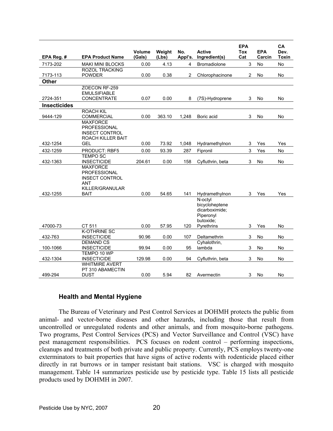|                     |                                                   | Volume | Weight | No.            | <b>Active</b>             | <b>EPA</b><br>Tox | <b>EPA</b> | CA<br>Dev.   |
|---------------------|---------------------------------------------------|--------|--------|----------------|---------------------------|-------------------|------------|--------------|
| EPA Reg. #          | <b>EPA Product Name</b>                           | (Gals) | (Lbs)  | Appl's.        | Ingredient(s)             | Cat               | Carcin     | <b>Toxin</b> |
| 7173-202            | <b>MAKI MINI BLOCKS</b>                           | 0.00   | 4.13   | $\overline{4}$ | <b>Bromadiolone</b>       | 3                 | <b>No</b>  | <b>No</b>    |
|                     | <b>ROZOL TRACKING</b>                             |        |        |                |                           |                   |            |              |
| 7173-113            | <b>POWDER</b>                                     | 0.00   | 0.38   | $\overline{2}$ | Chlorophacinone           | $\overline{c}$    | No         | No           |
| <b>Other</b>        |                                                   |        |        |                |                           |                   |            |              |
|                     | ZOECON RF-259                                     |        |        |                |                           |                   |            |              |
|                     | <b>EMULSIFIABLE</b>                               |        |        |                |                           |                   |            |              |
| 2724-351            | <b>CONCENTRATE</b>                                | 0.07   | 0.00   | 8              | (7S)-Hydroprene           | 3                 | No         | No           |
| <b>Insecticides</b> |                                                   |        |        |                |                           |                   |            |              |
|                     | <b>ROACH KIL</b>                                  |        |        |                |                           |                   |            |              |
| 9444-129            | <b>COMMERCIAL</b>                                 | 0.00   | 363.10 | 1,248          | Boric acid                | 3                 | No         | No           |
|                     | <b>MAXFORCE</b>                                   |        |        |                |                           |                   |            |              |
|                     | <b>PROFESSIONAL</b>                               |        |        |                |                           |                   |            |              |
|                     | <b>INSECT CONTROL</b><br><b>ROACH KILLER BAIT</b> |        |        |                |                           |                   |            |              |
| 432-1254            | <b>GEL</b>                                        | 0.00   | 73.92  | 1.048          | Hydramethylnon            | 3                 | Yes        | Yes          |
| 432-1259            | <b>PRODUCT: RBF5</b>                              | 0.00   | 93.39  | 287            | Fipronil                  | 3                 | Yes        | No           |
|                     | <b>TEMPO SC</b>                                   |        |        |                |                           |                   |            |              |
| 432-1363            | <b>INSECTICIDE</b>                                | 204.61 | 0.00   | 158            | Cyfluthrin, beta          | 3                 | <b>No</b>  | No           |
|                     | <b>MAXFORCE</b>                                   |        |        |                |                           |                   |            |              |
|                     | <b>PROFESSIONAL</b>                               |        |        |                |                           |                   |            |              |
|                     | <b>INSECT CONTROL</b>                             |        |        |                |                           |                   |            |              |
|                     | <b>ANT</b>                                        |        |        |                |                           |                   |            |              |
|                     | KILLER/GRANULAR                                   |        |        |                |                           |                   |            |              |
| 432-1255            | BAIT                                              | 0.00   | 54.65  | 141            | Hydramethylnon            | 3                 | Yes        | Yes          |
|                     |                                                   |        |        |                | N-octyl<br>bicycloheptene |                   |            |              |
|                     |                                                   |        |        |                | dicarboximide:            |                   |            |              |
|                     |                                                   |        |        |                | Piperonyl                 |                   |            |              |
|                     |                                                   |        |        |                | butoxide;                 |                   |            |              |
| 47000-73            | CT 511                                            | 0.00   | 57.95  | 120            | Pyrethrins                | 3                 | Yes        | No           |
|                     | <b>K-OTHRINE SC</b>                               |        |        |                |                           |                   |            |              |
| 432-763             | <b>INSECTICIDE</b>                                | 90.96  | 0.00   | 107            | Deltamethrin              | 3                 | No         | No           |
|                     | <b>DEMAND CS</b>                                  |        |        |                | Cyhalothrin,              |                   |            |              |
| 100-1066            | <b>INSECTICIDE</b>                                | 99.94  | 0.00   | 95             | lambda                    | 3                 | No         | No           |
|                     | TEMPO 10 WP                                       |        |        |                |                           |                   |            |              |
| 432-1304            | <b>INSECTICIDE</b>                                | 129.98 | 0.00   | 94             | Cyfluthrin, beta          | 3                 | <b>No</b>  | <b>No</b>    |
|                     | <b>WHITMIRE AVERT</b><br>PT 310 ABAMECTIN         |        |        |                |                           |                   |            |              |
| 499-294             | <b>DUST</b>                                       | 0.00   | 5.94   | 82             | Avermectin                | 3                 | No         | No           |
|                     |                                                   |        |        |                |                           |                   |            |              |

#### **Health and Mental Hygiene**

 The Bureau of Veterinary and Pest Control Services at DOHMH protects the public from animal- and vector-borne diseases and other hazards, including those that result from uncontrolled or unregulated rodents and other animals, and from mosquito-borne pathogens. Two programs, Pest Control Services (PCS) and Vector Surveillance and Control (VSC) have pest management responsibilities. PCS focuses on rodent control – performing inspections, cleanups and treatments of both private and public property. Currently, PCS employs twenty-one exterminators to bait properties that have signs of active rodents with rodenticide placed either directly in rat burrows or in tamper resistant bait stations. VSC is charged with mosquito management. Table 14 summarizes pesticide use by pesticide type. Table 15 lists all pesticide products used by DOHMH in 2007.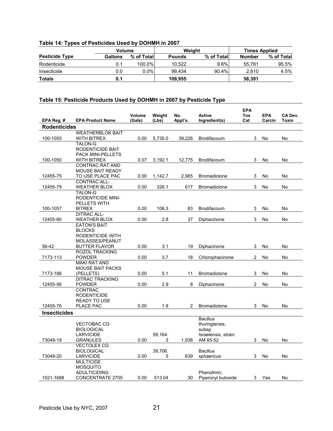|  |  | Table 14: Types of Pesticides Used by DOHMH in 2007 |  |
|--|--|-----------------------------------------------------|--|
|  |  |                                                     |  |

|                       | Volume  |            |               | Weight     | <b>Times Applied</b> |            |  |
|-----------------------|---------|------------|---------------|------------|----------------------|------------|--|
| <b>Pesticide Type</b> | Gallons | % of Total | <b>Pounds</b> | % of Total | <b>Number</b>        | % of Total |  |
| Rodenticide           | 0.1     | 100.0%     | 10.522        | $9.6\%$    | 55.781               | 95.5%      |  |
| Insecticide           | 0.0     | $0.0\%$ .  | 99.434        | 90.4%      | 2.610                | 4.5%       |  |
| <b>Totals</b>         | 0.1     |            | 109.955       |            | 58.391               |            |  |

## **Table 15: Pesticide Products Used by DOHMH in 2007 by Pesticide Type**

| Rodenticides<br><b>WEATHERBLOK BAIT</b><br>100-1055<br>0.00<br>5,735.0<br>Brodifacoum<br>3<br>No<br>WITH BITREX<br>39,226<br>No<br><b>TALON-G</b><br>RODENTICIDE BAIT<br><b>PACK MINI-PELLETS</b><br>100-1050<br>WITH BITREX<br>0.07<br>3,192.1<br>12,775<br>Brodifacoum<br>3<br>No<br>No<br><b>CONTRAC RAT AND</b><br><b>MOUSE BAIT READY</b><br>2,985<br>12455-75<br>TO USE PLACE PAC<br>0.00<br>1,142.7<br><b>Bromadiolone</b><br>3<br>No<br>No<br><b>CONTRAC ALL-</b><br>0.00<br>326.1<br>617<br>3<br>12455-79<br><b>WEATHER BLOX</b><br><b>Bromadiolone</b><br>No<br>No<br><b>TALON-G</b><br><b>RODENTICIDE MINI-</b><br>PELLETS WITH<br><b>BITREX</b><br>0.00<br>106.3<br>100-1057<br>83<br>Brodifacoum<br>3<br>No<br>No<br><b>DITRAC ALL-</b><br>0.00<br>2.8<br>12455-80<br><b>WEATHER BLOX</b><br>37<br>3<br><b>No</b><br>Diphacinone<br>No | EPA Reg. # | <b>EPA Product Name</b> | Volume<br>(Gals) | Weight<br>(Lbs) | No.<br>Appl's. | Active<br>Ingredient(s) | <b>EPA</b><br>Tox<br>Cat | <b>EPA</b><br>Carcin | CA Dev.<br><b>Toxin</b> |
|-----------------------------------------------------------------------------------------------------------------------------------------------------------------------------------------------------------------------------------------------------------------------------------------------------------------------------------------------------------------------------------------------------------------------------------------------------------------------------------------------------------------------------------------------------------------------------------------------------------------------------------------------------------------------------------------------------------------------------------------------------------------------------------------------------------------------------------------------------|------------|-------------------------|------------------|-----------------|----------------|-------------------------|--------------------------|----------------------|-------------------------|
|                                                                                                                                                                                                                                                                                                                                                                                                                                                                                                                                                                                                                                                                                                                                                                                                                                                     |            |                         |                  |                 |                |                         |                          |                      |                         |
|                                                                                                                                                                                                                                                                                                                                                                                                                                                                                                                                                                                                                                                                                                                                                                                                                                                     |            |                         |                  |                 |                |                         |                          |                      |                         |
|                                                                                                                                                                                                                                                                                                                                                                                                                                                                                                                                                                                                                                                                                                                                                                                                                                                     |            |                         |                  |                 |                |                         |                          |                      |                         |
|                                                                                                                                                                                                                                                                                                                                                                                                                                                                                                                                                                                                                                                                                                                                                                                                                                                     |            |                         |                  |                 |                |                         |                          |                      |                         |
|                                                                                                                                                                                                                                                                                                                                                                                                                                                                                                                                                                                                                                                                                                                                                                                                                                                     |            |                         |                  |                 |                |                         |                          |                      |                         |
|                                                                                                                                                                                                                                                                                                                                                                                                                                                                                                                                                                                                                                                                                                                                                                                                                                                     |            |                         |                  |                 |                |                         |                          |                      |                         |
|                                                                                                                                                                                                                                                                                                                                                                                                                                                                                                                                                                                                                                                                                                                                                                                                                                                     |            |                         |                  |                 |                |                         |                          |                      |                         |
|                                                                                                                                                                                                                                                                                                                                                                                                                                                                                                                                                                                                                                                                                                                                                                                                                                                     |            |                         |                  |                 |                |                         |                          |                      |                         |
|                                                                                                                                                                                                                                                                                                                                                                                                                                                                                                                                                                                                                                                                                                                                                                                                                                                     |            |                         |                  |                 |                |                         |                          |                      |                         |
|                                                                                                                                                                                                                                                                                                                                                                                                                                                                                                                                                                                                                                                                                                                                                                                                                                                     |            |                         |                  |                 |                |                         |                          |                      |                         |
|                                                                                                                                                                                                                                                                                                                                                                                                                                                                                                                                                                                                                                                                                                                                                                                                                                                     |            |                         |                  |                 |                |                         |                          |                      |                         |
|                                                                                                                                                                                                                                                                                                                                                                                                                                                                                                                                                                                                                                                                                                                                                                                                                                                     |            |                         |                  |                 |                |                         |                          |                      |                         |
|                                                                                                                                                                                                                                                                                                                                                                                                                                                                                                                                                                                                                                                                                                                                                                                                                                                     |            |                         |                  |                 |                |                         |                          |                      |                         |
|                                                                                                                                                                                                                                                                                                                                                                                                                                                                                                                                                                                                                                                                                                                                                                                                                                                     |            |                         |                  |                 |                |                         |                          |                      |                         |
|                                                                                                                                                                                                                                                                                                                                                                                                                                                                                                                                                                                                                                                                                                                                                                                                                                                     |            |                         |                  |                 |                |                         |                          |                      |                         |
|                                                                                                                                                                                                                                                                                                                                                                                                                                                                                                                                                                                                                                                                                                                                                                                                                                                     |            |                         |                  |                 |                |                         |                          |                      |                         |
|                                                                                                                                                                                                                                                                                                                                                                                                                                                                                                                                                                                                                                                                                                                                                                                                                                                     |            |                         |                  |                 |                |                         |                          |                      |                         |
|                                                                                                                                                                                                                                                                                                                                                                                                                                                                                                                                                                                                                                                                                                                                                                                                                                                     |            | <b>EATON'S BAIT</b>     |                  |                 |                |                         |                          |                      |                         |
| <b>BLOCKS</b>                                                                                                                                                                                                                                                                                                                                                                                                                                                                                                                                                                                                                                                                                                                                                                                                                                       |            |                         |                  |                 |                |                         |                          |                      |                         |
| RODENTICIDE WITH                                                                                                                                                                                                                                                                                                                                                                                                                                                                                                                                                                                                                                                                                                                                                                                                                                    |            |                         |                  |                 |                |                         |                          |                      |                         |
| MOLASSES/PEANUT                                                                                                                                                                                                                                                                                                                                                                                                                                                                                                                                                                                                                                                                                                                                                                                                                                     |            |                         |                  |                 |                |                         |                          |                      |                         |
| 56-42<br><b>BUTTER FLAVOR</b><br>0.00<br>3.1<br>19<br>No<br>Diphacinone<br>3<br>No                                                                                                                                                                                                                                                                                                                                                                                                                                                                                                                                                                                                                                                                                                                                                                  |            |                         |                  |                 |                |                         |                          |                      |                         |
| <b>ROZOL TRACKING</b>                                                                                                                                                                                                                                                                                                                                                                                                                                                                                                                                                                                                                                                                                                                                                                                                                               |            |                         |                  |                 |                |                         |                          |                      |                         |
| 3.7<br>No<br>7173-113<br><b>POWDER</b><br>0.00<br>18<br>Chlorophacinone<br>2<br>No                                                                                                                                                                                                                                                                                                                                                                                                                                                                                                                                                                                                                                                                                                                                                                  |            |                         |                  |                 |                |                         |                          |                      |                         |
| <b>MAKI RAT AND</b>                                                                                                                                                                                                                                                                                                                                                                                                                                                                                                                                                                                                                                                                                                                                                                                                                                 |            |                         |                  |                 |                |                         |                          |                      |                         |
| <b>MOUSE BAIT PACKS</b><br>7173-188<br>(PELLETS)<br>0.00<br>5.1<br>11<br><b>Bromadiolone</b><br>3<br>No<br>No                                                                                                                                                                                                                                                                                                                                                                                                                                                                                                                                                                                                                                                                                                                                       |            |                         |                  |                 |                |                         |                          |                      |                         |
| <b>DITRAC TRACKING</b>                                                                                                                                                                                                                                                                                                                                                                                                                                                                                                                                                                                                                                                                                                                                                                                                                              |            |                         |                  |                 |                |                         |                          |                      |                         |
| 2.9<br>$\overline{2}$<br>0.00<br>8<br>No<br>12455-56<br><b>POWDER</b><br>Diphacinone<br>No                                                                                                                                                                                                                                                                                                                                                                                                                                                                                                                                                                                                                                                                                                                                                          |            |                         |                  |                 |                |                         |                          |                      |                         |
| <b>CONTRAC</b>                                                                                                                                                                                                                                                                                                                                                                                                                                                                                                                                                                                                                                                                                                                                                                                                                                      |            |                         |                  |                 |                |                         |                          |                      |                         |
| <b>RODENTICIDE</b>                                                                                                                                                                                                                                                                                                                                                                                                                                                                                                                                                                                                                                                                                                                                                                                                                                  |            |                         |                  |                 |                |                         |                          |                      |                         |
| <b>READY TO USE</b>                                                                                                                                                                                                                                                                                                                                                                                                                                                                                                                                                                                                                                                                                                                                                                                                                                 |            |                         |                  |                 |                |                         |                          |                      |                         |
| 1.9<br>12455-76<br>PLACE PAC<br>0.00<br>2<br><b>Bromadiolone</b><br>3<br>No<br>No                                                                                                                                                                                                                                                                                                                                                                                                                                                                                                                                                                                                                                                                                                                                                                   |            |                         |                  |                 |                |                         |                          |                      |                         |
| <b>Insecticides</b>                                                                                                                                                                                                                                                                                                                                                                                                                                                                                                                                                                                                                                                                                                                                                                                                                                 |            |                         |                  |                 |                |                         |                          |                      |                         |
| <b>Bacillus</b>                                                                                                                                                                                                                                                                                                                                                                                                                                                                                                                                                                                                                                                                                                                                                                                                                                     |            |                         |                  |                 |                |                         |                          |                      |                         |
| <b>VECTOBAC CG</b><br>thuringiensis,                                                                                                                                                                                                                                                                                                                                                                                                                                                                                                                                                                                                                                                                                                                                                                                                                |            |                         |                  |                 |                |                         |                          |                      |                         |
| <b>BIOLOGICAL</b><br>subsp.                                                                                                                                                                                                                                                                                                                                                                                                                                                                                                                                                                                                                                                                                                                                                                                                                         |            |                         |                  |                 |                |                         |                          |                      |                         |
| <b>LARVICIDE</b><br>59,164.<br>Israelensis, strain                                                                                                                                                                                                                                                                                                                                                                                                                                                                                                                                                                                                                                                                                                                                                                                                  |            |                         |                  |                 |                |                         |                          |                      |                         |
| 73049-19<br><b>GRANULES</b><br>0.00<br>3<br>1,938<br>AM 65-52<br>3<br>No<br>No                                                                                                                                                                                                                                                                                                                                                                                                                                                                                                                                                                                                                                                                                                                                                                      |            |                         |                  |                 |                |                         |                          |                      |                         |
| <b>VECTOLEX CG</b>                                                                                                                                                                                                                                                                                                                                                                                                                                                                                                                                                                                                                                                                                                                                                                                                                                  |            |                         |                  |                 |                |                         |                          |                      |                         |
| 39,706.<br><b>Bacillus</b><br><b>BIOLOGICAL</b>                                                                                                                                                                                                                                                                                                                                                                                                                                                                                                                                                                                                                                                                                                                                                                                                     |            |                         |                  |                 |                |                         |                          |                      |                         |
| 3<br>73049-20<br>0.00<br>5<br>639<br>No<br>No<br><b>LARVICIDE</b><br>sphaericus                                                                                                                                                                                                                                                                                                                                                                                                                                                                                                                                                                                                                                                                                                                                                                     |            |                         |                  |                 |                |                         |                          |                      |                         |
| <b>MULTICIDE</b>                                                                                                                                                                                                                                                                                                                                                                                                                                                                                                                                                                                                                                                                                                                                                                                                                                    |            |                         |                  |                 |                |                         |                          |                      |                         |
| <b>MOSQUITO</b><br><b>ADULTICIDING</b><br>Phenothrin;                                                                                                                                                                                                                                                                                                                                                                                                                                                                                                                                                                                                                                                                                                                                                                                               |            |                         |                  |                 |                |                         |                          |                      |                         |
| 1021-1688<br>0.00<br>30<br><b>CONCENTRATE 2705</b><br>513.04<br>Piperonyl butoxide<br>3<br>Yes<br>No                                                                                                                                                                                                                                                                                                                                                                                                                                                                                                                                                                                                                                                                                                                                                |            |                         |                  |                 |                |                         |                          |                      |                         |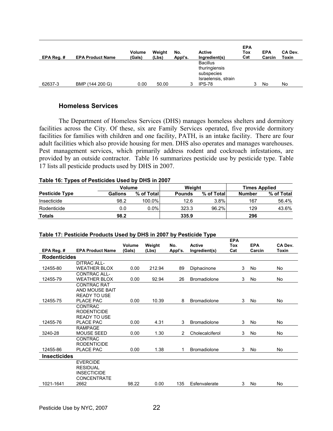| EPA Reg. # | <b>EPA Product Name</b> | Volume<br>(Gals) | Weight<br>(Lbs) | No.<br>Appl's. | Active<br>Ingredient(s)                        | <b>EPA</b><br>Tox<br>Cat | <b>EPA</b><br>Carcin | CA Dev.<br>Toxin |
|------------|-------------------------|------------------|-----------------|----------------|------------------------------------------------|--------------------------|----------------------|------------------|
|            |                         |                  |                 |                | <b>Bacillus</b><br>thuringiensis<br>subspecies |                          |                      |                  |
| 62637-3    | BMP (144 200 G)         | 0.00             | 50.00           |                | Israelensis, strain<br>IPS-78                  |                          | No                   | No               |

#### **Homeless Services**

 The Department of Homeless Services (DHS) manages homeless shelters and dormitory facilities across the City. Of these, six are Family Services operated, five provide dormitory facilities for families with children and one facility, PATH, is an intake facility. There are four adult facilities which also provide housing for men. DHS also operates and manages warehouses. Pest management services, which primarily address rodent and cockroach infestations, are provided by an outside contractor. Table 16 summarizes pesticide use by pesticide type. Table 17 lists all pesticide products used by DHS in 2007.

#### **Table 16: Types of Pesticides Used by DHS in 2007**

|                       | <b>Volume</b> |             | Weiaht        |            | <b>Times Applied</b> |            |  |
|-----------------------|---------------|-------------|---------------|------------|----------------------|------------|--|
| <b>Pesticide Type</b> | Gallons       | % of Totall | <b>Pounds</b> | % of Total | <b>Number</b>        | % of Total |  |
| Insecticide           | 98.2          | 100.0%      | 12.6          | 3.8%       | 167                  | 56.4%      |  |
| Rodenticide           | 0.0           | $0.0\%$     | 323.3         | 96.2%      | 129                  | 43.6%      |  |
| <b>Totals</b>         | 98.2          |             | 335.9         |            | 296                  |            |  |

|                     | <b>TADIO 17.1 CONORCI TOGGONO OOCG BY DITO IN LOVI BY I CONORCI JPC</b> | Volume | Weight | No.            | <b>Active</b>       | <b>EPA</b><br>Tox | <b>EPA</b> | CA Dev.   |
|---------------------|-------------------------------------------------------------------------|--------|--------|----------------|---------------------|-------------------|------------|-----------|
| EPA Reg. #          | <b>EPA Product Name</b>                                                 | (Gals) | (Lbs)  | Appl's.        | Ingredient(s)       | Cat               | Carcin     | Toxin     |
| <b>Rodenticides</b> |                                                                         |        |        |                |                     |                   |            |           |
|                     | <b>DITRAC ALL-</b>                                                      |        |        |                |                     |                   |            |           |
| 12455-80            | <b>WEATHER BLOX</b>                                                     | 0.00   | 212.94 | 89             | Diphacinone         | 3                 | No         | <b>No</b> |
|                     | <b>CONTRAC ALL-</b>                                                     |        |        |                |                     |                   |            |           |
| 12455-79            | <b>WEATHER BLOX</b>                                                     | 0.00   | 92.94  | 26             | <b>Bromadiolone</b> | 3                 | No         | <b>No</b> |
|                     | <b>CONTRAC RAT</b>                                                      |        |        |                |                     |                   |            |           |
|                     | AND MOUSE BAIT<br><b>READY TO USE</b>                                   |        |        |                |                     |                   |            |           |
| 12455-75            | PLACE PAC                                                               | 0.00   | 10.39  | 8              | <b>Bromadiolone</b> | 3                 | No         | <b>No</b> |
|                     | <b>CONTRAC</b>                                                          |        |        |                |                     |                   |            |           |
|                     | <b>RODENTICIDE</b>                                                      |        |        |                |                     |                   |            |           |
|                     | <b>READY TO USE</b>                                                     |        |        |                |                     |                   |            |           |
| 12455-76            | PLACE PAC                                                               | 0.00   | 4.31   | 3              | <b>Bromadiolone</b> | 3                 | No         | No        |
|                     | <b>RAMPAGE</b>                                                          |        |        |                |                     |                   |            |           |
| 3240-28             | <b>MOUSE SEED</b>                                                       | 0.00   | 1.30   | $\overline{2}$ | Cholecalciferol     | 3                 | No         | <b>No</b> |
|                     | <b>CONTRAC</b>                                                          |        |        |                |                     |                   |            |           |
|                     | <b>RODENTICIDE</b>                                                      |        |        |                |                     |                   |            |           |
| 12455-86            | <b>PLACE PAC</b>                                                        | 0.00   | 1.38   | 1              | <b>Bromadiolone</b> | 3                 | <b>No</b>  | No        |
| Insecticides        |                                                                         |        |        |                |                     |                   |            |           |
|                     | <b>EVERCIDE</b>                                                         |        |        |                |                     |                   |            |           |
|                     | <b>RESIDUAL</b>                                                         |        |        |                |                     |                   |            |           |
|                     | <b>INSECTICIDE</b>                                                      |        |        |                |                     |                   |            |           |
|                     | <b>CONCENTRATE</b>                                                      |        |        |                |                     |                   |            |           |
| 1021-1641           | 2662                                                                    | 98.22  | 0.00   | 135            | Esfenvalerate       | 3                 | No         | No        |

#### **Table 17: Pesticide Products Used by DHS in 2007 by Pesticide Type**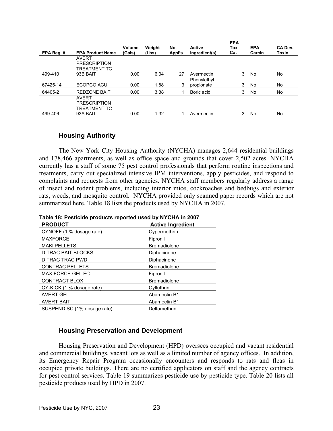| EPA Reg. # | <b>EPA Product Name</b>                                         | Volume<br>(Gals) | Weight<br>(Lbs) | No.<br>Appl's. | <b>Active</b><br>Ingredient(s) | <b>EPA</b><br>Tox<br>Cat | <b>EPA</b><br>Carcin | CA Dev.<br>Toxin |
|------------|-----------------------------------------------------------------|------------------|-----------------|----------------|--------------------------------|--------------------------|----------------------|------------------|
|            | <b>AVERT</b>                                                    |                  |                 |                |                                |                          |                      |                  |
|            | <b>PRESCRIPTION</b><br><b>TREATMENT TC</b>                      |                  |                 |                |                                |                          |                      |                  |
| 499-410    | 93B BAIT                                                        | 0.00             | 6.04            | 27             | Avermectin                     | 3                        | No                   | No.              |
|            |                                                                 |                  |                 |                | Phenylethyl                    |                          |                      |                  |
| 67425-14   | ECOPCO ACU                                                      | 0.00             | 1.88            | 3              | propionate                     | 3                        | No                   | No               |
| 64405-2    | <b>REDZONE BAIT</b>                                             | 0.00             | 3.38            |                | Boric acid                     | 3                        | No                   | No               |
| 499-406    | <b>AVERT</b><br><b>PRESCRIPTION</b><br>TREATMENT TC<br>93A BAIT | 0.00             | 1.32            |                | Avermectin                     | 3                        | No                   | No               |
|            |                                                                 |                  |                 |                |                                |                          |                      |                  |

#### **Housing Authority**

 The New York City Housing Authority (NYCHA) manages 2,644 residential buildings and 178,466 apartments, as well as office space and grounds that cover 2,502 acres. NYCHA currently has a staff of some 75 pest control professionals that perform routine inspections and treatments, carry out specialized intensive IPM interventions, apply pesticides, and respond to complaints and requests from other agencies. NYCHA staff members regularly address a range of insect and rodent problems, including interior mice, cockroaches and bedbugs and exterior rats, weeds, and mosquito control. NYCHA provided only scanned paper records which are not summarized here. Table 18 lists the products used by NYCHA in 2007.

| <b>PRODUCT</b>              | <b>Active Ingredient</b> |
|-----------------------------|--------------------------|
| CYNOFF (1 % dosage rate)    | Cypermethrin             |
| <b>MAXFORCE</b>             | Fipronil                 |
| <b>MAKI PELLETS</b>         | <b>Bromadiolone</b>      |
| DITRAC BAIT BLOCKS          | Diphacinone              |
| DITRAC TRAC PWD             | Diphacinone              |
| <b>CONTRAC PELLETS</b>      | <b>Bromadiolone</b>      |
| <b>MAX FORCE GEL FC</b>     | Fipronil                 |
| <b>CONTRACT BLOX</b>        | <b>Bromadiolone</b>      |
| CY-KICK (1 % dosage rate)   | Cyfluthrin               |
| <b>AVERT GEL</b>            | Abamectin B1             |
| <b>AVERT BAIT</b>           | Abamectin B1             |
| SUSPEND SC (1% dosage rate) | Deltamethrin             |

**Table 18: Pesticide products reported used by NYCHA in 2007** 

### **Housing Preservation and Development**

 Housing Preservation and Development (HPD) oversees occupied and vacant residential and commercial buildings, vacant lots as well as a limited number of agency offices. In addition, its Emergency Repair Program occasionally encounters and responds to rats and fleas in occupied private buildings. There are no certified applicators on staff and the agency contracts for pest control services. Table 19 summarizes pesticide use by pesticide type. Table 20 lists all pesticide products used by HPD in 2007.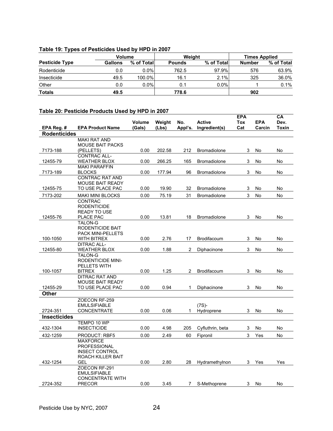#### **Table 19: Types of Pesticides Used by HPD in 2007**

| <b>Volume</b>         |                |            |               | Weight     | <b>Times Applied</b> |            |  |
|-----------------------|----------------|------------|---------------|------------|----------------------|------------|--|
| <b>Pesticide Type</b> | <b>Gallons</b> | % of Total | <b>Pounds</b> | % of Total | <b>Number</b>        | % of Total |  |
| Rodenticide           | 0.0            | 0.0%       | 762.5         | 97.9%      | 576                  | 63.9%      |  |
| Insecticide           | 49.5           | 100.0%     | 16.1          | 2.1%       | 325                  | 36.0%      |  |
| Other                 | 0.0            | $0.0\%$    | 0.1           | $0.0\%$    |                      | 0.1%       |  |
| <b>Totals</b>         | 49.5           |            | 778.6         |            | 902                  |            |  |

#### **Table 20: Pesticide Products Used by HPD in 2007**

|                     |                                        |        |        |                |                     | <b>EPA</b> |            | CА           |
|---------------------|----------------------------------------|--------|--------|----------------|---------------------|------------|------------|--------------|
|                     |                                        | Volume | Weight | No.            | <b>Active</b>       | Tox        | <b>EPA</b> | Dev.         |
| EPA Reg. #          | <b>EPA Product Name</b>                | (Gals) | (Lbs)  | Appl's.        | Ingredient(s)       | Cat        | Carcin     | <b>Toxin</b> |
| <b>Rodenticides</b> |                                        |        |        |                |                     |            |            |              |
|                     | <b>MAKI RAT AND</b>                    |        |        |                |                     |            |            |              |
|                     | <b>MOUSE BAIT PACKS</b>                |        |        |                |                     |            |            |              |
| 7173-188            | (PELLETS)<br><b>CONTRAC ALL-</b>       | 0.00   | 202.58 | 212            | <b>Bromadiolone</b> | 3          | No         | No           |
| 12455-79            | <b>WEATHER BLOX</b>                    | 0.00   | 266.25 | 165            | <b>Bromadiolone</b> | 3          | No         | No           |
|                     | <b>MAKI PARAFFIN</b>                   |        |        |                |                     |            |            |              |
| 7173-189            | <b>BLOCKS</b>                          | 0.00   | 177.94 | 96             | <b>Bromadiolone</b> | 3          | No         | No           |
|                     | <b>CONTRAC RAT AND</b>                 |        |        |                |                     |            |            |              |
|                     | <b>MOUSE BAIT READY</b>                |        |        |                |                     |            |            |              |
| 12455-75            | TO USE PLACE PAC                       | 0.00   | 19.90  | 32             | Bromadiolone        | 3          | No         | No           |
| 7173-202            | <b>MAKI MINI BLOCKS</b>                | 0.00   | 75.19  | 31             | <b>Bromadiolone</b> | 3          | No         | No           |
|                     | <b>CONTRAC</b>                         |        |        |                |                     |            |            |              |
|                     | <b>RODENTICIDE</b>                     |        |        |                |                     |            |            |              |
|                     | <b>READY TO USE</b>                    |        |        |                |                     |            |            |              |
| 12455-76            | <b>PLACE PAC</b>                       | 0.00   | 13.81  | 18             | <b>Bromadiolone</b> | 3          | No         | No           |
|                     | <b>TALON-G</b>                         |        |        |                |                     |            |            |              |
|                     | RODENTICIDE BAIT                       |        |        |                |                     |            |            |              |
|                     | <b>PACK MINI-PELLETS</b>               |        |        |                |                     |            |            |              |
| 100-1050            | WITH BITREX                            | 0.00   | 2.76   | 17             | <b>Brodifacoum</b>  | 3          | No         | No           |
|                     | <b>DITRAC ALL-</b>                     |        |        |                |                     |            |            |              |
| 12455-80            | <b>WEATHER BLOX</b>                    | 0.00   | 1.88   | $\overline{c}$ | Diphacinone         | 3          | No         | No           |
|                     | <b>TALON-G</b>                         |        |        |                |                     |            |            |              |
|                     | <b>RODENTICIDE MINI-</b>               |        |        |                |                     |            |            |              |
|                     | PELLETS WITH                           |        |        | 2              |                     |            |            |              |
| 100-1057            | <b>BITREX</b><br><b>DITRAC RAT AND</b> | 0.00   | 1.25   |                | Brodifacoum         | 3          | No         | No           |
|                     | <b>MOUSE BAIT READY</b>                |        |        |                |                     |            |            |              |
| 12455-29            | TO USE PLACE PAC                       | 0.00   | 0.94   | $\mathbf{1}$   | Diphacinone         | 3          | No         | No           |
| Other               |                                        |        |        |                |                     |            |            |              |
|                     | ZOECON RF-259                          |        |        |                |                     |            |            |              |
|                     | <b>EMULSIFIABLE</b>                    |        |        |                | $(7S)$ -            |            |            |              |
| 2724-351            | <b>CONCENTRATE</b>                     | 0.00   | 0.06   | 1              | Hydroprene          | 3          | No         | No           |
| <b>Insecticides</b> |                                        |        |        |                |                     |            |            |              |
|                     | TEMPO 10 WP                            |        |        |                |                     |            |            |              |
| 432-1304            | <b>INSECTICIDE</b>                     | 0.00   | 4.98   | 205            | Cyfluthrin, beta    | 3          | No         | No           |
| 432-1259            | <b>PRODUCT: RBF5</b>                   | 0.00   | 2.49   | 60             | Fipronil            | 3          |            |              |
|                     | <b>MAXFORCE</b>                        |        |        |                |                     |            | Yes        | No           |
|                     | <b>PROFESSIONAL</b>                    |        |        |                |                     |            |            |              |
|                     | <b>INSECT CONTROL</b>                  |        |        |                |                     |            |            |              |
|                     | ROACH KILLER BAIT                      |        |        |                |                     |            |            |              |
| 432-1254            | GEL                                    | 0.00   | 2.80   | 28             | Hydramethylnon      | 3          | Yes        | Yes          |
|                     | ZOECON RF-291                          |        |        |                |                     |            |            |              |
|                     | <b>EMULSIFIABLE</b>                    |        |        |                |                     |            |            |              |
|                     | <b>CONCENTRATE WITH</b>                |        |        |                |                     |            |            |              |
| 2724-352            | <b>PRECOR</b>                          | 0.00   | 3.45   | 7              | S-Methoprene        | 3          | No.        | No           |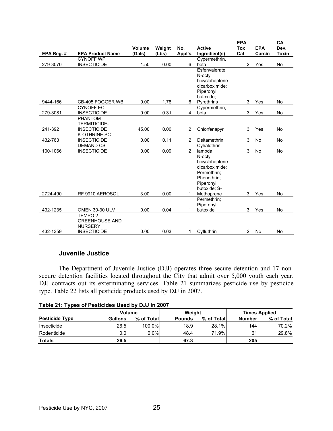|            |                         |                  |                 |                |                                | <b>EPA</b>        |                      | CA                   |
|------------|-------------------------|------------------|-----------------|----------------|--------------------------------|-------------------|----------------------|----------------------|
| EPA Reg. # | <b>EPA Product Name</b> | Volume<br>(Gals) | Weight<br>(Lbs) | No.<br>Appl's. | <b>Active</b><br>Ingredient(s) | <b>Tox</b><br>Cat | <b>EPA</b><br>Carcin | Dev.<br><b>Toxin</b> |
|            | <b>CYNOFF WP</b>        |                  |                 |                | Cypermethrin,                  |                   |                      |                      |
| 279-3070   | <b>INSECTICIDE</b>      | 1.50             | 0.00            | 6              | beta                           | $\overline{2}$    | Yes                  | No                   |
|            |                         |                  |                 |                | Esfenvalerate;                 |                   |                      |                      |
|            |                         |                  |                 |                | N-octyl                        |                   |                      |                      |
|            |                         |                  |                 |                | bicycloheptene                 |                   |                      |                      |
|            |                         |                  |                 |                | dicarboximide:                 |                   |                      |                      |
|            |                         |                  |                 |                | Piperonyl                      |                   |                      |                      |
|            |                         |                  |                 |                | butoxide;                      |                   |                      |                      |
| 9444-166   | CB-405 FOGGER WB        | 0.00             | 1.78            | 6              | Pyrethrins                     | 3                 | Yes                  | No                   |
|            | <b>CYNOFF EC</b>        |                  |                 |                | Cypermethrin,                  |                   |                      |                      |
| 279-3081   | <b>INSECTICIDE</b>      | 0.00             | 0.31            | 4              | beta                           | 3                 | Yes                  | No                   |
|            | <b>PHANTOM</b>          |                  |                 |                |                                |                   |                      |                      |
|            | <b>TERMITICIDE-</b>     |                  |                 |                |                                |                   |                      |                      |
| 241-392    | <b>INSECTICIDE</b>      | 45.00            | 0.00            | $\overline{2}$ | Chlorfenapyr                   | 3                 | Yes                  | <b>No</b>            |
|            | <b>K-OTHRINE SC</b>     |                  |                 |                |                                |                   |                      |                      |
| 432-763    | <b>INSECTICIDE</b>      | 0.00             | 0.11            | $\overline{2}$ | Deltamethrin                   | 3                 | No                   | No                   |
|            | <b>DEMAND CS</b>        |                  |                 |                | Cyhalothrin,                   |                   |                      |                      |
| 100-1066   | <b>INSECTICIDE</b>      | 0.00             | 0.09            | $\overline{2}$ | lambda                         | 3                 | No                   | No                   |
|            |                         |                  |                 |                | N-octyl                        |                   |                      |                      |
|            |                         |                  |                 |                | bicycloheptene                 |                   |                      |                      |
|            |                         |                  |                 |                | dicarboximide:                 |                   |                      |                      |
|            |                         |                  |                 |                | Permethrin:                    |                   |                      |                      |
|            |                         |                  |                 |                | Phenothrin:                    |                   |                      |                      |
|            |                         |                  |                 |                | Piperonyl                      |                   |                      |                      |
|            |                         |                  |                 |                | butoxide: S-                   |                   |                      |                      |
| 2724-490   | RF 9910 AEROSOL         | 3.00             | 0.00            | 1              | Methoprene<br>Permethrin:      | 3                 | Yes                  | No                   |
|            |                         |                  |                 |                | Piperonyl                      |                   |                      |                      |
| 432-1235   | <b>OMEN 30-30 ULV</b>   | 0.00             | 0.04            | 1              | butoxide                       | 3                 | Yes                  | No                   |
|            | TEMPO <sub>2</sub>      |                  |                 |                |                                |                   |                      |                      |
|            | <b>GREENHOUSE AND</b>   |                  |                 |                |                                |                   |                      |                      |
|            | <b>NURSERY</b>          |                  |                 |                |                                |                   |                      |                      |
| 432-1359   | <b>INSECTICIDE</b>      | 0.00             | 0.03            | 1              | Cyfluthrin                     | 2                 | No                   | No                   |

#### **Juvenile Justice**

 The Department of Juvenile Justice (DJJ) operates three secure detention and 17 nonsecure detention facilities located throughout the City that admit over 5,000 youth each year. DJJ contracts out its exterminating services. Table 21 summarizes pesticide use by pesticide type. Table 22 lists all pesticide products used by DJJ in 2007.

|                       | Volume  |            | Weight        |            | <b>Times Applied</b> |            |
|-----------------------|---------|------------|---------------|------------|----------------------|------------|
| <b>Pesticide Type</b> | Gallons | % of Total | <b>Pounds</b> | % of Total | <b>Number</b>        | % of Total |
| Insecticide           | 26.5    | 100.0%     | 18.9          | 28.1%      | 144                  | 70.2%      |
| Rodenticide           | 0.0     | $0.0\%$    | 48.4          | 71.9%      | 61                   | 29.8%      |
| <b>Totals</b>         | 26.5    |            | 67.3          |            | 205                  |            |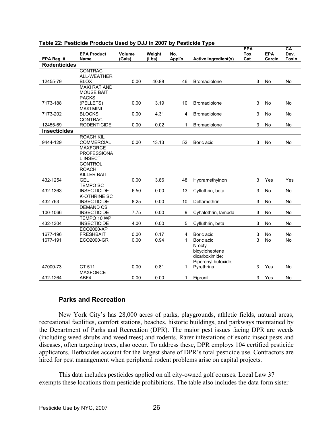|                     |                     |        |        |         |                             | <b>EPA</b> |            | CA           |
|---------------------|---------------------|--------|--------|---------|-----------------------------|------------|------------|--------------|
|                     | <b>EPA Product</b>  | Volume | Weight | No.     |                             | <b>Tox</b> | <b>EPA</b> | Dev.         |
| EPA Reg. #          | Name                | (Gals) | (Lbs)  | Appl's. | <b>Active Ingredient(s)</b> | Cat        | Carcin     | <b>Toxin</b> |
| <b>Rodenticides</b> |                     |        |        |         |                             |            |            |              |
|                     | <b>CONTRAC</b>      |        |        |         |                             |            |            |              |
|                     | <b>ALL-WEATHER</b>  |        |        |         |                             |            |            |              |
| 12455-79            | <b>BLOX</b>         | 0.00   | 40.88  | 46      | Bromadiolone                | 3          | No         | No           |
|                     | <b>MAKI RAT AND</b> |        |        |         |                             |            |            |              |
|                     | <b>MOUSE BAIT</b>   |        |        |         |                             |            |            |              |
|                     | <b>PACKS</b>        |        |        |         |                             |            |            |              |
| 7173-188            | (PELLETS)           | 0.00   | 3.19   | 10      | <b>Bromadiolone</b>         | 3          | No         | No           |
|                     | <b>MAKI MINI</b>    |        |        |         |                             |            |            |              |
| 7173-202            | <b>BLOCKS</b>       | 0.00   | 4.31   | 4       | Bromadiolone                | 3          | No         | No           |
|                     | <b>CONTRAC</b>      |        |        |         |                             |            |            |              |
| 12455-69            | <b>RODENTICIDE</b>  | 0.00   | 0.02   | 1       | Bromadiolone                | 3          | No         | No           |
| <b>Insecticides</b> |                     |        |        |         |                             |            |            |              |
|                     | <b>ROACH KIL</b>    |        |        |         |                             |            |            |              |
| 9444-129            | <b>COMMERCIAL</b>   | 0.00   | 13.13  | 52      | Boric acid                  | 3          | No         | No           |
|                     | <b>MAXFORCE</b>     |        |        |         |                             |            |            |              |
|                     | <b>PROFESSIONA</b>  |        |        |         |                             |            |            |              |
|                     | <b>LINSECT</b>      |        |        |         |                             |            |            |              |
|                     | <b>CONTROL</b>      |        |        |         |                             |            |            |              |
|                     | <b>ROACH</b>        |        |        |         |                             |            |            |              |
|                     | <b>KILLER BAIT</b>  |        |        |         |                             |            |            |              |
| 432-1254            | <b>GEL</b>          | 0.00   | 3.86   | 48      | Hydramethylnon              | 3          | Yes        | Yes          |
|                     | <b>TEMPO SC</b>     |        |        |         |                             |            |            |              |
| 432-1363            | <b>INSECTICIDE</b>  | 6.50   | 0.00   | 13      | Cyfluthrin, beta            | 3          | No         | No           |
|                     | <b>K-OTHRINE SC</b> |        |        |         |                             |            |            |              |
| 432-763             | <b>INSECTICIDE</b>  | 8.25   | 0.00   | 10      | Deltamethrin                | 3          | No         | No           |
|                     | <b>DEMAND CS</b>    |        |        |         |                             |            |            |              |
| 100-1066            | <b>INSECTICIDE</b>  | 7.75   | 0.00   | 9       | Cyhalothrin, lambda         | 3          | No         | <b>No</b>    |
|                     | TEMPO 10 WP         |        |        |         |                             |            |            |              |
| 432-1304            | <b>INSECTICIDE</b>  | 4.00   | 0.00   | 5       | Cyfluthrin, beta            | 3          | No         | No           |
|                     | ECO2000-XP          |        |        |         |                             |            |            |              |
| 1677-196            | <b>FRESHBAIT</b>    | 0.00   | 0.17   | 4       | Boric acid                  | 3          | No         | No           |
| 1677-191            | <b>ECO2000-GR</b>   | 0.00   | 0.94   | 1       | Boric acid                  | 3          | <b>No</b>  | No           |
|                     |                     |        |        |         | N-octyl                     |            |            |              |
|                     |                     |        |        |         | bicycloheptene              |            |            |              |
|                     |                     |        |        |         | dicarboximide;              |            |            |              |
|                     |                     |        |        |         | Piperonyl butoxide;         |            |            |              |
| 47000-73            | CT 511              | 0.00   | 0.81   | 1.      | Pyrethrins                  | 3          | Yes        | <b>No</b>    |
|                     | <b>MAXFORCE</b>     |        |        |         |                             |            |            |              |
| 432-1264            | ABF4                | 0.00   | 0.00   | 1       | Fipronil                    | 3          | Yes        | No           |

#### **Table 22: Pesticide Products Used by DJJ in 2007 by Pesticide Type**

#### **Parks and Recreation**

 New York City's has 28,000 acres of parks, playgrounds, athletic fields, natural areas, recreational facilities, comfort stations, beaches, historic buildings, and parkways maintained by the Department of Parks and Recreation (DPR). The major pest issues facing DPR are weeds (including weed shrubs and weed trees) and rodents. Rarer infestations of exotic insect pests and diseases, often targeting trees, also occur. To address these, DPR employs 104 certified pesticide applicators. Herbicides account for the largest share of DPR's total pesticide use. Contractors are hired for pest management when peripheral rodent problems arise on capital projects.

This data includes pesticides applied on all city-owned golf courses. Local Law 37 exempts these locations from pesticide prohibitions. The table also includes the data form sister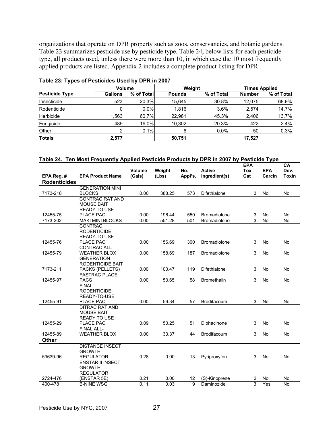organizations that operate on DPR property such as zoos, conservancies, and botanic gardens. Table 23 summarizes pesticide use by pesticide type. Table 24, below lists for each pesticide type, all products used, unless there were more than 10, in which case the 10 most frequently applied products are listed. Appendix 2 includes a complete product listing for DPR.

| . .                   |                | <b>Volume</b> |               | Weight     | <b>Times Applied</b> |            |  |
|-----------------------|----------------|---------------|---------------|------------|----------------------|------------|--|
| <b>Pesticide Type</b> | <b>Gallons</b> | % of Total    | <b>Pounds</b> | % of Total | <b>Number</b>        | % of Total |  |
| Insecticide           | 523            | 20.3%         | 15.645        | 30.8%      | 12,075               | 68.9%      |  |
| Rodenticide           | 0              | $0.0\%$       | 1,816         | 3.6%       | 2,574                | 14.7%      |  |
| Herbicide             | .563           | 60.7%         | 22.981        | 45.3%      | 2.406                | 13.7%      |  |
| Fungicide             | 489            | 19.0%         | 10.302        | 20.3%      | 422                  | 2.4%       |  |
| Other                 | 2              | 0.1%          | 6             | $0.0\%$    | 50                   | 0.3%       |  |
| <b>Totals</b>         | 2,577          |               | 50,751        |            | 17,527               |            |  |

#### **Table 23: Types of Pesticides Used by DPR in 2007**

|  | Table 24.  Ten Most Frequently Applied Pesticide Products by DPR in 2007 by Pesticide Type |  |  |
|--|--------------------------------------------------------------------------------------------|--|--|
|  |                                                                                            |  |  |

|                      |                                           | <b>Volume</b> | Weight | No.        | <b>Active</b>                              | <b>EPA</b><br><b>Tox</b> | <b>EPA</b>      | CA<br>Dev.      |
|----------------------|-------------------------------------------|---------------|--------|------------|--------------------------------------------|--------------------------|-----------------|-----------------|
| EPA Reg. #           | <b>EPA Product Name</b>                   | (Gals)        | (Lbs)  | Appl's.    | Ingredient(s)                              | Cat                      | Carcin          | <b>Toxin</b>    |
| <b>Rodenticides</b>  |                                           |               |        |            |                                            |                          |                 |                 |
|                      | <b>GENERATION MINI</b>                    |               |        |            |                                            |                          |                 |                 |
| 7173-218             | <b>BLOCKS</b>                             | 0.00          | 388.25 | 573        | <b>Difethialone</b>                        | 3                        | No              | <b>No</b>       |
|                      | <b>CONTRAC RAT AND</b>                    |               |        |            |                                            |                          |                 |                 |
|                      | <b>MOUSE BAIT</b>                         |               |        |            |                                            |                          |                 |                 |
|                      | <b>READY TO USE</b>                       |               |        |            |                                            |                          |                 |                 |
| 12455-75<br>7173-202 | <b>PLACE PAC</b>                          | 0.00<br>0.00  | 196.44 | 550<br>501 | <b>Bromadiolone</b><br><b>Bromadiolone</b> | 3<br>3                   | No<br><b>No</b> | No<br><b>No</b> |
|                      | <b>MAKI MINI BLOCKS</b><br><b>CONTRAC</b> |               | 551.28 |            |                                            |                          |                 |                 |
|                      | <b>RODENTICIDE</b>                        |               |        |            |                                            |                          |                 |                 |
|                      | <b>READY TO USE</b>                       |               |        |            |                                            |                          |                 |                 |
| 12455-76             | PLACE PAC                                 | 0.00          | 156.69 | 300        | <b>Bromadiolone</b>                        | 3                        | No              | No              |
|                      | <b>CONTRAC ALL-</b>                       |               |        |            |                                            |                          |                 |                 |
| 12455-79             | <b>WEATHER BLOX</b>                       | 0.00          | 158.69 | 187        | <b>Bromadiolone</b>                        | 3                        | No              | <b>No</b>       |
|                      | <b>GENERATION</b>                         |               |        |            |                                            |                          |                 |                 |
|                      | <b>RODENTICIDE BAIT</b>                   |               |        |            |                                            |                          |                 |                 |
| 7173-211             | PACKS (PELLETS)                           | 0.00          | 100.47 | 119        | <b>Difethialone</b>                        | 3                        | <b>No</b>       | <b>No</b>       |
|                      | <b>FASTRAC PLACE</b>                      |               |        |            |                                            |                          |                 |                 |
| 12455-97             | <b>PACS</b>                               | 0.00          | 53.65  | 58         | <b>Bromethalin</b>                         | 3                        | <b>No</b>       | <b>No</b>       |
|                      | <b>FINAL</b>                              |               |        |            |                                            |                          |                 |                 |
|                      | <b>RODENTICIDE</b>                        |               |        |            |                                            |                          |                 |                 |
| 12455-91             | READY-TO-USE<br><b>PLACE PAC</b>          |               |        |            |                                            |                          |                 |                 |
|                      | <b>DITRAC RAT AND</b>                     | 0.00          | 56.34  | 57         | Brodifacoum                                | 3                        | No              | No              |
|                      | <b>MOUSE BAIT</b>                         |               |        |            |                                            |                          |                 |                 |
|                      | <b>READY TO USE</b>                       |               |        |            |                                            |                          |                 |                 |
| 12455-29             | PLACE PAC                                 | 0.09          | 50.25  | 51         | Diphacinone                                | 3                        | No              | No              |
|                      | <b>FINAL ALL-</b>                         |               |        |            |                                            |                          |                 |                 |
| 12455-89             | <b>WEATHER BLOX</b>                       | 0.00          | 33.37  | 44         | Brodifacoum                                | 3                        | No              | No              |
| Other                |                                           |               |        |            |                                            |                          |                 |                 |
|                      | <b>DISTANCE INSECT</b>                    |               |        |            |                                            |                          |                 |                 |
|                      | <b>GROWTH</b>                             |               |        |            |                                            |                          |                 |                 |
| 59639-96             | <b>REGULATOR</b>                          | 0.28          | 0.00   | 13         | Pyriproxyfen                               | 3                        | No              | <b>No</b>       |
|                      | <b>ENSTAR II INSECT</b>                   |               |        |            |                                            |                          |                 |                 |
|                      | <b>GROWTH</b>                             |               |        |            |                                            |                          |                 |                 |
|                      | <b>REGULATOR</b>                          |               |        |            |                                            |                          |                 |                 |
| 2724-476             | (ENSTAR 5E)                               | 0.21          | 0.00   | 12         | (S)-Kinoprene                              | $\overline{c}$           | No              | No              |
| 400-478              | <b>B-NINE WSG</b>                         | 0.11          | 0.03   | 9          | Daminozide                                 | $\overline{3}$           | Yes             | <b>No</b>       |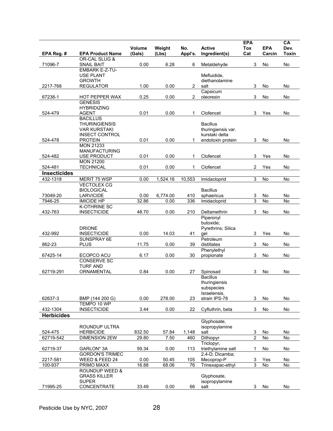|                     |                                                  | <b>Volume</b> | Weight   | No.            | <b>Active</b>                        | <b>EPA</b><br><b>Tox</b> | <b>EPA</b> | CA<br>Dev.   |
|---------------------|--------------------------------------------------|---------------|----------|----------------|--------------------------------------|--------------------------|------------|--------------|
| EPA Reg. #          | <b>EPA Product Name</b>                          | (Gals)        | (Lbs)    | Appl's.        | Ingredient(s)                        | Cat                      | Carcin     | <b>Toxin</b> |
| 71096-7             | OR-CAL SLUG &<br><b>SNAIL BAIT</b>               | 0.00          | 6.28     | 6              | Metaldehyde                          | 3                        | No         | No           |
|                     | EMBARK E-Z-TU-                                   |               |          |                |                                      |                          |            |              |
|                     | <b>USE PLANT</b>                                 |               |          |                | Mefluidide,                          |                          |            |              |
| 2217-768            | <b>GROWTH</b><br><b>REGULATOR</b>                | 1.00          | 0.00     | 2              | diethanolamine<br>salt               | 3                        | No         | No           |
|                     |                                                  |               |          |                | Capsicum                             |                          |            |              |
| 67238-1             | HOT PEPPER WAX                                   | 0.25          | 0.00     | $\overline{2}$ | oleoresin                            | 3                        | No         | No           |
|                     | <b>GENESIS</b><br><b>HYBRIDIZING</b>             |               |          |                |                                      |                          |            |              |
| 524-479             | <b>AGENT</b>                                     | 0.01          | 0.00     | 1              | Clofencet                            | 3                        | Yes        | No           |
|                     | <b>BACILLUS</b>                                  |               |          |                |                                      |                          |            |              |
|                     | <b>THURINGIENSIS</b><br><b>VAR KURSTAKI</b>      |               |          |                | <b>Bacillus</b>                      |                          |            |              |
|                     | <b>INSECT CONTROL</b>                            |               |          |                | thuringiensis var.<br>kurstaki delta |                          |            |              |
| 524-478             | <b>PROTEIN</b>                                   | 0.01          | 0.00     | 1              | endotoxin protein                    | 3                        | No         | No           |
|                     | <b>MON 21233</b>                                 |               |          |                |                                      |                          |            |              |
| 524-482             | <b>MANUFACTURING</b><br><b>USE PRODUCT</b>       | 0.01          | 0.00     | $\mathbf{1}$   | Clofencet                            | 3                        | Yes        | No           |
|                     | <b>MON 21200</b>                                 |               |          |                |                                      |                          |            |              |
| 524-481             | <b>TECHNICAL</b>                                 | 0.01          | 0.00     | 1              | Clofencet                            | $\overline{\mathbf{c}}$  | Yes        | No           |
| <b>Insecticides</b> |                                                  |               |          |                |                                      |                          |            |              |
| 432-1318            | MERIT 75 WSP<br><b>VECTOLEX CG</b>               | 0.00          | 1,524.16 | 10,553         | Imidacloprid                         | 3                        | <b>No</b>  | No           |
|                     | <b>BIOLOGICAL</b>                                |               |          |                | <b>Bacillus</b>                      |                          |            |              |
| 73049-20            | <b>LARVICIDE</b>                                 | 0.00          | 6.774.00 | 410            | sphaericus                           | 3                        | No         | No           |
| 7946-25             | <b>IMICIDE HP</b>                                | 32.86         | 0.00     | 336            | Imidacloprid                         | 3                        | <b>No</b>  | <b>No</b>    |
| 432-763             | K-OTHRINE SC<br><b>INSECTICIDE</b>               | 48.70         | 0.00     | 210            |                                      | 3                        | No         | No           |
|                     |                                                  |               |          |                | Deltamethrin<br>Piperonyl            |                          |            |              |
|                     |                                                  |               |          |                | butoxide;                            |                          |            |              |
|                     | <b>DRIONE</b>                                    |               |          |                | Pyrethrins; Silica                   |                          |            |              |
| 432-992             | <b>INSECTICIDE</b>                               | 0.00          | 14.03    | 41             | qel<br>Petroleum                     | 3                        | Yes        | No           |
| 862-23              | SUNSPRAY 6E<br><b>PLUS</b>                       | 11.75         | 0.00     | 39             | distillates                          | 3                        | No         | No           |
|                     |                                                  |               |          |                | Phenylethyl                          |                          |            |              |
| 67425-14            | ECOPCO ACU                                       | 6.17          | 0.00     | 30             | propionate                           | 3                        | No         | No           |
|                     | <b>CONSERVE SC</b><br><b>TURF AND</b>            |               |          |                |                                      |                          |            |              |
| 62719-291           | ORNAMENTAL                                       | 0.84          | 0.00     | 27             | Spinosad                             | 3                        | No         | No           |
|                     |                                                  |               |          |                | <b>Bacillus</b>                      |                          |            |              |
|                     |                                                  |               |          |                | thuringiensis                        |                          |            |              |
|                     |                                                  |               |          |                | subspecies<br>Israelensis,           |                          |            |              |
| 62637-3             | BMP (144 200 G)                                  | 0.00          | 278.00   | 23             | strain IPS-78                        | 3                        | No         | No           |
|                     | TEMPO 10 WP                                      |               |          |                |                                      |                          |            |              |
| 432-1304            | <b>INSECTICIDE</b>                               | 3.44          | 0.00     | 22             | Cyfluthrin, beta                     | 3                        | No         | No           |
| <b>Herbicides</b>   |                                                  |               |          |                | Glyphosate,                          |                          |            |              |
|                     | ROUNDUP ULTRA                                    |               |          |                | isopropylamine                       |                          |            |              |
| 524-475             | <b>HERBICIDE</b>                                 | 832.50        | 57.84    | 1,148          | salt                                 | 3                        | No         | No           |
| 62719-542           | <b>DIMENSION 2EW</b>                             | 29.80         | 7.50     | 460            | Dithiopyr                            | 2                        | No         | No           |
| 62719-37            | GARLON* 3A                                       | 59.34         | 0.00     | 113            | Triclopyr,<br>triethylamine salt     | 1                        | No         | No           |
|                     | <b>GORDON'S TRIMEC</b>                           |               |          |                | 2.4-D: Dicamba:                      |                          |            |              |
| 2217-581            | WEED & FEED 24                                   | 0.00          | 50.45    | 105            | Mecoprop-P                           | 3                        | Yes        | No           |
| 100-937             | PRIMO MAXX                                       | 16.88         | 68.06    | 76             | Trinexapac-ethyl                     | 3                        | No         | No           |
|                     | <b>ROUNDUP WEED &amp;</b><br><b>GRASS KILLER</b> |               |          |                | Glyphosate,                          |                          |            |              |
|                     | <b>SUPER</b>                                     |               |          |                | isopropylamine                       |                          |            |              |
| 71995-25            | CONCENTRATE                                      | 33.49         | 0.00     | 66             | salt                                 | 3                        | No         | No           |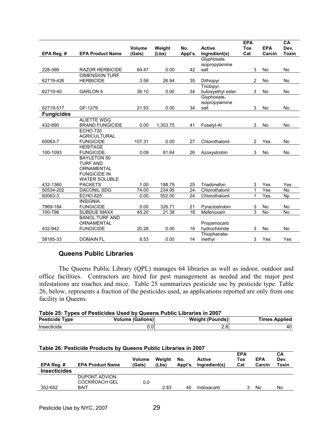|                   |                               | Volume | Weight   | No.     | <b>Active</b>          | <b>EPA</b><br><b>Tox</b> | <b>EPA</b> | CA<br>Dev.   |
|-------------------|-------------------------------|--------|----------|---------|------------------------|--------------------------|------------|--------------|
| EPA Reg. #        | <b>EPA Product Name</b>       | (Gals) | (Lbs)    | Appl's. | Ingredient(s)          | Cat                      | Carcin     | <b>Toxin</b> |
|                   |                               |        |          |         | Glyphosate,            |                          |            |              |
| 228-366           | <b>RAZOR HERBICIDE</b>        | 84.47  | 0.00     | 42      | isopropylamine<br>salt | 3                        | No         | <b>No</b>    |
|                   | <b>DIMENSION TURF</b>         |        |          |         |                        |                          |            |              |
| 62719-426         | <b>HERBICIDE</b>              | 3.58   | 26.94    | 35      | Dithiopyr              | $\overline{2}$           | No         | No           |
|                   |                               |        |          |         | Triclopyr,             |                          |            |              |
| 62719-40          | <b>GARLON 4</b>               | 36.10  | 0.00     | 34      | butoxyethyl ester      | 3                        | No         | No           |
|                   |                               |        |          |         | Glyphosate,            |                          |            |              |
|                   |                               |        |          |         | isopropylamine         |                          |            |              |
| 62719-517         | GF-1279                       | 21.93  | 0.00     | 34      | salt                   | 3                        | No         | <b>No</b>    |
| <b>Fungicides</b> |                               |        |          |         |                        |                          |            |              |
|                   | <b>ALIETTE WDG</b>            |        |          |         |                        |                          |            |              |
| 432-890           | <b>BRAND FUNGICIDE</b>        | 0.00   | 1,303.75 | 41      | Fosetyl-Al             | 3                        | <b>No</b>  | <b>No</b>    |
|                   | <b>ECHO 720</b>               |        |          |         |                        |                          |            |              |
|                   | <b>AGRICULTURAL</b>           |        |          |         |                        |                          |            |              |
| 60063-7           | <b>FUNGICIDE</b>              | 107.31 | 0.00     | 27      | Chlorothalonil         | $\overline{2}$           | Yes        | No           |
|                   | <b>HERITAGE</b>               |        |          |         |                        |                          |            |              |
| 100-1093          | <b>FUNGICIDE</b>              | 0.09   | 81.64    | 26      | Azoxystrobin           | 3                        | No         | No           |
|                   | <b>BAYLETON 50</b>            |        |          |         |                        |                          |            |              |
|                   | <b>TURF AND</b><br>ORNAMENTAL |        |          |         |                        |                          |            |              |
|                   | <b>FUNGICIDE IN</b>           |        |          |         |                        |                          |            |              |
|                   | <b>WATER SOLUBLE</b>          |        |          |         |                        |                          |            |              |
| 432-1360          | <b>PACKETS</b>                | 1.00   | 188.79   | 25      | Triadimefon            | 3                        | Yes        | Yes          |
| 50534-202         | <b>DACONIL SDG</b>            | 74.00  | 234.95   | 24      | Chlorothalonil         | 1                        | Yes        | <b>No</b>    |
| 60063-3           | <b>ECHO 825</b>               | 0.00   | 552.00   | 24      | Chlorothalonil         | 1                        | Yes        | <b>Np</b>    |
|                   | <b>INSIGNIA</b>               |        |          |         |                        |                          |            |              |
| 7969-184          | <b>FUNGICIDE</b>              | 0.00   | 326.71   | 21      | Pyraclostrobin         | 3                        | No         | <b>No</b>    |
| 100-796           | <b>SUBDUE MAXX</b>            | 45.20  | 21.38    | 18      | Mefenoxam              | $\overline{3}$           | <b>No</b>  | <b>No</b>    |
|                   | <b>BANOL TURF AND</b>         |        |          |         |                        |                          |            |              |
|                   | ORNAMENTAL                    |        |          |         | Propamocarb            |                          |            |              |
| 432-942           | <b>FUNGICIDE</b>              | 20.28  | 0.00     | 16      | hydrochloride          | 3                        | No         | <b>No</b>    |
|                   |                               |        |          |         | Thiophanate-           |                          |            |              |
| 58185-33          | <b>DOMAIN FL</b>              | 8.53   | 0.00     | 14      | methyl                 | 3                        | Yes        | Yes          |

#### **Queens Public Libraries**

The Queens Public Library (QPL) manages 64 libraries as well as indoor, outdoor and office facilities. Contractors are hired for pest management as needed and the major pest infestations are roaches and mice. Table 25 summarizes pesticide use by pesticide type. Table 26, below, represents a fraction of the pesticides used, as applications reported are only from one facility in Queens.

| Table 25: Types of Pesticides Used by Queens Public Libraries in 2007 |                         |                        |                      |  |  |  |
|-----------------------------------------------------------------------|-------------------------|------------------------|----------------------|--|--|--|
| <b>Pesticide Type</b>                                                 | <b>Volume (Gallons)</b> | <b>Weight (Pounds)</b> | <b>Times Applied</b> |  |  |  |
| Insecticide                                                           | 0.0                     | 2.81                   | 40                   |  |  |  |

|  | Table 26: Pesticide Products by Queens Public Libraries in 2007 |
|--|-----------------------------------------------------------------|
|--|-----------------------------------------------------------------|

| EPA Reg. #          | <b>EPA Product Name</b> | <b>Volume</b><br>(Gals) | Weight<br>(Lbs) | No.<br>Appl's. | <b>Active</b><br>Ingredient(s) | <b>EPA</b><br>Tox<br>Cat | <b>EPA</b><br>Carcin | CA<br>Dev.<br>Toxin |
|---------------------|-------------------------|-------------------------|-----------------|----------------|--------------------------------|--------------------------|----------------------|---------------------|
| <b>Insecticides</b> |                         |                         |                 |                |                                |                          |                      |                     |
|                     | DUPONT ADVION           |                         |                 |                |                                |                          |                      |                     |
|                     | <b>COCKROACH GEL</b>    | 0.0                     |                 |                |                                |                          |                      |                     |
| 352-652             | BAIT                    |                         | 2.83            | 40             | Indoxacarb                     |                          | No                   | No                  |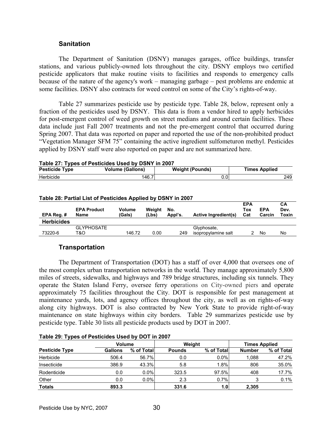#### **Sanitation**

 The Department of Sanitation (DSNY) manages garages, office buildings, transfer stations, and various publicly-owned lots throughout the city. DSNY employs two certified pesticide applicators that make routine visits to facilities and responds to emergency calls because of the nature of the agency's work – managing garbage – pest problems are endemic at some facilities. DSNY also contracts for weed control on some of the City's rights-of-way.

 Table 27 summarizes pesticide use by pesticide type. Table 28, below, represent only a fraction of the pesticides used by DSNY. This data is from a vendor hired to apply herbicides for post-emergent control of weed growth on street medians and around certain facilities. These data include just Fall 2007 treatments and not the pre-emergent control that occurred during Spring 2007. That data was reported on paper and reported the use of the non-prohibited product "Vegetation Manager SFM 75" containing the active ingredient sulfometuron methyl. Pesticides applied by DSNY staff were also reported on paper and are not summarized here.

| Table 27. Types of Festiciaes Osea by Don't III 2007 |                         |                        |                      |  |  |  |  |  |
|------------------------------------------------------|-------------------------|------------------------|----------------------|--|--|--|--|--|
| <b>Pesticide Type</b>                                | <b>Volume (Gallons)</b> | <b>Weight (Pounds)</b> | <b>Times Applied</b> |  |  |  |  |  |
| Herbicide                                            | 146.7                   |                        | 249                  |  |  |  |  |  |

|                   | Table 28: Partial List of Pesticides Applied by DSNY in 2007 |                  |                 |                |                                    |                          |                      |                     |
|-------------------|--------------------------------------------------------------|------------------|-----------------|----------------|------------------------------------|--------------------------|----------------------|---------------------|
| EPA Reg.#         | <b>EPA Product</b><br>Name                                   | Volume<br>(Gals) | Weiaht<br>(Lbs) | No.<br>Appl's. | <b>Active Ingredient(s)</b>        | <b>EPA</b><br>Tox<br>Cat | <b>EPA</b><br>Carcin | CА<br>Dev.<br>Toxin |
| <b>Herbicides</b> |                                                              |                  |                 |                |                                    |                          |                      |                     |
| 73220-6           | <b>GLYPHOSATE</b><br>T&O                                     | 146.72           | 0.00            | 249            | Glyphosate,<br>isopropylamine salt |                          | No                   | No                  |

isopropylamine salt 2 No No

#### **Table 27: Types of Pesticides Used by DSNY in 2007**

#### **Transportation**

The Department of Transportation (DOT) has a staff of over 4,000 that oversees one of the most complex urban transportation networks in the world. They manage approximately 5,800 miles of streets, sidewalks, and highways and 789 bridge structures, including six tunnels. They operate the Staten Island Ferry, oversee ferry operations on City-owned piers and operate approximately 75 facilities throughout the City. DOT is responsible for pest management at maintenance yards, lots, and agency offices throughout the city, as well as on rights-of-way along city highways. DOT is also contracted by New York State to provide right-of-way maintenance on state highways within city borders. Table 29 summarizes pesticide use by pesticide type. Table 30 lists all pesticide products used by DOT in 2007.

| $10010$ 20. Typed of Federal and Odea by DOT III 2007 |                |               |               |                  |               |                      |  |  |
|-------------------------------------------------------|----------------|---------------|---------------|------------------|---------------|----------------------|--|--|
|                                                       |                | <b>Volume</b> |               | Weight           |               | <b>Times Applied</b> |  |  |
| <b>Pesticide Type</b>                                 | <b>Gallons</b> | % of Total    | <b>Pounds</b> | % of Total       | <b>Number</b> | % of Total           |  |  |
| Herbicide                                             | 506.4          | 56.7%         | 0.0           | $0.0\%$          | 1.088         | 47.2%                |  |  |
| Insecticide                                           | 386.9          | 43.3%         | 5.8           | 1.8%             | 806           | 35.0%                |  |  |
| Rodenticide                                           | 0.0            | $0.0\%$       | 323.5         | 97.5%            | 408           | 17.7%                |  |  |
| Other                                                 | 0.0            | $0.0\%$       | 2.3           | 0.7%             | 3             | 0.1%                 |  |  |
| <b>Totals</b>                                         | 893.3          |               | 331.6         | 1.0 <sub>l</sub> | 2.305         |                      |  |  |

#### **Table 29: Types of Pesticides Used by DOT in 2007**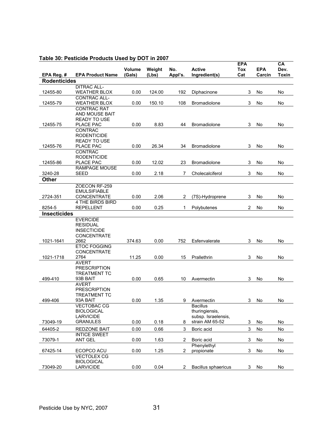| EPA Reg. #          | <b>EPA Product Name</b>             | Volume<br>(Gals) | Weight<br>(Lbs) | No.<br>Appl's. | <b>Active</b><br>Ingredient(s) | <b>EPA</b><br><b>Tox</b><br>Cat | <b>EPA</b><br>Carcin | CA<br>Dev.<br><b>Toxin</b> |
|---------------------|-------------------------------------|------------------|-----------------|----------------|--------------------------------|---------------------------------|----------------------|----------------------------|
| <b>Rodenticides</b> |                                     |                  |                 |                |                                |                                 |                      |                            |
|                     | <b>DITRAC ALL-</b>                  |                  |                 |                |                                |                                 |                      |                            |
| 12455-80            | <b>WEATHER BLOX</b>                 | 0.00             | 124.00          | 192            | Diphacinone                    | 3                               | No                   | No                         |
|                     | <b>CONTRAC ALL-</b>                 |                  |                 |                |                                |                                 |                      |                            |
| 12455-79            | <b>WEATHER BLOX</b>                 | 0.00             | 150.10          | 108            | Bromadiolone                   | 3                               | No                   | No                         |
|                     | <b>CONTRAC RAT</b>                  |                  |                 |                |                                |                                 |                      |                            |
|                     | AND MOUSE BAIT                      |                  |                 |                |                                |                                 |                      |                            |
| 12455-75            | <b>READY TO USE</b><br>PLACE PAC    | 0.00             | 8.83            | 44             | <b>Bromadiolone</b>            | 3                               | No                   | No                         |
|                     | <b>CONTRAC</b>                      |                  |                 |                |                                |                                 |                      |                            |
|                     | <b>RODENTICIDE</b>                  |                  |                 |                |                                |                                 |                      |                            |
|                     | <b>READY TO USE</b>                 |                  |                 |                |                                |                                 |                      |                            |
| 12455-76            | PLACE PAC                           | 0.00             | 26.34           | 34             | <b>Bromadiolone</b>            | 3                               | No                   | No                         |
|                     | <b>CONTRAC</b>                      |                  |                 |                |                                |                                 |                      |                            |
|                     | <b>RODENTICIDE</b>                  |                  |                 |                |                                |                                 |                      |                            |
| 12455-86            | PLACE PAC                           | 0.00             | 12.02           | 23             | Bromadiolone                   | 3                               | No                   | No                         |
| 3240-28             | <b>RAMPAGE MOUSE</b><br><b>SEED</b> | 0.00             | 2.18            | 7              | Cholecalciferol                | 3                               | No                   | No                         |
| <b>Other</b>        |                                     |                  |                 |                |                                |                                 |                      |                            |
|                     | ZOECON RF-259                       |                  |                 |                |                                |                                 |                      |                            |
|                     | <b>EMULSIFIABLE</b>                 |                  |                 |                |                                |                                 |                      |                            |
| 2724-351            | <b>CONCENTRATE</b>                  | 0.00             | 2.06            | 2              | (7S)-Hydroprene                | 3                               | No                   | No                         |
|                     | 4 THE BIRDS BIRD                    |                  |                 |                |                                |                                 |                      |                            |
| 8254-5              | <b>REPELLENT</b>                    | 0.00             | 0.25            | 1              | Polybutenes                    | 2                               | No                   | No                         |
| <b>Insecticides</b> |                                     |                  |                 |                |                                |                                 |                      |                            |
|                     | <b>EVERCIDE</b>                     |                  |                 |                |                                |                                 |                      |                            |
|                     | <b>RESIDUAL</b>                     |                  |                 |                |                                |                                 |                      |                            |
|                     | <b>INSECTICIDE</b>                  |                  |                 |                |                                |                                 |                      |                            |
| 1021-1641           | CONCENTRATE<br>2662                 | 374.63           | 0.00            | 752            | Esfenvalerate                  | 3                               | No                   | No                         |
|                     | <b>ETOC FOGGING</b>                 |                  |                 |                |                                |                                 |                      |                            |
|                     | <b>CONCENTRATE</b>                  |                  |                 |                |                                |                                 |                      |                            |
| 1021-1718           | 2764                                | 11.25            | 0.00            | 15             | Prallethrin                    | 3                               | No                   | No                         |
|                     | <b>AVERT</b>                        |                  |                 |                |                                |                                 |                      |                            |
|                     | <b>PRESCRIPTION</b>                 |                  |                 |                |                                |                                 |                      |                            |
| 499-410             | <b>TREATMENT TC</b><br>93B BAIT     | 0.00             | 0.65            | 10             | Avermectin                     | 3                               | No                   |                            |
|                     | <b>AVERT</b>                        |                  |                 |                |                                |                                 |                      | No                         |
|                     | <b>PRESCRIPTION</b>                 |                  |                 |                |                                |                                 |                      |                            |
|                     | <b>TREATMENT TC</b>                 |                  |                 |                |                                |                                 |                      |                            |
| 499-406             | 93A BAIT                            | 0.00             | 1.35            | 9              | Avermectin                     | 3                               | No                   | No                         |
|                     | <b>VECTOBAC CG</b>                  |                  |                 |                | <b>Bacillus</b>                |                                 |                      |                            |
|                     | <b>BIOLOGICAL</b>                   |                  |                 |                | thuringiensis,                 |                                 |                      |                            |
|                     | <b>LARVICIDE</b>                    |                  |                 |                | subsp. Israelensis,            |                                 |                      |                            |
| 73049-19            | <b>GRANULES</b>                     | 0.00             | 0.18            | 8              | strain AM 65-52                | 3                               | No                   | No                         |
| 64405-2             | <b>REDZONE BAIT</b>                 | 0.00             | 0.66            | 3              | Boric acid                     | 3                               | No                   | No                         |
| 73079-1             | <b>INTICE SWEET</b><br>ANT GEL      | 0.00             | 1.63            | 2              | Boric acid                     | 3                               | No                   | No                         |
|                     |                                     |                  |                 |                | Phenylethyl                    |                                 |                      |                            |
| 67425-14            | ECOPCO ACU                          | 0.00             | 1.25            | $\overline{2}$ | propionate                     | 3                               | No                   | No                         |
|                     | <b>VECTOLEX CG</b>                  |                  |                 |                |                                |                                 |                      |                            |
|                     | <b>BIOLOGICAL</b>                   |                  |                 |                |                                |                                 |                      |                            |
| 73049-20            | <b>LARVICIDE</b>                    | 0.00             | 0.04            | $\overline{2}$ | Bacillus sphaericus            | 3                               | No                   | No                         |

## **Table 30: Pesticide Products Used by DOT in 2007**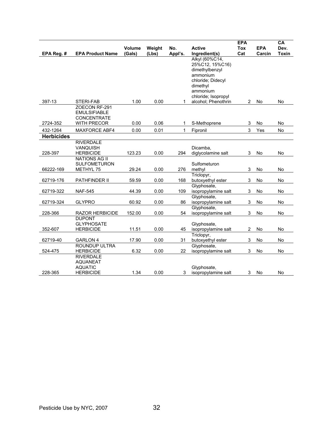|                   |                                                                                  |                  |                 |                |                                                                                                                                     | <b>EPA</b>       |                      | CA                   |
|-------------------|----------------------------------------------------------------------------------|------------------|-----------------|----------------|-------------------------------------------------------------------------------------------------------------------------------------|------------------|----------------------|----------------------|
| EPA Reg. #        | <b>EPA Product Name</b>                                                          | Volume<br>(Gals) | Weight<br>(Lbs) | No.<br>Appl's. | <b>Active</b><br>Ingredient(s)                                                                                                      | Tox<br>Cat       | <b>EPA</b><br>Carcin | Dev.<br><b>Toxin</b> |
|                   |                                                                                  |                  |                 |                | Alkyl (60%C14,<br>25%C12, 15%C16)<br>dimethylbenzyl<br>ammonium<br>chloride; Didecyl<br>dimethyl<br>ammonium<br>chloride; Isopropyl |                  |                      |                      |
| 397-13            | <b>STERI-FAB</b>                                                                 | 1.00             | 0.00            | 1              | alcohol; Phenothrin                                                                                                                 | 2                | No                   | <b>No</b>            |
| 2724-352          | ZOECON RF-291<br><b>EMULSIFIABLE</b><br><b>CONCENTRATE</b><br><b>WITH PRECOR</b> | 0.00             | 0.06            | 1              | S-Methoprene                                                                                                                        | 3                | No                   | <b>No</b>            |
| 432-1264          | <b>MAXFORCE ABF4</b>                                                             | 0.00             | 0.01            | 1              | Fipronil                                                                                                                            | 3                | Yes                  | <b>No</b>            |
| <b>Herbicides</b> |                                                                                  |                  |                 |                |                                                                                                                                     |                  |                      |                      |
| 228-397           | <b>RIVERDALE</b><br>VANQUISH<br><b>HERBICIDE</b>                                 | 123.23           | 0.00            | 294            | Dicamba,<br>diglycolamine salt                                                                                                      | 3                | No                   | No                   |
| 66222-169         | <b>NATIONS AG II</b><br><b>SULFOMETURON</b><br>METHYL 75                         | 29.24            | 0.00            | 276            | Sulfometuron<br>methyl                                                                                                              | 3                | No                   | <b>No</b>            |
| 62719-176         | PATHFINDER II                                                                    | 59.59            | 0.00            | 168            | Triclopyr,<br>butoxyethyl ester                                                                                                     | 3                | No                   | No                   |
| 62719-322         | <b>NAF-545</b>                                                                   | 44.39            | 0.00            | 109            | Glyphosate,<br>isopropylamine salt                                                                                                  | 3                | No                   | No                   |
| 62719-324         | <b>GLYPRO</b>                                                                    | 60.92            | 0.00            | 86             | Glyphosate,<br>isopropylamine salt                                                                                                  | 3                | No                   | No                   |
| 228-366           | <b>RAZOR HERBICIDE</b>                                                           | 152.00           | 0.00            | 54             | Glyphosate,<br>isopropylamine salt                                                                                                  | 3                | <b>No</b>            | No                   |
| 352-607           | <b>DUPONT</b><br><b>GLYPHOSATE</b><br><b>HERBICIDE</b>                           | 11.51            | 0.00            | 45             | Glyphosate,<br>isopropylamine salt<br>Triclopyr,                                                                                    | $\boldsymbol{2}$ | No                   | No                   |
| 62719-40          | <b>GARLON 4</b>                                                                  | 17.90            | 0.00            | 31             | butoxyethyl ester                                                                                                                   | 3                | No                   | No                   |
| 524-475           | ROUNDUP ULTRA<br><b>HERBICIDE</b>                                                | 6.32             | 0.00            | 22             | Glyphosate,<br>isopropylamine salt                                                                                                  | 3                | No                   | <b>No</b>            |
| 228-365           | <b>RIVERDALE</b><br><b>AQUANEAT</b><br><b>AQUATIC</b><br><b>HERBICIDE</b>        | 1.34             | 0.00            | 3              | Glyphosate,<br>isopropylamine salt                                                                                                  | 3                | No                   | No                   |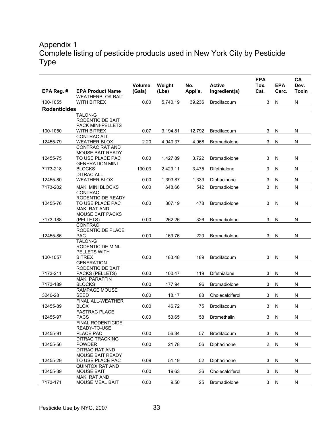# Appendix 1 Complete listing of pesticide products used in New York City by Pesticide Type

|                     |                                             | <b>Volume</b> | Weight   | No.     | <b>Active</b>       | <b>EPA</b><br>Tox. | <b>EPA</b>   | CA<br>Dev.   |
|---------------------|---------------------------------------------|---------------|----------|---------|---------------------|--------------------|--------------|--------------|
| EPA Reg. #          | <b>EPA Product Name</b>                     | (Gals)        | (Lbs)    | Appl's. | Ingredient(s)       | Cat.               | Carc.        | <b>Toxin</b> |
|                     | <b>WEATHERBLOK BAIT</b>                     |               |          |         |                     |                    |              |              |
| 100-1055            | <b>WITH BITREX</b>                          | 0.00          | 5,740.19 | 39,236  | Brodifacoum         | 3                  | N            | N            |
| <b>Rodenticides</b> |                                             |               |          |         |                     |                    |              |              |
|                     | TALON-G<br>RODENTICIDE BAIT                 |               |          |         |                     |                    |              |              |
|                     | <b>PACK MINI-PELLETS</b>                    |               |          |         |                     |                    |              |              |
| 100-1050            | <b>WITH BITREX</b>                          | 0.07          | 3,194.81 | 12,792  | Brodifacoum         | 3                  | N            | N            |
|                     | CONTRAC ALL-                                |               |          |         |                     |                    |              |              |
| 12455-79            | <b>WEATHER BLOX</b>                         | 2.20          | 4,940.37 | 4,968   | Bromadiolone        | 3                  | N            | ${\sf N}$    |
|                     | <b>CONTRAC RAT AND</b>                      |               |          |         |                     |                    |              |              |
|                     | <b>MOUSE BAIT READY</b>                     |               |          |         |                     |                    |              |              |
| 12455-75            | TO USE PLACE PAC                            | 0.00          | 1,427.89 | 3,722   | <b>Bromadiolone</b> | 3                  | N            | N            |
| 7173-218            | <b>GENERATION MINI</b>                      | 130.03        |          | 3,475   |                     | 3                  | N            | N            |
|                     | <b>BLOCKS</b><br><b>DITRAC ALL-</b>         |               | 2,429.11 |         | Difethialone        |                    |              |              |
| 12455-80            | <b>WEATHER BLOX</b>                         | 0.00          | 1,393.87 | 1,339   | Diphacinone         | 3                  | N            | N            |
|                     |                                             |               |          |         |                     | 3                  |              | ${\sf N}$    |
| 7173-202            | <b>MAKI MINI BLOCKS</b><br><b>CONTRAC</b>   | 0.00          | 648.66   | 542     | <b>Bromadiolone</b> |                    | ${\sf N}$    |              |
|                     | RODENTICIDE READY                           |               |          |         |                     |                    |              |              |
| 12455-76            | TO USE PLACE PAC                            | 0.00          | 307.19   | 478     | Bromadiolone        | 3                  | N            | N            |
|                     | <b>MAKI RAT AND</b>                         |               |          |         |                     |                    |              |              |
|                     | <b>MOUSE BAIT PACKS</b>                     |               |          |         |                     |                    |              |              |
| 7173-188            | (PELLETS)                                   | 0.00          | 262.26   | 326     | <b>Bromadiolone</b> | 3                  | N            | N            |
|                     | <b>CONTRAC</b>                              |               |          |         |                     |                    |              |              |
|                     | RODENTICIDE PLACE                           |               |          |         |                     |                    |              |              |
| 12455-86            | <b>PAC</b>                                  | 0.00          | 169.76   | 220     | <b>Bromadiolone</b> | 3                  | N            | N            |
|                     | <b>TALON-G</b>                              |               |          |         |                     |                    |              |              |
|                     | <b>RODENTICIDE MINI-</b><br>PELLETS WITH    |               |          |         |                     |                    |              |              |
| 100-1057            | <b>BITREX</b>                               | 0.00          | 183.48   | 189     | Brodifacoum         | 3                  | N            | N            |
|                     | <b>GENERATION</b>                           |               |          |         |                     |                    |              |              |
|                     | RODENTICIDE BAIT                            |               |          |         |                     |                    |              |              |
| 7173-211            | PACKS (PELLETS)                             | 0.00          | 100.47   | 119     | Difethialone        | 3                  | N            | N            |
|                     | <b>MAKI PARAFFIN</b>                        |               |          |         |                     |                    |              |              |
| 7173-189            | <b>BLOCKS</b>                               | 0.00          | 177.94   | 96      | Bromadiolone        | 3                  | N            | N            |
|                     | <b>RAMPAGE MOUSE</b>                        |               |          |         |                     |                    |              |              |
| 3240-28             | SEED                                        | 0.00          | 18.17    | 88      | Cholecalciferol     | 3                  | N            | N            |
| 12455-89            | FINAL ALL-WEATHER<br><b>BLOX</b>            | 0.00          | 46.72    | 75      | Brodifacoum         | 3                  | N            | N            |
|                     | <b>FASTRAC PLACE</b>                        |               |          |         |                     |                    |              |              |
| 12455-97            | <b>PACS</b>                                 | 0.00          | 53.65    | 58      | <b>Bromethalin</b>  | 3                  | <sup>N</sup> | N            |
|                     | <b>FINAL RODENTICIDE</b>                    |               |          |         |                     |                    |              |              |
|                     | READY-TO-USE                                |               |          |         |                     |                    |              |              |
| 12455-91            | PLACE PAC                                   | 0.00          | 56.34    | 57      | Brodifacoum         | 3                  | N            | N            |
|                     | <b>DITRAC TRACKING</b>                      |               |          |         |                     |                    |              |              |
| 12455-56            | <b>POWDER</b>                               | 0.00          | 21.78    | 56      | Diphacinone         | $\overline{c}$     | N            | N            |
|                     | <b>DITRAC RAT AND</b>                       |               |          |         |                     |                    |              |              |
| 12455-29            | <b>MOUSE BAIT READY</b><br>TO USE PLACE PAC | 0.09          | 51.19    | 52      | Diphacinone         | 3                  | N            | N            |
|                     | <b>QUINTOX RAT AND</b>                      |               |          |         |                     |                    |              |              |
| 12455-39            | <b>MOUSE BAIT</b>                           | 0.00          | 19.63    | 36      | Cholecalciferol     | 3                  | N            | N            |
|                     | <b>MAKI RAT AND</b>                         |               |          |         |                     |                    |              |              |
| 7173-171            | <b>MOUSE MEAL BAIT</b>                      | 0.00          | 9.50     | 25      | Bromadiolone        | 3                  | N            | N            |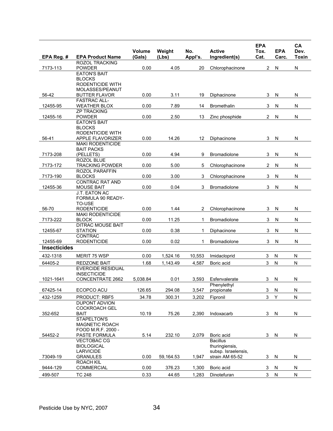| EPA Reg. #          | <b>EPA Product Name</b>                            | Volume<br>(Gals) | Weight<br>(Lbs) | No.<br>Appl's. | <b>Active</b><br>Ingredient(s) | <b>EPA</b><br>Tox.<br>Cat. | <b>EPA</b><br>Carc. | CA<br>Dev.<br><b>Toxin</b> |
|---------------------|----------------------------------------------------|------------------|-----------------|----------------|--------------------------------|----------------------------|---------------------|----------------------------|
|                     | <b>ROZOL TRACKING</b>                              |                  |                 |                |                                |                            |                     |                            |
| 7173-113            | <b>POWDER</b>                                      | 0.00             | 4.05            | 20             | Chlorophacinone                | 2                          | N                   | $\mathsf{N}$               |
|                     | <b>EATON'S BAIT</b>                                |                  |                 |                |                                |                            |                     |                            |
|                     | <b>BLOCKS</b><br>RODENTICIDE WITH                  |                  |                 |                |                                |                            |                     |                            |
|                     | MOLASSES/PEANUT                                    |                  |                 |                |                                |                            |                     |                            |
| 56-42               | <b>BUTTER FLAVOR</b>                               | 0.00             | 3.11            | 19             | Diphacinone                    | 3                          | N                   | N                          |
|                     | <b>FASTRAC ALL-</b>                                |                  |                 |                |                                |                            |                     |                            |
| 12455-95            | <b>WEATHER BLOX</b>                                | 0.00             | 7.89            | 14             | <b>Bromethalin</b>             | 3                          | N                   | N                          |
| 12455-16            | <b>ZP TRACKING</b><br><b>POWDER</b>                | 0.00             | 2.50            | 13             | Zinc phosphide                 | $\overline{2}$             | N                   | N                          |
|                     | <b>EATON'S BAIT</b>                                |                  |                 |                |                                |                            |                     |                            |
|                     | <b>BLOCKS</b>                                      |                  |                 |                |                                |                            |                     |                            |
|                     | <b>RODENTICIDE WITH</b>                            |                  |                 |                |                                |                            |                     |                            |
| 56-41               | <b>APPLE FLAVORIZER</b><br><b>MAKI RODENTICIDE</b> | 0.00             | 14.26           | 12             | Diphacinone                    | 3                          | N                   | N                          |
|                     | <b>BAIT PACKS</b>                                  |                  |                 |                |                                |                            |                     |                            |
| 7173-208            | (PELLETS)                                          | 0.00             | 4.94            | 9              | Bromadiolone                   | 3                          | N                   | N                          |
|                     | <b>ROZOL BLUE</b>                                  |                  |                 |                |                                |                            |                     |                            |
| 7173-172            | <b>TRACKING POWDER</b>                             | 0.00             | 5.00            | 5              | Chlorophacinone                | 2                          | N                   | ${\sf N}$                  |
| 7173-190            | <b>ROZOL PARAFFIN</b><br><b>BLOCKS</b>             | 0.00             | 3.00            | 3              | Chlorophacinone                | 3                          | N                   | N                          |
|                     | <b>CONTRAC RAT AND</b>                             |                  |                 |                |                                |                            |                     |                            |
| 12455-36            | <b>MOUSE BAIT</b>                                  | 0.00             | 0.04            | 3              | Bromadiolone                   | 3                          | N                   | $\mathsf{N}$               |
|                     | J.T. EATON AC                                      |                  |                 |                |                                |                            |                     |                            |
|                     | FORMULA 90 READY-                                  |                  |                 |                |                                |                            |                     |                            |
| 56-70               | TO-USE<br><b>RODENTICIDE</b>                       | 0.00             | 1.44            | 2              | Chlorophacinone                | 3                          | N                   | N                          |
|                     | <b>MAKI RODENTICIDE</b>                            |                  |                 |                |                                |                            |                     |                            |
| 7173-222            | <b>BLOCK</b>                                       | 0.00             | 11.25           | 1              | Bromadiolone                   | 3                          | N                   | $\mathsf{N}$               |
|                     | <b>DITRAC MOUSE BAIT</b>                           |                  |                 |                |                                |                            |                     |                            |
| 12455-67            | <b>STATION</b><br>CONTRAC                          | 0.00             | 0.38            | 1              | Diphacinone                    | 3                          | N                   | N                          |
| 12455-69            | <b>RODENTICIDE</b>                                 | 0.00             | 0.02            | 1              | Bromadiolone                   | 3                          | N                   | N                          |
| <b>Insecticides</b> |                                                    |                  |                 |                |                                |                            |                     |                            |
| 432-1318            | MERIT 75 WSP                                       | 0.00             | 1,524.16        | 10,553         | Imidacloprid                   | 3                          | N                   | N                          |
| 64405-2             | <b>REDZONE BAIT</b>                                | 1.68             | 1,143.49        | 4,587          | Boric acid                     | 3                          | ${\sf N}$           | N                          |
|                     | <b>EVERCIDE RESIDUAL</b>                           |                  |                 |                |                                |                            |                     |                            |
|                     | <b>INSECTICIDE</b>                                 |                  |                 |                |                                |                            |                     |                            |
| 1021-1641           | CONCENTRATE 2662                                   | 5,038.84         | 0.01            | 3,593          | Esfenvalerate                  | 3                          | N                   | N                          |
|                     |                                                    |                  |                 |                | Phenylethyl                    |                            |                     |                            |
| 67425-14            | ECOPCO ACU                                         | 126.65           | 294.08          | 3,547          | propionate                     | $\mathbf{3}$               | N                   | N                          |
| 432-1259            | PRODUCT: RBF5                                      | 34.78            | 300.31          | 3,202          | Fipronil                       | 3                          | Y                   | N                          |
|                     | <b>DUPONT ADVION</b><br><b>COCKROACH GEL</b>       |                  |                 |                |                                |                            |                     |                            |
| 352-652             | <b>BAIT</b>                                        | 10.19            | 75.26           | 2,390          | Indoxacarb                     | 3                          | N                   | N                          |
|                     | STAPELTON'S                                        |                  |                 |                |                                |                            |                     |                            |
|                     | <b>MAGNETIC ROACH</b>                              |                  |                 |                |                                |                            |                     |                            |
|                     | FOOD M.R.F. 2000 -                                 |                  |                 |                |                                |                            |                     |                            |
| 54452-2             | PASTE FORMULA<br><b>VECTOBAC CG</b>                | 5.14             | 232.10          | 2,079          | Boric acid<br><b>Bacillus</b>  | 3                          | $\mathsf{N}$        | ${\sf N}$                  |
|                     | <b>BIOLOGICAL</b>                                  |                  |                 |                | thuringiensis,                 |                            |                     |                            |
|                     | <b>LARVICIDE</b>                                   |                  |                 |                | subsp. Israelensis,            |                            |                     |                            |
| 73049-19            | <b>GRANULES</b>                                    | 0.00             | 59,164.53       | 1,947          | strain AM 65-52                | 3                          | N                   | ${\sf N}$                  |
|                     | <b>ROACH KIL</b><br><b>COMMERCIAL</b>              | 0.00             | 376.23          | 1,300          | Boric acid                     | 3                          | N                   | N                          |
| 9444-129            |                                                    |                  |                 |                |                                |                            |                     |                            |
| 499-507             | <b>TC 248</b>                                      | 0.33             | 44.65           | 1,283          | Dinotefuran                    | $\mathbf{3}$               | ${\sf N}$           | ${\sf N}$                  |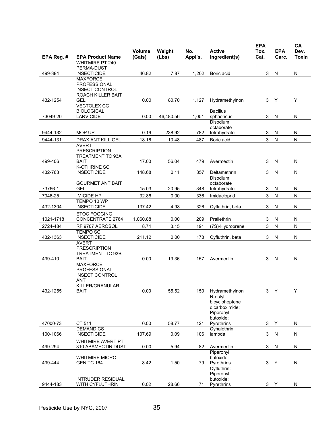|            |                                                                                    |                  |                 |                |                                                            | <b>EPA</b>   |                     | CA                   |
|------------|------------------------------------------------------------------------------------|------------------|-----------------|----------------|------------------------------------------------------------|--------------|---------------------|----------------------|
| EPA Reg. # | <b>EPA Product Name</b>                                                            | Volume<br>(Gals) | Weight<br>(Lbs) | No.<br>Appl's. | <b>Active</b><br>Ingredient(s)                             | Tox.<br>Cat. | <b>EPA</b><br>Carc. | Dev.<br><b>Toxin</b> |
|            | <b>WHITMIRE PT 240</b><br>PERMA-DUST                                               |                  |                 |                |                                                            |              |                     |                      |
| 499-384    | <b>INSECTICIDE</b>                                                                 | 46.82            | 7.87            | 1,202          | Boric acid                                                 | 3            | N                   | N                    |
|            | <b>MAXFORCE</b><br>PROFESSIONAL<br><b>INSECT CONTROL</b><br>ROACH KILLER BAIT      |                  |                 |                |                                                            |              |                     |                      |
| 432-1254   | GEL<br><b>VECTOLEX CG</b>                                                          | 0.00             | 80.70           | 1,127          | Hydramethylnon                                             | 3            | Y                   | Υ                    |
| 73049-20   | <b>BIOLOGICAL</b><br><b>LARVICIDE</b>                                              | 0.00             | 46,480.56       | 1,051          | <b>Bacillus</b><br>sphaericus                              | 3            | N                   | ${\sf N}$            |
|            |                                                                                    |                  |                 |                | Disodium<br>octaborate                                     |              |                     |                      |
| 9444-132   | MOP UP                                                                             | 0.16             | 238.92          | 782            | tetrahydrate                                               | 3            | N                   | N                    |
| 9444-131   | DRAX ANT KILL GEL                                                                  | 18.16            | 10.48           | 487            | Boric acid                                                 | 3            | ${\sf N}$           | ${\sf N}$            |
|            | <b>AVERT</b><br><b>PRESCRIPTION</b><br><b>TREATMENT TC 93A</b>                     |                  |                 |                |                                                            |              |                     |                      |
| 499-406    | <b>BAIT</b><br><b>K-OTHRINE SC</b>                                                 | 17.00            | 56.04           | 479            | Avermectin                                                 | 3            | N                   | N                    |
| 432-763    | <b>INSECTICIDE</b>                                                                 | 148.68           | 0.11            | 357            | Deltamethrin                                               | 3            | N                   | ${\sf N}$            |
| 73766-1    | <b>GOURMET ANT BAIT</b><br><b>GEL</b>                                              | 15.03            | 20.95           | 348            | Disodium<br>octaborate<br>tetrahydrate                     | 3            | N                   | N                    |
| 7946-25    | <b>IMICIDE HP</b>                                                                  | 32.86            | 0.00            | 336            | Imidacloprid                                               | 3            | N                   | N                    |
| 432-1304   | TEMPO 10 WP<br><b>INSECTICIDE</b>                                                  | 137.42           | 4.98            | 326            | Cyfluthrin, beta                                           | 3            | N                   | ${\sf N}$            |
| 1021-1718  | <b>ETOC FOGGING</b><br>CONCENTRATE 2764                                            | 1,060.88         | 0.00            | 209            | Prallethrin                                                | 3            | N                   | N                    |
| 2724-484   | RF 9707 AEROSOL                                                                    | 8.74             | 3.15            | 191            | (7S)-Hydroprene                                            | 3            | ${\sf N}$           | ${\sf N}$            |
| 432-1363   | <b>TEMPO SC</b><br><b>INSECTICIDE</b>                                              | 211.12           | 0.00            | 178            | Cyfluthrin, beta                                           | 3            | N                   | ${\sf N}$            |
| 499-410    | <b>AVERT</b><br><b>PRESCRIPTION</b><br><b>TREATMENT TC 93B</b><br><b>BAIT</b>      | 0.00             | 19.36           | 157            | Avermectin                                                 | 3            | N                   | N                    |
|            | <b>MAXFORCE</b><br>PROFESSIONAL<br><b>INSECT CONTROL</b><br>ANT<br>KILLER/GRANULAR |                  |                 |                |                                                            |              |                     |                      |
| 432-1255   | <b>BAIT</b>                                                                        | 0.00             | 55.52           | 150            | Hydramethylnon<br>N-octyl                                  | 3            | Y                   | Y                    |
|            |                                                                                    |                  |                 |                | bicycloheptene<br>dicarboximide;<br>Piperonyl<br>butoxide; |              |                     |                      |
| 47000-73   | CT 511                                                                             | 0.00             | 58.77           | 121            | Pyrethrins                                                 | 3            | Υ                   | ${\sf N}$            |
| 100-1066   | <b>DEMAND CS</b><br><b>INSECTICIDE</b>                                             | 107.69           | 0.09            | 106            | Cyhalothrin,<br>lambda                                     | 3            | ${\sf N}$           | ${\sf N}$            |
| 499-294    | <b>WHITMIRE AVERT PT</b><br>310 ABAMECTIN DUST                                     | 0.00             | 5.94            | 82             | Avermectin                                                 | 3            | N                   | N                    |
| 499-444    | <b>WHITMIRE MICRO-</b><br><b>GEN TC 164</b>                                        | 8.42             | 1.50            | 79             | Piperonyl<br>butoxide:<br>Pyrethrins                       | 3            | Y                   | N                    |
|            |                                                                                    |                  |                 |                | Cyfluthrin;<br>Piperonyl                                   |              |                     |                      |
| 9444-183   | <b>INTRUDER RESIDUAL</b><br>WITH CYFLUTHRIN                                        | 0.02             | 28.66           | 71             | butoxide;<br>Pyrethrins                                    | $\mathbf{3}$ | Y                   | N                    |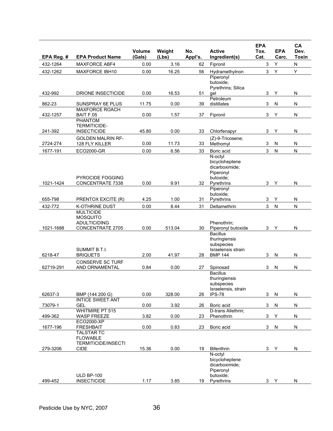|            |                                                                    | Volume | Weight | No.     | <b>Active</b>                                                                          | <b>EPA</b><br>Tox.        | <b>EPA</b> | CA<br>Dev.   |
|------------|--------------------------------------------------------------------|--------|--------|---------|----------------------------------------------------------------------------------------|---------------------------|------------|--------------|
| EPA Reg. # | <b>EPA Product Name</b>                                            | (Gals) | (Lbs)  | Appl's. | Ingredient(s)                                                                          | Cat.                      | Carc.      | <b>Toxin</b> |
| 432-1264   | <b>MAXFORCE ABF4</b>                                               | 0.00   | 3.16   | 62      | Fipronil                                                                               | 3                         | Υ          | ${\sf N}$    |
| 432-1262   | <b>MAXFORCE IBH10</b>                                              | 0.00   | 16.25  | 56      | Hydramethylnon                                                                         | 3                         | Υ          | Υ            |
|            |                                                                    |        |        |         | Piperonyl<br>butoxide;<br>Pyrethrins; Silica                                           |                           |            |              |
| 432-992    | DRIONE INSECTICIDE                                                 | 0.00   | 16.53  | 51      | qel<br>Petroleum                                                                       | 3                         | Υ          | ${\sf N}$    |
| 862-23     | <b>SUNSPRAY 6E PLUS</b>                                            | 11.75  | 0.00   | 39      | distillates                                                                            | 3                         | N          | N            |
| 432-1257   | MAXFORCE ROACH<br>BAIT F.05                                        | 0.00   | 1.57   | 37      | Fipronil                                                                               | 3                         | Y          | ${\sf N}$    |
|            | <b>PHANTOM</b>                                                     |        |        |         |                                                                                        |                           |            |              |
| 241-392    | <b>TERMITICIDE-</b><br><b>INSECTICIDE</b>                          | 45.80  | 0.00   | 33      | Chlorfenapyr                                                                           | 3                         | Υ          | N            |
|            | <b>GOLDEN MALRIN RF-</b>                                           |        |        |         | (Z)-9-Tricosene;                                                                       |                           |            |              |
| 2724-274   | 128 FLY KILLER                                                     | 0.00   | 11.73  | 33      | Methomyl                                                                               | 3                         | N          | N            |
| 1677-191   | ECO2000-GR                                                         | 0.00   | 6.56   | 33      | Boric acid                                                                             | 3                         | ${\sf N}$  | ${\sf N}$    |
| 1021-1424  | <b>PYROCIDE FOGGING</b><br><b>CONCENTRATE 7338</b>                 | 0.00   | 9.91   | 32      | N-octyl<br>bicycloheptene<br>dicarboximide;<br>Piperonyl<br>butoxide:<br>Pyrethrins    | 3                         | Υ          | ${\sf N}$    |
|            |                                                                    |        |        |         | Piperonvl                                                                              |                           |            |              |
|            |                                                                    |        |        |         | butoxide:                                                                              |                           |            |              |
| 655-798    | PRENTOX EXCITE (R)                                                 | 4.25   | 1.00   | 31      | Pyrethrins                                                                             | $\ensuremath{\mathsf{3}}$ | Υ          | ${\sf N}$    |
| 432-772    | <b>K-OTHRINE DUST</b><br><b>MULTICIDE</b>                          | 0.00   | 8.44   | 31      | Deltamethrin                                                                           | 3                         | N          | N            |
| 1021-1688  | <b>MOSQUITO</b><br><b>ADULTICIDING</b><br><b>CONCENTRATE 2705</b>  | 0.00   | 513.04 | 30      | Phenothrin;<br>Piperonyl butoxide                                                      | 3                         | Y          | N            |
| 6218-47    | SUMMIT B.T.I.<br><b>BRIQUETS</b>                                   | 2.00   | 41.97  | 28      | <b>Bacillus</b><br>thuringiensis<br>subspecies<br>Israelensis strain<br><b>BMP 144</b> | 3                         | N          | N            |
| 62719-291  | <b>CONSERVE SC TURF</b><br>AND ORNAMENTAL                          | 0.84   | 0.00   | 27      | Spinosad                                                                               | 3                         | ${\sf N}$  | N            |
|            |                                                                    |        |        |         | <b>Bacillus</b><br>thuringiensis<br>subspecies<br>Israelensis, strain                  |                           |            |              |
| 62637-3    | BMP (144 200 G)                                                    | 0.00   | 328.00 | 26      | <b>IPS-78</b>                                                                          | 3                         | N          | N            |
|            | <b>INTICE SWEET ANT</b>                                            |        |        |         |                                                                                        |                           |            |              |
| 73079-1    | <b>GEL</b>                                                         | 0.00   | 3.92   | 26      | Boric acid                                                                             | 3                         | N          | ${\sf N}$    |
| 499-362    | <b>WHITMIRE PT 515</b><br><b>WASP FREEZE</b>                       | 3.82   | 0.00   | 23      | D-trans Allethrin;<br>Phenothrin                                                       | 3                         | Y          | N            |
|            | ECO2000-XP                                                         |        |        |         |                                                                                        |                           |            |              |
| 1677-196   | <b>FRESHBAIT</b>                                                   | 0.00   | 0.83   | 23      | Boric acid                                                                             | 3                         | ${\sf N}$  | ${\sf N}$    |
|            | <b>TALSTAR TC</b><br><b>FLOWABLE</b><br><b>TERMITICIDE/INSECTI</b> |        |        |         |                                                                                        |                           |            |              |
| 279-3206   | <b>CIDE</b>                                                        | 15.36  | 0.00   | 19      | <b>Bifenthrin</b>                                                                      | 3                         | Y          | N            |
| 499-452    | <b>ULD BP-100</b><br><b>INSECTICIDE</b>                            | 1.17   | 3.85   | 19      | N-octyl<br>bicycloheptene<br>dicarboximide:<br>Piperonyl<br>butoxide;<br>Pyrethrins    | 3                         | Y          | N            |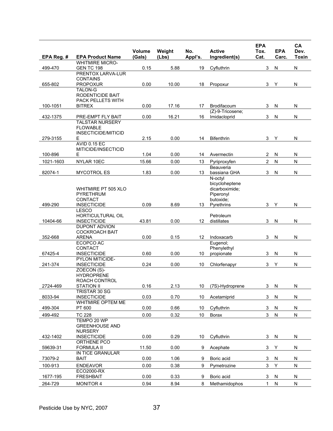| EPA Reg. # | <b>EPA Product Name</b>                                          | Volume<br>(Gals) | Weight<br>(Lbs) | No.<br>Appl's. | <b>Active</b><br>Ingredient(s)                                        | <b>EPA</b><br>Tox.<br>Cat. | <b>EPA</b><br>Carc. | CA<br>Dev.<br><b>Toxin</b> |
|------------|------------------------------------------------------------------|------------------|-----------------|----------------|-----------------------------------------------------------------------|----------------------------|---------------------|----------------------------|
|            | <b>WHITMIRE MICRO-</b>                                           |                  |                 |                |                                                                       |                            |                     |                            |
| 499-470    | <b>GEN TC 198</b><br>PRENTOX LARVA-LUR                           | 0.15             | 5.88            | 19             | Cyfluthrin                                                            | 3                          | N                   | ${\sf N}$                  |
| 655-802    | <b>CONTAINS</b><br><b>PROPOXUR</b>                               | 0.00             | 10.00           | 18             | Propoxur                                                              | 3                          | Υ                   | ${\sf N}$                  |
|            | <b>TALON-G</b><br>RODENTICIDE BAIT<br>PACK PELLETS WITH          |                  |                 |                |                                                                       |                            |                     |                            |
| 100-1051   | <b>BITREX</b>                                                    | 0.00             | 17.16           | 17             | Brodifacoum<br>(Z)-9-Tricosene;                                       | 3                          | N                   | N                          |
| 432-1375   | PRE-EMPT FLY BAIT                                                | 0.00             | 16.21           | 16             | Imidacloprid                                                          | 3                          | N                   | ${\sf N}$                  |
|            | <b>TALSTAR NURSERY</b><br><b>FLOWABLE</b><br>INSECTICIDE/MITICID |                  |                 |                |                                                                       |                            |                     |                            |
| 279-3155   | Е                                                                | 2.15             | 0.00            | 14             | <b>Bifenthrin</b>                                                     | 3                          | Y                   | N                          |
|            | <b>AVID 0.15 EC</b><br>MITICIDE/INSECTICID                       |                  |                 |                |                                                                       |                            |                     |                            |
| 100-896    | Е                                                                | 1.04             | 0.00            | 14             | Avermectin                                                            | 2                          | N                   | N                          |
| 1021-1603  | NYLAR 10EC                                                       | 15.66            | 0.00            | 13             | Pyriproxyfen<br>Beauveria                                             | 2                          | ${\sf N}$           | N                          |
| 82074-1    | <b>MYCOTROL ES</b>                                               | 1.83             | 0.00            | 13             | bassiana GHA                                                          | 3                          | N                   | ${\sf N}$                  |
|            | WHITMIRE PT 505 XLO<br>PYRETHRUM<br><b>CONTACT</b>               |                  |                 |                | N-octyl<br>bicycloheptene<br>dicarboximide:<br>Piperonyl<br>butoxide; |                            |                     |                            |
| 499-290    | <b>INSECTICIDE</b>                                               | 0.09             | 8.69            | 13             | Pyrethrins                                                            | 3                          | Υ                   | ${\sf N}$                  |
| 10404-66   | <b>LESCO</b><br>HORTICULTURAL OIL<br><b>INSECTICIDE</b>          | 43.81            | 0.00            | 12             | Petroleum<br>distillates                                              | 3                          | N                   | ${\sf N}$                  |
| 352-668    | <b>DUPONT ADVION</b><br><b>COCKROACH BAIT</b><br><b>ARENA</b>    | 0.00             | 0.15            | 12             | Indoxacarb                                                            | 3                          | N                   | ${\sf N}$                  |
|            | ECOPCO AC                                                        |                  |                 |                | Eugenol;                                                              |                            |                     |                            |
| 67425-4    | <b>CONTACT</b><br><b>INSECTICIDE</b>                             | 0.60             | 0.00            | 10             | Phenylethyl<br>propionate                                             | 3                          | N                   | ${\sf N}$                  |
|            | <b>PYLON MITICIDE-</b>                                           |                  |                 |                |                                                                       |                            |                     |                            |
| 241-374    | <b>INSECTICIDE</b><br>ZOECON (S)-                                | 0.24             | 0.00            | 10             | Chlorfenapyr                                                          | 3                          | Υ                   | ${\sf N}$                  |
| 2724-469   | <b>HYDROPRENE</b><br><b>ROACH CONTROL</b><br><b>STATION II</b>   | 0.16             | 2.13            |                | 10 (7S)-Hydroprene                                                    |                            | 3 N                 | ${\sf N}$                  |
| 8033-94    | TRISTAR 30 SG<br><b>INSECTICIDE</b>                              | 0.03             | 0.70            | 10             | Acetamiprid                                                           | 3                          | N                   | ${\sf N}$                  |
| 499-304    | WHITMIRE OPTEM ME<br>PT 600                                      | 0.00             | 0.66            | 10             | Cyfluthrin                                                            | 3                          | N                   | N                          |
| 499-492    | <b>TC 228</b>                                                    | 0.00             | 0.32            | 10             | Borax                                                                 | 3 <sup>1</sup>             | ${\sf N}$           | ${\sf N}$                  |
|            | TEMPO 20 WP<br><b>GREENHOUSE AND</b><br><b>NURSERY</b>           |                  |                 |                |                                                                       |                            |                     |                            |
| 432-1402   | <b>INSECTICIDE</b><br>ORTHENE PCO                                | 0.00             | 0.29            | 10             | Cyfluthrin                                                            | 3                          | N                   | N                          |
| 59639-31   | <b>FORMULA II</b>                                                | 11.50            | 0.00            | 9              | Acephate                                                              | 3                          | Υ                   | ${\sf N}$                  |
| 73079-2    | IN TICE GRANULAR<br><b>BAIT</b>                                  | 0.00             | 1.06            | 9              | Boric acid                                                            | 3                          | ${\sf N}$           | N                          |
| 100-913    | <b>ENDEAVOR</b>                                                  | 0.00             | 0.38            | 9              | Pymetrozine                                                           | 3                          | Y                   | N                          |
| 1677-195   | ECO2000-RX<br><b>FRESHBAIT</b>                                   | 0.00             | 0.33            | 9              | Boric acid                                                            | 3                          | N                   | N                          |
| 264-729    | <b>MONITOR 4</b>                                                 | 0.94             | 8.94            | 8              | Methamidophos                                                         | 1                          | N                   | N                          |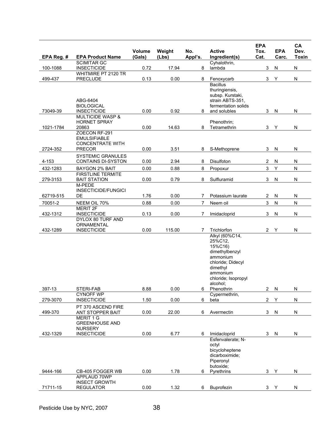| EPA Reg. # | <b>EPA Product Name</b>                                                    | Volume<br>(Gals) | Weight<br>(Lbs) | No.<br>Appl's. | <b>Active</b><br>Ingredient(s)                                                                                                                     | <b>EPA</b><br>Tox.<br>Cat. | <b>EPA</b><br>Carc. | CA<br>Dev.<br><b>Toxin</b> |
|------------|----------------------------------------------------------------------------|------------------|-----------------|----------------|----------------------------------------------------------------------------------------------------------------------------------------------------|----------------------------|---------------------|----------------------------|
|            | <b>SCIMITAR GC</b>                                                         |                  |                 |                | Cyhalothrin,                                                                                                                                       |                            |                     |                            |
| 100-1088   | <b>INSECTICIDE</b>                                                         | 0.72             | 17.94           | 8              | lambda                                                                                                                                             | $\ensuremath{\mathsf{3}}$  | N                   | ${\sf N}$                  |
|            | WHITMIRE PT 2120 TR                                                        |                  |                 |                |                                                                                                                                                    |                            |                     |                            |
| 499-437    | <b>PRECLUDE</b>                                                            | 0.13             | 0.00            | 8              | Fenoxycarb                                                                                                                                         | 3                          | Υ                   | N                          |
|            | ABG-6404<br><b>BIOLOGICAL</b>                                              |                  |                 |                | <b>Bacillus</b><br>thuringiensis,<br>subsp. Kurstaki,<br>strain ABTS-351,<br>fermentation solids                                                   |                            |                     |                            |
| 73049-39   | <b>INSECTICIDE</b>                                                         | 0.00             | 0.92            | 8              | and solubles                                                                                                                                       | 3                          | N                   | N                          |
|            | <b>MULTICIDE WASP &amp;</b>                                                |                  |                 |                |                                                                                                                                                    |                            |                     |                            |
| 1021-1784  | <b>HORNET SPRAY</b><br>20863                                               | 0.00             | 14.63           | 8              | Phenothrin;<br>Tetramethrin                                                                                                                        | 3                          | Υ                   | N                          |
|            | ZOECON RF-291<br><b>EMULSIFIABLE</b><br><b>CONCENTRATE WITH</b>            |                  |                 |                |                                                                                                                                                    |                            |                     |                            |
| 2724-352   | <b>PRECOR</b>                                                              | 0.00             | 3.51            | 8              | S-Methoprene                                                                                                                                       | 3                          | ${\sf N}$           | ${\sf N}$                  |
| $4 - 153$  | <b>SYSTEMIC GRANULES</b><br>CONTAINS DI-SYSTON                             | 0.00             | 2.94            | 8              | Disulfoton                                                                                                                                         | $\overline{c}$             | N                   | ${\sf N}$                  |
| 432-1283   | <b>BAYGON 2% BAIT</b>                                                      | 0.00             | 0.88            | 8              | Propoxur                                                                                                                                           | 3                          | Υ                   | ${\sf N}$                  |
| 279-3153   | <b>FIRSTLINE TERMITE</b><br><b>BAIT STATION</b>                            | 0.00             | 0.79            | 8              | Sulfluramid                                                                                                                                        | 3                          | N                   | ${\sf N}$                  |
|            | M-PEDE                                                                     |                  |                 |                |                                                                                                                                                    |                            |                     |                            |
|            | <b>INSECTICIDE/FUNGICI</b>                                                 |                  |                 |                |                                                                                                                                                    |                            |                     |                            |
| 62719-515  | DE                                                                         | 1.76             | 0.00            | 7              | Potassium laurate                                                                                                                                  | 2                          | N                   | N                          |
| 70051-2    | NEEM OIL 70%                                                               | 0.88             | 0.00            | $\overline{7}$ | Neem oil                                                                                                                                           | $\mathfrak{S}$             | ${\sf N}$           | ${\sf N}$                  |
|            | <b>MERIT 2F</b>                                                            |                  |                 |                |                                                                                                                                                    |                            |                     |                            |
| 432-1312   | <b>INSECTICIDE</b>                                                         | 0.13             | 0.00            | 7              | Imidacloprid                                                                                                                                       | 3                          | ${\sf N}$           | ${\sf N}$                  |
| 432-1289   | DYLOX 80 TURF AND<br>ORNAMENTAL<br><b>INSECTICIDE</b>                      | 0.00             | 115.00          | 7              | Trichlorfon                                                                                                                                        | $\overline{c}$             | Υ                   | N                          |
|            |                                                                            |                  |                 |                | Alkyl (60%C14,<br>25%C12.<br>15%C16)<br>dimethylbenzyl<br>ammonium<br>chloride; Didecyl<br>dimethyl<br>ammonium<br>chloride; Isopropyl<br>alcohol; |                            |                     |                            |
| 397-13     | STERI-FAB                                                                  | 8.88             | 0.00            | 6              | Phenothrin                                                                                                                                         | $\overline{c}$             | ${\sf N}$           | ${\sf N}$                  |
|            | <b>CYNOFF WP</b>                                                           |                  |                 |                | Cypermethrin,                                                                                                                                      |                            |                     |                            |
| 279-3070   | <b>INSECTICIDE</b>                                                         | 1.50             | 0.00            | 6              | beta                                                                                                                                               | $\overline{c}$             | Υ                   | N                          |
| 499-370    | PT 370 ASCEND FIRE<br>ANT STOPPER BAIT                                     | 0.00             | 22.00           | 6              | Avermectin                                                                                                                                         | 3                          | N                   | N                          |
| 432-1329   | MERIT 1 G<br><b>GREENHOUSE AND</b><br><b>NURSERY</b><br><b>INSECTICIDE</b> | 0.00             | 6.77            | 6              | Imidacloprid                                                                                                                                       | 3                          | N                   | N                          |
|            |                                                                            |                  |                 |                | Esfenvalerate: N-<br>octyl<br>bicycloheptene<br>dicarboximide:<br>Piperonyl<br>butoxide;                                                           |                            |                     |                            |
| 9444-166   | CB-405 FOGGER WB<br>APPLAUD 70WP                                           | 0.00             | 1.78            | 6              | Pyrethrins                                                                                                                                         | 3                          | Y                   | N                          |
| 71711-15   | <b>INSECT GROWTH</b><br><b>REGULATOR</b>                                   | 0.00             | 1.32            | 6              | Buprofezin                                                                                                                                         |                            |                     | N                          |
|            |                                                                            |                  |                 |                |                                                                                                                                                    | 3                          | Y                   |                            |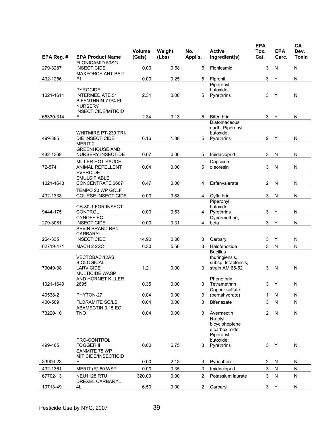|            | <b>EPA Product Name</b>                        | <b>Volume</b><br>(Gals) | Weight<br>(Lbs) | No.<br>Appl's. | <b>Active</b><br>Ingredient(s)         | <b>EPA</b><br>Tox.<br>Cat. | <b>EPA</b><br>Carc.     | CA<br>Dev.<br><b>Toxin</b> |
|------------|------------------------------------------------|-------------------------|-----------------|----------------|----------------------------------------|----------------------------|-------------------------|----------------------------|
| EPA Reg. # | FLONICAMID 50SG                                |                         |                 |                |                                        |                            |                         |                            |
| 279-3287   | <b>INSECTICIDE</b><br><b>MAXFORCE ANT BAIT</b> | 0.00                    | 0.58            | 6              | Flonicamid                             | 3                          | N                       | N                          |
| 432-1256   | F1                                             | 0.00                    | 0.25            | 6              | Fipronil                               | 3                          | Y                       | N                          |
|            |                                                |                         |                 |                | Piperonyl                              |                            |                         |                            |
|            | <b>PYROCIDE</b>                                |                         |                 |                | butoxide:                              |                            |                         |                            |
| 1021-1611  | <b>INTERMEDIATE 51</b><br>BIFENTHRIN 7.9% FL   | 2.34                    | 0.00            | 5              | Pyrethrins                             | 3                          | Υ                       | N                          |
|            | <b>NURSERY</b>                                 |                         |                 |                |                                        |                            |                         |                            |
|            | INSECTICIDE/MITICID                            |                         |                 |                |                                        |                            |                         |                            |
| 66330-314  | Е                                              | 2.34                    | 3.13            | 5              | <b>Bifenthrin</b><br>Diatomaceous      | 3                          | Υ                       | N                          |
|            |                                                |                         |                 |                | earth; Piperonyl                       |                            |                         |                            |
|            | <b>WHITMIRE PT-239 TRI-</b>                    |                         |                 |                | butoxide;                              |                            |                         |                            |
| 499-385    | <b>DIE INSECTICIDE</b>                         | 0.16                    | 1.38            | 5              | Pyrethrins                             | $\overline{2}$             | Y                       | N                          |
|            | <b>MERIT 2</b><br><b>GREENHOUSE AND</b>        |                         |                 |                |                                        |                            |                         |                            |
| 432-1369   | <b>NURSERY INSECTIDE</b>                       | 0.07                    | 0.00            | 5              | Imidacloprid                           | 3                          | ${\sf N}$               | ${\sf N}$                  |
|            | <b>MILLER HOT SAUCE</b>                        |                         |                 |                | Capsicum                               |                            |                         |                            |
| 72-574     | <b>ANIMAL REPELLENT</b>                        | 0.04                    | 0.00            | 5              | oleoresin                              | 3                          | N                       | ${\sf N}$                  |
|            | <b>EVERCIDE</b>                                |                         |                 |                |                                        |                            |                         |                            |
| 1021-1643  | <b>EMULSIFIABLE</b><br>CONCENTRATE 2667        | 0.47                    | 0.00            | 4              | Esfenvalerate                          | $\overline{2}$             | N                       | N                          |
|            | TEMPO 20 WP GOLF                               |                         |                 |                |                                        |                            |                         |                            |
| 432-1338   | <b>COURSE INSECTICIDE</b>                      | 0.00                    | 3.88            | 4              | Cyfluthrin                             | 3                          | N                       | N                          |
|            |                                                |                         |                 |                | Piperonyl                              |                            |                         |                            |
| 9444-175   | CB-80-1 FOR INSECT<br><b>CONTROL</b>           | 0.00                    | 0.63            | 4              | butoxide;<br>Pyrethrins                | 3                          | Υ                       | N                          |
|            | <b>CYNOFF EC</b>                               |                         |                 |                | Cypermethrin,                          |                            |                         |                            |
| 279-3081   | <b>INSECTICIDE</b>                             | 0.00                    | 0.31            | 4              | beta                                   | 3                          | Υ                       | N                          |
|            | SEVIN BRAND RP4                                |                         |                 |                |                                        |                            |                         |                            |
| 264-335    | <b>CARBARYL</b><br><b>INSECTICIDE</b>          | 14.90                   | 0.00            | 3              | Carbaryl                               | 3                          | Y                       | N                          |
| 62719-471  | MACH 2 2SC                                     | 6.30                    | 5.50            | 3              | Halofenozide                           | 3                          | $\overline{\mathsf{N}}$ | ${\sf N}$                  |
|            |                                                |                         |                 |                | <b>Bacillus</b>                        |                            |                         |                            |
|            | <b>VECTOBAC 12AS</b>                           |                         |                 |                | thuringiensis,                         |                            |                         |                            |
| 73049-38   | <b>BIOLOGICAL</b><br><b>LARVICIDE</b>          | 1.21                    | 0.00            | 3              | subsp. Israelensis,<br>strain AM 65-52 | 3                          | N                       | N                          |
|            | <b>MULTICIDE WASP</b>                          |                         |                 |                |                                        |                            |                         |                            |
|            | AND HORNET KILLER                              |                         |                 |                | Phenothrin:                            |                            |                         |                            |
| 1021-1649  | 2695                                           | 0.35                    | 0.00            |                | 3 Tetramethrin                         |                            | 3 Y                     | N                          |
| 49538-2    | PHYTON-27                                      | 0.04                    | 0.00            | 3              | Copper sulfate<br>(pentahydrate)       | 1                          | N                       | N                          |
| 400-509    | FLORAMITE SC/LS                                | 0.04                    | 0.00            | 3              | <b>Bifenazate</b>                      | 3                          | ${\sf N}$               | ${\sf N}$                  |
|            | ABAMECTIN 0.15 EC                              |                         |                 |                |                                        |                            |                         |                            |
| 73220-10   | <b>TNO</b>                                     | 0.04                    | 0.00            | 3              | Avermectin                             | $\overline{2}$             | N                       | N                          |
|            |                                                |                         |                 |                | N-octvl<br>bicycloheptene              |                            |                         |                            |
|            |                                                |                         |                 |                | dicarboximide:                         |                            |                         |                            |
|            |                                                |                         |                 |                | Piperonyl                              |                            |                         |                            |
| 499-465    | PRO-CONTROL<br><b>FOGGER II</b>                | 0.00                    | 6.75            | 3              | butoxide:                              |                            |                         | N                          |
|            | SANMITE 75 WP                                  |                         |                 |                | Pyrethrins                             | 3                          | Y                       |                            |
|            | MITICIDE/INSECTICID                            |                         |                 |                |                                        |                            |                         |                            |
| 33906-23   | Е                                              | 0.00                    | 2.13            | 3              | Pyridaben                              | $\overline{2}$             | N                       | N                          |
| 432-1361   | MERIT (R) 60 WSP                               | 0.00                    | 0.35            | 3              | Imidacloprid                           | 3                          | ${\sf N}$               | ${\sf N}$                  |
| 67702-13   | NEU1128 RTU                                    | 320.00                  | 0.00            | $\overline{2}$ | Potassium laurate                      | 3                          | N                       | N                          |
| 19713-49   | <b>DREXEL CARBARYL</b><br>4L                   | 6.50                    | 0.00            | $\overline{2}$ | Carbaryl                               | 3                          | Υ                       | ${\sf N}$                  |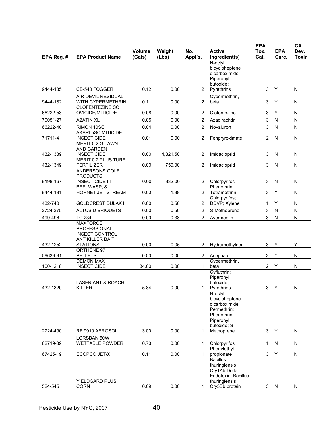| EPA Reg. # | <b>EPA Product Name</b>                                                                               | <b>Volume</b><br>(Gals) | Weight<br>(Lbs) | No.<br>Appl's. | <b>Active</b><br>Ingredient(s)                                                                              | <b>EPA</b><br>Tox.<br>Cat. | <b>EPA</b><br>Carc. | CA<br>Dev.<br><b>Toxin</b> |
|------------|-------------------------------------------------------------------------------------------------------|-------------------------|-----------------|----------------|-------------------------------------------------------------------------------------------------------------|----------------------------|---------------------|----------------------------|
|            |                                                                                                       |                         |                 |                | N-octyl<br>bicycloheptene<br>dicarboximide:<br>Piperonyl<br>butoxide:                                       |                            |                     |                            |
| 9444-185   | CB-540 FOGGER                                                                                         | 0.12                    | 0.00            | $^{2}$         | Pyrethrins                                                                                                  | 3                          | Υ                   | ${\sf N}$                  |
| 9444-182   | <b>AIR-DEVIL RESIDUAL</b><br>WITH CYPERMETHRIN                                                        | 0.11                    | 0.00            | $\overline{2}$ | Cypermethrin,<br>beta                                                                                       | 3                          | Υ                   | ${\sf N}$                  |
| 66222-53   | <b>CLOFENTEZINE SC</b><br>OVICIDE/MITICIDE                                                            | 0.08                    | 0.00            | 2              | Clofentezine                                                                                                | 3                          | Υ                   | N                          |
| 70051-27   | <b>AZATIN XL</b>                                                                                      | 0.05                    | 0.00            | 2              | Azadirachtin                                                                                                | $\mathbf{3}$               | N                   | ${\sf N}$                  |
| 66222-40   | RIMON 10SC                                                                                            | 0.04                    | 0.00            | $\overline{c}$ | Novaluron                                                                                                   | $\mathbf{3}$               | ${\sf N}$           | ${\sf N}$                  |
| 71711-4    | <b>AKARI 5SC MITICIDE-</b><br><b>INSECTICIDE</b>                                                      | 0.01                    | 0.00            | 2              | Fenpryroximate                                                                                              | 2                          | N                   | ${\sf N}$                  |
| 432-1339   | MERIT 0.2 G LAWN<br>AND GARDEN<br><b>INSECTICIDE</b><br><b>MERIT 0.2 PLUS TURF</b>                    | 0.00                    | 4,821.50        | 2              | Imidacloprid                                                                                                | 3                          | N                   | N                          |
| 432-1349   | <b>FERTILIZER</b><br>ANDERSONS GOLF                                                                   | 0.00                    | 750.00          | 2              | Imidacloprid                                                                                                | $\ensuremath{\mathsf{3}}$  | N                   | N                          |
| 9198-167   | <b>PRODUCTS</b><br><b>INSECTICIDE III</b>                                                             | 0.00                    | 332.00          | 2              | Chlorpyrifos                                                                                                | 3                          | N                   | N                          |
| 9444-181   | BEE, WASP, &<br>HORNET JET STREAM                                                                     | 0.00                    | 1.38            | $\overline{2}$ | Phenothrin:<br>Tetramethrin                                                                                 | 3                          | Υ                   | ${\sf N}$                  |
| 432-740    | <b>GOLDCREST DULAK I</b>                                                                              | 0.00                    | 0.56            | 2              | Chlorpyrifos;<br>DDVP; Xylene                                                                               | 1                          | Υ                   | N                          |
| 2724-375   | <b>ALTOSID BRIQUETS</b>                                                                               | 0.00                    | 0.50            | $\overline{2}$ | S-Methoprene                                                                                                | $\mathfrak{Z}$             | ${\sf N}$           | ${\sf N}$                  |
| 499-496    | <b>TC 234</b>                                                                                         | 0.00                    | 0.38            | $\overline{2}$ | Avermectin                                                                                                  | $\mathbf{3}$               | N                   | N                          |
| 432-1252   | <b>MAXFORCE</b><br>PROFESSIONAL<br><b>INSECT CONTROL</b><br><b>ANT KILLER BAIT</b><br><b>STATIONS</b> | 0.00                    | 0.05            | 2              | Hydramethylnon                                                                                              | 3                          | Υ                   | Y                          |
| 59639-91   | ORTHENE 97<br><b>PELLETS</b>                                                                          | 0.00                    | 0.00            | 2              | Acephate                                                                                                    | 3                          | Υ                   | N                          |
| 100-1218   | <b>DEMON MAX</b><br><b>INSECTICIDE</b>                                                                | 34.00                   | 0.00            | 1.             | Cypermethrin,<br>beta                                                                                       | $\overline{c}$             | Υ                   | N                          |
| 432-1320   | LASER ANT & ROACH<br><b>KILLER</b>                                                                    | 5.84                    | 0.00            | 1              | Cyfluthrin;<br>Piperonyl<br>butoxide;<br>Pyrethrins                                                         | 3                          | Y                   | N                          |
|            |                                                                                                       |                         |                 |                | N-octyl<br>bicycloheptene<br>dicarboximide;<br>Permethrin;<br>Phenothrin;<br>Piperonyl<br>butoxide; S-      |                            |                     |                            |
| 2724-490   | RF 9910 AEROSOL                                                                                       | 3.00                    | 0.00            | 1              | Methoprene                                                                                                  | 3                          | Y                   | $\mathsf{N}$               |
| 62719-39   | <b>LORSBAN 50W</b><br><b>WETTABLE POWDER</b>                                                          | 0.73                    | 0.00            | 1.             | Chlorpyrifos                                                                                                | 1                          | N                   | N                          |
| 67425-19   | ECOPCO JET/X                                                                                          | 0.11                    | 0.00            | 1              | Phenylethyl<br>propionate                                                                                   | $\mathbf{3}$               | Υ                   | N                          |
| 524-545    | YIELDGARD PLUS<br><b>CORN</b>                                                                         | 0.09                    | 0.00            |                | <b>Bacillus</b><br>thuringiensis<br>Cry1Ab Delta-<br>Endotoxin; Bacillus<br>thuringiensis<br>Cry3Bb protein | 3                          | N                   | N                          |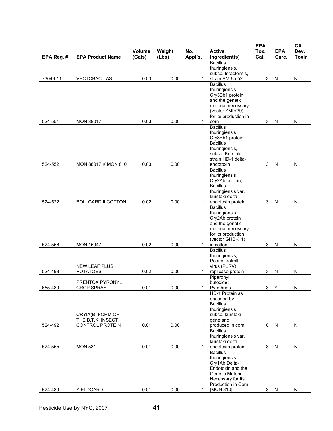| EPA Reg. # | <b>EPA Product Name</b>   | Volume<br>(Gals) | Weight<br>(Lbs) | No.<br>Appl's. | <b>Active</b><br>Ingredient(s)        | <b>EPA</b><br>Tox.<br>Cat. | <b>EPA</b><br>Carc. | CA<br>Dev.<br><b>Toxin</b> |
|------------|---------------------------|------------------|-----------------|----------------|---------------------------------------|----------------------------|---------------------|----------------------------|
|            |                           |                  |                 |                | <b>Bacillus</b>                       |                            |                     |                            |
|            |                           |                  |                 |                | thuringiensis,<br>subsp. Israelensis, |                            |                     |                            |
| 73049-11   | <b>VECTOBAC - AS</b>      | 0.03             | 0.00            | 1              | strain AM 65-52                       | 3                          | $\mathsf{N}$        | N                          |
|            |                           |                  |                 |                | <b>Bacillus</b>                       |                            |                     |                            |
|            |                           |                  |                 |                | thuringiensis<br>Cry3Bb1 protein      |                            |                     |                            |
|            |                           |                  |                 |                | and the genetic                       |                            |                     |                            |
|            |                           |                  |                 |                | material necessary<br>(vector ZMIR39) |                            |                     |                            |
|            |                           |                  |                 |                | for its production in                 |                            |                     |                            |
| 524-551    | <b>MON 88017</b>          | 0.03             | 0.00            | 1              | corn<br><b>Bacillus</b>               | 3                          | $\mathsf{N}$        | ${\sf N}$                  |
|            |                           |                  |                 |                | thuringiensis                         |                            |                     |                            |
|            |                           |                  |                 |                | Cry3Bb1 protein;                      |                            |                     |                            |
|            |                           |                  |                 |                | <b>Bacillus</b><br>thuringiensis,     |                            |                     |                            |
|            |                           |                  |                 |                | subsp. Kurstaki,                      |                            |                     |                            |
| 524-552    |                           |                  | 0.00            | 1              | strain HD-1, delta-                   | 3                          |                     | N                          |
|            | MON 88017 X MON 810       | 0.03             |                 |                | endotoxin<br><b>Bacillus</b>          |                            | N                   |                            |
|            |                           |                  |                 |                | thuringiensis                         |                            |                     |                            |
|            |                           |                  |                 |                | Cry2Ab protein;<br><b>Bacillus</b>    |                            |                     |                            |
|            |                           |                  |                 |                | thuringiensis var.                    |                            |                     |                            |
| 524-522    | <b>BOLLGARD II COTTON</b> | 0.02             | 0.00            | 1              | kurstaki delta                        | 3                          |                     | N                          |
|            |                           |                  |                 |                | endotoxin protein<br><b>Bacillus</b>  |                            | N                   |                            |
|            |                           |                  |                 |                | thuringiensis                         |                            |                     |                            |
|            |                           |                  |                 |                | Cry2Ab protein<br>and the genetic     |                            |                     |                            |
|            |                           |                  |                 |                | material necessary                    |                            |                     |                            |
|            |                           |                  |                 |                | for its production                    |                            |                     |                            |
| 524-556    | <b>MON 15947</b>          | 0.02             | 0.00            | 1              | (vector GHBK11)<br>in cotton          | 3                          | N                   | ${\sf N}$                  |
|            |                           |                  |                 |                | <b>Bacillus</b>                       |                            |                     |                            |
|            |                           |                  |                 |                | thuringiensis;<br>Potato leafroll     |                            |                     |                            |
|            | <b>NEW LEAF PLUS</b>      |                  |                 |                | virus (PLRV)                          |                            |                     |                            |
| 524-498    | <b>POTATOES</b>           | 0.02             | 0.00            |                | replicase protein                     | 3                          | N                   | ${\sf N}$                  |
|            | PRENTOX PYRONYL           |                  |                 |                | Piperonyl<br>butoxide;                |                            |                     |                            |
| 655-489    | <b>CROP SPRAY</b>         | 0.01             | 0.00            | 1              | Pyrethrins                            | 3                          | Y                   | ${\sf N}$                  |
|            |                           |                  |                 |                | HD-1 Protein as<br>encoded by         |                            |                     |                            |
|            |                           |                  |                 |                | <b>Bacillus</b>                       |                            |                     |                            |
|            | CRYIA(B) FORM OF          |                  |                 |                | thuringiensis                         |                            |                     |                            |
|            | THE B.T.K. INSECT         |                  |                 |                | subsp. kurstaki<br>gene and           |                            |                     |                            |
| 524-492    | CONTROL PROTEIN           | 0.01             | 0.00            | 1.             | produced in corn                      | 0                          | N                   | N                          |
|            |                           |                  |                 |                | <b>Bacillus</b><br>thuringiensis var. |                            |                     |                            |
|            |                           |                  |                 |                | kurstaki delta                        |                            |                     |                            |
| 524-555    | <b>MON 531</b>            | 0.01             | 0.00            | 1              | endotoxin protein                     | 3                          | ${\sf N}$           | N                          |
|            |                           |                  |                 |                | <b>Bacillus</b><br>thuringiensis      |                            |                     |                            |
|            |                           |                  |                 |                | Cry1Ab Delta-                         |                            |                     |                            |
|            |                           |                  |                 |                | Endotoxin and the<br>Genetic Material |                            |                     |                            |
|            |                           |                  |                 |                | Necessary for Its                     |                            |                     |                            |
|            |                           |                  |                 |                | Production in Corn                    |                            |                     |                            |
| 524-489    | YIELDGARD                 | 0.01             | 0.00            | 1              | [MON 810]                             |                            | 3 N                 | N                          |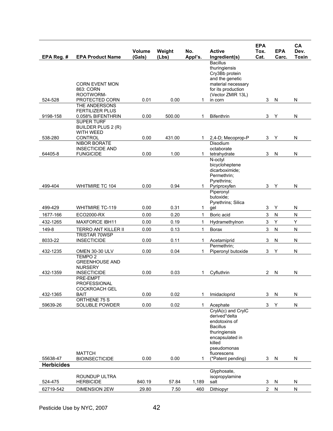| EPA Reg. #        | <b>EPA Product Name</b>                                       | Volume<br>(Gals) | Weight<br>(Lbs) | No.<br>Appl's. | <b>Active</b><br>Ingredient(s)                                                                                                                                           | <b>EPA</b><br>Tox.<br>Cat. | <b>EPA</b><br>Carc. | CA<br>Dev.<br><b>Toxin</b> |
|-------------------|---------------------------------------------------------------|------------------|-----------------|----------------|--------------------------------------------------------------------------------------------------------------------------------------------------------------------------|----------------------------|---------------------|----------------------------|
|                   | <b>CORN EVENT MON</b><br>863: CORN<br>ROOTWORM-               |                  |                 |                | <b>Bacillus</b><br>thuringiensis<br>Cry3Bb protein<br>and the genetic<br>material necessary<br>for its production<br>(Vector ZMIR 13L)                                   |                            |                     |                            |
| 524-528           | PROTECTED CORN                                                | 0.01             | 0.00            | 1.             | in corn                                                                                                                                                                  | 3                          | N                   | N                          |
| 9198-158          | THE ANDERSONS<br><b>FERTILIZER PLUS</b><br>0.058% BIFENTHRIN  | 0.00             | 500.00          | 1              | <b>Bifenthrin</b>                                                                                                                                                        | 3                          | Υ                   | N                          |
|                   | <b>SUPER TURF</b><br>BUILDER PLUS 2 (R)<br><b>WITH WEED</b>   |                  |                 |                |                                                                                                                                                                          |                            |                     |                            |
| 538-280           | CONTROL<br><b>NIBOR BORATE</b>                                | 0.00             | 431.00          | 1.             | 2,4-D; Mecoprop-P<br><b>Disodium</b>                                                                                                                                     | 3                          | Y                   | N                          |
| 64405-8           | <b>INSECTICIDE AND</b><br><b>FUNGICIDE</b>                    | 0.00             | 1.00            |                | octaborate<br>tetrahydrate                                                                                                                                               | 3                          | $\mathsf{N}$        | N                          |
|                   |                                                               |                  |                 | 1              | N-octyl<br>bicycloheptene<br>dicarboximide:<br>Permethrin:<br>Pyrethrins;                                                                                                |                            |                     |                            |
| 499-404           | <b>WHITMIRE TC 104</b>                                        | 0.00             | 0.94            | 1              | Pyriproxyfen                                                                                                                                                             | 3                          | Y                   | ${\sf N}$                  |
|                   |                                                               |                  |                 |                | Piperonyl<br>butoxide:<br>Pyrethrins; Silica                                                                                                                             |                            |                     |                            |
| 499-429           | <b>WHITMIRE TC-119</b>                                        | 0.00             | 0.31            | 1.             | gel                                                                                                                                                                      | 3                          | Υ                   | N                          |
| 1677-166          | ECO2000-RX                                                    | 0.00             | 0.20            | $\mathbf{1}$   | Boric acid                                                                                                                                                               | $\ensuremath{\mathsf{3}}$  | ${\sf N}$           | ${\sf N}$                  |
| 432-1265          | <b>MAXFORCE IBH11</b>                                         | 0.00             | 0.19            | 1              | Hydramethylnon                                                                                                                                                           | 3                          | Y                   | Υ                          |
| 149-8             | TERRO ANT KILLER II<br><b>TRISTAR 70WSP</b>                   | 0.00             | 0.13            | 1              | Borax                                                                                                                                                                    | 3                          | N                   | N                          |
| 8033-22           | <b>INSECTICIDE</b>                                            | 0.00             | 0.11            | 1.             | Acetamiprid                                                                                                                                                              | 3                          | N                   | N                          |
| 432-1235          | OMEN 30-30 ULV                                                | 0.00             | 0.04            | 1.             | Permethrin;<br>Piperonyl butoxide                                                                                                                                        | 3                          | Y                   | ${\sf N}$                  |
|                   | TEMPO <sub>2</sub><br><b>GREENHOUSE AND</b><br><b>NURSERY</b> |                  |                 |                |                                                                                                                                                                          |                            |                     |                            |
| 432-1359          | <b>INSECTICIDE</b><br><b>PRE-EMPT</b>                         | 0.00             | 0.03            | 1.             | Cyfluthrin                                                                                                                                                               | 2                          | N                   | N                          |
|                   | PROFESSIONAL<br><b>COCKROACH GEL</b>                          |                  |                 |                |                                                                                                                                                                          |                            |                     |                            |
| 432-1365          | <b>BAIT</b><br>ORTHENE 75 S                                   | 0.00             | 0.02            | 1              | Imidacloprid                                                                                                                                                             | 3                          | ${\sf N}$           | N                          |
| 59639-26          | SOLUBLE POWDER                                                | 0.00             | 0.02            | 1              | Acephate                                                                                                                                                                 | 3                          | Υ                   | ${\sf N}$                  |
| 55638-47          | <b>MATTCH</b><br><b>BIOINSECTICIDE</b>                        | 0.00             | 0.00            | 1              | CrylA(c) and CrylC<br>derived*delta<br>endotoxins of<br><b>Bacillus</b><br>thuringiensis<br>encapsulated in<br>killed<br>pseudomonas<br>fluorescens<br>(*Patent pending) | 3                          | N                   | N                          |
| <b>Herbicides</b> |                                                               |                  |                 |                |                                                                                                                                                                          |                            |                     |                            |
| 524-475           | ROUNDUP ULTRA<br><b>HERBICIDE</b>                             | 840.19           | 57.84           | 1,189          | Glyphosate,<br>isopropylamine<br>salt                                                                                                                                    | 3                          | N                   | N                          |
| 62719-542         | <b>DIMENSION 2EW</b>                                          | 29.80            | 7.50            | 460            | Dithiopyr                                                                                                                                                                | $2^{\circ}$                | N                   | ${\sf N}$                  |
|                   |                                                               |                  |                 |                |                                                                                                                                                                          |                            |                     |                            |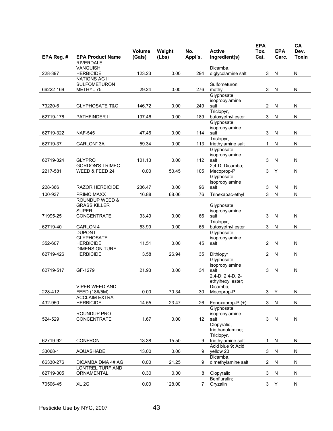| EPA Reg. # | <b>EPA Product Name</b>                     | Volume<br>(Gals) | Weight<br>(Lbs) | No.<br>Appl's.  | <b>Active</b><br>Ingredient(s)    | <b>EPA</b><br>Tox.<br>Cat. | <b>EPA</b><br>Carc. | CA<br>Dev.<br><b>Toxin</b> |
|------------|---------------------------------------------|------------------|-----------------|-----------------|-----------------------------------|----------------------------|---------------------|----------------------------|
|            | <b>RIVERDALE</b>                            |                  |                 |                 |                                   |                            |                     |                            |
|            | <b>VANQUISH</b>                             |                  |                 |                 | Dicamba,                          |                            |                     |                            |
| 228-397    | <b>HERBICIDE</b>                            | 123.23           | 0.00            | 294             | diglycolamine salt                | 3                          | N                   | ${\sf N}$                  |
|            | <b>NATIONS AG II</b><br><b>SULFOMETURON</b> |                  |                 |                 | Sulfometuron                      |                            |                     |                            |
| 66222-169  | METHYL 75                                   | 29.24            | 0.00            | 276             | methyl                            | 3                          | N                   | N                          |
|            |                                             |                  |                 |                 | Glyphosate,                       |                            |                     |                            |
|            |                                             |                  |                 |                 | isopropylamine                    |                            |                     |                            |
| 73220-6    | <b>GLYPHOSATE T&amp;O</b>                   | 146.72           | 0.00            | 249             | salt                              | $\overline{2}$             | N                   | N                          |
| 62719-176  | PATHFINDER II                               | 197.46           | 0.00            | 189             | Triclopyr,<br>butoxyethyl ester   | 3                          | N                   | ${\sf N}$                  |
|            |                                             |                  |                 |                 | Glyphosate,                       |                            |                     |                            |
|            |                                             |                  |                 |                 | isopropylamine                    |                            |                     |                            |
| 62719-322  | <b>NAF-545</b>                              | 47.46            | 0.00            | 114             | salt                              | 3                          | N                   | N                          |
|            |                                             |                  |                 |                 | Triclopyr,                        |                            |                     |                            |
| 62719-37   | GARLON* 3A                                  | 59.34            | 0.00            | 113             | triethylamine salt<br>Glyphosate, | 1                          | N                   | N                          |
|            |                                             |                  |                 |                 | isopropylamine                    |                            |                     |                            |
| 62719-324  | <b>GLYPRO</b>                               | 101.13           | 0.00            | 112             | salt                              | 3                          | N                   | N                          |
|            | <b>GORDON'S TRIMEC</b>                      |                  |                 |                 | 2,4-D; Dicamba;                   |                            |                     |                            |
| 2217-581   | WEED & FEED 24                              | 0.00             | 50.45           | 105             | Mecoprop-P                        | 3                          | Υ                   | ${\sf N}$                  |
|            |                                             |                  |                 |                 | Glyphosate,<br>isopropylamine     |                            |                     |                            |
| 228-366    | <b>RAZOR HERBICIDE</b>                      | 236.47           | 0.00            | 96              | salt                              | 3                          | N                   | ${\sf N}$                  |
| 100-937    | PRIMO MAXX                                  | 16.88            | 68.06           | 76              | Trinexapac-ethyl                  | 3                          | $\mathsf{N}$        | ${\sf N}$                  |
|            | <b>ROUNDUP WEED &amp;</b>                   |                  |                 |                 |                                   |                            |                     |                            |
|            | <b>GRASS KILLER</b>                         |                  |                 |                 | Glyphosate,                       |                            |                     |                            |
|            | <b>SUPER</b>                                |                  |                 |                 | isopropylamine                    |                            |                     |                            |
| 71995-25   | <b>CONCENTRATE</b>                          | 33.49            | 0.00            | 66              | salt                              | 3                          | N                   | N                          |
| 62719-40   | <b>GARLON 4</b>                             | 53.99            | 0.00            | 65              | Triclopyr,<br>butoxyethyl ester   | 3                          | ${\sf N}$           | ${\sf N}$                  |
|            | <b>DUPONT</b>                               |                  |                 |                 | Glyphosate,                       |                            |                     |                            |
|            | <b>GLYPHOSATE</b>                           |                  |                 |                 | isopropylamine                    |                            |                     |                            |
| 352-607    | <b>HERBICIDE</b>                            | 11.51            | 0.00            | 45              | salt                              | 2                          | N                   | N                          |
| 62719-426  | <b>DIMENSION TURF</b>                       | 3.58             | 26.94           | 35              |                                   | $\overline{c}$             |                     |                            |
|            | <b>HERBICIDE</b>                            |                  |                 |                 | Dithiopyr<br>Glyphosate,          |                            | N                   | N                          |
|            |                                             |                  |                 |                 | isopropylamine                    |                            |                     |                            |
| 62719-517  | GF-1279                                     | 21.93            | 0.00            | 34              | salt                              | 3                          | N                   | ${\sf N}$                  |
|            |                                             |                  |                 |                 | $2,4-D$ ; $2,4-D$ , $2-D$         |                            |                     |                            |
|            | <b>VIPER WEED AND</b>                       |                  |                 |                 | ethylhexyl ester;                 |                            |                     |                            |
| 228-412    | FEED (18#/5M)                               | 0.00             | 70.34           | 30              | Dicamba;<br>Mecoprop-P            | 3                          | Υ                   | N                          |
|            | <b>ACCLAIM EXTRA</b>                        |                  |                 |                 |                                   |                            |                     |                            |
| 432-950    | <b>HERBICIDE</b>                            | 14.55            | 23.47           | 26              | Fenoxaprop-P (+)                  | 3                          | N                   | ${\sf N}$                  |
|            |                                             |                  |                 |                 | Glyphosate,                       |                            |                     |                            |
| 524-529    | ROUNDUP PRO<br>CONCENTRATE                  | 1.67             | 0.00            | 12 <sup>°</sup> | isopropylamine<br>salt            | 3                          | N                   | N                          |
|            |                                             |                  |                 |                 | Clopyralid,                       |                            |                     |                            |
|            |                                             |                  |                 |                 | triethanolamine;                  |                            |                     |                            |
|            |                                             |                  |                 |                 | Triclopyr,                        |                            |                     |                            |
| 62719-92   | <b>CONFRONT</b>                             | 13.38            | 15.50           | 9               | triethylamine salt                | 1                          | N                   | N                          |
| 33068-1    | AQUASHADE                                   | 13.00            | 0.00            | 9               | Acid blue 9; Acid<br>yellow 23    | 3                          | ${\sf N}$           | N                          |
|            |                                             |                  |                 |                 | Dicamba,                          |                            |                     |                            |
| 66330-276  | DICAMBA DMA 4# AG                           | 0.00             | 21.25           | 9               | dimethylamine salt                | $\mathbf{2}$               | N                   | N                          |
|            | LONTREL TURF AND                            |                  |                 |                 |                                   |                            |                     |                            |
| 62719-305  | ORNAMENTAL                                  | 0.30             | 0.00            | 8               | Clopyralid                        | $\mathbf{3}$               | ${\sf N}$           | ${\sf N}$                  |
| 70506-45   | XL <sub>2G</sub>                            | 0.00             | 128.00          | 7               | Benfluralin;<br>Oryzalin          | 3                          | Υ                   | N                          |
|            |                                             |                  |                 |                 |                                   |                            |                     |                            |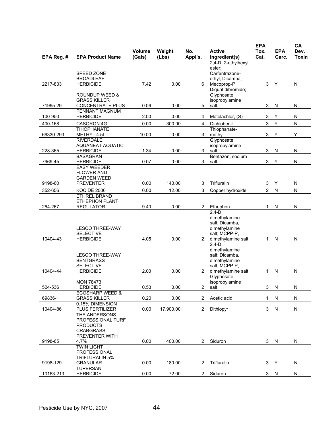| EPA Reg. # | <b>EPA Product Name</b>                                                                             | <b>Volume</b><br>(Gals) | Weight<br>(Lbs) | No.<br>Appl's.        | <b>Active</b><br>Ingredient(s)                                                                      | <b>EPA</b><br>Tox.<br>Cat. | <b>EPA</b><br>Carc. | CA<br>Dev.<br><b>Toxin</b> |
|------------|-----------------------------------------------------------------------------------------------------|-------------------------|-----------------|-----------------------|-----------------------------------------------------------------------------------------------------|----------------------------|---------------------|----------------------------|
|            |                                                                                                     |                         |                 |                       | 2,4-D, 2-ethylhexyl                                                                                 |                            |                     |                            |
| 2217-833   | SPEED ZONE<br><b>BROADLEAF</b><br><b>HERBICIDE</b>                                                  | 7.42                    | 0.00            | 6                     | ester;<br>Carfentrazone-<br>ethyl, Dicamba,<br>Mecoprop-P                                           | 3                          | Υ                   | ${\sf N}$                  |
|            | <b>ROUNDUP WEED &amp;</b><br><b>GRASS KILLER</b>                                                    |                         |                 |                       | Diquat dibromide;<br>Glyphosate,<br>isopropylamine                                                  |                            |                     |                            |
| 71995-29   | <b>CONCENTRATE PLUS</b><br><b>PENNANT MAGNUM</b>                                                    | 0.06                    | 0.00            | 5                     | salt                                                                                                | 3                          | N                   | N                          |
| 100-950    | <b>HERBICIDE</b>                                                                                    | 2.00                    | 0.00            | 4                     | Metolachlor, (S)                                                                                    | 3                          | Υ                   | ${\sf N}$                  |
| 400-168    | CASORON 4G                                                                                          | 0.00                    | 300.00          | 4                     | Dichlobenil                                                                                         | $\mathfrak{S}$             | Y                   | ${\sf N}$                  |
| 66330-293  | <b>THIOPHANATE</b><br>METHYL 4.5L                                                                   | 10.00                   | 0.00            | 3                     | Thiophanate-<br>methyl                                                                              | 3                          | Υ                   | Υ                          |
| 228-365    | <b>RIVERDALE</b><br><b>AQUANEAT AQUATIC</b><br><b>HERBICIDE</b>                                     | 1.34                    | 0.00            | 3                     | Glyphosate,<br>isopropylamine<br>salt                                                               | 3                          | N                   | N                          |
| 7969-45    | <b>BASAGRAN</b><br><b>HERBICIDE</b>                                                                 | 0.07                    | 0.00            | 3                     | Bentazon, sodium<br>salt                                                                            | 3                          | Υ                   | ${\sf N}$                  |
| 9198-60    | <b>EASY WEEDER</b><br><b>FLOWER AND</b><br><b>GARDEN WEED</b><br><b>PREVENTER</b>                   | 0.00                    | 140.00          | 3                     | Trifluralin                                                                                         | 3                          | Y                   | N                          |
| 352-656    | KOCIDE 2000                                                                                         | 0.00                    | 12.00           | 3                     | Copper hydroxide                                                                                    | $\overline{2}$             | ${\sf N}$           | ${\sf N}$                  |
| 264-267    | <b>ETHREL BRAND</b><br><b>ETHEPHON PLANT</b><br><b>REGULATOR</b>                                    | 9.40                    | 0.00            | $\overline{c}$        | Ethephon                                                                                            | $\mathbf{1}$               | N                   | ${\sf N}$                  |
| 10404-43   | <b>LESCO THREE-WAY</b><br><b>SELECTIVE</b><br><b>HERBICIDE</b>                                      | 4.05                    | 0.00            | $\mathbf{2}$          | $2.4-D.$<br>dimethylamine<br>salt; Dicamba,<br>dimethylamine<br>salt; MCPP-P,<br>dimethylamine salt | $\mathbf{1}$               | N                   | ${\sf N}$                  |
| 10404-44   | <b>LESCO THREE-WAY</b><br><b>BENTGRASS</b><br><b>SELECTIVE</b><br><b>HERBICIDE</b>                  | 2.00                    | 0.00            | $\mathbf{2}$          | $2,4-D,$<br>dimethylamine<br>salt; Dicamba,<br>dimethylamine<br>salt; MCPP-P,<br>dimethylamine salt | 1                          | N                   | N                          |
| 524-536    | <b>MON 78473</b><br><b>HERBICIDE</b>                                                                | 0.53                    | 0.00            | 2                     | Glyphosate,<br>isopropylamine<br>salt                                                               | 3                          | ${\sf N}$           | ${\sf N}$                  |
| 69836-1    | <b>ECOSHARP WEED &amp;</b><br><b>GRASS KILLER</b>                                                   | 0.20                    | 0.00            | $\overline{2}$        | Acetic acid                                                                                         | $\mathbf{1}$               | N                   | N                          |
| 10404-86   | 0.15% DIMENSION<br>PLUS FERTILIZER                                                                  | 0.00                    | 17,900.00       | $\overline{2}$        | Dithiopyr                                                                                           | 3                          | N                   | N                          |
| 9198-65    | THE ANDERSONS<br>PROFESSIONAL TURF<br><b>PRODUCTS</b><br><b>CRABGRASS</b><br>PREVENTER WITH<br>4.7% | 0.00                    | 400.00          | $\mathbf{2}^{\prime}$ | Siduron                                                                                             | 3                          | ${\sf N}$           | ${\sf N}$                  |
|            | <b>TWIN LIGHT</b><br>PROFESSIONAL<br><b>TRIFLURALIN 5%</b>                                          |                         |                 |                       |                                                                                                     |                            |                     |                            |
| 9198-129   | <b>GRANULAR</b><br><b>TUPERSAN</b>                                                                  | 0.00                    | 180.00          | $\overline{2}$        | Trifluralin                                                                                         | 3                          | Y                   | N                          |
| 10163-213  | <b>HERBICIDE</b>                                                                                    | 0.00                    | 72.00           | $\overline{2}$        | Siduron                                                                                             | 3                          | N                   | N                          |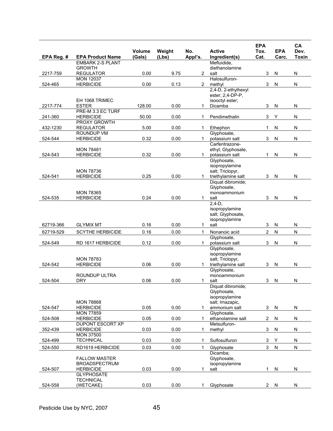|            |                                                    | <b>Volume</b> | Weight | No.            | <b>Active</b>                          | <b>EPA</b><br>Tox.        | <b>EPA</b> | CA<br>Dev.   |
|------------|----------------------------------------------------|---------------|--------|----------------|----------------------------------------|---------------------------|------------|--------------|
| EPA Reg. # | <b>EPA Product Name</b><br><b>EMBARK 2-S PLANT</b> | (Gals)        | (Lbs)  | Appl's.        | Ingredient(s)<br>Mefluidide,           | Cat.                      | Carc.      | <b>Toxin</b> |
|            | <b>GROWTH</b>                                      |               |        |                | diethanolamine                         |                           |            |              |
| 2217-759   | <b>REGULATOR</b>                                   | 0.00          | 9.75   | $\overline{2}$ | salt                                   | 3                         | N          | N            |
|            | <b>MON 12037</b>                                   | 0.00          | 0.13   | $\overline{2}$ | Halosulfuron-                          |                           |            |              |
| 524-465    | <b>HERBICIDE</b>                                   |               |        |                | methyl<br>2,4-D, 2-ethylhexyl          | 3                         | N          | N            |
|            |                                                    |               |        |                | ester; 2,4-DP-P,                       |                           |            |              |
|            | EH 1068 TRIMEC                                     |               |        |                | isooctyl ester;                        |                           |            |              |
| 2217-774   | <b>ESTER</b><br>PRE-M 3.3 EC TURF                  | 128.00        | 0.00   | 1              | Dicamba                                | 3                         | N          | N            |
| 241-360    | <b>HERBICIDE</b>                                   | 50.00         | 0.00   | 1              | Pendimethalin                          | 3                         | Υ          | ${\sf N}$    |
|            | PROXY GROWTH                                       |               |        |                |                                        |                           |            |              |
| 432-1230   | <b>REGULATOR</b>                                   | 5.00          | 0.00   | 1              | Ethephon                               | 1                         | N          | N            |
|            | ROUNDUP VM                                         |               |        |                | Glyphosate,                            |                           |            |              |
| 524-544    | <b>HERBICIDE</b>                                   | 0.32          | 0.00   | 1.             | potassium salt<br>Carfentrazone-       | 3                         | ${\sf N}$  | N            |
|            | <b>MON 78481</b>                                   |               |        |                | ethyl; Glyphosate,                     |                           |            |              |
| 524-543    | <b>HERBICIDE</b>                                   | 0.32          | 0.00   | $\mathbf 1$    | potassium salt                         | 1                         | N          | N            |
|            |                                                    |               |        |                | Glyphosate,                            |                           |            |              |
|            |                                                    |               |        |                | isopropylamine                         |                           |            |              |
| 524-541    | <b>MON 78736</b><br><b>HERBICIDE</b>               | 0.25          | 0.00   | 1              | salt; Triclopyr,<br>triethylamine salt | 3                         | N          | N            |
|            |                                                    |               |        |                | Diquat dibromide;                      |                           |            |              |
|            |                                                    |               |        |                | Glyphosate,                            |                           |            |              |
|            | <b>MON 78365</b>                                   |               |        |                | monoammonium                           |                           |            |              |
| 524-535    | <b>HERBICIDE</b>                                   | 0.24          | 0.00   | 1              | salt                                   | 3                         | N          | N            |
|            |                                                    |               |        |                | $2,4-D,$<br>isopropylamine             |                           |            |              |
|            |                                                    |               |        |                | salt; Glyphosate,                      |                           |            |              |
|            |                                                    |               |        |                | isopropylamine                         |                           |            |              |
| 62719-366  | <b>GLYMIX MT</b>                                   | 0.16          | 0.00   | 1.             | salt                                   | 3                         | N          | N            |
| 62719-529  | <b>SCYTHE HERBICIDE</b>                            | 0.16          | 0.00   | $\mathbf{1}$   | Nonanoic acid                          | $\overline{2}$            | ${\sf N}$  | ${\sf N}$    |
| 524-549    | RD 1617 HERBICIDE                                  | 0.12          | 0.00   | 1.             | Glyphosate,<br>potassium salt          | 3                         | N          | N            |
|            |                                                    |               |        |                | Glyphosate,                            |                           |            |              |
|            |                                                    |               |        |                | isopropylamine                         |                           |            |              |
|            | <b>MON 78783</b>                                   |               |        |                | salt; Triclopyr,                       |                           |            |              |
| 524-542    | <b>HERBICIDE</b>                                   | 0.06          | 0.00   | 1              | triethylamine salt                     | 3                         | N          | N            |
|            | ROUNDUP ULTRA                                      |               |        |                | Glyphosate,<br>monoammonium            |                           |            |              |
| 524-504    | <b>DRY</b>                                         | 0.06          | 0.00   | 1              | salt                                   | 3                         | N          | N            |
|            |                                                    |               |        |                | Diquat dibromide;                      |                           |            |              |
|            |                                                    |               |        |                | Glyphosate,                            |                           |            |              |
|            | <b>MON 78868</b>                                   |               |        |                | isopropylamine<br>salt; Imazapic,      |                           |            |              |
| 524-547    | <b>HERBICIDE</b>                                   | 0.05          | 0.00   | $\mathbf{1}$   | ammonium salt                          | $\mathbf{3}$              | N          | ${\sf N}$    |
|            | <b>MON 77859</b>                                   |               |        |                | Glyphosate,                            |                           |            |              |
| 524-508    | <b>HERBICIDE</b>                                   | 0.05          | 0.00   | 1.             | ethanolamine salt                      | $\overline{c}$            | ${\sf N}$  | N            |
|            | DUPONT ESCORT XP                                   |               |        |                | Metsulfuron-                           |                           |            |              |
| 352-439    | <b>HERBICIDE</b><br><b>MON 37500</b>               | 0.03          | 0.00   | 1.             | methyl                                 | 3                         | N          | N            |
| 524-499    | <b>TECHNICAL</b>                                   | 0.03          | 0.00   | 1              | Sulfosulfuron                          | $\ensuremath{\mathsf{3}}$ | Υ          | ${\sf N}$    |
| 524-550    | RD1619 HERBICIDE                                   | 0.03          | 0.00   | $\mathbf{1}$   | Glyphosate                             | 3                         | ${\sf N}$  | $\mathsf{N}$ |
|            |                                                    |               |        |                | Dicamba:                               |                           |            |              |
|            | <b>FALLOW MASTER</b>                               |               |        |                | Glyphosate,                            |                           |            |              |
|            | <b>BROADSPECTRUM</b>                               |               |        |                | isopropylamine                         |                           |            |              |
| 524-507    | <b>HERBICIDE</b><br><b>GLYPHOSATE</b>              | 0.03          | 0.00   | 1              | salt                                   | 1                         | N          | N            |
|            | <b>TECHNICAL</b>                                   |               |        |                |                                        |                           |            |              |
| 524-558    | (WETCAKE)                                          | 0.03          | 0.00   | 1              | Glyphosate                             |                           | 2 N        | N            |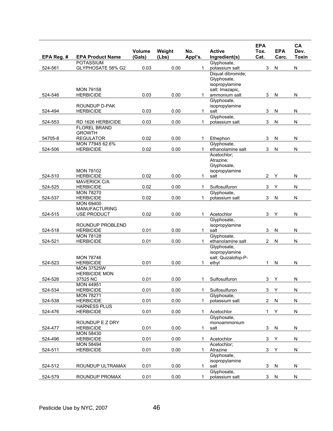| EPA Reg. # | <b>EPA Product Name</b>                   | Volume<br>(Gals) | Weight<br>(Lbs) | No.<br>Appl's. | <b>Active</b><br>Ingredient(s)   | <b>EPA</b><br>Tox.<br>Cat. | <b>EPA</b><br>Carc. | CA<br>Dev.<br><b>Toxin</b> |
|------------|-------------------------------------------|------------------|-----------------|----------------|----------------------------------|----------------------------|---------------------|----------------------------|
|            | <b>POTASSIUM</b>                          |                  |                 |                | Glyphosate,                      |                            |                     |                            |
| 524-561    | GLYPHOSATE 58% G2                         | 0.03             | 0.00            | 1              | potassium salt                   | 3                          | N                   | N                          |
|            |                                           |                  |                 |                | Diquat dibromide;                |                            |                     |                            |
|            |                                           |                  |                 |                | Glyphosate,                      |                            |                     |                            |
|            |                                           |                  |                 |                | isopropylamine                   |                            |                     |                            |
|            | <b>MON 79158</b>                          |                  |                 |                | salt; Imazapic,                  |                            |                     |                            |
| 524-546    | <b>HERBICIDE</b>                          | 0.03             | 0.00            | 1.             | ammonium salt                    | 3                          | N                   | N                          |
|            |                                           |                  |                 |                | Glyphosate,                      |                            |                     |                            |
|            | <b>ROUNDUP D-PAK</b>                      |                  |                 |                | isopropylamine                   |                            |                     |                            |
| 524-494    | <b>HERBICIDE</b>                          | 0.03             | 0.00            | 1.             | salt                             | 3                          | N                   | N                          |
|            |                                           |                  |                 |                | Glyphosate,                      |                            |                     |                            |
| 524-553    | RD 1626 HERBICIDE                         | 0.03             | 0.00            | 1              | potassium salt                   | 3                          | N                   | N                          |
|            | <b>FLOREL BRAND</b>                       |                  |                 |                |                                  |                            |                     |                            |
|            | <b>GROWTH</b>                             |                  |                 |                |                                  |                            |                     |                            |
| 54705-8    | <b>REGULATOR</b>                          | 0.02             | 0.00            | 1              | Ethephon                         | 3                          | N                   | N                          |
| 524-506    | MON 77945 62.6%                           |                  | 0.00            | 1              | Glyphosate,<br>ethanolamine salt | 3                          |                     | ${\sf N}$                  |
|            | <b>HERBICIDE</b>                          | 0.02             |                 |                | Acetochlor;                      |                            | N                   |                            |
|            |                                           |                  |                 |                | Atrazine;                        |                            |                     |                            |
|            |                                           |                  |                 |                | Glyphosate,                      |                            |                     |                            |
|            | <b>MON 78102</b>                          |                  |                 |                | isopropylamine                   |                            |                     |                            |
| 524-510    | <b>HERBICIDE</b>                          | 0.02             | 0.00            | 1              | salt                             | $\overline{2}$             | Υ                   | N                          |
|            | <b>MAVERICK C/A</b>                       |                  |                 |                |                                  |                            |                     |                            |
| 524-525    | <b>HERBICIDE</b>                          | 0.02             | 0.00            | 1              | Sulfosulfuron                    | 3                          | Υ                   | ${\sf N}$                  |
|            | <b>MON 78270</b>                          |                  |                 |                | Glyphosate,                      |                            |                     |                            |
| 524-537    | <b>HERBICIDE</b>                          | 0.02             | 0.00            | 1              | potassium salt                   | 3                          | N                   | N                          |
|            | <b>MON 69400</b>                          |                  |                 |                |                                  |                            |                     |                            |
|            | <b>MANUFACTURING</b>                      |                  |                 |                |                                  |                            |                     |                            |
| 524-515    | USE PRODUCT                               | 0.02             | 0.00            | 1              | Acetochlor                       | 3                          | Υ                   | N                          |
|            |                                           |                  |                 |                | Glyphosate,                      |                            |                     |                            |
|            | ROUNDUP PROBLEND                          |                  |                 |                | isopropylamine                   |                            |                     |                            |
| 524-518    | <b>HERBICIDE</b>                          | 0.01             | 0.00            | $\mathbf{1}$   | salt                             | 3                          | N                   | N                          |
|            | <b>MON 78128</b>                          |                  |                 |                | Glyphosate,                      |                            |                     |                            |
| 524-521    | <b>HERBICIDE</b>                          | 0.01             | 0.00            | 1.             | ethanolamine salt                | 2                          | N                   | N                          |
|            |                                           |                  |                 |                | Glyphosate,                      |                            |                     |                            |
|            |                                           |                  |                 |                | isopropylamine                   |                            |                     |                            |
| 524-523    | <b>MON 78746</b><br><b>HERBICIDE</b>      | 0.01             | 0.00            |                | salt; Quizalofop-P-              | 1                          | ${\sf N}$           | ${\sf N}$                  |
|            |                                           |                  |                 | 1              | ethyl                            |                            |                     |                            |
|            | <b>MON 37525W</b><br><b>HERBICIDE MON</b> |                  |                 |                |                                  |                            |                     |                            |
| 524-526    | 37525 NC                                  | 0.01             | 0.00            | 1              | Sulfosulfuron                    | 3                          | Υ                   | N                          |
|            | <b>MON 44951</b>                          |                  |                 |                |                                  |                            |                     |                            |
| 524-534    | <b>HERBICIDE</b>                          | 0.01             | 0.00            | 1              | Sulfosulfuron                    | $\mathbf{3}$               | Υ                   | ${\sf N}$                  |
|            | <b>MON 78271</b>                          |                  |                 |                | Glyphosate,                      |                            |                     |                            |
| 524-538    | <b>HERBICIDE</b>                          | 0.01             | 0.00            | $\mathbf{1}$   | potassium salt                   | $\overline{a}$             | ${\sf N}$           | ${\sf N}$                  |
|            | <b>HARNESS PLUS</b>                       |                  |                 |                |                                  |                            |                     |                            |
| 524-476    | <b>HERBICIDE</b>                          | 0.01             | 0.00            | 1.             | Acetochlor                       | $\mathbf{1}$               | Υ                   | N                          |
|            |                                           |                  |                 |                | Glyphosate,                      |                            |                     |                            |
|            | ROUNDUP E Z DRY                           |                  |                 |                | monoammonium                     |                            |                     |                            |
| 524-477    | <b>HERBICIDE</b>                          | 0.01             | 0.00            | 1              | salt                             | $\mathfrak{S}$             | ${\sf N}$           | N                          |
|            | <b>MON 58430</b>                          |                  |                 |                |                                  |                            |                     |                            |
| 524-496    | <b>HERBICIDE</b>                          | 0.01             | 0.00            | 1              | Acetochlor                       | 3                          | Υ                   | ${\sf N}$                  |
|            | <b>MON 58494</b>                          |                  |                 |                | Acetochlor;                      |                            |                     |                            |
| 524-511    | <b>HERBICIDE</b>                          | 0.01             | 0.00            | 1.             | Atrazine                         | 3                          | Υ                   | N                          |
|            |                                           |                  |                 |                | Glyphosate,                      |                            |                     |                            |
|            |                                           |                  |                 |                | isopropylamine                   |                            |                     |                            |
| 524-512    | ROUNDUP ULTRAMAX                          | 0.01             | 0.00            | 1.             | salt                             | 3                          | N                   | N                          |
|            |                                           |                  |                 |                | Glyphosate,                      |                            |                     |                            |
| 524-579    | ROUNDUP PROMAX                            | 0.01             | 0.00            | 1              | potassium salt                   | $\mathbf{3}$               | ${\sf N}$           | ${\sf N}$                  |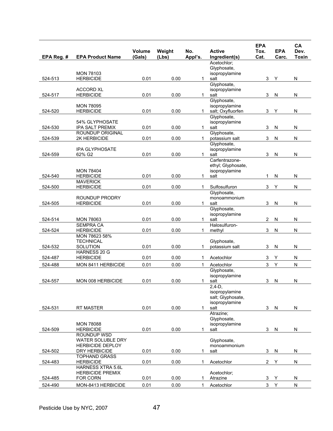| EPA Reg. # | <b>EPA Product Name</b>                           | Volume<br>(Gals) | Weight<br>(Lbs) | No.<br>Appl's. | <b>Active</b><br>Ingredient(s) | <b>EPA</b><br>Tox.<br>Cat. | <b>EPA</b><br>Carc. | CA<br>Dev.<br><b>Toxin</b> |
|------------|---------------------------------------------------|------------------|-----------------|----------------|--------------------------------|----------------------------|---------------------|----------------------------|
|            |                                                   |                  |                 |                | Acetochlor;                    |                            |                     |                            |
|            |                                                   |                  |                 |                | Glyphosate,                    |                            |                     |                            |
| 524-513    | <b>MON 78103</b><br><b>HERBICIDE</b>              | 0.01             | 0.00            | 1.             | isopropylamine<br>salt         | 3                          | Υ                   | N                          |
|            |                                                   |                  |                 |                | Glyphosate,                    |                            |                     |                            |
|            | <b>ACCORD XL</b>                                  |                  |                 |                | isopropylamine                 |                            |                     |                            |
| 524-517    | <b>HERBICIDE</b>                                  | 0.01             | 0.00            | 1.             | salt                           | 3                          | N                   | N                          |
|            | <b>MON 78095</b>                                  |                  |                 |                | Glyphosate,<br>isopropylamine  |                            |                     |                            |
| 524-520    | <b>HERBICIDE</b>                                  | 0.01             | 0.00            | 1.             | salt; Oxyfluorfen              | 3                          | Υ                   | N                          |
|            |                                                   |                  |                 |                | Glyphosate,                    |                            |                     |                            |
|            | 54% GLYPHOSATE                                    |                  |                 |                | isopropylamine                 |                            |                     |                            |
| 524-530    | <b>IPA SALT PREMIX</b><br><b>ROUNDUP ORIGINAL</b> | 0.01             | 0.00            | $\mathbf{1}$   | salt<br>Glyphosate,            | 3                          | N                   | N                          |
| 524-539    | 2K HERBICIDE                                      | 0.01             | 0.00            | 1              | potassium salt                 | 3                          | N                   | N                          |
|            |                                                   |                  |                 |                | Glyphosate,                    |                            |                     |                            |
|            | <b>IPA GLYPHOSATE</b>                             |                  |                 |                | isopropylamine                 |                            |                     |                            |
| 524-559    | 62% G2                                            | 0.01             | 0.00            | 1              | salt<br>Carfentrazone-         | 3                          | N                   | N                          |
|            |                                                   |                  |                 |                | ethyl; Glyphosate,             |                            |                     |                            |
|            | <b>MON 78404</b>                                  |                  |                 |                | isopropylamine                 |                            |                     |                            |
| 524-540    | <b>HERBICIDE</b>                                  | 0.01             | 0.00            | 1              | salt                           | 1                          | N                   | N                          |
|            | <b>MAVERICK</b>                                   |                  |                 |                |                                |                            |                     |                            |
| 524-500    | <b>HERBICIDE</b>                                  | 0.01             | 0.00            | 1              | Sulfosulfuron<br>Glyphosate,   | 3                          | Y                   | N                          |
|            | ROUNDUP PRODRY                                    |                  |                 |                | monoammonium                   |                            |                     |                            |
| 524-505    | <b>HERBICIDE</b>                                  | 0.01             | 0.00            | 1              | salt                           | 3                          | N                   | N                          |
|            |                                                   |                  |                 |                | Glyphosate,                    |                            |                     |                            |
| 524-514    | <b>MON 78063</b>                                  | 0.01             | 0.00            | 1              | isopropylamine<br>salt         | 2                          | N                   | N                          |
|            | <b>SEMPRA CA</b>                                  |                  |                 |                | Halosulfuron-                  |                            |                     |                            |
| 524-524    | <b>HERBICIDE</b>                                  | 0.01             | 0.00            | 1              | methyl                         | 3                          | N                   | N                          |
|            | MON 78623 58%                                     |                  |                 |                |                                |                            |                     |                            |
|            | <b>TECHNICAL</b><br><b>SOLUTION</b>               | 0.01             | 0.00            | 1.             | Glyphosate,                    | 3                          |                     | N                          |
| 524-532    | HARNESS 20 G                                      |                  |                 |                | potassium salt                 |                            | N                   |                            |
| 524-487    | <b>HERBICIDE</b>                                  | 0.01             | 0.00            | 1              | Acetochlor                     | 3                          | Υ                   | N                          |
| 524-488    | MON 8411 HERBICIDE                                | 0.01             | 0.00            | $\mathbf{1}$   | Acetochlor                     | 3                          | Υ                   | N                          |
|            |                                                   |                  |                 |                | Glyphosate,                    |                            |                     |                            |
|            |                                                   |                  | 0.00            |                | isopropylamine                 |                            |                     |                            |
| 524-557    | <b>MON 008 HERBICIDE</b>                          | 0.01             |                 | 1              | salt<br>$2,4-D,$               | 3                          | N                   | N                          |
|            |                                                   |                  |                 |                | isopropylamine                 |                            |                     |                            |
|            |                                                   |                  |                 |                | salt; Glyphosate,              |                            |                     |                            |
|            |                                                   |                  |                 | 1              | isopropylamine<br>salt         |                            |                     |                            |
| 524-531    | RT MASTER                                         | 0.01             | 0.00            |                | Atrazine;                      | 3                          | ${\sf N}$           | N                          |
|            |                                                   |                  |                 |                | Glyphosate,                    |                            |                     |                            |
|            | <b>MON 78088</b>                                  |                  |                 |                | isopropylamine                 |                            |                     |                            |
| 524-509    | <b>HERBICIDE</b>                                  | 0.01             | 0.00            | 1              | salt                           | 3                          | $\mathsf{N}$        | N                          |
|            | ROUNDUP WSD<br>WATER SOLUBLE DRY                  |                  |                 |                | Glyphosate,                    |                            |                     |                            |
|            | <b>HERBICIDE DEPLOY</b>                           |                  |                 |                | monoammonium                   |                            |                     |                            |
| 524-502    | DRY HERBICIDE                                     | 0.01             | 0.00            | 1              | salt                           | 3                          | N                   | N                          |
|            | <b>TOPHAND GRASS</b>                              |                  |                 |                |                                |                            |                     |                            |
| 524-483    | <b>HERBICIDE</b><br>HARNESS XTRA 5.6L             | 0.01             | 0.00            | 1              | Acetochlor                     | $\overline{2}$             | Υ                   | N                          |
|            | <b>HERBICIDE PREMIX</b>                           |                  |                 |                | Acetochlor;                    |                            |                     |                            |
| 524-485    | FOR CORN                                          | 0.01             | 0.00            | 1              | Atrazine                       | 3                          | Y                   | N                          |
| 524-490    | MON-8413 HERBICIDE                                | 0.01             | 0.00            | $\mathbf{1}$   | Acetochlor                     | $\mathbf{3}$               | Υ                   | N                          |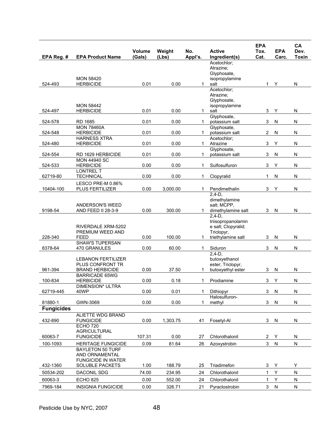| EPA Reg. #        | <b>EPA Product Name</b>                       | <b>Volume</b><br>(Gals) | Weight<br>(Lbs) | No.<br>Appl's. | <b>Active</b><br>Ingredient(s)     | <b>EPA</b><br>Tox.<br>Cat. | <b>EPA</b><br>Carc. | CA<br>Dev.<br><b>Toxin</b> |
|-------------------|-----------------------------------------------|-------------------------|-----------------|----------------|------------------------------------|----------------------------|---------------------|----------------------------|
|                   |                                               |                         |                 |                | Acetochlor;                        |                            |                     |                            |
|                   |                                               |                         |                 |                | Atrazine;<br>Glyphosate,           |                            |                     |                            |
|                   | <b>MON 58420</b>                              |                         |                 |                | isopropylamine                     |                            |                     |                            |
| 524-493           | <b>HERBICIDE</b>                              | 0.01                    | 0.00            | 1.             | salt                               | 1.                         | Y                   | N                          |
|                   |                                               |                         |                 |                | Acetochlor:<br>Atrazine;           |                            |                     |                            |
|                   |                                               |                         |                 |                | Glyphosate,                        |                            |                     |                            |
| 524-497           | <b>MON 58442</b><br><b>HERBICIDE</b>          | 0.01                    | 0.00            | 1              | isopropylamine<br>salt             | 3                          | Υ                   | N                          |
|                   |                                               |                         |                 |                | Glyphosate,                        |                            |                     |                            |
| 524-578           | <b>RD 1685</b>                                | 0.01                    | 0.00            | 1              | potassium salt                     | 3                          | N                   | ${\sf N}$                  |
| 524-548           | <b>MON 78460A</b><br><b>HERBICIDE</b>         | 0.01                    | 0.00            | 1.             | Glyphosate,<br>potassium salt      | 2                          | N                   | N                          |
|                   | <b>HARNESS XTRA</b>                           |                         |                 |                | Acetochlor;                        |                            |                     |                            |
| 524-480           | <b>HERBICIDE</b>                              | 0.01                    | 0.00            | $\mathbf{1}$   | Atrazine                           | $\ensuremath{\mathsf{3}}$  | Υ                   | N                          |
| 524-554           | RD 1629 HERBICIDE                             | 0.01                    | 0.00            | 1              | Glyphosate,<br>potassium salt      | 3                          | N                   | N                          |
|                   | <b>MON 44940 SC</b>                           |                         |                 |                |                                    |                            |                     |                            |
| 524-533           | <b>HERBICIDE</b>                              | 0.00                    | 0.00            | 1              | Sulfosulfuron                      | 3                          | Υ                   | N                          |
| 62719-80          | <b>LONTREL T</b><br>TECHNICAL                 | 0.00                    | 0.00            | 1              | Clopyralid                         | $\mathbf{1}$               | N                   | N                          |
|                   | LESCO PRE-M 0.86%                             |                         |                 |                |                                    |                            |                     |                            |
| 10404-100         | PLUS FERTILIZER                               | 0.00                    | 3,000.00        | 1              | Pendimethalin                      | 3                          | Y                   | N                          |
|                   |                                               |                         |                 |                | $2,4-D,$<br>dimethylamine          |                            |                     |                            |
|                   | ANDERSON'S WEED                               |                         |                 |                | salt; MCPP,                        |                            |                     |                            |
| 9198-54           | AND FEED II 28-3-9                            | 0.00                    | 300.00          | 1              | dimethylamine salt                 | 3                          | N                   | ${\sf N}$                  |
|                   |                                               |                         |                 |                | $2,4-D,$<br>triisopropanolamin     |                            |                     |                            |
|                   | RIVERDALE XRM-5202                            |                         |                 |                | e salt; Clopyralid;                |                            |                     |                            |
|                   | PREMIUM WEED AND                              |                         |                 |                | Triclopyr,                         |                            |                     |                            |
| 228-340           | FEED<br><b>SHAW'S TUPERSAN</b>                | 0.00                    | 100.00          | 1              | triethylamine salt                 | 3                          | N                   | N                          |
| 8378-64           | 470 GRANULES                                  | 0.00                    | 60.00           | 1              | Siduron                            | 3                          | N                   | N                          |
|                   |                                               |                         |                 |                | $2.4-D.$                           |                            |                     |                            |
|                   | <b>LEBANON FERTILIZER</b><br>PLUS CONFRONT TR |                         |                 |                | butoxyethanol<br>ester; Triclopyr, |                            |                     |                            |
| 961-394           | <b>BRAND HERBICIDE</b>                        | 0.00                    | 37.50           | 1              | butoxyethyl ester                  | 3                          | N                   | N                          |
|                   | <b>BARRICADE 65WG</b>                         |                         |                 |                |                                    |                            |                     |                            |
| 100-834           | <b>HERBICIDE</b><br>DIMENSION* ULTRA          | 0.00                    | 0.18            | 1              | Prodiamine                         | 3                          | Υ                   | ${\sf N}$                  |
| 62719-445         | 40WP                                          | 0.00                    | 0.01            | 1              | <b>Dithiopyr</b>                   | 3                          | N                   | N                          |
| 81880-1           | GWN-3069                                      | 0.00                    | 0.00            | 1              | Halosulfuron-<br>methyl            | $\mathbf{3}$               | N                   | N                          |
| <b>Fungicides</b> |                                               |                         |                 |                |                                    |                            |                     |                            |
|                   | <b>ALIETTE WDG BRAND</b>                      |                         |                 |                |                                    |                            |                     |                            |
| 432-890           | <b>FUNGICIDE</b>                              | 0.00                    | 1,303.75        | 41             | Fosetyl-Al                         | 3                          | N                   | N                          |
|                   | <b>ECHO 720</b><br><b>AGRICULTURAL</b>        |                         |                 |                |                                    |                            |                     |                            |
| 60063-7           | <b>FUNGICIDE</b>                              | 107.31                  | 0.00            | 27             | Chlorothalonil                     | $\overline{2}$             | Y                   | N                          |
| 100-1093          | <b>HERITAGE FUNGICIDE</b>                     | 0.09                    | 81.64           | 26             | Azoxystrobin                       | 3                          | ${\sf N}$           | ${\sf N}$                  |
|                   | <b>BAYLETON 50 TURF</b>                       |                         |                 |                |                                    |                            |                     |                            |
|                   | AND ORNAMENTAL<br><b>FUNGICIDE IN WATER</b>   |                         |                 |                |                                    |                            |                     |                            |
| 432-1360          | <b>SOLUBLE PACKETS</b>                        | 1.00                    | 188.79          | 25             | Triadimefon                        | 3                          | Υ                   | Υ                          |
| 50534-202         | DACONIL SDG                                   | 74.00                   | 234.95          | 24             | Chlorothalonil                     | $\mathbf{1}$               | Υ                   | ${\sf N}$                  |
| 60063-3           | <b>ECHO 825</b>                               | 0.00                    | 552.00          | 24             | Chlorothalonil                     | 1                          | Υ                   | ${\sf N}$                  |
| 7969-184          | <b>INSIGNIA FUNGICIDE</b>                     | 0.00                    | 326.71          | 21             | Pyraclostrobin                     | 3                          | N                   | N                          |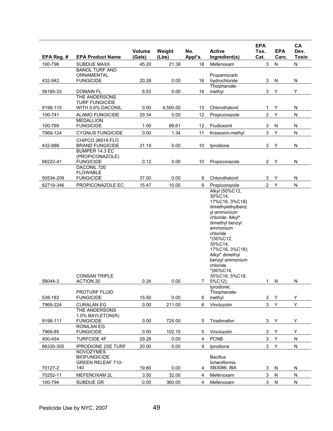| EPA Reg. # | <b>EPA Product Name</b>                                                                          | Volume<br>(Gals) | Weight<br>(Lbs) | No.<br>Appl's. | <b>Active</b><br>Ingredient(s)                                                                                                                                                                                                                                                             | <b>EPA</b><br>Tox.<br>Cat. | <b>EPA</b><br>Carc. | CA<br>Dev.<br><b>Toxin</b> |
|------------|--------------------------------------------------------------------------------------------------|------------------|-----------------|----------------|--------------------------------------------------------------------------------------------------------------------------------------------------------------------------------------------------------------------------------------------------------------------------------------------|----------------------------|---------------------|----------------------------|
| 100-796    | <b>SUBDUE MAXX</b>                                                                               | 45.20            | 21.38           | 18             | Mefenoxam                                                                                                                                                                                                                                                                                  | 3                          | ${\sf N}$           | N                          |
|            | <b>BANOL TURF AND</b>                                                                            |                  |                 |                |                                                                                                                                                                                                                                                                                            |                            |                     |                            |
| 432-942    | ORNAMENTAL<br><b>FUNGICIDE</b>                                                                   | 20.28            | 0.00            | 16             | Propamocarb<br>hydrochloride                                                                                                                                                                                                                                                               | 3                          | N                   | N                          |
|            |                                                                                                  |                  |                 |                | Thiophanate-                                                                                                                                                                                                                                                                               |                            |                     |                            |
| 58185-33   | <b>DOMAIN FL</b>                                                                                 | 8.53             | 0.00            | 14             | methyl                                                                                                                                                                                                                                                                                     | $\ensuremath{\mathsf{3}}$  | Υ                   | Υ                          |
|            | THE ANDERSONS                                                                                    |                  |                 |                |                                                                                                                                                                                                                                                                                            |                            |                     |                            |
| 9198-115   | <b>TURF FUNGICIDE</b><br>WITH 5.0% DACONIL                                                       | 0.00             | 4,500.00        | 13             | Chlorothalonil                                                                                                                                                                                                                                                                             | $\mathbf{1}$               | Υ                   | ${\sf N}$                  |
| 100-741    | <b>ALAMO FUNGICIDE</b>                                                                           | 29.34            | 0.00            | 12             | Propiconazole                                                                                                                                                                                                                                                                              | $\overline{c}$             | Υ                   | ${\sf N}$                  |
|            | <b>MEDALLION</b>                                                                                 |                  |                 |                |                                                                                                                                                                                                                                                                                            |                            |                     |                            |
| 100-769    | <b>FUNGICIDE</b>                                                                                 | 1.00             | 89.61           | 12             | Fludioxonil                                                                                                                                                                                                                                                                                | $\ensuremath{\mathsf{3}}$  | N                   | N                          |
| 7969-124   | <b>CYGNUS FUNGICIDE</b>                                                                          | 0.00             | 1.34            | 11             | Kresoxim-methyl                                                                                                                                                                                                                                                                            | $\mathbf{3}$               | Υ                   | N                          |
|            | CHIPCO 26019 FLO                                                                                 |                  |                 |                |                                                                                                                                                                                                                                                                                            |                            |                     |                            |
| 432-888    | <b>BRAND FUNGICIDE</b><br>BUMPER 14.3 EC                                                         | 31.19            | 0.00            | 10             | Iprodione                                                                                                                                                                                                                                                                                  | $\mathbf{3}$               | Υ                   | ${\sf N}$                  |
|            | (PROPICONAZOLE)                                                                                  |                  |                 |                |                                                                                                                                                                                                                                                                                            |                            |                     |                            |
| 66222-41   | <b>FUNGICIDE</b>                                                                                 | 0.12             | 0.00            | 10             | Propiconazole                                                                                                                                                                                                                                                                              | $\mathbf{2}$               | Υ                   | ${\sf N}$                  |
|            | DACONIL 720                                                                                      |                  |                 |                |                                                                                                                                                                                                                                                                                            |                            |                     |                            |
| 50534-209  | <b>FLOWABLE</b><br><b>FUNGICIDE</b>                                                              | 37.00            | 0.00            | 9              | Chlorothalonil                                                                                                                                                                                                                                                                             | 3                          | Y                   | N                          |
| 62719-346  | PROPICONAZOLE EC                                                                                 | 15.47            | 10.00           | 9              | Propiconazole                                                                                                                                                                                                                                                                              | $\overline{2}$             | Υ                   | $\mathsf{N}$               |
| 58044-3    | <b>CONSAN TRIPLE</b><br><b>ACTION 20</b>                                                         | 0.24             | 0.00            | 7              | Alkyl (50%C12,<br>30%C14,<br>17%C16, 3%C18)<br>dimethylethylbenz<br>yl ammonium<br>chloride; Alkyl*<br>dimethyl benzyl<br>ammonium<br>chloride<br>$*(50\%C12,$<br>30%C14,<br>17%C16, 3%C18);<br>Alkyl* dimethyl<br>benzyl ammonium<br>chloride<br>$*(60\%C14,$<br>30%C16, 5%C18,<br>5%C12) | 1                          | N                   | N                          |
|            | <b>PROTURF FLUID</b>                                                                             |                  |                 |                | (prodione;<br>Thiophanate-                                                                                                                                                                                                                                                                 |                            |                     |                            |
| 538-183    | <b>FUNGICIDE</b>                                                                                 | 15.50            | 0.00            | 6              | methyl                                                                                                                                                                                                                                                                                     | 3                          | Y                   | Y                          |
| 7969-224   | <b>CURALAN EG</b>                                                                                | 0.00             | 211.00          | 6              | Vinclozolin                                                                                                                                                                                                                                                                                | 3                          | Y                   | Y                          |
| 9198-111   | THE ANDERSONS<br>1.0% BAYLETON(R)<br><b>FUNGICIDE</b>                                            | 0.00             | 725.00          | 5              | Triadimefon                                                                                                                                                                                                                                                                                | 3                          | Y                   | Y                          |
| 7969-85    | <b>RONILAN EG</b><br><b>FUNGICIDE</b>                                                            | 0.00             | 102.10          | 5              | Vinclozolin                                                                                                                                                                                                                                                                                | 3                          | Y                   | Υ                          |
| 400-454    |                                                                                                  | 29.28            | 0.00            | 4              |                                                                                                                                                                                                                                                                                            | 3                          | Υ                   |                            |
|            | <b>TURFCIDE 4F</b>                                                                               |                  |                 |                | <b>PCNB</b>                                                                                                                                                                                                                                                                                |                            |                     | N                          |
| 66330-305  | <b>IPRODIONE 2SE TURF</b><br><b>NOVOZYMES</b><br><b>BIOFUNGICIDE</b><br><b>GREEN RELEAF 710-</b> | 20.00            | 0.00            | 4              | Iprodione<br><b>Bacillus</b><br>licheniformis                                                                                                                                                                                                                                              | $\mathbf{3}$               | Υ                   | N                          |
| 70127-2    | 140                                                                                              | 19.80            | 0.00            | 4              | SB3086; IBA                                                                                                                                                                                                                                                                                | 3                          | N                   | N                          |
| 70252-11   | MEFENOXAM 2L                                                                                     | 3.50             | 32.00           | 4              | Mefenoxam                                                                                                                                                                                                                                                                                  | 3                          | ${\sf N}$           | ${\sf N}$                  |
| 100-794    | SUBDUE GR                                                                                        | 0.00             | 360.00          | 4              | Mefenoxam                                                                                                                                                                                                                                                                                  | 3                          | N                   | N                          |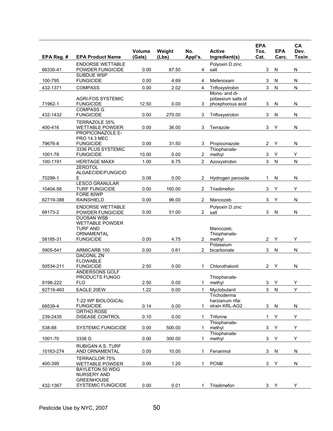| EPA Reg. # | <b>EPA Product Name</b>                                        | Volume<br>(Gals) | Weight<br>(Lbs) | No.<br>Appl's. | <b>Active</b><br>Ingredient(s)         | <b>EPA</b><br>Tox.<br>Cat. | <b>EPA</b><br>Carc. | CA<br>Dev.<br><b>Toxin</b> |
|------------|----------------------------------------------------------------|------------------|-----------------|----------------|----------------------------------------|----------------------------|---------------------|----------------------------|
| 66330-41   | <b>ENDORSE WETTABLE</b><br>POWDER FUNGICIDE                    | 0.00             | 87.50           | 4              | Polyoxin D zinc<br>salt                | 3                          | N                   | ${\sf N}$                  |
| 100-795    | <b>SUBDUE WSP</b><br><b>FUNGICIDE</b>                          | 0.00             | 4.69            | 4              | Mefenoxam                              | 3                          | N                   | ${\sf N}$                  |
| 432-1371   | <b>COMPASS</b>                                                 | 0.00             | 2.02            | 4              | Trifloxystrobin                        | 3                          | N                   | ${\sf N}$                  |
|            |                                                                |                  |                 |                | Mono- and di-                          |                            |                     |                            |
| 71962-1    | <b>AGRI-FOS SYSTEMIC</b><br><b>FUNGICIDE</b>                   | 12.50            | 0.00            | 3              | potassium salts of<br>phosphorous acid | 3                          | N                   | N                          |
| 432-1432   | <b>COMPASS G</b><br><b>FUNGICIDE</b>                           | 0.00             | 270.00          | 3              | Trifloxystrobin                        | 3                          | N                   | $\mathsf{N}$               |
| 400-416    | TERRAZOLE 35%<br><b>WETTABLE POWDER</b>                        | 0.00             | 36.00           | 3              | Terrazole                              | 3                          | Υ                   | ${\sf N}$                  |
| 79676-8    | PROPICONAZOLE E-<br><b>PRO 14.3 MEC</b><br><b>FUNGICIDE</b>    | 0.00             | 31.50           | 3              | Propiconazole                          | $\mathbf{2}$               | Y                   | N                          |
| 1001-78    | 3336 PLUS SYSTEMIC<br><b>FUNGICIDE</b>                         | 10.00            | 0.00            | $\overline{c}$ | Thiophanate-<br>methyl                 | 3                          | Υ                   | Υ                          |
| 100-1191   | <b>HERITAGE MAXX</b>                                           | 1.00             | 6.75            | $\overline{2}$ | Azoxystrobin                           | 3                          | N                   | $\mathsf{N}$               |
| 70299-1    | <b>ZEROTOL</b><br>ALGAECIDE/FUNGICID<br>E.                     | 0.08             | 0.00            | 2              | Hydrogen peroxide                      | 1                          | N                   | ${\sf N}$                  |
| 10404-58   | <b>LESCO GRANULAR</b><br><b>TURF FUNGICIDE</b>                 | 0.00             | 160.00          | $\overline{2}$ | Triadimefon                            | 3                          | Υ                   | Υ                          |
|            | FORE 80WP                                                      |                  |                 |                |                                        |                            |                     |                            |
| 62719-388  | <b>RAINSHIELD</b><br><b>ENDORSE WETTABLE</b>                   | 0.00             | 96.00           | $\overline{2}$ | Mancozeb<br>Polyoxin D zinc            | 3                          | Y                   | $\mathsf{N}$               |
| 68173-2    | POWDER FUNGICIDE<br><b>DUOSAN WSB</b>                          | 0.00             | 51.00           | $\overline{2}$ | salt                                   | 3                          | N                   | ${\sf N}$                  |
|            | <b>WETTABLE POWDER</b><br><b>TURF AND</b><br><b>ORNAMENTAL</b> |                  |                 |                | Mancozeb:<br>Thiophanate-              |                            |                     |                            |
| 58185-31   | <b>FUNGICIDE</b>                                               | 0.00             | 4.75            | $\overline{2}$ | methyl<br>Potassium                    | $\mathbf{2}$               | Υ                   | Υ                          |
| 5905-541   | ARMICARB 100<br><b>DACONIL ZN</b>                              | 0.00             | 0.61            | $\overline{2}$ | bicarbonate                            | 3                          | N                   | ${\sf N}$                  |
| 50534-211  | <b>FLOWABLE</b><br><b>FUNGICIDE</b>                            | 2.50             | 0.00            | 1              | Chlorothalonil                         | $\overline{2}$             | Y                   | ${\sf N}$                  |
| 9198-222   | ANDERSONS GOLF<br>PRODUCTS FUNGO<br><b>FLO</b>                 | 2.50             | 0.00            | 1              | Thiophanate-<br>methyl                 | 3                          | Y                   | Υ                          |
| 62719-463  | EAGLE 20EW                                                     | 1.22             | 0.00            | 1              | Myclobutanil                           | $\mathbf{3}$               | ${\sf N}$           | Υ                          |
|            | <b>T-22 WP BIOLOGICAL</b>                                      |                  |                 |                | Trichoderma<br>harzianum rifai         |                            |                     |                            |
| 68539-4    | <b>FUNGICIDE</b>                                               | 0.14             | 0.00            | 1              | strain KRL-AG2                         | 3                          | ${\sf N}$           | N                          |
| 239-2435   | ORTHO ROSE<br><b>DISEASE CONTROL</b>                           | 0.10             | 0.00            | 1              | Triforine                              | 1.                         | Y                   | Υ                          |
| 538-88     | <b>SYSTEMIC FUNGICIDE</b>                                      | 0.00             | 500.00          | 1              | Thiophanate-<br>methyl                 | 3                          | Υ                   | Υ                          |
| 1001-70    | 3336 G                                                         | 0.00             | 300.00          | 1              | Thiophanate-<br>methyl                 | $\mathfrak{S}$             | Υ                   | Υ                          |
| 10163-274  | <b>RUBIGAN A.S. TURF</b><br>AND ORNAMENTAL                     | 0.00             | 10.00           |                | Fenarimol                              | 3                          | N                   | N                          |
| 400-399    | <b>TERRACLOR 75%</b><br><b>WETTABLE POWDER</b>                 | 0.00             | 1.20            | 1              | <b>PCNB</b>                            | 3                          | Υ                   | ${\sf N}$                  |
|            | <b>BAYLETON 50 WDG</b><br>NURSERY AND<br><b>GREENHOUSE</b>     |                  |                 |                |                                        |                            |                     |                            |
| 432-1367   | <b>SYSTEMIC FUNGICIDE</b>                                      | 0.00             | 0.01            | 1              | Triadimefon                            |                            | 3 Y                 | Y                          |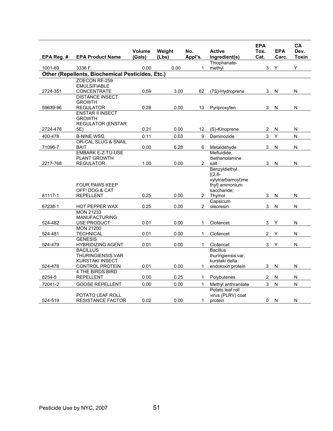| EPA Reg. # | <b>EPA Product Name</b>                                               | <b>Volume</b><br>(Gals) | Weight<br>(Lbs) | No.<br>Appl's.        | <b>Active</b><br>Ingredient(s)                                                             | <b>EPA</b><br>Tox.<br>Cat. | <b>EPA</b><br>Carc.     | CA<br>Dev.<br>Toxin |
|------------|-----------------------------------------------------------------------|-------------------------|-----------------|-----------------------|--------------------------------------------------------------------------------------------|----------------------------|-------------------------|---------------------|
|            |                                                                       |                         |                 |                       | Thiophanate-                                                                               |                            |                         |                     |
| 1001-69    | 3336 F                                                                | 0.00                    | 0.00            | 1                     | methyl                                                                                     | 3                          | Y                       | Y                   |
|            | Other (Repellents, Biochemical Pesticides, Etc.)                      |                         |                 |                       |                                                                                            |                            |                         |                     |
|            | ZOECON RF-259                                                         |                         |                 |                       |                                                                                            |                            |                         |                     |
|            | <b>EMULSIFIABLE</b>                                                   | 0.59                    | 3.00            |                       |                                                                                            |                            |                         |                     |
| 2724-351   | <b>CONCENTRATE</b><br><b>DISTANCE INSECT</b>                          |                         |                 | 62                    | (7S)-Hydroprene                                                                            | 3                          | N                       | N                   |
|            | <b>GROWTH</b>                                                         |                         |                 |                       |                                                                                            |                            |                         |                     |
| 59639-96   | <b>REGULATOR</b>                                                      | 0.28                    | 0.00            | 13                    | Pyriproxyfen                                                                               | 3                          | ${\sf N}$               | N                   |
|            | <b>ENSTAR II INSECT</b>                                               |                         |                 |                       |                                                                                            |                            |                         |                     |
|            | <b>GROWTH</b>                                                         |                         |                 |                       |                                                                                            |                            |                         |                     |
|            | <b>REGULATOR (ENSTAR</b>                                              |                         |                 |                       |                                                                                            |                            |                         |                     |
| 2724-476   | 5E)                                                                   | 0.21                    | 0.00            | 12                    | (S)-Kinoprene                                                                              | $\overline{2}$             | N                       | N                   |
| 400-478    | <b>B-NINE WSG</b>                                                     | 0.11                    | 0.03            | 9                     | Daminozide                                                                                 | 3                          | Y                       | N                   |
| 71096-7    | OR-CAL SLUG & SNAIL<br><b>BAIT</b>                                    | 0.00                    | 6.28            | 6                     | Metaldehyde                                                                                | 3                          | N                       | ${\sf N}$           |
|            | <b>EMBARK E-Z-TU-USE</b>                                              |                         |                 |                       | Mefluidide,                                                                                |                            |                         |                     |
|            | <b>PLANT GROWTH</b>                                                   |                         |                 |                       | diethanolamine                                                                             |                            |                         |                     |
| 2217-768   | <b>REGULATOR</b>                                                      | 1.00                    | 0.00            | 2                     | salt                                                                                       | 3                          | $\overline{\mathsf{N}}$ | ${\sf N}$           |
| 81117-1    | <b>FOUR PAWS KEEP</b><br>OFF! DOG & CAT                               | 0.25                    | 0.00            | $\mathbf{2}^{\prime}$ | Benzyldiethyl<br>$[(2,6 -$<br>xylylcarbamoyl)me<br>thyl] ammonium<br>saccharide;<br>Thymol | 3                          | N                       | N                   |
|            | <b>REPELLENT</b>                                                      |                         |                 |                       | Capsicum                                                                                   |                            |                         |                     |
| 67238-1    | HOT PEPPER WAX                                                        | 0.25                    | 0.00            | $\overline{2}$        | oleoresin                                                                                  | 3                          | N                       | N                   |
| 524-482    | <b>MON 21233</b><br><b>MANUFACTURING</b>                              | 0.01                    | 0.00            | 1                     | Clofencet                                                                                  | 3                          | Y                       | N                   |
|            | USE PRODUCT<br><b>MON 21200</b>                                       |                         |                 |                       |                                                                                            |                            |                         |                     |
| 524-481    | TECHNICAL                                                             | 0.01                    | 0.00            | 1                     | Clofencet                                                                                  | $\overline{2}$             | Y                       | N                   |
|            | <b>GENESIS</b>                                                        |                         |                 |                       |                                                                                            |                            |                         |                     |
| 524-479    | <b>HYBRIDIZING AGENT</b>                                              | 0.01                    | 0.00            | $\mathbf{1}$          | Clofencet                                                                                  | 3                          | Y                       | N                   |
| 524-478    | <b>BACILLUS</b><br><b>THURINGIENSIS VAR</b><br><b>KURSTAKI INSECT</b> | 0.01                    | 0.00            | 1                     | <b>Bacillus</b><br>thuringiensis var.<br>kurstaki delta                                    | 3                          | N                       | N                   |
|            | <b>CONTROL PROTEIN</b><br><b>4 THE BIRDS BIRD</b>                     |                         |                 |                       | endotoxin protein                                                                          |                            |                         |                     |
| 8254-5     | <b>REPELLENT</b>                                                      | 0.00                    | 0.25            | 1                     | Polybutenes                                                                                | 2                          | N                       | ${\sf N}$           |
| 72041-2    | <b>GOOSE REPELLENT</b>                                                | 0.00                    | 0.00            | 1                     | Methyl anthranilate                                                                        | 3                          | N                       | N                   |
| 524-519    | POTATO LEAF ROLL<br><b>RESISTANCE FACTOR</b>                          | 0.02                    | 0.00            | $\mathbf{1}$          | Potato leaf roll<br>virus (PLRV) coat<br>protein                                           | 0                          | N                       | N                   |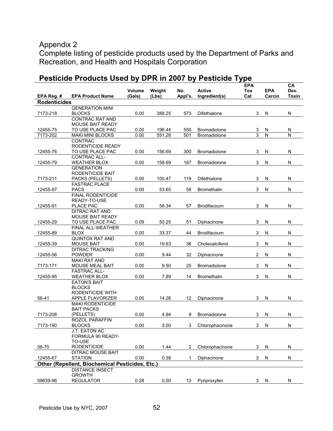## Appendix 2

Complete listing of pesticide products used by the Department of Parks and Recreation, and Health and Hospitals Corporation

|                     |                                                 | Volume | Weight | No.     | <b>Active</b>       | <b>EPA</b><br>Tox | <b>EPA</b>     | СA<br>Dev.              |
|---------------------|-------------------------------------------------|--------|--------|---------|---------------------|-------------------|----------------|-------------------------|
| EPA Reg. #          | <b>EPA Product Name</b>                         | (Gals) | (Lbs)  | Appl's. | Ingredient(s)       | Cat               | Carcin         | <b>Toxin</b>            |
| <b>Rodenticides</b> |                                                 |        |        |         |                     |                   |                |                         |
|                     | <b>GENERATION MINI</b>                          |        |        |         |                     |                   |                |                         |
| 7173-218            | <b>BLOCKS</b>                                   | 0.00   | 388.25 | 573     | Difethialone        | 3                 | N              | N                       |
|                     | <b>CONTRAC RAT AND</b>                          |        |        |         |                     |                   |                |                         |
|                     | <b>MOUSE BAIT READY</b>                         |        |        |         |                     |                   |                |                         |
| 12455-75            | TO USE PLACE PAC                                | 0.00   | 196.44 | 550     | <b>Bromadiolone</b> | 3                 | N              | N                       |
| 7173-202            | <b>MAKI MINI BLOCKS</b>                         | 0.00   | 551.28 | 501     | <b>Bromadiolone</b> | $\overline{3}$    | $\overline{N}$ | $\overline{\mathsf{N}}$ |
|                     | <b>CONTRAC</b>                                  |        |        |         |                     |                   |                |                         |
|                     | RODENTICIDE READY                               |        |        |         |                     |                   |                |                         |
| 12455-76            | TO USE PLACE PAC                                | 0.00   | 156.69 | 300     | Bromadiolone        | 3                 | N              | N                       |
|                     | <b>CONTRAC ALL-</b>                             |        |        |         |                     |                   |                |                         |
| 12455-79            | <b>WEATHER BLOX</b>                             | 0.00   | 158.69 | 187     | Bromadiolone        | 3                 | N              | N                       |
|                     | <b>GENERATION</b>                               |        |        |         |                     |                   |                |                         |
|                     | RODENTICIDE BAIT                                |        |        |         |                     |                   |                |                         |
| 7173-211            | PACKS (PELLETS)                                 | 0.00   | 100.47 | 119     | Difethialone        | 3                 | N              | N                       |
|                     | <b>FASTRAC PLACE</b>                            |        |        |         |                     |                   |                |                         |
| 12455-97            | <b>PACS</b>                                     | 0.00   | 53.65  | 58      | <b>Bromethalin</b>  | 3                 | N              | N                       |
|                     | <b>FINAL RODENTICIDE</b>                        |        |        |         |                     |                   |                |                         |
|                     | READY-TO-USE                                    |        |        |         |                     |                   |                |                         |
| 12455-91            | PLACE PAC                                       | 0.00   | 56.34  | 57      | Brodifacoum         | 3                 | N              | N                       |
|                     | <b>DITRAC RAT AND</b>                           |        |        |         |                     |                   |                |                         |
|                     | <b>MOUSE BAIT READY</b>                         |        |        |         |                     |                   |                |                         |
| 12455-29            | TO USE PLACE PAC                                | 0.09   | 50.25  | 51      | Diphacinone         | 3                 | N              | N                       |
|                     | FINAL ALL-WEATHER                               |        |        |         |                     |                   |                |                         |
| 12455-89            | <b>BLOX</b>                                     | 0.00   | 33.37  | 44      | Brodifacoum         | 3                 | N              | N                       |
|                     | <b>QUINTOX RAT AND</b>                          |        |        |         |                     |                   |                |                         |
| 12455-39            | <b>MOUSE BAIT</b>                               | 0.00   | 19.63  | 36      | Cholecalciferol     | 3                 | N              | N                       |
|                     | <b>DITRAC TRACKING</b>                          |        |        |         |                     |                   |                |                         |
| 12455-56            | <b>POWDER</b>                                   | 0.00   | 9.44   | 32      | Diphacinone         | 2                 | N              | N                       |
|                     | <b>MAKI RAT AND</b>                             |        |        |         |                     |                   |                |                         |
| 7173-171            | <b>MOUSE MEAL BAIT</b>                          | 0.00   | 9.50   | 25      | <b>Bromadiolone</b> | 3                 | N              | N                       |
|                     | <b>FASTRAC ALL-</b>                             |        |        |         |                     |                   |                |                         |
| 12455-95            | <b>WEATHER BLOX</b>                             | 0.00   | 7.89   | 14      | <b>Bromethalin</b>  | 3                 | N              | N                       |
|                     | <b>EATON'S BAIT</b>                             |        |        |         |                     |                   |                |                         |
|                     | <b>BLOCKS</b>                                   |        |        |         |                     |                   |                |                         |
|                     | RODENTICIDE WITH                                |        |        |         |                     |                   |                |                         |
| 56-41               | <b>APPLE FLAVORIZER</b>                         | 0.00   | 14.26  | 12      | Diphacinone         | 3                 | N              | N                       |
|                     | <b>MAKI RODENTICIDE</b>                         |        |        |         |                     |                   |                |                         |
|                     | <b>BAIT PACKS</b>                               |        |        |         |                     |                   |                |                         |
| 7173-208            | (PELLETS)                                       | 0.00   | 4.94   | 9       | <b>Bromadiolone</b> | 3                 | N              | N                       |
|                     | <b>ROZOL PARAFFIN</b>                           |        |        |         |                     |                   |                |                         |
| 7173-190            | <b>BLOCKS</b>                                   | 0.00   | 3.00   | 3       | Chlorophacinone     | 3                 | N              | N                       |
|                     | J.T. EATON AC                                   |        |        |         |                     |                   |                |                         |
|                     | FORMULA 90 READY-                               |        |        |         |                     |                   |                |                         |
|                     | TO-USE                                          |        |        |         |                     |                   |                |                         |
| 56-70               | <b>RODENTICIDE</b>                              | 0.00   | 1.44   | 2       | Chlorophacinone     | 3                 | N              | N                       |
|                     | <b>DITRAC MOUSE BAIT</b>                        |        |        |         |                     |                   |                |                         |
| 12455-67            | <b>STATION</b>                                  | 0.00   | 0.38   | 1       | Diphacinone         | 3                 | N              | N                       |
|                     | Other (Repellent, Biochemical Pesticides, Etc.) |        |        |         |                     |                   |                |                         |
|                     | <b>DISTANCE INSECT</b>                          |        |        |         |                     |                   |                |                         |
|                     | <b>GROWTH</b>                                   |        |        |         |                     |                   |                |                         |
| 59639-96            | <b>REGULATOR</b>                                | 0.28   | 0.00   | 13      | Pyriproxyfen        |                   | 3 N            | N                       |

# **Pesticide Products Used by DPR in 2007 by Pesticide Type**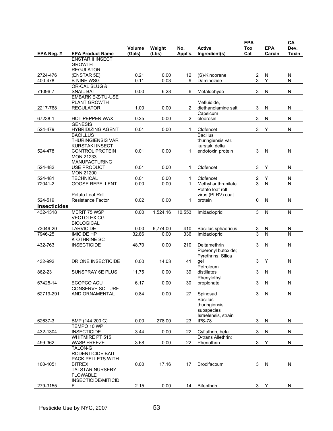|                     |                                                  |                  |                 |                |                                     | <b>EPA</b>              | <b>EPA</b>          | CA                      |
|---------------------|--------------------------------------------------|------------------|-----------------|----------------|-------------------------------------|-------------------------|---------------------|-------------------------|
| EPA Reg.#           | <b>EPA Product Name</b>                          | Volume<br>(Gals) | Weight<br>(Lbs) | No.<br>Appl's. | <b>Active</b><br>Ingredient(s)      | <b>Tox</b><br>Cat       | Carcin              | Dev.<br>Toxin           |
|                     | <b>ENSTAR II INSECT</b>                          |                  |                 |                |                                     |                         |                     |                         |
|                     | <b>GROWTH</b><br><b>REGULATOR</b>                |                  |                 |                |                                     |                         |                     |                         |
| 2724-476            | (ENSTAR 5E)                                      | 0.21             | 0.00            | 12             | (S)-Kinoprene                       | $\overline{\mathbf{c}}$ | N                   | N                       |
| 400-478             | <b>B-NINE WSG</b>                                | 0.11             | 0.03            | 9              | Daminozide                          | 3                       | Υ                   | $\mathsf{N}$            |
|                     | OR-CAL SLUG &                                    |                  |                 |                |                                     |                         |                     |                         |
| 71096-7             | <b>SNAIL BAIT</b><br><b>EMBARK E-Z-TU-USE</b>    | 0.00             | 6.28            | 6              | Metaldehyde                         | 3                       | N                   | N                       |
|                     | PLANT GROWTH                                     |                  |                 |                | Mefluidide,                         |                         |                     |                         |
| 2217-768            | <b>REGULATOR</b>                                 | 1.00             | 0.00            | 2              | diethanolamine salt                 | 3                       | N                   | N                       |
|                     |                                                  |                  |                 |                | Capsicum                            |                         |                     |                         |
| 67238-1             | HOT PEPPER WAX<br><b>GENESIS</b>                 | 0.25             | 0.00            | $\overline{2}$ | oleoresin                           | 3                       | N                   | N                       |
| 524-479             | <b>HYBRIDIZING AGENT</b>                         | 0.01             | 0.00            | $\mathbf{1}$   | Clofencet                           | 3                       | Y                   | N                       |
|                     | <b>BACILLUS</b>                                  |                  |                 |                | <b>Bacillus</b>                     |                         |                     |                         |
|                     | <b>THURINGIENSIS VAR</b>                         |                  |                 |                | thuringiensis var.                  |                         |                     |                         |
| 524-478             | <b>KURSTAKI INSECT</b><br><b>CONTROL PROTEIN</b> | 0.01             | 0.00            | 1              | kurstaki delta<br>endotoxin protein | 3                       | N                   | N                       |
|                     | <b>MON 21233</b>                                 |                  |                 |                |                                     |                         |                     |                         |
|                     | <b>MANUFACTURING</b>                             |                  |                 |                |                                     |                         |                     |                         |
| 524-482             | USE PRODUCT                                      | 0.01             | 0.00            | 1              | Clofencet                           | 3                       | Υ                   | N                       |
| 524-481             | <b>MON 21200</b><br><b>TECHNICAL</b>             | 0.01             | 0.00            | 1              | Clofencet                           |                         |                     |                         |
| 72041-2             | <b>GOOSE REPELLENT</b>                           | 0.00             | 0.00            | 1              | Methyl anthranilate                 | 2<br>3                  | Υ<br>$\overline{N}$ | N<br>N                  |
|                     |                                                  |                  |                 |                | Potato leaf roll                    |                         |                     |                         |
|                     | Potato Leaf Roll                                 |                  |                 |                | virus (PLRV) coat                   |                         |                     |                         |
| 524-519             | <b>Resistance Factor</b>                         | 0.02             | 0.00            | 1              | protein                             | 0                       | N                   | N                       |
| <b>Insecticides</b> |                                                  |                  |                 |                |                                     |                         |                     |                         |
| 432-1318            | MERIT 75 WSP<br><b>VECTOLEX CG</b>               | 0.00             | 1,524.16        | 10,553         | <i>Imidacloprid</i>                 | 3                       | N                   | $\overline{\mathsf{N}}$ |
|                     | <b>BIOLOGICAL</b>                                |                  |                 |                |                                     |                         |                     |                         |
| 73049-20            | <b>LARVICIDE</b>                                 | 0.00             | 6,774.00        | 410            | Bacillus sphaericus                 | 3                       | N                   | N                       |
| 7946-25             | <b>IMICIDE HP</b>                                | 32.86            | 0.00            | 336            | Imidacloprid                        | $\overline{3}$          | Ñ                   | N                       |
| 432-763             | <b>K-OTHRINE SC</b><br><b>INSECTICIDE</b>        | 48.70            | 0.00            | 210            | Deltamethrin                        | 3                       | N                   | N                       |
|                     |                                                  |                  |                 |                | Piperonyl butoxide;                 |                         |                     |                         |
|                     |                                                  |                  |                 |                | Pyrethrins; Silica                  |                         |                     |                         |
| 432-992             | DRIONE INSECTICIDE                               | 0.00             | 14.03           | 41             | gel                                 | 3                       | Y                   | N                       |
|                     |                                                  | 11.75            |                 |                | Petroleum<br>distillates            |                         |                     |                         |
| 862-23              | SUNSPRAY 6E PLUS                                 |                  | 0.00            | 39             | Phenylethyl                         | 3                       | N                   | N                       |
| 67425-14            | ECOPCO ACU                                       | 6.17             | 0.00            | 30             | propionate                          | 3                       | N                   | N                       |
|                     | CONSERVE SC TURF                                 |                  |                 |                |                                     |                         |                     |                         |
| 62719-291           | AND ORNAMENTAL                                   | 0.84             | 0.00            | 27             | Spinosad                            | 3                       | N                   | N                       |
|                     |                                                  |                  |                 |                | <b>Bacillus</b><br>thuringiensis    |                         |                     |                         |
|                     |                                                  |                  |                 |                | subspecies                          |                         |                     |                         |
|                     |                                                  |                  |                 |                | Israelensis, strain                 |                         |                     |                         |
| 62637-3             | BMP (144 200 G)                                  | 0.00             | 278.00          | 23             | IPS-78                              | 3                       | N                   | ${\sf N}$               |
| 432-1304            | TEMPO 10 WP<br><b>INSECTICIDE</b>                | 3.44             | 0.00            | 22             | Cyfluthrin, beta                    | 3                       | N                   | N                       |
|                     | <b>WHITMIRE PT 515</b>                           |                  |                 |                | D-trans Allethrin;                  |                         |                     |                         |
| 499-362             | <b>WASP FREEZE</b>                               | 3.68             | 0.00            | 22             | Phenothrin                          | 3                       | Υ                   | N                       |
|                     | <b>TALON-G</b>                                   |                  |                 |                |                                     |                         |                     |                         |
|                     | RODENTICIDE BAIT                                 |                  |                 |                |                                     |                         |                     |                         |
| 100-1051            | PACK PELLETS WITH<br><b>BITREX</b>               | 0.00             | 17.16           | 17             | Brodifacoum                         | 3                       | N                   | N                       |
|                     | <b>TALSTAR NURSERY</b>                           |                  |                 |                |                                     |                         |                     |                         |
|                     | <b>FLOWABLE</b>                                  |                  |                 |                |                                     |                         |                     |                         |
|                     | INSECTICIDE/MITICID                              |                  |                 |                |                                     |                         |                     |                         |
| 279-3155            | Ε                                                | 2.15             | 0.00            | 14             | Bifenthrin                          |                         | 3 Y                 | N                       |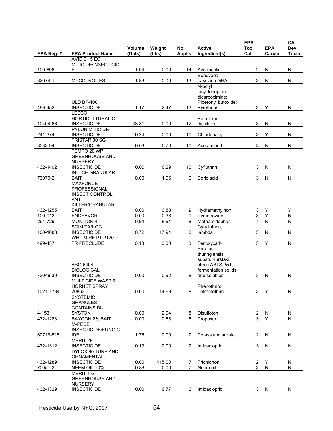|            |                                            | Volume | Weight | No.            | <b>Active</b>                           | <b>EPA</b><br>Tox | <b>EPA</b>                   | CA<br>Dev.              |
|------------|--------------------------------------------|--------|--------|----------------|-----------------------------------------|-------------------|------------------------------|-------------------------|
| EPA Reg. # | <b>EPA Product Name</b>                    | (Gals) | (Lbs)  | Appl's.        | Ingredient(s)                           | Cat               | Carcin                       | <b>Toxin</b>            |
|            | <b>AVID 0.15 EC</b>                        |        |        |                |                                         |                   |                              |                         |
| 100-896    | MITICIDE/INSECTICID<br>Е                   | 1.04   | 0.00   | 14             | Avermectin                              | $\overline{2}$    | N                            | N                       |
|            |                                            |        |        |                | Beauveria                               |                   |                              |                         |
| 82074-1    | <b>MYCOTROL ES</b>                         | 1.83   | 0.00   | 13             | bassiana GHA                            | 3                 | N                            | N                       |
|            |                                            |        |        |                | N-octyl                                 |                   |                              |                         |
|            |                                            |        |        |                | bicycloheptene                          |                   |                              |                         |
|            | <b>ULD BP-100</b>                          |        |        |                | dicarboximide;<br>Piperonyl butoxide;   |                   |                              |                         |
| 499-452    | <b>INSECTICIDE</b>                         | 1.17   | 2.47   | 13             | Pyrethrins                              | 3                 | Y                            | ${\sf N}$               |
|            | <b>LESCO</b>                               |        |        |                |                                         |                   |                              |                         |
|            | <b>HORTICULTURAL OIL</b>                   |        |        |                | Petroleum                               |                   |                              |                         |
| 10404-66   | <b>INSECTICIDE</b>                         | 43.81  | 0.00   | 12             | distillates                             | 3                 | N                            | N                       |
|            | PYLON MITICIDE-                            |        |        |                |                                         |                   |                              |                         |
| 241-374    | <b>INSECTICIDE</b>                         | 0.24   | 0.00   | 10             | Chlorfenapyr                            | 3                 | Υ                            | N                       |
| 8033-94    | <b>TRISTAR 30 SG</b><br><b>INSECTICIDE</b> | 0.03   | 0.70   | 10             |                                         | $\mathfrak{B}$    | ${\sf N}$                    | N                       |
|            | TEMPO 20 WP                                |        |        |                | Acetamiprid                             |                   |                              |                         |
|            | <b>GREENHOUSE AND</b>                      |        |        |                |                                         |                   |                              |                         |
|            | <b>NURSERY</b>                             |        |        |                |                                         |                   |                              |                         |
| 432-1402   | <b>INSECTICIDE</b>                         | 0.00   | 0.29   | 10             | Cyfluthrin                              | 3                 | N                            | N                       |
|            | <b>IN TICE GRANULAR</b>                    |        |        |                |                                         |                   |                              |                         |
| 73079-2    | <b>BAIT</b>                                | 0.00   | 1.06   | 9              | Boric acid                              | 3                 | ${\sf N}$                    | ${\sf N}$               |
|            | <b>MAXFORCE</b><br><b>PROFESSIONAL</b>     |        |        |                |                                         |                   |                              |                         |
|            | <b>INSECT CONTROL</b>                      |        |        |                |                                         |                   |                              |                         |
|            | ANT                                        |        |        |                |                                         |                   |                              |                         |
|            | KILLER/GRANULAR                            |        |        |                |                                         |                   |                              |                         |
| 432-1255   | <b>BAIT</b>                                | 0.00   | 0.88   | 9              | Hydramethylnon                          | 3                 | Υ                            | Υ                       |
| 100-913    | <b>ENDEAVOR</b>                            | 0.00   | 0.38   | 9              | Pymetrozine                             | 3                 | Ÿ                            | $\overline{N}$          |
| 264-729    | <b>MONITOR 4</b>                           | 0.94   | 8.94   | 8              | Methamidophos                           | 1                 | $\overline{N}$               | $\overline{N}$          |
| 100-1088   | <b>SCIMITAR GC</b><br><b>INSECTICIDE</b>   | 0.72   | 17.94  | 8              | Cyhalothrin,<br>lambda                  | 3                 | N                            | N                       |
|            | WHITMIRE PT 2120                           |        |        |                |                                         |                   |                              |                         |
| 499-437    | TR PRECLUDE                                | 0.13   | 0.00   | 8              | Fenoxycarb                              | 3                 | Υ                            | N                       |
|            |                                            |        |        |                | <b>Bacillus</b>                         |                   |                              |                         |
|            |                                            |        |        |                | thuringiensis,                          |                   |                              |                         |
|            |                                            |        |        |                | subsp. Kurstaki,                        |                   |                              |                         |
|            | ABG-6404<br><b>BIOLOGICAL</b>              |        |        |                | strain ABTS-351.<br>fermentation solids |                   |                              |                         |
| 73049-39   | <b>INSECTICIDE</b>                         | 0.00   | 0.92   | 8              | and solubles                            | 3                 | N                            | N                       |
|            | <b>MULTICIDE WASP &amp;</b>                |        |        |                |                                         |                   |                              |                         |
|            | <b>HORNET SPRAY</b>                        |        |        |                | Phenothrin;                             |                   |                              |                         |
| 1021-1784  | 20863                                      | 0.00   | 14.63  | 8              | Tetramethrin                            |                   | 3 <sub>Y</sub>               | N                       |
|            | <b>SYSTEMIC</b>                            |        |        |                |                                         |                   |                              |                         |
|            | <b>GRANULES</b>                            |        |        |                |                                         |                   |                              |                         |
| $4 - 153$  | <b>CONTAINS DI-</b><br><b>SYSTON</b>       | 0.00   | 2.94   | 8              | Disulfoton                              |                   |                              | N                       |
| 432-1283   | <b>BAYGON 2% BAIT</b>                      | 0.00   | 0.88   | 8              | Propoxur                                | $\frac{2}{3}$     | $\overline{\mathsf{N}}$<br>Y | $\overline{\mathsf{N}}$ |
|            | M-PEDE                                     |        |        |                |                                         |                   |                              |                         |
|            | <b>INSECTICIDE/FUNGIC</b>                  |        |        |                |                                         |                   |                              |                         |
| 62719-515  | <b>IDE</b>                                 | 1.76   | 0.00   | 7              | Potassium laurate                       | 2                 | N                            | N                       |
|            | <b>MERIT 2F</b>                            |        |        |                |                                         |                   |                              |                         |
| 432-1312   | <b>INSECTICIDE</b>                         | 0.13   | 0.00   | 7              | Imidacloprid                            | 3                 | N                            | ${\sf N}$               |
|            | DYLOX 80 TURF AND<br>ORNAMENTAL            |        |        |                |                                         |                   |                              |                         |
| 432-1289   | <b>INSECTICIDE</b>                         | 0.00   | 115.00 | 7              | Trichlorfon                             |                   | Y                            | N                       |
| 70051-2    | NEEM OIL 70%                               | 0.88   | 0.00   | $\overline{7}$ | Neem oil                                | $\frac{2}{3}$     | $\overline{\mathsf{N}}$      | N                       |
|            | <b>MERIT 1 G</b>                           |        |        |                |                                         |                   |                              |                         |
|            | <b>GREENHOUSE AND</b>                      |        |        |                |                                         |                   |                              |                         |
|            | <b>NURSERY</b>                             |        |        |                |                                         |                   |                              |                         |
| 432-1329   | <b>INSECTICIDE</b>                         | 0.00   | 6.77   | 6              | Imidacloprid                            | 3                 | N                            | N                       |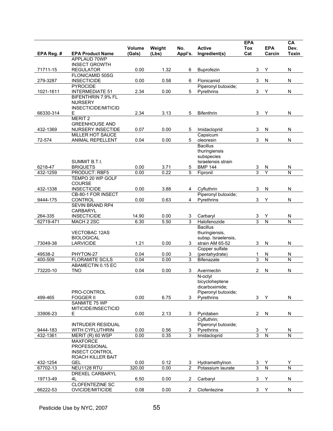|                      |                                                   | Volume        |                 | No.            | <b>Active</b>                     | <b>EPA</b><br><b>Tox</b>  | <b>EPA</b>                   | CA<br>Dev.                   |
|----------------------|---------------------------------------------------|---------------|-----------------|----------------|-----------------------------------|---------------------------|------------------------------|------------------------------|
| EPA Reg. #           | <b>EPA Product Name</b>                           | (Gals)        | Weight<br>(Lbs) | Appl's.        | Ingredient(s)                     | Cat                       | Carcin                       | Toxin                        |
|                      | APPLAUD 70WP                                      |               |                 |                |                                   |                           |                              |                              |
|                      | <b>INSECT GROWTH</b>                              |               |                 |                |                                   |                           |                              |                              |
| 71711-15             | <b>REGULATOR</b><br>FLONICAMID 50SG               | 0.00          | 1.32            | 6              | Buprofezin                        | 3                         | Y                            | N                            |
| 279-3287             | <b>INSECTICIDE</b>                                | 0.00          | 0.58            | 6              | Flonicamid                        | 3                         | N                            | N                            |
|                      | <b>PYROCIDE</b>                                   |               |                 |                | Piperonyl butoxide,               |                           |                              |                              |
| 1021-1611            | <b>INTERMEDIATE 51</b>                            | 2.34          | 0.00            | 5              | Pyrethrins                        | $\ensuremath{\mathsf{3}}$ | Υ                            | ${\sf N}$                    |
|                      | <b>BIFENTHRIN 7.9% FL</b><br><b>NURSERY</b>       |               |                 |                |                                   |                           |                              |                              |
|                      | INSECTICIDE/MITICID                               |               |                 |                |                                   |                           |                              |                              |
| 66330-314            | Ε                                                 | 2.34          | 3.13            | 5              | <b>Bifenthrin</b>                 | 3                         | Y                            | N                            |
|                      | MERIT <sub>2</sub>                                |               |                 |                |                                   |                           |                              |                              |
| 432-1369             | <b>GREENHOUSE AND</b><br><b>NURSERY INSECTIDE</b> | 0.07          | 0.00            |                |                                   | 3                         | N                            | N                            |
|                      | MILLER HOT SAUCE                                  |               |                 | 5              | Imidacloprid<br>Capsicum          |                           |                              |                              |
| 72-574               | ANIMAL REPELLENT                                  | 0.04          | 0.00            | 5              | oleoresin                         | 3                         | N                            | N                            |
|                      |                                                   |               |                 |                | <b>Bacillus</b>                   |                           |                              |                              |
|                      |                                                   |               |                 |                | thuringiensis                     |                           |                              |                              |
|                      | SUMMIT B.T.I.                                     |               |                 |                | subspecies<br>Israelensis strain  |                           |                              |                              |
| 6218-47              | <b>BRIQUETS</b>                                   | 0.00          | 3.71            | 5              | <b>BMP 144</b>                    | 3                         | N                            | N                            |
| 432-1259             | PRODUCT: RBF5                                     | 0.00          | 0.22            | 5              | Fipronil                          | 3                         | Ý                            | N                            |
|                      | TEMPO 20 WP GOLF                                  |               |                 |                |                                   |                           |                              |                              |
| 432-1338             | <b>COURSE</b><br><b>INSECTICIDE</b>               | 0.00          | 3.88            | 4              | Cvfluthrin                        | 3                         | N                            | N                            |
|                      | CB-80-1 FOR INSECT                                |               |                 |                | Piperonyl butoxide;               |                           |                              |                              |
| 9444-175             | <b>CONTROL</b>                                    | 0.00          | 0.63            | 4              | Pyrethrins                        | 3                         | Υ                            | N                            |
|                      | <b>SEVIN BRAND RP4</b>                            |               |                 |                |                                   |                           |                              |                              |
| 264-335              | <b>CARBARYL</b><br><b>INSECTICIDE</b>             |               | 0.00            |                |                                   |                           |                              |                              |
| 62719-471            | MACH 2 2SC                                        | 14.90<br>6.30 | 5.50            | 3<br>3         | Carbaryl<br>Halofenozide          | 3<br>3                    | Y<br>$\overline{\mathsf{N}}$ | N<br>N                       |
|                      |                                                   |               |                 |                | <b>Bacillus</b>                   |                           |                              |                              |
|                      | <b>VECTOBAC 12AS</b>                              |               |                 |                | thuringiensis,                    |                           |                              |                              |
|                      | <b>BIOLOGICAL</b>                                 |               |                 |                | subsp. Israelensis,               |                           |                              |                              |
| 73049-38             | <b>LARVICIDE</b>                                  | 1.21          | 0.00            | 3              | strain AM 65-52<br>Copper sulfate | 3                         | N                            | N                            |
| 49538-2              | PHYTON-27                                         | 0.04          | 0.00            | 3              | (pentahydrate)                    | 1                         | N                            | N                            |
| 400-509              | <b>FLORAMITE SC/LS</b>                            | 0.04          | 0.00            | 3              | <b>Bifenazate</b>                 | 3                         | $\mathsf{N}$                 | N                            |
|                      | ABAMECTIN 0.15 EC                                 |               |                 |                |                                   |                           |                              |                              |
| 73220-10             | <b>TNO</b>                                        | 0.04          | 0.00            | 3              | Avermectin<br>N-octyl             | $\overline{2}$            | N                            | N                            |
|                      |                                                   |               |                 |                | bicycloheptene                    |                           |                              |                              |
|                      |                                                   |               |                 |                | dicarboximide;                    |                           |                              |                              |
|                      | PRO-CONTROL                                       |               |                 |                | Piperonyl butoxide;               |                           |                              |                              |
| 499-465              | <b>FOGGER II</b><br>SANMITE 75 WP                 | 0.00          | 6.75            | 3              | Pyrethrins                        | 3                         | Y                            | ${\sf N}$                    |
|                      | MITICIDE/INSECTICID                               |               |                 |                |                                   |                           |                              |                              |
| 33906-23             | Е                                                 | 0.00          | 2.13            | 3              | Pyridaben                         | $\overline{c}$            | N                            | ${\sf N}$                    |
|                      |                                                   |               |                 |                | Cyfluthrin;                       |                           |                              |                              |
|                      | <b>INTRUDER RESIDUAL</b>                          |               |                 |                | Piperonyl butoxide;               |                           |                              |                              |
| 9444-183<br>432-1361 | <b>WITH CYFLUTHRIN</b><br>MERIT (R) 60 WSP        | 0.00<br>0.00  | 0.56<br>0.35    | 3<br>3         | Pyrethrins<br>Imidacloprid        | 3<br>$\overline{3}$       | Y<br>$\overline{N}$          | N<br>$\overline{\mathsf{N}}$ |
|                      | <b>MAXFORCE</b>                                   |               |                 |                |                                   |                           |                              |                              |
|                      | PROFESSIONAL                                      |               |                 |                |                                   |                           |                              |                              |
|                      | <b>INSECT CONTROL</b>                             |               |                 |                |                                   |                           |                              |                              |
| 432-1254             | ROACH KILLER BAIT<br><b>GEL</b>                   | 0.00          | 0.12            | 3              | Hydramethylnon                    |                           | Υ                            | Υ                            |
| 67702-13             | NEU1128 RTU                                       | 320.00        | 0.00            | $\overline{2}$ | Potassium laurate                 | $\overline{3}$            | $\overline{N}$               | N                            |
|                      | DREXEL CARBARYL                                   |               |                 |                |                                   |                           |                              |                              |
| 19713-49             | 4L                                                | 6.50          | 0.00            | 2              | Carbaryl                          | $\ensuremath{\mathsf{3}}$ | Υ                            | N                            |
|                      | <b>CLOFENTEZINE SC</b>                            |               |                 |                |                                   |                           |                              |                              |
| 66222-53             | OVICIDE/MITICIDE                                  | 0.08          | 0.00            | 2              | Clofentezine                      | 3                         | Y                            | N                            |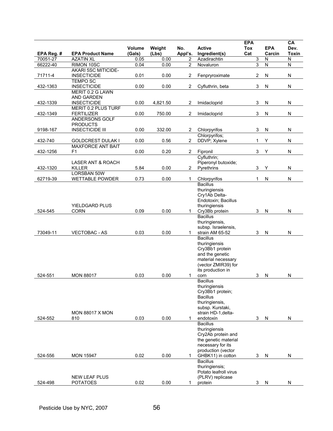|            |                                     |                  |                 |                | <b>Active</b>                         | <b>EPA</b> |                      | CA                   |
|------------|-------------------------------------|------------------|-----------------|----------------|---------------------------------------|------------|----------------------|----------------------|
| EPA Reg. # | <b>EPA Product Name</b>             | Volume<br>(Gals) | Weight<br>(Lbs) | No.<br>Appl's. | Ingredient(s)                         | Tox<br>Cat | <b>EPA</b><br>Carcin | Dev.<br><b>Toxin</b> |
| 70051-27   | <b>AZATIN XL</b>                    | 0.05             | 0.00            | 2              | Azadirachtin                          | 3          | N                    | N                    |
| 66222-40   | RIMON 10SC                          | 0.04             | 0.00            | $\overline{2}$ | Novaluron                             | 3          | $\overline{N}$       | Ñ                    |
|            | <b>AKARI 5SC MITICIDE-</b>          |                  |                 |                |                                       |            |                      |                      |
| 71711-4    | <b>INSECTICIDE</b>                  | 0.01             | 0.00            | $\overline{2}$ | Fenpryroximate                        | 2          | N                    | N                    |
|            | <b>TEMPO SC</b>                     |                  |                 |                |                                       |            |                      |                      |
| 432-1363   | <b>INSECTICIDE</b>                  | 0.00             | 0.00            | $\overline{2}$ | Cyfluthrin, beta                      | 3          | ${\sf N}$            | N                    |
|            | MERIT 0.2 G LAWN                    |                  |                 |                |                                       |            |                      |                      |
|            | <b>AND GARDEN</b>                   |                  |                 |                |                                       |            |                      |                      |
| 432-1339   | <b>INSECTICIDE</b>                  | 0.00             | 4,821.50        | 2              | Imidacloprid                          | 3          | N                    | N                    |
|            | <b>MERIT 0.2 PLUS TURF</b>          |                  |                 |                |                                       |            |                      |                      |
| 432-1349   | <b>FERTILIZER</b><br>ANDERSONS GOLF | 0.00             | 750.00          | 2              | Imidacloprid                          | 3          | N                    | ${\sf N}$            |
|            | <b>PRODUCTS</b>                     |                  |                 |                |                                       |            |                      |                      |
| 9198-167   | <b>INSECTICIDE III</b>              | 0.00             | 332.00          | 2              | Chlorpyrifos                          | 3          | N                    | N                    |
|            |                                     |                  |                 |                | Chlorpyrifos;                         |            |                      |                      |
| 432-740    | <b>GOLDCREST DULAK I</b>            | 0.00             | 0.56            | $\overline{2}$ | DDVP; Xylene                          | 1          | Υ                    | N                    |
|            | <b>MAXFORCE ANT BAIT</b>            |                  |                 |                |                                       |            |                      |                      |
| 432-1256   | F1                                  | 0.00             | 0.20            | $\overline{2}$ | Fipronil                              | 3          | Υ                    | N                    |
|            |                                     |                  |                 |                | Cyfluthrin;                           |            |                      |                      |
|            | <b>LASER ANT &amp; ROACH</b>        |                  |                 |                | Piperonyl butoxide;                   |            |                      |                      |
| 432-1320   | <b>KILLER</b>                       | 5.84             | 0.00            | $\overline{2}$ | Pyrethrins                            | 3          | Υ                    | N                    |
|            | <b>LORSBAN 50W</b>                  |                  |                 |                |                                       |            |                      |                      |
| 62719-39   | <b>WETTABLE POWDER</b>              | 0.73             | 0.00            | 1              | Chlorpyrifos                          | 1          | N                    | N                    |
|            |                                     |                  |                 |                | <b>Bacillus</b>                       |            |                      |                      |
|            |                                     |                  |                 |                | thuringiensis                         |            |                      |                      |
|            |                                     |                  |                 |                | Cry1Ab Delta-                         |            |                      |                      |
|            |                                     |                  |                 |                | Endotoxin; Bacillus                   |            |                      |                      |
|            | <b>YIELDGARD PLUS</b>               |                  |                 |                | thuringiensis                         |            |                      |                      |
| 524-545    | <b>CORN</b>                         | 0.09             | 0.00            | $\mathbf{1}$   | Cry3Bb protein                        | 3          | $\mathsf{N}$         | N                    |
|            |                                     |                  |                 |                | <b>Bacillus</b>                       |            |                      |                      |
|            |                                     |                  |                 |                | thuringiensis,<br>subsp. Israelensis, |            |                      |                      |
| 73049-11   | <b>VECTOBAC - AS</b>                | 0.03             | 0.00            | 1              | strain AM 65-52                       | 3          | N                    | N                    |
|            |                                     |                  |                 |                | <b>Bacillus</b>                       |            |                      |                      |
|            |                                     |                  |                 |                | thuringiensis                         |            |                      |                      |
|            |                                     |                  |                 |                | Cry3Bb1 protein                       |            |                      |                      |
|            |                                     |                  |                 |                | and the genetic                       |            |                      |                      |
|            |                                     |                  |                 |                | material necessary                    |            |                      |                      |
|            |                                     |                  |                 |                | (vector ZMIR39) for                   |            |                      |                      |
|            |                                     |                  |                 |                | its production in                     |            |                      |                      |
| 524-551    | <b>MON 88017</b>                    | 0.03             | 0.00            | 1              | corn                                  | 3          | N                    | N                    |
|            |                                     |                  |                 |                | <b>Bacillus</b>                       |            |                      |                      |
|            |                                     |                  |                 |                | thuringiensis                         |            |                      |                      |
|            |                                     |                  |                 |                | Cry3Bb1 protein;                      |            |                      |                      |
|            |                                     |                  |                 |                | <b>Bacillus</b>                       |            |                      |                      |
|            |                                     |                  |                 |                | thuringiensis,<br>subsp. Kurstaki,    |            |                      |                      |
|            | <b>MON 88017 X MON</b>              |                  |                 |                | strain HD-1, delta-                   |            |                      |                      |
| 524-552    | 810                                 | 0.03             | 0.00            | 1              | endotoxin                             | 3          | N                    | N                    |
|            |                                     |                  |                 |                | <b>Bacillus</b>                       |            |                      |                      |
|            |                                     |                  |                 |                | thuringiensis                         |            |                      |                      |
|            |                                     |                  |                 |                | Cry2Ab protein and                    |            |                      |                      |
|            |                                     |                  |                 |                | the genetic material                  |            |                      |                      |
|            |                                     |                  |                 |                | necessary for its                     |            |                      |                      |
|            |                                     |                  |                 |                | production (vector                    |            |                      |                      |
| 524-556    | <b>MON 15947</b>                    | 0.02             | 0.00            | 1              | GHBK11) in cotton                     | 3          | N                    | N                    |
|            |                                     |                  |                 |                | <b>Bacillus</b>                       |            |                      |                      |
|            |                                     |                  |                 |                | thuringiensis;                        |            |                      |                      |
|            |                                     |                  |                 |                | Potato leafroll virus                 |            |                      |                      |
|            | <b>NEW LEAF PLUS</b>                |                  |                 |                | (PLRV) replicase                      |            |                      |                      |
| 524-498    | <b>POTATOES</b>                     | 0.02             | 0.00            | 1              | protein                               | 3          | N                    | N                    |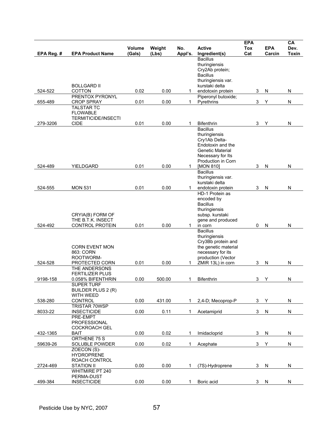|            |                                |                  |                 |                |                                         | <b>EPA</b>        |                      | CA                   |
|------------|--------------------------------|------------------|-----------------|----------------|-----------------------------------------|-------------------|----------------------|----------------------|
| EPA Reg. # | <b>EPA Product Name</b>        | Volume<br>(Gals) | Weight<br>(Lbs) | No.<br>Appl's. | <b>Active</b><br>Ingredient(s)          | <b>Tox</b><br>Cat | <b>EPA</b><br>Carcin | Dev.<br><b>Toxin</b> |
|            |                                |                  |                 |                | <b>Bacillus</b>                         |                   |                      |                      |
|            |                                |                  |                 |                | thuringiensis                           |                   |                      |                      |
|            |                                |                  |                 |                | Cry2Ab protein;                         |                   |                      |                      |
|            |                                |                  |                 |                | <b>Bacillus</b>                         |                   |                      |                      |
|            | <b>BOLLGARD II</b>             |                  |                 |                | thuringiensis var.<br>kurstaki delta    |                   |                      |                      |
| 524-522    | <b>COTTON</b>                  | 0.02             | 0.00            | 1              | endotoxin protein                       | 3                 | N                    | N                    |
|            | PRENTOX PYRONYL                |                  |                 |                | Piperonyl butoxide;                     |                   |                      |                      |
| 655-489    | <b>CROP SPRAY</b>              | 0.01             | 0.00            | $\mathbf{1}$   | Pyrethrins                              | 3                 | Υ                    | N                    |
|            | <b>TALSTAR TC</b>              |                  |                 |                |                                         |                   |                      |                      |
|            | <b>FLOWABLE</b>                |                  |                 |                |                                         |                   |                      |                      |
|            | <b>TERMITICIDE/INSECTI</b>     |                  |                 |                |                                         |                   |                      |                      |
| 279-3206   | CIDE                           | 0.01             | 0.00            | 1              | <b>Bifenthrin</b>                       | 3                 | Υ                    | N                    |
|            |                                |                  |                 |                | <b>Bacillus</b>                         |                   |                      |                      |
|            |                                |                  |                 |                | thuringiensis                           |                   |                      |                      |
|            |                                |                  |                 |                | Cry1Ab Delta-<br>Endotoxin and the      |                   |                      |                      |
|            |                                |                  |                 |                | <b>Genetic Material</b>                 |                   |                      |                      |
|            |                                |                  |                 |                | Necessary for Its                       |                   |                      |                      |
|            |                                |                  |                 |                | Production in Corn                      |                   |                      |                      |
| 524-489    | YIELDGARD                      | 0.01             | 0.00            | $\mathbf{1}$   | [MON 810]                               | 3                 | N                    | N                    |
|            |                                |                  |                 |                | <b>Bacillus</b>                         |                   |                      |                      |
|            |                                |                  |                 |                | thuringiensis var.                      |                   |                      |                      |
|            |                                |                  |                 |                | kurstaki delta                          |                   |                      |                      |
| 524-555    | <b>MON 531</b>                 | 0.01             | 0.00            | 1              | endotoxin protein                       | 3                 | N                    | N                    |
|            |                                |                  |                 |                | HD-1 Protein as                         |                   |                      |                      |
|            |                                |                  |                 |                | encoded by<br><b>Bacillus</b>           |                   |                      |                      |
|            |                                |                  |                 |                | thuringiensis                           |                   |                      |                      |
|            | CRYIA(B) FORM OF               |                  |                 |                | subsp. kurstaki                         |                   |                      |                      |
|            | THE B.T.K. INSECT              |                  |                 |                | gene and produced                       |                   |                      |                      |
| 524-492    | <b>CONTROL PROTEIN</b>         | 0.01             | 0.00            | 1              | in corn                                 | 0                 | N                    | N                    |
|            |                                |                  |                 |                | <b>Bacillus</b>                         |                   |                      |                      |
|            |                                |                  |                 |                | thuringiensis                           |                   |                      |                      |
|            |                                |                  |                 |                | Cry3Bb protein and                      |                   |                      |                      |
|            | <b>CORN EVENT MON</b>          |                  |                 |                | the genetic material                    |                   |                      |                      |
|            | 863: CORN                      |                  |                 |                | necessary for its                       |                   |                      |                      |
| 524-528    | ROOTWORM-<br>PROTECTED CORN    | 0.01             | 0.00            | 1              | production (Vector<br>ZMIR 13L) in corn | 3                 | N                    | N                    |
|            | THE ANDERSONS                  |                  |                 |                |                                         |                   |                      |                      |
|            | <b>FERTILIZER PLUS</b>         |                  |                 |                |                                         |                   |                      |                      |
| 9198-158   | 0.058% BIFENTHRIN              | 0.00             | 500.00          | 1              | <b>Bifenthrin</b>                       | 3                 | Y                    | N                    |
|            | <b>SUPER TURF</b>              |                  |                 |                |                                         |                   |                      |                      |
|            | BUILDER PLUS 2 (R)             |                  |                 |                |                                         |                   |                      |                      |
|            | WITH WEED                      |                  |                 |                |                                         |                   |                      |                      |
| 538-280    | <b>CONTROL</b>                 | 0.00             | 431.00          | 1              | 2.4-D: Mecoprop-P                       | 3                 | Y                    | N                    |
|            | TRISTAR 70WSP                  |                  |                 |                |                                         |                   |                      |                      |
| 8033-22    | <b>INSECTICIDE</b><br>PRE-EMPT | 0.00             | 0.11            | $\mathbf{1}$   | Acetamiprid                             | 3                 | N                    | N                    |
|            | <b>PROFESSIONAL</b>            |                  |                 |                |                                         |                   |                      |                      |
|            | <b>COCKROACH GEL</b>           |                  |                 |                |                                         |                   |                      |                      |
| 432-1365   | <b>BAIT</b>                    | 0.00             | 0.02            | 1              | Imidacloprid                            | 3                 | N                    | N                    |
|            | ORTHENE 75 S                   |                  |                 |                |                                         |                   |                      |                      |
| 59639-26   | SOLUBLE POWDER                 | 0.00             | 0.02            | $\mathbf{1}$   | Acephate                                | 3                 | Y                    | N                    |
|            | ZOECON (S)-                    |                  |                 |                |                                         |                   |                      |                      |
|            | <b>HYDROPRENE</b>              |                  |                 |                |                                         |                   |                      |                      |
|            | ROACH CONTROL                  |                  |                 |                |                                         |                   |                      |                      |
| 2724-469   | <b>STATION II</b>              | 0.00             | 0.00            | 1              | (7S)-Hydroprene                         | 3                 | N                    | N                    |
|            | <b>WHITMIRE PT 240</b>         |                  |                 |                |                                         |                   |                      |                      |
|            | PERMA-DUST                     |                  |                 |                |                                         |                   |                      |                      |
| 499-384    | <b>INSECTICIDE</b>             | 0.00             | 0.00            | 1              | Boric acid                              | 3                 | N                    | N                    |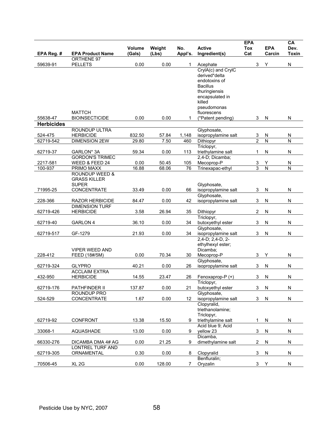|                   |                                                 | Volume | Weight | No.       | <b>Active</b>                           | <b>EPA</b><br><b>Tox</b> | <b>EPA</b>                   | CA<br>Dev. |
|-------------------|-------------------------------------------------|--------|--------|-----------|-----------------------------------------|--------------------------|------------------------------|------------|
| EPA Reg. #        | <b>EPA Product Name</b>                         | (Gals) | (Lbs)  | Appl's.   | Ingredient(s)                           | Cat                      | Carcin                       | Toxin      |
| 59639-91          | ORTHENE 97                                      | 0.00   | 0.00   | 1         |                                         | 3                        |                              | N          |
|                   | <b>PELLETS</b>                                  |        |        |           | Acephate<br>CrylA(c) and CrylC          |                          | Υ                            |            |
|                   |                                                 |        |        |           | derived*delta                           |                          |                              |            |
|                   |                                                 |        |        |           | endotoxins of                           |                          |                              |            |
|                   |                                                 |        |        |           | <b>Bacillus</b>                         |                          |                              |            |
|                   |                                                 |        |        |           | thuringiensis                           |                          |                              |            |
|                   |                                                 |        |        |           | encapsulated in                         |                          |                              |            |
|                   |                                                 |        |        |           | killed                                  |                          |                              |            |
|                   | <b>MATTCH</b>                                   |        |        |           | pseudomonas<br>fluorescens              |                          |                              |            |
| 55638-47          | <b>BIOINSECTICIDE</b>                           | 0.00   | 0.00   | 1         | (*Patent pending)                       | 3                        | N                            | ${\sf N}$  |
| <b>Herbicides</b> |                                                 |        |        |           |                                         |                          |                              |            |
|                   | ROUNDUP ULTRA                                   |        |        |           | Glyphosate,                             |                          |                              |            |
| 524-475           | <b>HERBICIDE</b>                                | 832.50 | 57.84  | 1,148     | isopropylamine salt                     | 3                        | N                            | N          |
| 62719-542         | <b>DIMENSION 2EW</b>                            | 29.80  | 7.50   | 460       | Dithiopyr                               | $\overline{2}$           | N                            | N          |
|                   |                                                 |        |        |           | Triclopyr,                              |                          |                              |            |
| 62719-37          | GARLON* 3A                                      | 59.34  | 0.00   | 113       | triethylamine salt                      | 1                        | N                            | N          |
| 2217-581          | <b>GORDON'S TRIMEC</b>                          | 0.00   | 50.45  |           | 2,4-D; Dicamba;<br>Mecoprop-P           |                          |                              |            |
| 100-937           | WEED & FEED 24<br>PRIMO MAXX                    | 16.88  | 68.06  | 105<br>76 | Trinexapac-ethyl                        | 3<br>3                   | Y<br>$\overline{\mathsf{N}}$ | N<br>N     |
|                   | <b>ROUNDUP WEED &amp;</b>                       |        |        |           |                                         |                          |                              |            |
|                   | <b>GRASS KILLER</b>                             |        |        |           |                                         |                          |                              |            |
|                   | <b>SUPER</b>                                    |        |        |           | Glyphosate,                             |                          |                              |            |
| 71995-25          | CONCENTRATE                                     | 33.49  | 0.00   | 66        | isopropylamine salt                     | 3                        | N                            | N          |
|                   |                                                 |        |        |           | Glyphosate,                             |                          |                              |            |
| 228-366           | <b>RAZOR HERBICIDE</b><br><b>DIMENSION TURF</b> | 84.47  | 0.00   | 42        | isopropylamine salt                     | 3                        | N                            | ${\sf N}$  |
| 62719-426         | <b>HERBICIDE</b>                                | 3.58   | 26.94  | 35        | Dithiopyr                               | $\overline{2}$           | N                            | N          |
|                   |                                                 |        |        |           | Triclopyr,                              |                          |                              |            |
| 62719-40          | <b>GARLON 4</b>                                 | 36.10  | 0.00   | 34        | butoxyethyl ester                       | 3                        | N                            | N          |
|                   |                                                 |        |        |           | Glyphosate,                             |                          |                              |            |
| 62719-517         | GF-1279                                         | 21.93  | 0.00   | 34        | isopropylamine salt                     | 3                        | N                            | N          |
|                   |                                                 |        |        |           | 2,4-D; 2,4-D, 2-                        |                          |                              |            |
|                   | <b>VIPER WEED AND</b>                           |        |        |           | ethylhexyl ester;<br>Dicamba;           |                          |                              |            |
| 228-412           | FEED (18#/5M)                                   | 0.00   | 70.34  | 30        | Mecoprop-P                              | 3                        | Y                            | N          |
|                   |                                                 |        |        |           | Glyphosate,                             |                          |                              |            |
| 62719-324         | <b>GLYPRO</b>                                   | 40.21  | 0.00   | 26        | isopropylamine salt                     | 3                        | N                            | N          |
|                   | <b>ACCLAIM EXTRA</b>                            |        |        |           |                                         |                          |                              |            |
| 432-950           | <b>HERBICIDE</b>                                | 14.55  | 23.47  | 26        | Fenoxaprop-P (+)                        | 3                        | N                            | ${\sf N}$  |
| 62719-176         | PATHFINDER II                                   | 137.87 | 0.00   | 21        | Triclopyr,<br>butoxyethyl ester         | 3                        | N                            | N          |
|                   | ROUNDUP PRO                                     |        |        |           | Glyphosate,                             |                          |                              |            |
| 524-529           | CONCENTRATE                                     | 1.67   | 0.00   | 12        | isopropylamine salt                     | 3                        | N                            | ${\sf N}$  |
|                   |                                                 |        |        |           | Clopyralid,                             |                          |                              |            |
|                   |                                                 |        |        |           | triethanolamine;                        |                          |                              |            |
|                   |                                                 |        |        |           | Triclopyr,                              |                          |                              |            |
| 62719-92          | CONFRONT                                        | 13.38  | 15.50  | 9         | triethylamine salt<br>Acid blue 9: Acid | 1                        | N                            | N          |
| 33068-1           | AQUASHADE                                       | 13.00  | 0.00   | 9         | yellow 23                               | 3                        | N                            | N          |
|                   |                                                 |        |        |           | Dicamba,                                |                          |                              |            |
| 66330-276         | DICAMBA DMA 4# AG                               | 0.00   | 21.25  | 9         | dimethylamine salt                      | 2                        | N                            | N          |
|                   | LONTREL TURF AND                                |        |        |           |                                         |                          |                              |            |
| 62719-305         | ORNAMENTAL                                      | 0.30   | 0.00   | 8         | Clopyralid                              | 3                        | N                            | N          |
| 70506-45          | XL <sub>2G</sub>                                | 0.00   | 128.00 | 7         | Benfluralin;<br>Oryzalin                | 3                        | Y                            | ${\sf N}$  |
|                   |                                                 |        |        |           |                                         |                          |                              |            |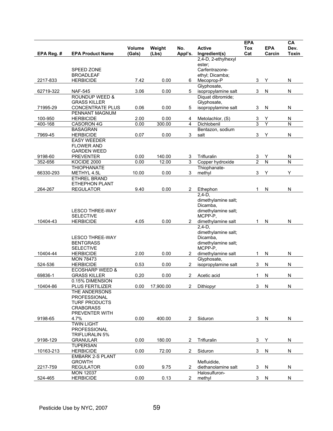| EPA Reg. # | <b>EPA Product Name</b>                    | Volume<br>(Gals) | Weight<br>(Lbs) | No.<br>Appl's. | <b>Active</b><br>Ingredient(s)       | <b>EPA</b><br>Tox<br>Cat | <b>EPA</b><br>Carcin    | CA<br>Dev.<br><b>Toxin</b> |
|------------|--------------------------------------------|------------------|-----------------|----------------|--------------------------------------|--------------------------|-------------------------|----------------------------|
|            |                                            |                  |                 |                | 2,4-D, 2-ethylhexyl                  |                          |                         |                            |
|            |                                            |                  |                 |                | ester;                               |                          |                         |                            |
|            | <b>SPEED ZONE</b>                          |                  |                 |                | Carfentrazone-                       |                          |                         |                            |
| 2217-833   | <b>BROADLEAF</b><br><b>HERBICIDE</b>       | 7.42             | 0.00            | 6              | ethyl, Dicamba;<br>Mecoprop-P        | 3                        | Υ                       | N                          |
|            |                                            |                  |                 |                | Glyphosate,                          |                          |                         |                            |
| 62719-322  | <b>NAF-545</b>                             | 3.06             | 0.00            | 5              | isopropylamine salt                  | 3                        | N                       | N                          |
|            | <b>ROUNDUP WEED &amp;</b>                  |                  |                 |                | Diquat dibromide;                    |                          |                         |                            |
|            | <b>GRASS KILLER</b>                        |                  |                 |                | Glyphosate,                          |                          |                         |                            |
| 71995-29   | <b>CONCENTRATE PLUS</b><br>PENNANT MAGNUM  | 0.06             | 0.00            | 5              | isopropylamine salt                  | 3                        | N                       | N                          |
| 100-950    | <b>HERBICIDE</b>                           | 2.00             | 0.00            | 4              | Metolachlor, (S)                     | 3                        | Y                       | N                          |
| 400-168    | CASORON 4G                                 | 0.00             | 300.00          | 4              | Dichlobenil                          | 3                        | Ý                       | N                          |
|            | <b>BASAGRAN</b>                            |                  |                 |                | Bentazon, sodium                     |                          |                         |                            |
| 7969-45    | <b>HERBICIDE</b>                           | 0.07             | 0.00            | 3              | salt                                 | 3                        | Υ                       | N                          |
|            | <b>EASY WEEDER</b>                         |                  |                 |                |                                      |                          |                         |                            |
|            | <b>FLOWER AND</b>                          |                  |                 |                |                                      |                          |                         |                            |
| 9198-60    | <b>GARDEN WEED</b><br><b>PREVENTER</b>     | 0.00             | 140.00          | 3              | Trifluralin                          | 3                        | Υ                       | N                          |
| 352-656    | KOCIDE 2000                                | 0.00             | 12.00           | 3              | Copper hydroxide                     | $\overline{2}$           | $\overline{\mathsf{N}}$ | N                          |
|            | <b>THIOPHANATE</b>                         |                  |                 |                | Thiophanate-                         |                          |                         |                            |
| 66330-293  | METHYL 4.5L                                | 10.00            | 0.00            | 3              | methyl                               | 3                        | Y                       | Y                          |
|            | <b>ETHREL BRAND</b>                        |                  |                 |                |                                      |                          |                         |                            |
|            | <b>ETHEPHON PLANT</b>                      |                  |                 |                |                                      |                          |                         |                            |
| 264-267    | <b>REGULATOR</b>                           | 9.40             | 0.00            | $\overline{2}$ | Ethephon                             | 1                        | N                       | N                          |
|            |                                            |                  |                 |                | $2,4-D,$                             |                          |                         |                            |
|            |                                            |                  |                 |                | dimethylamine salt;<br>Dicamba,      |                          |                         |                            |
|            | <b>LESCO THREE-WAY</b>                     |                  |                 |                | dimethylamine salt;                  |                          |                         |                            |
|            | <b>SELECTIVE</b>                           |                  |                 |                | MCPP-P.                              |                          |                         |                            |
| 10404-43   | <b>HERBICIDE</b>                           | 4.05             | 0.00            | 2              | dimethylamine salt                   | 1                        | ${\sf N}$               | N                          |
|            |                                            |                  |                 |                | $2,4-D,$                             |                          |                         |                            |
|            |                                            |                  |                 |                | dimethylamine salt;                  |                          |                         |                            |
|            | <b>LESCO THREE-WAY</b><br><b>BENTGRASS</b> |                  |                 |                | Dicamba,<br>dimethylamine salt;      |                          |                         |                            |
|            | <b>SELECTIVE</b>                           |                  |                 |                | MCPP-P,                              |                          |                         |                            |
| 10404-44   | <b>HERBICIDE</b>                           | 2.00             | 0.00            | $^{2}$         | dimethylamine salt                   | 1                        | N                       | N                          |
|            | <b>MON 78473</b>                           |                  |                 |                | Glyphosate,                          |                          |                         |                            |
| 524-536    | <b>HERBICIDE</b>                           | 0.53             | 0.00            | 2              | isopropylamine salt                  | 3                        | N                       | N                          |
|            | <b>ECOSHARP WEED &amp;</b>                 |                  |                 |                |                                      |                          |                         |                            |
| 69836-1    | <b>GRASS KILLER</b>                        | 0.20             | 0.00            | $\overline{2}$ | Acetic acid                          | 1                        | N                       | N                          |
| 10404-86   | 0.15% DIMENSION<br>PLUS FERTILIZER         | 0.00             | 17,900.00       | $\overline{2}$ | Dithiopyr                            | 3                        | ${\sf N}$               | N                          |
|            | THE ANDERSONS                              |                  |                 |                |                                      |                          |                         |                            |
|            | PROFESSIONAL                               |                  |                 |                |                                      |                          |                         |                            |
|            | <b>TURF PRODUCTS</b>                       |                  |                 |                |                                      |                          |                         |                            |
|            | <b>CRABGRASS</b>                           |                  |                 |                |                                      |                          |                         |                            |
|            | PREVENTER WITH                             |                  |                 |                |                                      |                          |                         |                            |
| 9198-65    | 4.7%<br><b>TWIN LIGHT</b>                  | 0.00             | 400.00          | $\overline{2}$ | Siduron                              | 3                        | N                       | N                          |
|            | <b>PROFESSIONAL</b>                        |                  |                 |                |                                      |                          |                         |                            |
|            | <b>TRIFLURALIN 5%</b>                      |                  |                 |                |                                      |                          |                         |                            |
| 9198-129   | <b>GRANULAR</b>                            | 0.00             | 180.00          | $\overline{2}$ | Trifluralin                          | 3                        | Υ                       | N                          |
|            | <b>TUPERSAN</b>                            |                  |                 |                |                                      |                          |                         |                            |
| 10163-213  | <b>HERBICIDE</b>                           | 0.00             | 72.00           | $\overline{2}$ | Siduron                              | 3                        | N                       | N                          |
|            | <b>EMBARK 2-S PLANT</b>                    |                  |                 |                |                                      |                          |                         |                            |
|            | <b>GROWTH</b>                              |                  |                 |                | Mefluidide,                          |                          |                         |                            |
| 2217-759   | <b>REGULATOR</b><br><b>MON 12037</b>       | 0.00             | 9.75            | 2              | diethanolamine salt<br>Halosulfuron- | 3                        | N                       | N                          |
| 524-465    | <b>HERBICIDE</b>                           | 0.00             | 0.13            | $\overline{2}$ | methyl                               | 3 <sup>1</sup>           | ${\sf N}$               | ${\sf N}$                  |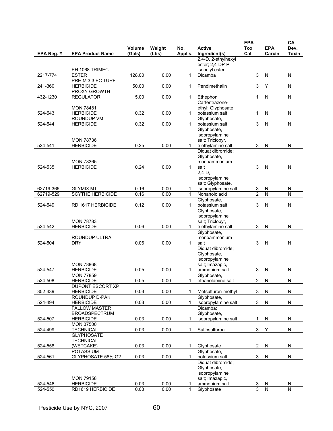|            |                                          | <b>Volume</b> | Weight | No.          | <b>Active</b>                            | <b>EPA</b><br><b>Tox</b> | <b>EPA</b>              | CA<br>Dev.   |
|------------|------------------------------------------|---------------|--------|--------------|------------------------------------------|--------------------------|-------------------------|--------------|
| EPA Reg. # | <b>EPA Product Name</b>                  | (Gals)        | (Lbs)  | Appl's.      | Ingredient(s)                            | Cat                      | Carcin                  | <b>Toxin</b> |
|            |                                          |               |        |              | 2,4-D, 2-ethylhexyl                      |                          |                         |              |
|            | EH 1068 TRIMEC                           |               |        |              | ester; 2,4-DP-P,<br>isooctyl ester;      |                          |                         |              |
| 2217-774   | <b>ESTER</b>                             | 128.00        | 0.00   | 1            | Dicamba                                  | 3                        | $\mathsf{N}$            | N            |
|            | PRE-M 3.3 EC TURF                        |               |        |              |                                          |                          |                         |              |
| 241-360    | <b>HERBICIDE</b><br>PROXY GROWTH         | 50.00         | 0.00   | 1            | Pendimethalin                            | 3                        | Υ                       | ${\sf N}$    |
| 432-1230   | <b>REGULATOR</b>                         | 5.00          | 0.00   | 1            | Ethephon                                 | 1                        | N                       | ${\sf N}$    |
|            |                                          |               |        |              | Carfentrazone-                           |                          |                         |              |
|            | <b>MON 78481</b><br><b>HERBICIDE</b>     |               |        |              | ethyl; Glyphosate,                       |                          |                         |              |
| 524-543    | ROUNDUP VM                               | 0.32          | 0.00   | 1            | potassium salt<br>Glyphosate.            | 1                        | N                       | N            |
| 524-544    | <b>HERBICIDE</b>                         | 0.32          | 0.00   | 1            | potassium salt                           | 3                        | N                       | ${\sf N}$    |
|            |                                          |               |        |              | Glyphosate,                              |                          |                         |              |
|            | <b>MON 78736</b>                         |               |        |              | isopropylamine<br>salt; Triclopyr,       |                          |                         |              |
| 524-541    | <b>HERBICIDE</b>                         | 0.25          | 0.00   | 1            | triethylamine salt                       | 3                        | $\mathsf{N}$            | N            |
|            |                                          |               |        |              | Diquat dibromide;                        |                          |                         |              |
|            | <b>MON 78365</b>                         |               |        |              | Glyphosate,                              |                          |                         |              |
| 524-535    | <b>HERBICIDE</b>                         | 0.24          | 0.00   | 1            | monoammonium<br>salt                     | 3                        | N                       | N            |
|            |                                          |               |        |              | $2,4-D,$                                 |                          |                         |              |
|            |                                          |               |        |              | isopropylamine                           |                          |                         |              |
| 62719-366  | <b>GLYMIX MT</b>                         | 0.16          | 0.00   | 1            | salt; Glyphosate,<br>isopropylamine salt | 3                        | N                       | N            |
| 62719-529  | <b>SCYTHE HERBICIDE</b>                  | 0.16          | 0.00   | $\mathbf{1}$ | Nonanoic acid                            | $\overline{2}$           | $\overline{\mathsf{N}}$ | Ñ            |
|            |                                          |               |        |              | Glyphosate,                              |                          |                         |              |
| 524-549    | RD 1617 HERBICIDE                        | 0.12          | 0.00   | 1            | potassium salt                           | 3                        | N                       | N            |
|            |                                          |               |        |              | Glyphosate,<br>isopropylamine            |                          |                         |              |
|            | <b>MON 78783</b>                         |               |        |              | salt; Triclopyr,                         |                          |                         |              |
| 524-542    | <b>HERBICIDE</b>                         | 0.06          | 0.00   | 1            | triethylamine salt                       | 3                        | N                       | N            |
|            | ROUNDUP ULTRA                            |               |        |              | Glyphosate,<br>monoammonium              |                          |                         |              |
| 524-504    | <b>DRY</b>                               | 0.06          | 0.00   | 1            | salt                                     | 3                        | N                       | N            |
|            |                                          |               |        |              | Diquat dibromide;                        |                          |                         |              |
|            |                                          |               |        |              | Glyphosate,<br>isopropylamine            |                          |                         |              |
|            | <b>MON 78868</b>                         |               |        |              | salt; Imazapic,                          |                          |                         |              |
| 524-547    | <b>HERBICIDE</b>                         | 0.05          | 0.00   | $\mathbf{1}$ | ammonium salt                            | 3                        | N                       | ${\sf N}$    |
|            | <b>MON 77859</b>                         |               |        |              | Glyphosate,                              |                          |                         |              |
| 524-508    | <b>HERBICIDE</b><br>DUPONT ESCORT XP     | 0.05          | 0.00   | 1            | ethanolamine salt                        | 2                        | N                       | N            |
| 352-439    | <b>HERBICIDE</b>                         | 0.03          | 0.00   | 1            | Metsulfuron-methyl                       | 3                        | N                       | N            |
|            | ROUNDUP D-PAK                            |               |        |              | Glyphosate,                              |                          |                         |              |
| 524-494    | <b>HERBICIDE</b><br><b>FALLOW MASTER</b> | 0.03          | 0.00   | $\mathbf{1}$ | isopropylamine salt<br>Dicamba:          | 3                        | ${\sf N}$               | ${\sf N}$    |
|            | <b>BROADSPECTRUM</b>                     |               |        |              | Glyphosate,                              |                          |                         |              |
| 524-507    | <b>HERBICIDE</b>                         | 0.03          | 0.00   | $\mathbf{1}$ | isopropylamine salt                      | 1                        | N                       | N            |
|            | <b>MON 37500</b>                         |               |        |              |                                          |                          |                         |              |
| 524-499    | <b>TECHNICAL</b><br><b>GLYPHOSATE</b>    | 0.03          | 0.00   | 1            | Sulfosulfuron                            | 3                        | Υ                       | ${\sf N}$    |
|            | <b>TECHNICAL</b>                         |               |        |              |                                          |                          |                         |              |
| 524-558    | (WETCAKE)                                | 0.03          | 0.00   | 1            | Glyphosate                               | 2                        | N                       | N            |
|            | <b>POTASSIUM</b>                         | 0.03          | 0.00   | $\mathbf{1}$ | Glyphosate,                              |                          |                         | N            |
| 524-561    | GLYPHOSATE 58% G2                        |               |        |              | potassium salt<br>Diquat dibromide;      | 3                        | N                       |              |
|            |                                          |               |        |              | Glyphosate,                              |                          |                         |              |
|            |                                          |               |        |              | isopropylamine                           |                          |                         |              |
| 524-546    | <b>MON 79158</b><br><b>HERBICIDE</b>     | 0.03          | 0.00   | 1            | salt; Imazapic,<br>ammonium salt         | 3                        |                         | N            |
| 524-550    | RD1619 HERBICIDE                         | 0.03          | 0.00   | $\mathbf{1}$ | Glyphosate                               | 3                        | $\frac{N}{N}$           | ${\sf N}$    |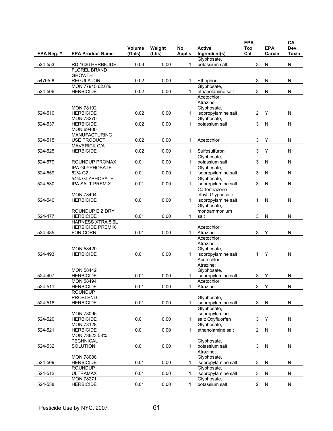|            |                                              | <b>Volume</b> | Weight | No.          | <b>Active</b>                             | <b>EPA</b><br>Tox       | <b>EPA</b> | CA<br>Dev.   |
|------------|----------------------------------------------|---------------|--------|--------------|-------------------------------------------|-------------------------|------------|--------------|
| EPA Reg. # | <b>EPA Product Name</b>                      | (Gals)        | (Lbs)  | Appl's.      | Ingredient(s)                             | Cat                     | Carcin     | <b>Toxin</b> |
|            |                                              |               |        |              | Glyphosate,                               |                         |            |              |
| 524-553    | RD 1626 HERBICIDE<br><b>FLOREL BRAND</b>     | 0.03          | 0.00   | 1            | potassium salt                            | 3                       | N          | ${\sf N}$    |
|            | <b>GROWTH</b>                                |               |        |              |                                           |                         |            |              |
| 54705-8    | <b>REGULATOR</b>                             | 0.02          | 0.00   | 1            | Ethephon                                  | 3                       | ${\sf N}$  | N            |
| 524-506    | MON 77945 62.6%<br><b>HERBICIDE</b>          | 0.02          | 0.00   | 1            | Glyphosate,<br>ethanolamine salt          | 3                       | N          | N            |
|            |                                              |               |        |              | Acetochlor;                               |                         |            |              |
|            |                                              |               |        |              | Atrazine;                                 |                         |            |              |
|            | <b>MON 78102</b>                             |               |        |              | Glyphosate,                               |                         |            |              |
| 524-510    | <b>HERBICIDE</b><br><b>MON 78270</b>         | 0.02          | 0.00   | 1            | isopropylamine salt<br>Glyphosate,        | 2                       | Y          | N            |
| 524-537    | <b>HERBICIDE</b>                             | 0.02          | 0.00   | 1            | potassium salt                            | 3                       | N          | ${\sf N}$    |
|            | <b>MON 69400</b>                             |               |        |              |                                           |                         |            |              |
|            | <b>MANUFACTURING</b>                         |               |        |              |                                           |                         |            |              |
| 524-515    | USE PRODUCT<br><b>MAVERICK C/A</b>           | 0.02          | 0.00   | 1            | Acetochlor                                | 3                       | Υ          | ${\sf N}$    |
| 524-525    | <b>HERBICIDE</b>                             | 0.02          | 0.00   | 1            | Sulfosulfuron                             | 3                       | Υ          | ${\sf N}$    |
|            |                                              |               |        |              | Glyphosate,                               |                         |            |              |
| 524-579    | ROUNDUP PROMAX                               | 0.01          | 0.00   | 1            | potassium salt                            | 3                       | N          | N            |
| 524-559    | <b>IPA GLYPHOSATE</b><br>62% G2              | 0.01          | 0.00   | 1            | Glyphosate,<br>isopropylamine salt        | 3                       | N          | N            |
|            | 54% GLYPHOSATE                               |               |        |              | Glyphosate,                               |                         |            |              |
| 524-530    | <b>IPA SALT PREMIX</b>                       | 0.01          | 0.00   | $\mathbf{1}$ | isopropylamine salt                       | 3                       | N          | N            |
|            |                                              |               |        |              | Carfentrazone-                            |                         |            |              |
| 524-540    | <b>MON 78404</b><br><b>HERBICIDE</b>         | 0.01          | 0.00   | 1.           | ethyl; Glyphosate,<br>isopropylamine salt | 1                       | N          | N            |
|            |                                              |               |        |              | Glyphosate,                               |                         |            |              |
|            | ROUNDUP E Z DRY                              |               |        |              | monoammonium                              |                         |            |              |
| 524-477    | <b>HERBICIDE</b><br><b>HARNESS XTRA 5.6L</b> | 0.01          | 0.00   | 1            | salt                                      | 3                       | N          | N            |
|            | <b>HERBICIDE PREMIX</b>                      |               |        |              | Acetochlor;                               |                         |            |              |
| 524-485    | FOR CORN                                     | 0.01          | 0.00   | 1            | Atrazine                                  | 3                       | Y          | N            |
|            |                                              |               |        |              | Acetochlor;                               |                         |            |              |
|            | <b>MON 58420</b>                             |               |        |              | Atrazine:<br>Glyphosate,                  |                         |            |              |
| 524-493    | <b>HERBICIDE</b>                             | 0.01          | 0.00   | 1            | isopropylamine salt                       | $\mathbf{1}$            | Υ          | N            |
|            |                                              |               |        |              | Acetochlor:                               |                         |            |              |
|            | <b>MON 58442</b>                             |               |        |              | Atrazine;<br>Glyphosate,                  |                         |            |              |
| 524-497    | <b>HERBICIDE</b>                             | 0.01          | 0.00   | 1            | isopropylamine salt                       | 3                       | Y          | N            |
|            | <b>MON 58494</b>                             |               |        |              | Acetochlor:                               |                         |            |              |
| 524-511    | <b>HERBICIDE</b>                             | 0.01          | 0.00   | 1            | Atrazine                                  | 3                       | Y          | ${\sf N}$    |
|            | <b>ROUNDUP</b><br><b>PROBLEND</b>            |               |        |              | Glyphosate,                               |                         |            |              |
| 524-518    | <b>HERBICIDE</b>                             | 0.01          | 0.00   | 1            | isopropylamine salt                       | 3                       | N          | N            |
|            |                                              |               |        |              | Glyphosate,                               |                         |            |              |
|            | <b>MON 78095</b>                             |               |        |              | isopropylamine                            |                         |            |              |
| 524-520    | <b>HERBICIDE</b><br><b>MON 78128</b>         | 0.01          | 0.00   | 1            | salt; Oxyfluorfen<br>Glyphosate,          | 3                       | Υ          | N            |
| 524-521    | <b>HERBICIDE</b>                             | 0.01          | 0.00   | 1            | ethanolamine salt                         | $\overline{\mathbf{c}}$ | N          | ${\sf N}$    |
|            | MON 78623 58%                                |               |        |              |                                           |                         |            |              |
|            | <b>TECHNICAL</b>                             |               |        |              | Glyphosate,                               |                         |            |              |
| 524-532    | SOLUTION                                     | 0.01          | 0.00   | $\mathbf{1}$ | potassium salt<br>Atrazine:               | 3                       | N          | N            |
|            | <b>MON 78088</b>                             |               |        |              | Glyphosate,                               |                         |            |              |
| 524-509    | <b>HERBICIDE</b>                             | 0.01          | 0.00   | 1            | isopropylamine salt                       | 3                       | ${\sf N}$  | N            |
|            | <b>ROUNDUP</b>                               |               |        |              | Glyphosate,                               |                         |            |              |
| 524-512    | <b>ULTRAMAX</b><br><b>MON 78271</b>          | 0.01          | 0.00   | 1            | isopropylamine salt<br>Glyphosate,        | 3                       | N          | N            |
| 524-538    | <b>HERBICIDE</b>                             | 0.01          | 0.00   | 1            | potassium salt                            | 2                       | N          | N            |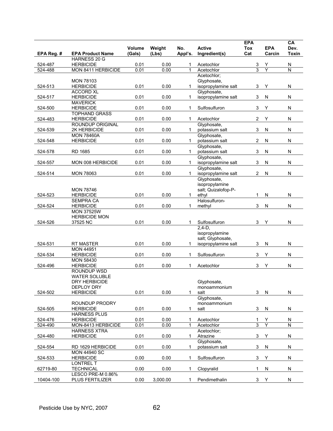| No.<br><b>Active</b><br>Volume<br>Weight<br><b>Tox</b>                                   | <b>EPA</b><br>Dev.     |
|------------------------------------------------------------------------------------------|------------------------|
| <b>EPA Product Name</b><br>(Lbs)<br>Appl's.<br>Ingredient(s)<br>Cat<br>(Gals)            | Carcin<br><b>Toxin</b> |
| EPA Reg. #<br>HARNESS 20 G                                                               |                        |
| 524-487<br><b>HERBICIDE</b><br>0.01<br>0.00<br>Acetochlor<br>3<br>1                      | Υ<br>N                 |
| $\overline{3}$<br>MON 8411 HERBICIDE<br>524-488<br>0.01<br>0.00<br>1<br>Acetochlor       | Y<br>N                 |
| Acetochlor;                                                                              |                        |
| <b>MON 78103</b><br>Glyphosate,                                                          |                        |
| 0.01<br>524-513<br><b>HERBICIDE</b><br>0.00<br>isopropylamine salt<br>3<br>1             | Υ<br>N                 |
| Glyphosate,<br><b>ACCORD XL</b>                                                          |                        |
| 0.01<br>3<br><b>HERBICIDE</b><br>0.00<br>isopropylamine salt<br>524-517<br>$\mathbf{1}$  | N<br>N                 |
| <b>MAVERICK</b>                                                                          |                        |
| 3<br><b>HERBICIDE</b><br>0.01<br>0.00<br>Sulfosulfuron<br>524-500<br>1                   | Υ<br>N                 |
| <b>TOPHAND GRASS</b><br>0.01<br>0.00<br>Acetochlor                                       | ${\sf N}$<br>Υ         |
| 524-483<br><b>HERBICIDE</b><br>2<br>1<br><b>ROUNDUP ORIGINAL</b><br>Glyphosate,          |                        |
| 0.01<br>3<br>524-539<br>2K HERBICIDE<br>0.00<br>$\mathbf{1}$<br>potassium salt           | N<br>N                 |
| <b>MON 78460A</b><br>Glyphosate,                                                         |                        |
| 2<br>524-548<br><b>HERBICIDE</b><br>0.01<br>0.00<br>potassium salt<br>1                  | N<br>N                 |
| Glyphosate,                                                                              |                        |
| 0.01<br>3<br>524-578<br>RD 1685<br>0.00<br>$\mathbf{1}$<br>potassium salt                | ${\sf N}$<br>N         |
| Glyphosate,                                                                              |                        |
| 0.01<br>3<br>524-557<br>MON 008 HERBICIDE<br>0.00<br>$\mathbf{1}$<br>isopropylamine salt | N<br>N                 |
| Glyphosate,                                                                              |                        |
| 524-514<br><b>MON 78063</b><br>0.01<br>0.00<br>isopropylamine salt<br>2<br>1             | N<br>N                 |
| Glyphosate,                                                                              |                        |
| isopropylamine                                                                           |                        |
| salt; Quizalofop-P-<br><b>MON 78746</b>                                                  |                        |
| 0.01<br>0.00<br>524-523<br><b>HERBICIDE</b><br>1<br>ethyl<br>1                           | N<br>N                 |
| <b>SEMPRA CA</b><br>Halosulfuron-<br>3                                                   | N                      |
| 524-524<br><b>HERBICIDE</b><br>0.01<br>0.00<br>methyl<br>1<br><b>MON 37525W</b>          | N                      |
| <b>HERBICIDE MON</b>                                                                     |                        |
| 0.01<br>0.00<br>3<br>524-526<br>37525 NC<br>Sulfosulfuron<br>1                           | Y<br>N                 |
| $2,4-D,$                                                                                 |                        |
| isopropylamine                                                                           |                        |
| salt; Glyphosate,                                                                        |                        |
| 0.01<br>524-531<br>RT MASTER<br>0.00<br>3<br>1<br>isopropylamine salt                    | N<br>N                 |
| <b>MON 44951</b>                                                                         |                        |
| 0.01<br>0.00<br>3<br>524-534<br><b>HERBICIDE</b><br>Sulfosulfuron<br>1                   | Y<br>${\sf N}$         |
| <b>MON 58430</b>                                                                         |                        |
| 524-496<br><b>HERBICIDE</b><br>0.01<br>0.00<br>Acetochlor<br>3<br>1                      | Υ<br>N                 |
| ROUNDUP WSD                                                                              |                        |
| <b>WATER SOLUBLE</b><br>Glyphosate,                                                      |                        |
| DRY HERBICIDE<br><b>DEPLOY DRY</b><br>monoammonium                                       |                        |
| 0.01<br>0.00<br>524-502<br><b>HERBICIDE</b><br>3<br>1<br>salt                            | N<br>N                 |
| Glyphosate,                                                                              |                        |
| ROUNDUP PRODRY<br>monoammonium                                                           |                        |
| <b>HERBICIDE</b><br>0.01<br>0.00<br>3<br>524-505<br>1<br>salt                            | N<br>N                 |
| <b>HARNESS PLUS</b>                                                                      |                        |
| 524-476<br><b>HERBICIDE</b><br>0.01<br>0.00<br>Acetochlor<br>1<br>1                      | Y<br>N                 |
| 3<br>MON-8413 HERBICIDE<br>0.01<br>0.00<br>524-490<br>1<br>Acetochlor                    | Y<br>N                 |
| <b>HARNESS XTRA</b><br>Acetochlor;                                                       |                        |
| 524-480<br><b>HERBICIDE</b><br>0.01<br>0.00<br>3<br>1<br>Atrazine                        | Y<br>N                 |
| Glyphosate,                                                                              |                        |
| 0.01<br>0.00<br>potassium salt<br>3<br>524-554<br>RD 1629 HERBICIDE<br>1                 | N<br>N                 |
| <b>MON 44940 SC</b>                                                                      |                        |
| 524-533<br><b>HERBICIDE</b><br>0.00<br>0.00<br>Sulfosulfuron<br>3<br>$\mathbf{1}$        | Υ<br>N                 |
| LONTREL T<br>0.00<br>1                                                                   | N<br>N                 |
| 62719-80<br><b>TECHNICAL</b><br>0.00<br>Clopyralid<br>1<br>LESCO PRE-M 0.86%             |                        |
| 10404-100<br>0.00<br>3,000.00<br>Pendimethalin<br>3<br><b>PLUS FERTILIZER</b><br>1       | Y<br>N                 |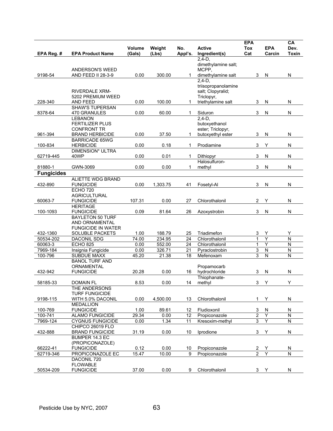|                      |                                                 | Volume        | Weight             | No.      | <b>Active</b>                    | <b>EPA</b><br><b>Tox</b> | <b>EPA</b>              | CA<br>Dev.              |
|----------------------|-------------------------------------------------|---------------|--------------------|----------|----------------------------------|--------------------------|-------------------------|-------------------------|
| EPA Reg. #           | <b>EPA Product Name</b>                         | (Gals)        | (Lbs)              | Appl's.  | Ingredient(s)                    | Cat                      | Carcin                  | Toxin                   |
|                      |                                                 |               |                    |          | $2,4-D,$<br>dimethylamine salt;  |                          |                         |                         |
|                      | <b>ANDERSON'S WEED</b>                          |               |                    |          | MCPP.                            |                          |                         |                         |
| 9198-54              | AND FEED II 28-3-9                              | 0.00          | 300.00             | 1        | dimethylamine salt               | 3                        | N                       | N                       |
|                      |                                                 |               |                    |          | $2,4-D,$<br>triisopropanolamine  |                          |                         |                         |
|                      | <b>RIVERDALE XRM-</b>                           |               |                    |          | salt; Clopyralid;                |                          |                         |                         |
|                      | 5202 PREMIUM WEED                               |               |                    |          | Triclopyr,                       |                          |                         |                         |
| 228-340              | <b>AND FEED</b>                                 | 0.00          | 100.00             | 1        | triethylamine salt               | 3                        | N                       | N                       |
| 8378-64              | <b>SHAW'S TUPERSAN</b><br>470 GRANULES          | 0.00          | 60.00              | 1        | Siduron                          | 3                        | N                       | ${\sf N}$               |
|                      | <b>LEBANON</b>                                  |               |                    |          | $2,4-D,$                         |                          |                         |                         |
|                      | <b>FERTILIZER PLUS</b>                          |               |                    |          | butoxyethanol                    |                          |                         |                         |
|                      | <b>CONFRONT TR</b>                              |               |                    |          | ester; Triclopyr,                |                          |                         |                         |
| 961-394              | <b>BRAND HERBICIDE</b><br><b>BARRICADE 65WG</b> | 0.00          | 37.50              | 1        | butoxyethyl ester                | 3                        | N                       | N                       |
| 100-834              | <b>HERBICIDE</b>                                | 0.00          | 0.18               | 1        | Prodiamine                       | 3                        | Υ                       | ${\sf N}$               |
|                      | <b>DIMENSION* ULTRA</b>                         |               |                    |          |                                  |                          |                         |                         |
| 62719-445            | 40WP                                            | 0.00          | 0.01               | 1        | Dithiopyr                        | 3                        | N                       | N                       |
|                      |                                                 |               |                    |          | Halosulfuron-                    |                          |                         |                         |
| 81880-1              | GWN-3069                                        | 0.00          | 0.00               | 1        | methyl                           | 3                        | N                       | N                       |
| <b>Fungicides</b>    | ALIETTE WDG BRAND                               |               |                    |          |                                  |                          |                         |                         |
| 432-890              | <b>FUNGICIDE</b>                                | 0.00          | 1,303.75           | 41       | Fosetyl-Al                       | 3                        | $\mathsf{N}$            | N                       |
|                      | <b>ECHO 720</b>                                 |               |                    |          |                                  |                          |                         |                         |
|                      | <b>AGRICULTURAL</b>                             |               |                    |          |                                  |                          |                         |                         |
| 60063-7              | <b>FUNGICIDE</b>                                | 107.31        | 0.00               | 27       | Chlorothalonil                   | $\overline{2}$           | Υ                       | N                       |
| 100-1093             | <b>HERITAGE</b><br><b>FUNGICIDE</b>             | 0.09          | 81.64              | 26       | Azoxystrobin                     | 3                        | N                       | N                       |
|                      | <b>BAYLETON 50 TURF</b>                         |               |                    |          |                                  |                          |                         |                         |
|                      | AND ORNAMENTAL                                  |               |                    |          |                                  |                          |                         |                         |
|                      | <b>FUNGICIDE IN WATER</b>                       |               |                    |          |                                  |                          |                         |                         |
| 432-1360             | <b>SOLUBLE PACKETS</b>                          | 1.00          | 188.79             | 25       | Triadimefon                      | 3<br>1                   | Y<br>Ÿ                  | Y<br>N                  |
| 50534-202<br>60063-3 | DACONIL SDG<br><b>ECHO 825</b>                  | 74.00<br>0.00 | 234.95<br>552.00   | 24<br>24 | Chlorothalonil<br>Chlorothalonil | 1                        | Υ                       | ${\sf N}$               |
| 7969-184             | Insignia Fungicide                              | 0.00          | 326.71             | 21       | Pyraclostrobin                   | 3                        | $\overline{\mathsf{N}}$ | $\overline{N}$          |
| 100-796              | <b>SUBDUE MAXX</b>                              | 45.20         | 21.38              | 18       | Mefenoxam                        | $\overline{3}$           | $\mathsf{N}$            | N                       |
|                      | <b>BANOL TURF AND</b>                           |               |                    |          |                                  |                          |                         |                         |
|                      | ORNAMENTAL                                      |               |                    |          | Propamocarb                      |                          |                         |                         |
| 432-942              | <b>FUNGICIDE</b>                                | 20.28         | 0.00               | 16       | hydrochloride<br>Thiophanate-    | 3                        | N                       | N                       |
| 58185-33             | <b>DOMAIN FL</b>                                | 8.53          | 0.00               | 14       | methyl                           | 3 <sup>1</sup>           | Y                       | Y                       |
|                      | THE ANDERSONS                                   |               |                    |          |                                  |                          |                         |                         |
|                      | <b>TURF FUNGICIDE</b>                           |               |                    |          |                                  |                          |                         |                         |
| 9198-115             | WITH 5.0% DACONIL                               | 0.00          | 4,500.00           | 13       | Chlorothalonil                   | $\mathbf{1}$             | Y                       | N                       |
| 100-769              | <b>MEDALLION</b><br><b>FUNGICIDE</b>            | 1.00          | 89.61              | 12       | Fludioxonil                      | 3                        | N                       | N                       |
| 100-741              | <b>ALAMO FUNGICIDE</b>                          | 29.34         | 0.00               | 12       | Propiconazole                    | $\overline{2}$           | Ÿ                       | $\overline{\mathsf{N}}$ |
| 7969-124             | <b>CYGNUS FUNGICIDE</b>                         | 0.00          | 1.34               | 11       | Kresoxim-methyl                  | $\overline{3}$           | Υ                       | ${\sf N}$               |
|                      | CHIPCO 26019 FLO                                |               |                    |          |                                  |                          |                         |                         |
| 432-888              | <b>BRAND FUNGICIDE</b>                          | 31.19         | 0.00               | 10       | Iprodione                        | 3                        | Υ                       | N                       |
|                      | BUMPER 14.3 EC<br>(PROPICONAZOLE)               |               |                    |          |                                  |                          |                         |                         |
| 66222-41             | <b>FUNGICIDE</b>                                | 0.12          | 0.00               | 10       | Propiconazole                    | 2                        | Y                       | N                       |
| 62719-346            | PROPICONAZOLE EC                                | 15.47         | $\overline{10.00}$ | 9        | Propiconazole                    | $\overline{2}$           | Ÿ                       | ${\sf N}$               |
|                      | DACONIL 720                                     |               |                    |          |                                  |                          |                         |                         |
|                      | <b>FLOWABLE</b>                                 |               |                    |          |                                  |                          |                         |                         |
| 50534-209            | <b>FUNGICIDE</b>                                | 37.00         | 0.00               | 9        | Chlorothalonil                   |                          | 3 Y                     | N                       |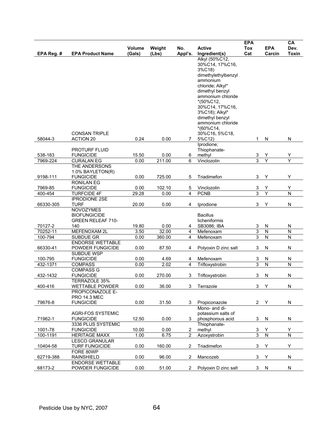|                     |                                         |              |                      |                |                              | <b>EPA</b>     |                              | CA                           |
|---------------------|-----------------------------------------|--------------|----------------------|----------------|------------------------------|----------------|------------------------------|------------------------------|
|                     |                                         | Volume       | Weight               | No.            | <b>Active</b>                | Tox            | <b>EPA</b>                   | Dev.                         |
| EPA Reg. #          | <b>EPA Product Name</b>                 | (Gals)       | (Lbs)                | Appl's.        | Ingredient(s)                | Cat            | Carcin                       | Toxin                        |
|                     |                                         |              |                      |                | Alkyl (50%C12,               |                |                              |                              |
|                     |                                         |              |                      |                | 30%C14, 17%C16,              |                |                              |                              |
|                     |                                         |              |                      |                | 3%C18)                       |                |                              |                              |
|                     |                                         |              |                      |                | dimethylethylbenzyl          |                |                              |                              |
|                     |                                         |              |                      |                | ammonium                     |                |                              |                              |
|                     |                                         |              |                      |                | chloride; Alkyl*             |                |                              |                              |
|                     |                                         |              |                      |                | dimethyl benzyl              |                |                              |                              |
|                     |                                         |              |                      |                | ammonium chloride            |                |                              |                              |
|                     |                                         |              |                      |                | *(50%C12,                    |                |                              |                              |
|                     |                                         |              |                      |                | 30%C14, 17%C16,              |                |                              |                              |
|                     |                                         |              |                      |                | 3%C18); Alkyl*               |                |                              |                              |
|                     |                                         |              |                      |                | dimethyl benzyl              |                |                              |                              |
|                     |                                         |              |                      |                | ammonium chloride            |                |                              |                              |
|                     |                                         |              |                      |                | *(60%C14,                    |                |                              |                              |
|                     | <b>CONSAN TRIPLE</b>                    |              |                      |                | 30%C16, 5%C18,               |                |                              |                              |
| 58044-3             | <b>ACTION 20</b>                        | 0.24         | 0.00                 | $7^{\circ}$    | 5%C12)                       | $\mathbf{1}$   | N                            | N                            |
|                     |                                         |              |                      |                | Iprodione;                   |                |                              |                              |
|                     | <b>PROTURF FLUID</b>                    |              |                      |                | Thiophanate-                 |                |                              |                              |
| 538-183             | <b>FUNGICIDE</b>                        | 15.50        | 0.00                 | 6              | methyl                       | 3              | Y                            | Y                            |
| 7969-224            | <b>CURALAN EG</b>                       | 0.00         | $\overline{211}$ .00 | 6              | Vinclozolin                  | $\overline{3}$ | Y                            | Y                            |
|                     | THE ANDERSONS                           |              |                      |                |                              |                |                              |                              |
|                     | 1.0% BAYLETON(R)                        |              |                      |                |                              |                |                              |                              |
| 9198-111            | <b>FUNGICIDE</b>                        | 0.00         | 725.00               | 5              | Triadimefon                  | 3              | Y                            | Y                            |
|                     | <b>RONILAN EG</b>                       |              |                      |                |                              |                |                              |                              |
| 7969-85             | <b>FUNGICIDE</b>                        | 0.00         | 102.10               | 5              | Vinclozolin                  | 3              | Y                            | Υ                            |
| 400-454             | <b>TURFCIDE 4F</b>                      | 29.28        | 0.00                 | 4              | <b>PCNB</b>                  | 3              | Ÿ                            | N                            |
|                     | <b>IPRODIONE 2SE</b>                    |              |                      |                |                              |                |                              |                              |
| 66330-305           | <b>TURF</b>                             | 20.00        | 0.00                 | 4              | Iprodione                    | 3              | Υ                            | N                            |
|                     | <b>NOVOZYMES</b><br><b>BIOFUNGICIDE</b> |              |                      |                | <b>Bacillus</b>              |                |                              |                              |
|                     | <b>GREEN RELEAF 710-</b>                |              |                      |                | licheniformis                |                |                              |                              |
| 70127-2             | 140                                     | 19.80        | 0.00                 | 4              | SB3086; IBA                  | 3              | N                            | N                            |
| 70252-11            | MEFENOXAM 2L                            | 3.50         | 32.00                | 4              | Mefenoxam                    | 3              | N                            | ${\sf N}$                    |
| 100-794             | SUBDUE GR                               | 0.00         | 360.00               | 4              | Mefenoxam                    | 3              | N                            | ${\sf N}$                    |
|                     | <b>ENDORSE WETTABLE</b>                 |              |                      |                |                              |                |                              |                              |
| 66330-41            | POWDER FUNGICIDE                        | 0.00         | 87.50                | 4              | Polyoxin D zinc salt         | 3              | N                            | N                            |
|                     | SUBDUE WSP                              |              |                      |                |                              |                |                              |                              |
|                     |                                         |              |                      |                |                              |                |                              |                              |
| 100-795<br>432-1371 | <b>FUNGICIDE</b>                        | 0.00<br>0.00 | 4.69<br>2.02         | 4<br>4         | Mefenoxam<br>Trifloxystrobin | 3<br>3         | N<br>$\overline{\mathsf{N}}$ | N<br>$\overline{\mathsf{N}}$ |
|                     | <b>COMPASS</b><br><b>COMPASS G</b>      |              |                      |                |                              |                |                              |                              |
| 432-1432            | <b>FUNGICIDE</b>                        | 0.00         | 270.00               | 3              | Trifloxystrobin              | 3              | N                            | N                            |
|                     | TERRAZOLE 35%                           |              |                      |                |                              |                |                              |                              |
| 400-416             | <b>WETTABLE POWDER</b>                  | 0.00         | 36.00                | 3              | Terrazole                    | 3              | Υ                            | N                            |
|                     | PROPICONAZOLE E-                        |              |                      |                |                              |                |                              |                              |
|                     | <b>PRO 14.3 MEC</b>                     |              |                      |                |                              |                |                              |                              |
| 79676-8             | <b>FUNGICIDE</b>                        | 0.00         | 31.50                | 3              | Propiconazole                | $\mathbf{2}$   | Y                            | N                            |
|                     |                                         |              |                      |                | Mono- and di-                |                |                              |                              |
|                     | <b>AGRI-FOS SYSTEMIC</b>                |              |                      |                | potassium salts of           |                |                              |                              |
| 71962-1             | <b>FUNGICIDE</b>                        | 12.50        | 0.00                 | 3              | phosphorous acid             | 3              | N                            | N                            |
|                     | 3336 PLUS SYSTEMIC                      |              |                      |                | Thiophanate-                 |                |                              |                              |
| 1001-78             | <b>FUNGICIDE</b>                        | 10.00        | 0.00                 | $\overline{2}$ | methyl                       | 3              | Υ                            | Υ                            |
| 100-1191            | <b>HERITAGE MAXX</b>                    | 1.00         | 6.75                 | 2              | Azoxystrobin                 | 3              | $\overline{\mathsf{N}}$      | $\overline{\mathsf{N}}$      |
|                     | <b>LESCO GRANULAR</b>                   |              |                      |                |                              |                |                              |                              |
| 10404-58            | <b>TURF FUNGICIDE</b>                   | 0.00         | 160.00               | 2              | Triadimefon                  | 3              | Υ                            | Y                            |
|                     | FORE 80WP                               |              |                      |                |                              |                |                              |                              |
| 62719-388           | <b>RAINSHIELD</b>                       | 0.00         | 96.00                | 2              | Mancozeb                     | 3              | Υ                            | N                            |
|                     | <b>ENDORSE WETTABLE</b>                 |              |                      |                |                              |                |                              |                              |
| 68173-2             | POWDER FUNGICIDE                        | 0.00         | 51.00                | 2              | Polyoxin D zinc salt         | 3              | N                            | N                            |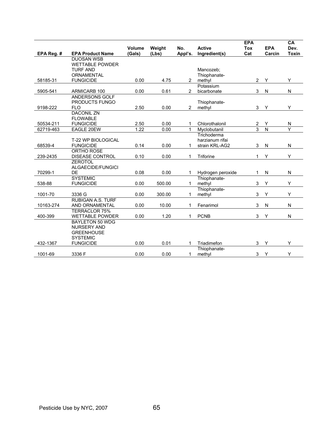|            |                                              |               |        |                |                             | <b>EPA</b>                       |                              | CA                                                 |
|------------|----------------------------------------------|---------------|--------|----------------|-----------------------------|----------------------------------|------------------------------|----------------------------------------------------|
|            |                                              | <b>Volume</b> | Weight | No.            | <b>Active</b>               | <b>Tox</b>                       | <b>EPA</b>                   | Dev.                                               |
| EPA Reg. # | <b>EPA Product Name</b><br><b>DUOSAN WSB</b> | (Gals)        | (Lbs)  | Appl's.        | Ingredient(s)               | Cat                              | Carcin                       | <b>Toxin</b>                                       |
|            | <b>WETTABLE POWDER</b>                       |               |        |                |                             |                                  |                              |                                                    |
|            | <b>TURF AND</b>                              |               |        |                | Mancozeb:                   |                                  |                              |                                                    |
|            | <b>ORNAMENTAL</b>                            |               |        |                | Thiophanate-                |                                  |                              |                                                    |
| 58185-31   | <b>FUNGICIDE</b>                             | 0.00          | 4.75   | $\overline{2}$ | methyl                      | $\overline{2}$                   | Y                            | Y                                                  |
|            |                                              |               |        |                | Potassium                   |                                  |                              |                                                    |
| 5905-541   | ARMICARB 100                                 | 0.00          | 0.61   | 2              | bicarbonate                 | 3                                | N                            | ${\sf N}$                                          |
|            | ANDERSONS GOLF                               |               |        |                |                             |                                  |                              |                                                    |
|            | PRODUCTS FUNGO                               |               |        |                | Thiophanate-                |                                  |                              |                                                    |
| 9198-222   | <b>FLO</b>                                   | 2.50          | 0.00   | $\overline{2}$ | methyl                      | 3                                | Y                            | Y                                                  |
|            | <b>DACONIL ZN</b>                            |               |        |                |                             |                                  |                              |                                                    |
|            | <b>FLOWABLE</b>                              |               |        |                |                             |                                  |                              |                                                    |
| 50534-211  | <b>FUNGICIDE</b>                             | 2.50<br>1.22  | 0.00   | 1              | Chlorothalonil              | $\overline{2}$<br>$\overline{3}$ | Υ<br>$\overline{\mathsf{N}}$ | $\overline{\mathsf{N}}$<br>$\overline{\mathsf{Y}}$ |
| 62719-463  | EAGLE 20EW                                   |               | 0.00   | 1              | Myclobutanil<br>Trichoderma |                                  |                              |                                                    |
|            | <b>T-22 WP BIOLOGICAL</b>                    |               |        |                | harzianum rifai             |                                  |                              |                                                    |
| 68539-4    | <b>FUNGICIDE</b>                             | 0.14          | 0.00   | 1              | strain KRL-AG2              | 3                                | N                            | N                                                  |
|            | ORTHO ROSE                                   |               |        |                |                             |                                  |                              |                                                    |
| 239-2435   | <b>DISEASE CONTROL</b>                       | 0.10          | 0.00   | 1              | Triforine                   | 1                                | Υ                            | Y                                                  |
|            | <b>ZEROTOL</b>                               |               |        |                |                             |                                  |                              |                                                    |
|            | ALGAECIDE/FUNGICI                            |               |        |                |                             |                                  |                              |                                                    |
| 70299-1    | <b>DE</b>                                    | 0.08          | 0.00   | 1              | Hydrogen peroxide           | 1                                | N                            | N                                                  |
|            | <b>SYSTEMIC</b>                              |               |        |                | Thiophanate-                |                                  |                              |                                                    |
| 538-88     | <b>FUNGICIDE</b>                             | 0.00          | 500.00 | 1              | methyl                      | 3                                | Y                            | Y                                                  |
|            |                                              |               |        |                | Thiophanate-                |                                  |                              |                                                    |
| 1001-70    | 3336 G                                       | 0.00          | 300.00 | 1              | methyl                      | 3                                | Υ                            | Y                                                  |
|            | RUBIGAN A.S. TURF                            |               |        |                |                             |                                  |                              |                                                    |
| 10163-274  | AND ORNAMENTAL                               | 0.00          | 10.00  | 1              | Fenarimol                   | 3                                | N                            | N                                                  |
|            | <b>TERRACLOR 75%</b>                         |               |        |                |                             |                                  |                              |                                                    |
| 400-399    | <b>WETTABLE POWDER</b>                       | 0.00          | 1.20   | 1              | <b>PCNB</b>                 | 3                                | Y                            | N                                                  |
|            | <b>BAYLETON 50 WDG</b><br><b>NURSERY AND</b> |               |        |                |                             |                                  |                              |                                                    |
|            | <b>GREENHOUSE</b>                            |               |        |                |                             |                                  |                              |                                                    |
|            | <b>SYSTEMIC</b>                              |               |        |                |                             |                                  |                              |                                                    |
| 432-1367   | <b>FUNGICIDE</b>                             | 0.00          | 0.01   | 1              | Triadimefon                 | 3                                | Y                            | Y                                                  |
|            |                                              |               |        |                | Thiophanate-                |                                  |                              |                                                    |
| 1001-69    | 3336 F                                       | 0.00          | 0.00   | 1              | methyl                      | 3                                | Υ                            | Y                                                  |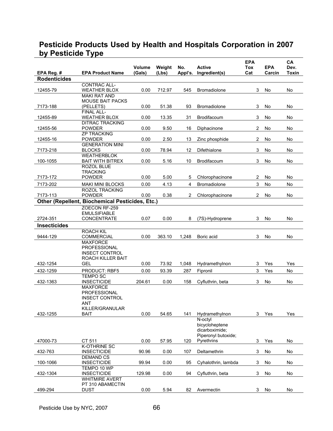## **Pesticide Products Used by Health and Hospitals Corporation in 2007 by Pesticide Type**

| EPA Reg. #          | <b>EPA Product Name</b>                                | Volume<br>(Gals) | Weight<br>(Lbs) | No.<br>Appl's. | <b>Active</b><br>Ingredient(s) | <b>EPA</b><br>Tox<br>Cat | <b>EPA</b><br>Carcin | CA<br>Dev.<br>Toxin |
|---------------------|--------------------------------------------------------|------------------|-----------------|----------------|--------------------------------|--------------------------|----------------------|---------------------|
| <b>Rodenticides</b> |                                                        |                  |                 |                |                                |                          |                      |                     |
|                     | <b>CONTRAC ALL-</b>                                    |                  |                 |                |                                |                          |                      |                     |
| 12455-79            | <b>WEATHER BLOX</b>                                    | 0.00             | 712.97          | 545            | <b>Bromadiolone</b>            | 3                        | No                   | No                  |
|                     | <b>MAKI RAT AND</b>                                    |                  |                 |                |                                |                          |                      |                     |
|                     | <b>MOUSE BAIT PACKS</b>                                |                  |                 |                |                                |                          |                      |                     |
| 7173-188            | (PELLETS)                                              | 0.00             | 51.38           | 93             | <b>Bromadiolone</b>            | 3                        | No                   | No                  |
|                     | FINAL ALL-                                             |                  |                 |                |                                |                          |                      |                     |
| 12455-89            | <b>WEATHER BLOX</b>                                    | 0.00             | 13.35           | 31             | Brodifacoum                    | 3                        | No                   | No                  |
|                     | <b>DITRAC TRACKING</b>                                 |                  |                 |                |                                |                          |                      |                     |
| 12455-56            | <b>POWDER</b><br><b>ZP TRACKING</b>                    | 0.00             | 9.50            | 16             | Diphacinone                    | 2                        | No                   | No                  |
| 12455-16            | <b>POWDER</b>                                          | 0.00             | 2.50            | 13             | Zinc phosphide                 | $\overline{2}$           | No                   | No                  |
|                     | <b>GENERATION MINI</b>                                 |                  |                 |                |                                |                          |                      |                     |
| 7173-218            | <b>BLOCKS</b>                                          | 0.00             | 78.94           | 12             | Difethialone                   | 3                        | No                   | No                  |
|                     | <b>WEATHERBLOK</b>                                     |                  |                 |                |                                |                          |                      |                     |
| 100-1055            | <b>BAIT WITH BITREX</b>                                | 0.00             | 5.16            | 10             | Brodifacoum                    | 3                        | No                   | No                  |
|                     | ROZOL BLUE                                             |                  |                 |                |                                |                          |                      |                     |
|                     | <b>TRACKING</b>                                        |                  |                 |                |                                |                          |                      |                     |
| 7173-172            | <b>POWDER</b>                                          | 0.00             | 5.00            | 5              | Chlorophacinone                | 2                        | No                   | No                  |
| 7173-202            | <b>MAKI MINI BLOCKS</b>                                | 0.00             | 4.13            | 4              | Bromadiolone                   | 3                        | No                   | No                  |
|                     | ROZOL TRACKING                                         |                  |                 |                |                                |                          |                      |                     |
| 7173-113            | <b>POWDER</b>                                          | 0.00             | 0.38            | $\overline{2}$ | Chlorophacinone                | $\mathbf{2}^{\prime}$    | No                   | No                  |
|                     | <b>Other (Repellent, Biochemical Pesticides, Etc.)</b> |                  |                 |                |                                |                          |                      |                     |
|                     | ZOECON RF-259                                          |                  |                 |                |                                |                          |                      |                     |
|                     | <b>EMULSIFIABLE</b>                                    |                  |                 |                |                                |                          |                      |                     |
| 2724-351            | CONCENTRATE                                            | 0.07             | 0.00            | 8              | (7S)-Hydroprene                | 3                        | No                   | No                  |
| <b>Insecticides</b> |                                                        |                  |                 |                |                                |                          |                      |                     |
|                     | <b>ROACH KIL</b>                                       |                  |                 |                |                                |                          |                      |                     |
| 9444-129            | COMMERCIAL                                             | 0.00             | 363.10          | 1,248          | Boric acid                     | 3                        | No                   | No                  |
|                     | <b>MAXFORCE</b><br>PROFESSIONAL                        |                  |                 |                |                                |                          |                      |                     |
|                     | <b>INSECT CONTROL</b>                                  |                  |                 |                |                                |                          |                      |                     |
|                     | ROACH KILLER BAIT                                      |                  |                 |                |                                |                          |                      |                     |
| 432-1254            | <b>GEL</b>                                             | 0.00             | 73.92           | 1,048          | Hydramethylnon                 | 3                        | Yes                  | Yes                 |
| 432-1259            | PRODUCT: RBF5                                          | 0.00             | 93.39           | 287            | Fipronil                       | 3                        | Yes                  | No                  |
|                     | <b>TEMPO SC</b>                                        |                  |                 |                |                                |                          |                      |                     |
| 432-1363            | <b>INSECTICIDE</b>                                     | 204.61           | 0.00            | 158            | Cyfluthrin, beta               | 3                        | No                   | No                  |
|                     | <b>MAXFORCE</b>                                        |                  |                 |                |                                |                          |                      |                     |
|                     | <b>PROFESSIONAL</b>                                    |                  |                 |                |                                |                          |                      |                     |
|                     | <b>INSECT CONTROL</b>                                  |                  |                 |                |                                |                          |                      |                     |
|                     | ANT                                                    |                  |                 |                |                                |                          |                      |                     |
|                     | KILLER/GRANULAR                                        |                  |                 |                |                                |                          |                      |                     |
| 432-1255            | BAIT                                                   | 0.00             | 54.65           | 141            | Hydramethylnon<br>N-octyl      | 3                        | Yes                  | Yes                 |
|                     |                                                        |                  |                 |                | bicycloheptene                 |                          |                      |                     |
|                     |                                                        |                  |                 |                | dicarboximide;                 |                          |                      |                     |
|                     |                                                        |                  |                 |                | Piperonyl butoxide;            |                          |                      |                     |
| 47000-73            | CT 511                                                 | 0.00             | 57.95           | 120            | Pyrethrins                     | 3                        | Yes                  | No                  |
|                     | K-OTHRINE SC                                           |                  |                 |                |                                |                          |                      |                     |
| 432-763             | <b>INSECTICIDE</b>                                     | 90.96            | 0.00            | 107            | Deltamethrin                   | 3                        | No                   | No                  |
|                     | <b>DEMAND CS</b>                                       |                  |                 |                |                                |                          |                      |                     |
| 100-1066            | <b>INSECTICIDE</b>                                     | 99.94            | 0.00            | 95             | Cyhalothrin, lambda            | 3                        | No                   | No                  |
|                     | TEMPO 10 WP                                            |                  |                 |                |                                |                          |                      |                     |
| 432-1304            | <b>INSECTICIDE</b><br><b>WHITMIRE AVERT</b>            | 129.98           | 0.00            | 94             | Cyfluthrin, beta               | 3                        | No                   | No                  |
|                     | PT 310 ABAMECTIN                                       |                  |                 |                |                                |                          |                      |                     |
| 499-294             | DUST                                                   | 0.00             | 5.94            | 82             | Avermectin                     | 3                        | No                   | No                  |
|                     |                                                        |                  |                 |                |                                |                          |                      |                     |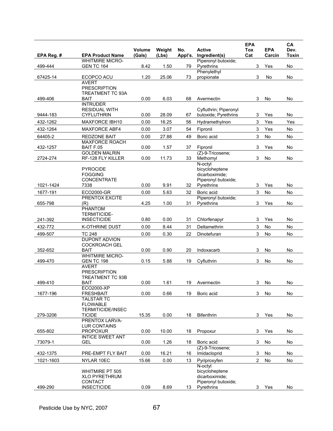|            |                                                | Volume | Weight | No.     | <b>Active</b>                     | <b>EPA</b><br><b>Tox</b> | <b>EPA</b> | CA<br>Dev.   |
|------------|------------------------------------------------|--------|--------|---------|-----------------------------------|--------------------------|------------|--------------|
| EPA Reg. # | <b>EPA Product Name</b>                        | (Gals) | (Lbs)  | Appl's. | Ingredient(s)                     | Cat                      | Carcin     | <b>Toxin</b> |
|            | <b>WHITMIRE MICRO-</b>                         |        |        |         | Piperonyl butoxide;               |                          |            |              |
| 499-444    | <b>GEN TC 164</b>                              | 8.42   | 1.50   | 79      | Pyrethrins<br>Phenylethyl         | 3                        | Yes        | No           |
| 67425-14   | ECOPCO ACU                                     | 1.20   | 25.06  | 73      | propionate                        | 3                        | No         | No           |
|            | <b>AVERT</b>                                   |        |        |         |                                   |                          |            |              |
|            | <b>PRESCRIPTION</b>                            |        |        |         |                                   |                          |            |              |
|            | TREATMENT TC 93A                               |        |        |         |                                   |                          |            |              |
| 499-406    | <b>BAIT</b>                                    | 0.00   | 6.03   | 68      | Avermectin                        | 3                        | No         | No           |
|            | <b>INTRUDER</b><br><b>RESIDUAL WITH</b>        |        |        |         | Cyfluthrin; Piperonyl             |                          |            |              |
| 9444-183   | <b>CYFLUTHRIN</b>                              | 0.00   | 28.09  | 67      | butoxide; Pyrethrins              | 3                        | Yes        | No           |
| 432-1262   | MAXFORCE IBH10                                 | 0.00   | 16.25  | 56      | Hydramethylnon                    | 3                        | Yes        | Yes          |
| 432-1264   |                                                | 0.00   | 3.07   | 54      | Fipronil                          | 3                        | Yes        | No           |
|            | MAXFORCE ABF4                                  |        |        |         |                                   |                          |            |              |
| 64405-2    | <b>REDZONE BAIT</b><br><b>MAXFORCE ROACH</b>   | 0.00   | 27.88  | 49      | Boric acid                        | 3                        | No         | No           |
| 432-1257   | BAIT F.05                                      | 0.00   | 1.57   | 37      | Fipronil                          | 3                        | Yes        | No           |
|            | <b>GOLDEN MALRIN</b>                           |        |        |         | (Z)-9-Tricosene;                  |                          |            |              |
| 2724-274   | RF-128 FLY KILLER                              | 0.00   | 11.73  | 33      | Methomyl                          | 3                        | No         | No           |
|            |                                                |        |        |         | N-octyl                           |                          |            |              |
|            | <b>PYROCIDE</b>                                |        |        |         | bicycloheptene                    |                          |            |              |
|            | <b>FOGGING</b>                                 |        |        |         | dicarboximide:                    |                          |            |              |
| 1021-1424  | <b>CONCENTRATE</b><br>7338                     | 0.00   | 9.91   | 32      | Piperonyl butoxide;<br>Pyrethrins | 3                        | Yes        | No           |
| 1677-191   | ECO2000-GR                                     | 0.00   | 5.63   | 32      | Boric acid                        | 3                        | No         | No           |
|            | PRENTOX EXCITE                                 |        |        |         | Piperonyl butoxide;               |                          |            |              |
| 655-798    | (R)                                            | 4.25   | 1.00   | 31      | Pyrethrins                        | 3                        | Yes        | No           |
|            | PHANTOM                                        |        |        |         |                                   |                          |            |              |
|            | <b>TERMITICIDE-</b>                            |        |        |         |                                   |                          |            |              |
| 241-392    | <b>INSECTICIDE</b>                             | 0.80   | 0.00   | 31      | Chlorfenapyr                      | 3                        | Yes        | No           |
| 432-772    | <b>K-OTHRINE DUST</b>                          | 0.00   | 8.44   | 31      | Deltamethrin                      | 3                        | No         | No           |
| 499-507    | <b>TC 248</b>                                  | 0.00   | 0.30   | 22      | Dinotefuran                       | 3                        | No         | No           |
|            | <b>DUPONT ADVION</b>                           |        |        |         |                                   |                          |            |              |
|            | <b>COCKROACH GEL</b>                           |        |        |         |                                   |                          |            |              |
| 352-652    | <b>BAIT</b><br><b>WHITMIRE MICRO-</b>          | 0.00   | 0.90   | 20      | Indoxacarb                        | 3                        | No         | No           |
| 499-470    | <b>GEN TC 198</b>                              | 0.15   | 5.88   | 19      | Cyfluthrin                        | 3                        | No         | No           |
|            | <b>AVERT</b>                                   |        |        |         |                                   |                          |            |              |
|            | <b>PRESCRIPTION</b>                            |        |        |         |                                   |                          |            |              |
|            | <b>TREATMENT TC 93B</b>                        |        |        |         |                                   |                          |            |              |
| 499-410    | <b>BAIT</b>                                    | 0.00   | 1.61   |         | 19 Avermectin                     | 3                        | No         | No           |
| 1677-196   | ECO2000-XP<br><b>FRESHBAIT</b>                 | 0.00   | 0.66   | 19      | Boric acid                        | 3                        | No         | No           |
|            | <b>TALSTAR TC</b>                              |        |        |         |                                   |                          |            |              |
|            | <b>FLOWABLE</b>                                |        |        |         |                                   |                          |            |              |
|            | <b>TERMITICIDE/INSEC</b>                       |        |        |         |                                   |                          |            |              |
| 279-3206   | TICIDE                                         | 15.35  | 0.00   | 18      | <b>Bifenthrin</b>                 | 3                        | Yes        | No           |
|            | PRENTOX LARVA-                                 |        |        |         |                                   |                          |            |              |
| 655-802    | <b>LUR CONTAINS</b><br><b>PROPOXUR</b>         | 0.00   | 10.00  | 18      | Propoxur                          | 3                        | Yes        | No           |
|            | <b>INTICE SWEET ANT</b>                        |        |        |         |                                   |                          |            |              |
| 73079-1    | <b>GEL</b>                                     | 0.00   | 1.26   | 18      | Boric acid                        | 3                        | No         | No           |
|            |                                                |        |        |         | (Z)-9-Tricosene;                  |                          |            |              |
| 432-1375   | PRE-EMPT FLY BAIT                              | 0.00   | 16.21  | 16      | Imidacloprid                      | 3                        | No         | No           |
| 1021-1603  | NYLAR 10EC                                     | 15.66  | 0.00   | 13      | Pyriproxyfen                      | 2                        | No         | No           |
|            |                                                |        |        |         | N-octyl                           |                          |            |              |
|            | <b>WHITMIRE PT 505</b><br><b>XLO PYRETHRUM</b> |        |        |         | bicycloheptene<br>dicarboximide;  |                          |            |              |
|            | CONTACT                                        |        |        |         | Piperonyl butoxide;               |                          |            |              |
| 499-290    | <b>INSECTICIDE</b>                             | 0.09   | 8.69   | 13      | Pyrethrins                        | 3                        | Yes        | No           |